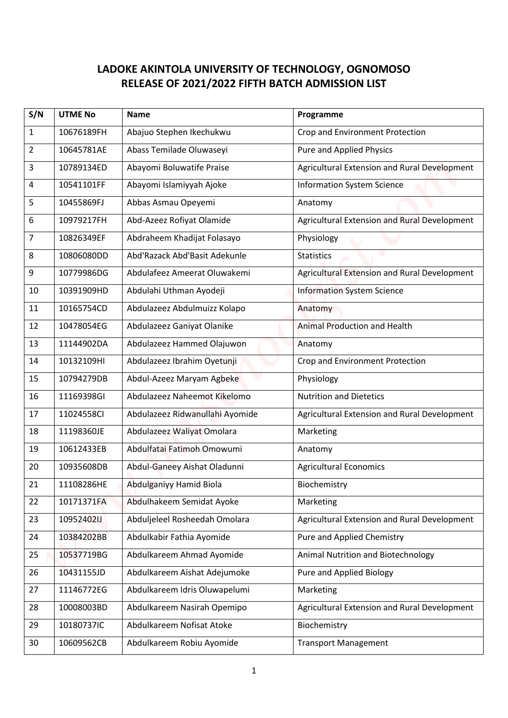## **LADOKE AKINTOLA UNIVERSITY OF TECHNOLOGY, OGNOMOSO RELEASE OF 2021/2022 FIFTH BATCH ADMISSION LIST**

| S/N            | <b>UTME No</b> | <b>Name</b>                     | Programme                                    |
|----------------|----------------|---------------------------------|----------------------------------------------|
| 1              | 10676189FH     | Abajuo Stephen Ikechukwu        | Crop and Environment Protection              |
| $\overline{2}$ | 10645781AE     | Abass Temilade Oluwaseyi        | <b>Pure and Applied Physics</b>              |
| 3              | 10789134ED     | Abayomi Boluwatife Praise       | Agricultural Extension and Rural Development |
| 4              | 10541101FF     | Abayomi Islamiyyah Ajoke        | <b>Information System Science</b>            |
| 5              | 10455869FJ     | Abbas Asmau Opeyemi             | Anatomy                                      |
| 6              | 10979217FH     | Abd-Azeez Rofiyat Olamide       | Agricultural Extension and Rural Development |
| 7              | 10826349EF     | Abdraheem Khadijat Folasayo     | Physiology                                   |
| 8              | 10806080DD     | Abd'Razack Abd'Basit Adekunle   | <b>Statistics</b>                            |
| 9              | 10779986DG     | Abdulafeez Ameerat Oluwakemi    | Agricultural Extension and Rural Development |
| 10             | 10391909HD     | Abdulahi Uthman Ayodeji         | <b>Information System Science</b>            |
| 11             | 10165754CD     | Abdulazeez Abdulmuizz Kolapo    | Anatomy                                      |
| 12             | 10478054EG     | Abdulazeez Ganiyat Olanike      | <b>Animal Production and Health</b>          |
| 13             | 11144902DA     | Abdulazeez Hammed Olajuwon      | Anatomy                                      |
| 14             | 10132109HI     | Abdulazeez Ibrahim Oyetunji     | Crop and Environment Protection              |
| 15             | 10794279DB     | Abdul-Azeez Maryam Agbeke       | Physiology                                   |
| 16             | 11169398GI     | Abdulazeez Naheemot Kikelomo    | <b>Nutrition and Dietetics</b>               |
| 17             | 11024558CI     | Abdulazeez Ridwanullahi Ayomide | Agricultural Extension and Rural Development |
| 18             | 11198360JE     | Abdulazeez Waliyat Omolara      | Marketing                                    |
| 19             | 10612433EB     | Abdulfatai Fatimoh Omowumi      | Anatomy                                      |
| 20             | 10935608DB     | Abdul-Ganeey Aishat Oladunni    | <b>Agricultural Economics</b>                |
| 21             | 11108286HE     | Abdulganiyy Hamid Biola         | Biochemistry                                 |
| 22             | 10171371FA     | Abdulhakeem Semidat Ayoke       | Marketing                                    |
| 23             | 10952402IJ     | Abduljeleel Rosheedah Omolara   | Agricultural Extension and Rural Development |
| 24             | 10384202BB     | Abdulkabir Fathia Ayomide       | Pure and Applied Chemistry                   |
| 25             | 10537719BG     | Abdulkareem Ahmad Ayomide       | Animal Nutrition and Biotechnology           |
| 26             | 10431155JD     | Abdulkareem Aishat Adejumoke    | Pure and Applied Biology                     |
| 27             | 11146772EG     | Abdulkareem Idris Oluwapelumi   | Marketing                                    |
| 28             | 10008003BD     | Abdulkareem Nasirah Opemipo     | Agricultural Extension and Rural Development |
| 29             | 10180737IC     | Abdulkareem Nofisat Atoke       | Biochemistry                                 |
| 30             | 10609562CB     | Abdulkareem Robiu Ayomide       | <b>Transport Management</b>                  |
|                |                |                                 |                                              |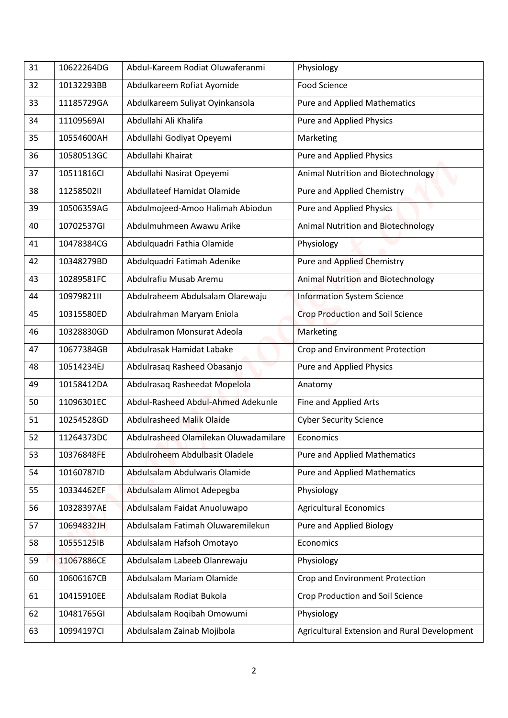| 31 | 10622264DG | Abdul-Kareem Rodiat Oluwaferanmi      | Physiology                                   |
|----|------------|---------------------------------------|----------------------------------------------|
| 32 | 10132293BB | Abdulkareem Rofiat Ayomide            | Food Science                                 |
| 33 | 11185729GA | Abdulkareem Suliyat Oyinkansola       | <b>Pure and Applied Mathematics</b>          |
| 34 | 11109569AI | Abdullahi Ali Khalifa                 | <b>Pure and Applied Physics</b>              |
| 35 | 10554600AH | Abdullahi Godiyat Opeyemi             | Marketing                                    |
| 36 | 10580513GC | Abdullahi Khairat                     | Pure and Applied Physics                     |
| 37 | 10511816Cl | Abdullahi Nasirat Opeyemi             | Animal Nutrition and Biotechnology           |
|    | 1125850211 | Abdullateef Hamidat Olamide           |                                              |
| 38 | 10506359AG |                                       | Pure and Applied Chemistry                   |
| 39 |            | Abdulmojeed-Amoo Halimah Abiodun      | Pure and Applied Physics                     |
| 40 | 10702537GI | Abdulmuhmeen Awawu Arike              | <b>Animal Nutrition and Biotechnology</b>    |
| 41 | 10478384CG | Abdulquadri Fathia Olamide            | Physiology                                   |
| 42 | 10348279BD | Abdulquadri Fatimah Adenike           | <b>Pure and Applied Chemistry</b>            |
| 43 | 10289581FC | Abdulrafiu Musab Aremu                | Animal Nutrition and Biotechnology           |
| 44 | 10979821II | Abdulraheem Abdulsalam Olarewaju      | <b>Information System Science</b>            |
| 45 | 10315580ED | Abdulrahman Maryam Eniola             | <b>Crop Production and Soil Science</b>      |
| 46 | 10328830GD | Abdulramon Monsurat Adeola            | Marketing                                    |
| 47 | 10677384GB | Abdulrasak Hamidat Labake             | Crop and Environment Protection              |
| 48 | 10514234EJ | Abdulrasaq Rasheed Obasanjo           | Pure and Applied Physics                     |
| 49 | 10158412DA | Abdulrasaq Rasheedat Mopelola         | Anatomy                                      |
| 50 | 11096301EC | Abdul-Rasheed Abdul-Ahmed Adekunle    | Fine and Applied Arts                        |
| 51 | 10254528GD | Abdulrasheed Malik Olaide             | <b>Cyber Security Science</b>                |
| 52 | 11264373DC | Abdulrasheed Olamilekan Oluwadamilare | Economics                                    |
| 53 | 10376848FE | Abdulroheem Abdulbasit Oladele        | <b>Pure and Applied Mathematics</b>          |
| 54 | 10160787ID | Abdulsalam Abdulwaris Olamide         | <b>Pure and Applied Mathematics</b>          |
| 55 | 10334462EF | Abdulsalam Alimot Adepegba            | Physiology                                   |
| 56 | 10328397AE | Abdulsalam Faidat Anuoluwapo          | <b>Agricultural Economics</b>                |
| 57 | 10694832JH | Abdulsalam Fatimah Oluwaremilekun     | Pure and Applied Biology                     |
| 58 | 10555125IB | Abdulsalam Hafsoh Omotayo             | Economics                                    |
| 59 | 11067886CE | Abdulsalam Labeeb Olanrewaju          | Physiology                                   |
| 60 | 10606167CB | Abdulsalam Mariam Olamide             | Crop and Environment Protection              |
| 61 | 10415910EE | Abdulsalam Rodiat Bukola              | Crop Production and Soil Science             |
| 62 | 10481765GI | Abdulsalam Roqibah Omowumi            | Physiology                                   |
| 63 | 10994197CI | Abdulsalam Zainab Mojibola            | Agricultural Extension and Rural Development |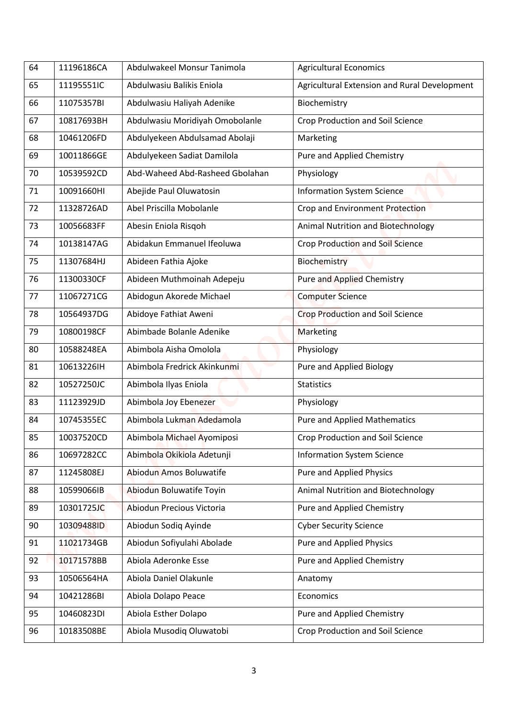| 64 | 11196186CA | Abdulwakeel Monsur Tanimola     | <b>Agricultural Economics</b>                |
|----|------------|---------------------------------|----------------------------------------------|
| 65 | 11195551IC | Abdulwasiu Balikis Eniola       | Agricultural Extension and Rural Development |
| 66 | 11075357BI | Abdulwasiu Haliyah Adenike      | Biochemistry                                 |
| 67 | 10817693BH | Abdulwasiu Moridiyah Omobolanle | Crop Production and Soil Science             |
| 68 | 10461206FD | Abdulyekeen Abdulsamad Abolaji  | Marketing                                    |
| 69 | 10011866GE | Abdulyekeen Sadiat Damilola     | Pure and Applied Chemistry                   |
| 70 | 10539592CD | Abd-Waheed Abd-Rasheed Gbolahan | Physiology                                   |
| 71 | 10091660HI | Abejide Paul Oluwatosin         | <b>Information System Science</b>            |
| 72 | 11328726AD | Abel Priscilla Mobolanle        | Crop and Environment Protection              |
| 73 | 10056683FF | Abesin Eniola Risqoh            | <b>Animal Nutrition and Biotechnology</b>    |
| 74 | 10138147AG | Abidakun Emmanuel Ifeoluwa      | <b>Crop Production and Soil Science</b>      |
| 75 | 11307684HJ | Abideen Fathia Ajoke            | Biochemistry                                 |
| 76 | 11300330CF | Abideen Muthmoinah Adepeju      | <b>Pure and Applied Chemistry</b>            |
| 77 | 11067271CG | Abidogun Akorede Michael        | <b>Computer Science</b>                      |
| 78 | 10564937DG | Abidoye Fathiat Aweni           | <b>Crop Production and Soil Science</b>      |
| 79 | 10800198CF | Abimbade Bolanle Adenike        | Marketing                                    |
| 80 | 10588248EA | Abimbola Aisha Omolola          | Physiology                                   |
| 81 | 10613226IH | Abimbola Fredrick Akinkunmi     | <b>Pure and Applied Biology</b>              |
| 82 | 10527250JC | Abimbola Ilyas Eniola           | <b>Statistics</b>                            |
| 83 | 11123929JD | Abimbola Joy Ebenezer           | Physiology                                   |
| 84 | 10745355EC | Abimbola Lukman Adedamola       | <b>Pure and Applied Mathematics</b>          |
| 85 | 10037520CD | Abimbola Michael Ayomiposi      | Crop Production and Soil Science             |
| 86 | 10697282CC | Abimbola Okikiola Adetunji      | <b>Information System Science</b>            |
| 87 | 11245808EJ | Abiodun Amos Boluwatife         | Pure and Applied Physics                     |
| 88 | 10599066IB | Abiodun Boluwatife Toyin        | Animal Nutrition and Biotechnology           |
| 89 | 10301725JC | Abiodun Precious Victoria       | Pure and Applied Chemistry                   |
| 90 | 10309488ID | Abiodun Sodiq Ayinde            | <b>Cyber Security Science</b>                |
| 91 | 11021734GB | Abiodun Sofiyulahi Abolade      | Pure and Applied Physics                     |
| 92 | 10171578BB | Abiola Aderonke Esse            | Pure and Applied Chemistry                   |
| 93 | 10506564HA | Abiola Daniel Olakunle          | Anatomy                                      |
| 94 | 10421286BI | Abiola Dolapo Peace             | Economics                                    |
|    |            |                                 |                                              |
| 95 | 10460823DI | Abiola Esther Dolapo            | Pure and Applied Chemistry                   |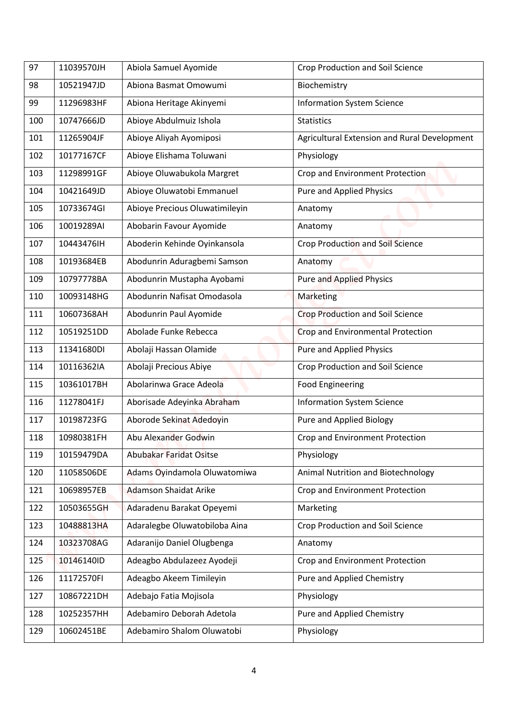| 97  | 11039570JH | Abiola Samuel Ayomide          | <b>Crop Production and Soil Science</b>      |
|-----|------------|--------------------------------|----------------------------------------------|
| 98  | 10521947JD | Abiona Basmat Omowumi          | Biochemistry                                 |
| 99  | 11296983HF | Abiona Heritage Akinyemi       | <b>Information System Science</b>            |
| 100 | 10747666JD | Abioye Abdulmuiz Ishola        | <b>Statistics</b>                            |
| 101 | 11265904JF | Abioye Aliyah Ayomiposi        | Agricultural Extension and Rural Development |
| 102 | 10177167CF | Abioye Elishama Toluwani       | Physiology                                   |
| 103 | 11298991GF | Abioye Oluwabukola Margret     | Crop and Environment Protection              |
| 104 | 10421649JD | Abioye Oluwatobi Emmanuel      | <b>Pure and Applied Physics</b>              |
| 105 | 10733674GI | Abioye Precious Oluwatimileyin | Anatomy                                      |
| 106 | 10019289AI | Abobarin Favour Ayomide        | Anatomy                                      |
| 107 | 10443476IH | Aboderin Kehinde Oyinkansola   | Crop Production and Soil Science             |
| 108 | 10193684EB | Abodunrin Aduragbemi Samson    | Anatomy                                      |
| 109 | 10797778BA | Abodunrin Mustapha Ayobami     | <b>Pure and Applied Physics</b>              |
| 110 | 10093148HG | Abodunrin Nafisat Omodasola    | Marketing                                    |
| 111 | 10607368AH | Abodunrin Paul Ayomide         | <b>Crop Production and Soil Science</b>      |
| 112 | 10519251DD | Abolade Funke Rebecca          | Crop and Environmental Protection            |
| 113 | 11341680DI | Abolaji Hassan Olamide         | <b>Pure and Applied Physics</b>              |
| 114 | 10116362IA | Abolaji Precious Abiye         | Crop Production and Soil Science             |
| 115 | 10361017BH | Abolarinwa Grace Adeola        | <b>Food Engineering</b>                      |
| 116 | 11278041FJ | Aborisade Adeyinka Abraham     | <b>Information System Science</b>            |
| 117 | 10198723FG | Aborode Sekinat Adedoyin       | Pure and Applied Biology                     |
| 118 | 10980381FH | Abu Alexander Godwin           | Crop and Environment Protection              |
| 119 | 10159479DA | Abubakar Faridat Ositse        | Physiology                                   |
| 120 | 11058506DE | Adams Oyindamola Oluwatomiwa   | Animal Nutrition and Biotechnology           |
| 121 | 10698957EB | <b>Adamson Shaidat Arike</b>   | Crop and Environment Protection              |
| 122 | 10503655GH | Adaradenu Barakat Opeyemi      | Marketing                                    |
| 123 | 10488813HA | Adaralegbe Oluwatobiloba Aina  | Crop Production and Soil Science             |
| 124 | 10323708AG | Adaranijo Daniel Olugbenga     | Anatomy                                      |
| 125 | 10146140ID | Adeagbo Abdulazeez Ayodeji     | Crop and Environment Protection              |
| 126 | 11172570FI | Adeagbo Akeem Timileyin        | Pure and Applied Chemistry                   |
| 127 | 10867221DH | Adebajo Fatia Mojisola         | Physiology                                   |
| 128 | 10252357HH | Adebamiro Deborah Adetola      | Pure and Applied Chemistry                   |
| 129 | 10602451BE | Adebamiro Shalom Oluwatobi     | Physiology                                   |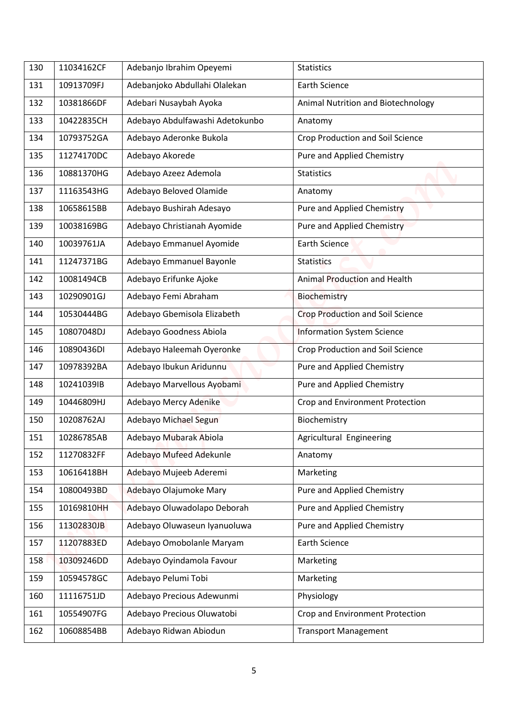| 130 | 11034162CF | Adebanjo Ibrahim Opeyemi        | <b>Statistics</b>                       |
|-----|------------|---------------------------------|-----------------------------------------|
|     |            |                                 |                                         |
| 131 | 10913709FJ | Adebanjoko Abdullahi Olalekan   | <b>Earth Science</b>                    |
| 132 | 10381866DF | Adebari Nusaybah Ayoka          | Animal Nutrition and Biotechnology      |
| 133 | 10422835CH | Adebayo Abdulfawashi Adetokunbo | Anatomy                                 |
| 134 | 10793752GA | Adebayo Aderonke Bukola         | Crop Production and Soil Science        |
| 135 | 11274170DC | Adebayo Akorede                 | Pure and Applied Chemistry              |
| 136 | 10881370HG | Adebayo Azeez Ademola           | <b>Statistics</b>                       |
| 137 | 11163543HG | Adebayo Beloved Olamide         | Anatomy                                 |
| 138 | 10658615BB | Adebayo Bushirah Adesayo        | Pure and Applied Chemistry              |
| 139 | 10038169BG | Adebayo Christianah Ayomide     | Pure and Applied Chemistry              |
| 140 | 10039761JA | Adebayo Emmanuel Ayomide        | <b>Earth Science</b>                    |
| 141 | 11247371BG | Adebayo Emmanuel Bayonle        | <b>Statistics</b>                       |
| 142 | 10081494CB | Adebayo Erifunke Ajoke          | Animal Production and Health            |
| 143 | 10290901GJ | Adebayo Femi Abraham            | Biochemistry                            |
| 144 | 10530444BG | Adebayo Gbemisola Elizabeth     | <b>Crop Production and Soil Science</b> |
| 145 | 10807048DJ | Adebayo Goodness Abiola         | <b>Information System Science</b>       |
| 146 | 10890436DI | Adebayo Haleemah Oyeronke       | Crop Production and Soil Science        |
| 147 | 10978392BA | Adebayo Ibukun Aridunnu         | Pure and Applied Chemistry              |
| 148 | 10241039IB | Adebayo Marvellous Ayobami      | Pure and Applied Chemistry              |
| 149 | 10446809HJ | Adebayo Mercy Adenike           | Crop and Environment Protection         |
| 150 | 10208762AJ | Adebayo Michael Segun           | Biochemistry                            |
| 151 | 10286785AB | Adebayo Mubarak Abiola          | Agricultural Engineering                |
| 152 | 11270832FF | Adebayo Mufeed Adekunle         | Anatomy                                 |
| 153 | 10616418BH | Adebayo Mujeeb Aderemi          | Marketing                               |
| 154 | 10800493BD | Adebayo Olajumoke Mary          | Pure and Applied Chemistry              |
| 155 | 10169810HH | Adebayo Oluwadolapo Deborah     | Pure and Applied Chemistry              |
| 156 | 11302830JB | Adebayo Oluwaseun Iyanuoluwa    | Pure and Applied Chemistry              |
| 157 | 11207883ED | Adebayo Omobolanle Maryam       | <b>Earth Science</b>                    |
| 158 | 10309246DD | Adebayo Oyindamola Favour       | Marketing                               |
| 159 | 10594578GC | Adebayo Pelumi Tobi             | Marketing                               |
| 160 | 11116751JD | Adebayo Precious Adewunmi       | Physiology                              |
| 161 | 10554907FG | Adebayo Precious Oluwatobi      | Crop and Environment Protection         |
| 162 |            |                                 |                                         |
|     | 10608854BB | Adebayo Ridwan Abiodun          | <b>Transport Management</b>             |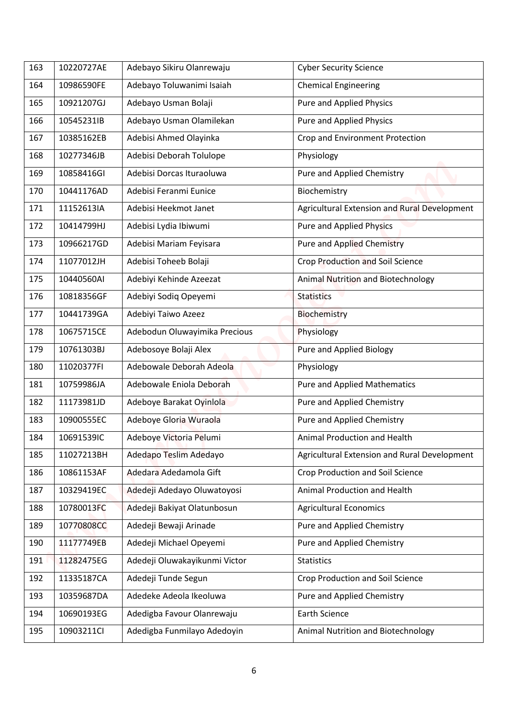| 163 | 10220727AE | Adebayo Sikiru Olanrewaju     | <b>Cyber Security Science</b>                |
|-----|------------|-------------------------------|----------------------------------------------|
| 164 | 10986590FE | Adebayo Toluwanimi Isaiah     | <b>Chemical Engineering</b>                  |
|     |            |                               |                                              |
| 165 | 10921207GJ | Adebayo Usman Bolaji          | <b>Pure and Applied Physics</b>              |
| 166 | 10545231IB | Adebayo Usman Olamilekan      | <b>Pure and Applied Physics</b>              |
| 167 | 10385162EB | Adebisi Ahmed Olayinka        | Crop and Environment Protection              |
| 168 | 10277346JB | Adebisi Deborah Tolulope      | Physiology                                   |
| 169 | 10858416GI | Adebisi Dorcas Ituraoluwa     | Pure and Applied Chemistry                   |
| 170 | 10441176AD | Adebisi Feranmi Eunice        | Biochemistry                                 |
| 171 | 11152613IA | Adebisi Heekmot Janet         | Agricultural Extension and Rural Development |
| 172 | 10414799HJ | Adebisi Lydia Ibiwumi         | <b>Pure and Applied Physics</b>              |
| 173 | 10966217GD | Adebisi Mariam Feyisara       | <b>Pure and Applied Chemistry</b>            |
| 174 | 11077012JH | Adebisi Toheeb Bolaji         | <b>Crop Production and Soil Science</b>      |
| 175 | 10440560AI | Adebiyi Kehinde Azeezat       | Animal Nutrition and Biotechnology           |
| 176 | 10818356GF | Adebiyi Sodiq Opeyemi         | <b>Statistics</b>                            |
| 177 | 10441739GA | Adebiyi Taiwo Azeez           | <b>Biochemistry</b>                          |
| 178 | 10675715CE | Adebodun Oluwayimika Precious | Physiology                                   |
| 179 | 10761303BJ | Adebosoye Bolaji Alex         | Pure and Applied Biology                     |
| 180 | 11020377FI | Adebowale Deborah Adeola      | Physiology                                   |
| 181 | 10759986JA | Adebowale Eniola Deborah      | <b>Pure and Applied Mathematics</b>          |
| 182 | 11173981JD | Adeboye Barakat Oyinlola      | Pure and Applied Chemistry                   |
| 183 | 10900555EC | Adeboye Gloria Wuraola        | Pure and Applied Chemistry                   |
| 184 | 10691539IC | Adeboye Victoria Pelumi       | Animal Production and Health                 |
| 185 | 11027213BH | Adedapo Teslim Adedayo        | Agricultural Extension and Rural Development |
| 186 | 10861153AF | Adedara Adedamola Gift        | <b>Crop Production and Soil Science</b>      |
| 187 | 10329419EC | Adedeji Adedayo Oluwatoyosi   | Animal Production and Health                 |
| 188 | 10780013FC | Adedeji Bakiyat Olatunbosun   | <b>Agricultural Economics</b>                |
| 189 | 10770808CC | Adedeji Bewaji Arinade        | Pure and Applied Chemistry                   |
| 190 | 11177749EB | Adedeji Michael Opeyemi       | Pure and Applied Chemistry                   |
| 191 | 11282475EG | Adedeji Oluwakayikunmi Victor | <b>Statistics</b>                            |
| 192 | 11335187CA | Adedeji Tunde Segun           | Crop Production and Soil Science             |
| 193 | 10359687DA | Adedeke Adeola Ikeoluwa       | Pure and Applied Chemistry                   |
| 194 | 10690193EG | Adedigba Favour Olanrewaju    | Earth Science                                |
|     |            |                               |                                              |
| 195 | 10903211Cl | Adedigba Funmilayo Adedoyin   | Animal Nutrition and Biotechnology           |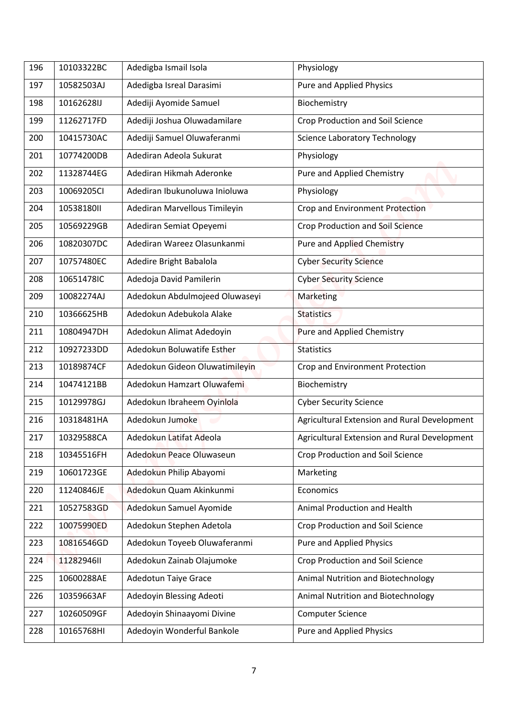| 196 | 10103322BC | Adedigba Ismail Isola          | Physiology                                   |
|-----|------------|--------------------------------|----------------------------------------------|
| 197 | 10582503AJ | Adedigba Isreal Darasimi       | Pure and Applied Physics                     |
| 198 | 10162628IJ | Adediji Ayomide Samuel         | Biochemistry                                 |
| 199 | 11262717FD | Adediji Joshua Oluwadamilare   | Crop Production and Soil Science             |
| 200 | 10415730AC | Adediji Samuel Oluwaferanmi    | <b>Science Laboratory Technology</b>         |
| 201 | 10774200DB | Adediran Adeola Sukurat        | Physiology                                   |
| 202 | 11328744EG | Adediran Hikmah Aderonke       | Pure and Applied Chemistry                   |
| 203 | 10069205Cl | Adediran Ibukunoluwa Inioluwa  | Physiology                                   |
| 204 | 1053818011 | Adediran Marvellous Timileyin  | Crop and Environment Protection              |
| 205 | 10569229GB | Adediran Semiat Opeyemi        | <b>Crop Production and Soil Science</b>      |
| 206 | 10820307DC | Adediran Wareez Olasunkanmi    | <b>Pure and Applied Chemistry</b>            |
| 207 | 10757480EC | Adedire Bright Babalola        | <b>Cyber Security Science</b>                |
| 208 | 10651478IC | Adedoja David Pamilerin        | <b>Cyber Security Science</b>                |
| 209 | 10082274AJ | Adedokun Abdulmojeed Oluwaseyi | Marketing                                    |
| 210 | 10366625HB | Adedokun Adebukola Alake       | <b>Statistics</b>                            |
| 211 | 10804947DH | Adedokun Alimat Adedoyin       | <b>Pure and Applied Chemistry</b>            |
| 212 | 10927233DD | Adedokun Boluwatife Esther     | <b>Statistics</b>                            |
| 213 | 10189874CF | Adedokun Gideon Oluwatimileyin | Crop and Environment Protection              |
| 214 | 10474121BB | Adedokun Hamzart Oluwafemi     | Biochemistry                                 |
| 215 | 10129978GJ | Adedokun Ibraheem Oyinlola     | <b>Cyber Security Science</b>                |
| 216 | 10318481HA | Adedokun Jumoke                | Agricultural Extension and Rural Development |
| 217 | 10329588CA | Adedokun Latifat Adeola        | Agricultural Extension and Rural Development |
| 218 | 10345516FH | Adedokun Peace Oluwaseun       | Crop Production and Soil Science             |
| 219 | 10601723GE | Adedokun Philip Abayomi        | Marketing                                    |
| 220 | 11240846JE | Adedokun Quam Akinkunmi        | Economics                                    |
| 221 | 10527583GD | Adedokun Samuel Ayomide        | Animal Production and Health                 |
| 222 | 10075990ED | Adedokun Stephen Adetola       | Crop Production and Soil Science             |
| 223 | 10816546GD | Adedokun Toyeeb Oluwaferanmi   | Pure and Applied Physics                     |
| 224 | 11282946II | Adedokun Zainab Olajumoke      | Crop Production and Soil Science             |
| 225 | 10600288AE | Adedotun Taiye Grace           | Animal Nutrition and Biotechnology           |
| 226 | 10359663AF | Adedoyin Blessing Adeoti       | Animal Nutrition and Biotechnology           |
| 227 | 10260509GF | Adedoyin Shinaayomi Divine     | <b>Computer Science</b>                      |
| 228 | 10165768HI | Adedoyin Wonderful Bankole     | <b>Pure and Applied Physics</b>              |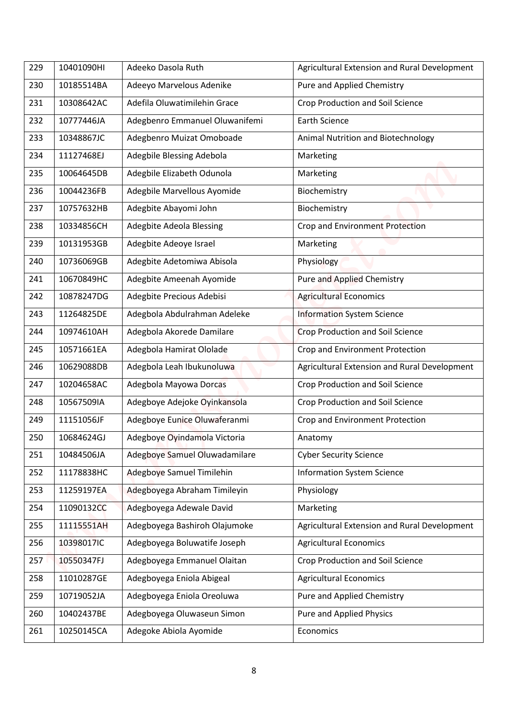| 229 | 10401090HI | Adeeko Dasola Ruth              | Agricultural Extension and Rural Development |
|-----|------------|---------------------------------|----------------------------------------------|
| 230 | 10185514BA | Adeeyo Marvelous Adenike        | Pure and Applied Chemistry                   |
| 231 | 10308642AC | Adefila Oluwatimilehin Grace    | <b>Crop Production and Soil Science</b>      |
| 232 | 10777446JA | Adegbenro Emmanuel Oluwanifemi  | <b>Earth Science</b>                         |
| 233 | 10348867JC | Adegbenro Muizat Omoboade       | Animal Nutrition and Biotechnology           |
| 234 | 11127468EJ | Adegbile Blessing Adebola       | Marketing                                    |
| 235 | 10064645DB | Adegbile Elizabeth Odunola      | Marketing                                    |
| 236 | 10044236FB | Adegbile Marvellous Ayomide     | Biochemistry                                 |
| 237 | 10757632HB | Adegbite Abayomi John           | Biochemistry                                 |
| 238 | 10334856CH | <b>Adegbite Adeola Blessing</b> | Crop and Environment Protection              |
| 239 | 10131953GB | Adegbite Adeoye Israel          | Marketing                                    |
| 240 | 10736069GB | Adegbite Adetomiwa Abisola      | Physiology                                   |
| 241 | 10670849HC | Adegbite Ameenah Ayomide        | <b>Pure and Applied Chemistry</b>            |
| 242 | 10878247DG | Adegbite Precious Adebisi       | <b>Agricultural Economics</b>                |
| 243 | 11264825DE | Adegbola Abdulrahman Adeleke    | <b>Information System Science</b>            |
| 244 | 10974610AH | Adegbola Akorede Damilare       | <b>Crop Production and Soil Science</b>      |
| 245 | 10571661EA | Adegbola Hamirat Ololade        | Crop and Environment Protection              |
| 246 | 10629088DB | Adegbola Leah Ibukunoluwa       | Agricultural Extension and Rural Development |
| 247 | 10204658AC | Adegbola Mayowa Dorcas          | Crop Production and Soil Science             |
| 248 | 10567509IA | Adegboye Adejoke Oyinkansola    | <b>Crop Production and Soil Science</b>      |
| 249 | 11151056JF | Adegboye Eunice Oluwaferanmi    | Crop and Environment Protection              |
| 250 | 10684624GJ | Adegboye Oyindamola Victoria    | Anatomy                                      |
| 251 | 10484506JA | Adegboye Samuel Oluwadamilare   | <b>Cyber Security Science</b>                |
| 252 | 11178838HC | Adegboye Samuel Timilehin       | <b>Information System Science</b>            |
| 253 | 11259197EA | Adegboyega Abraham Timileyin    | Physiology                                   |
| 254 | 11090132CC | Adegboyega Adewale David        | Marketing                                    |
| 255 | 11115551AH | Adegboyega Bashiroh Olajumoke   | Agricultural Extension and Rural Development |
| 256 | 10398017IC | Adegboyega Boluwatife Joseph    | <b>Agricultural Economics</b>                |
| 257 | 10550347FJ | Adegboyega Emmanuel Olaitan     | Crop Production and Soil Science             |
| 258 | 11010287GE | Adegboyega Eniola Abigeal       | <b>Agricultural Economics</b>                |
| 259 | 10719052JA | Adegboyega Eniola Oreoluwa      | Pure and Applied Chemistry                   |
| 260 | 10402437BE | Adegboyega Oluwaseun Simon      | <b>Pure and Applied Physics</b>              |
| 261 | 10250145CA | Adegoke Abiola Ayomide          | Economics                                    |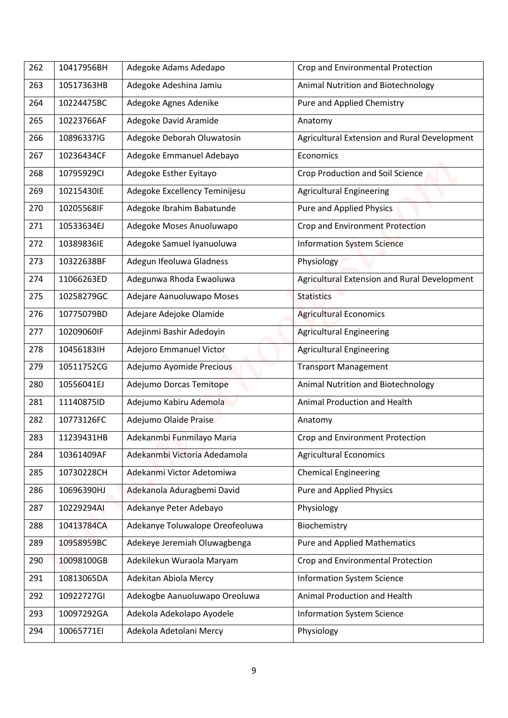| 262 | 10417956BH | Adegoke Adams Adedapo           | Crop and Environmental Protection            |
|-----|------------|---------------------------------|----------------------------------------------|
| 263 | 10517363HB | Adegoke Adeshina Jamiu          | Animal Nutrition and Biotechnology           |
| 264 | 10224475BC | Adegoke Agnes Adenike           | Pure and Applied Chemistry                   |
| 265 | 10223766AF | Adegoke David Aramide           | Anatomy                                      |
| 266 | 10896337IG | Adegoke Deborah Oluwatosin      | Agricultural Extension and Rural Development |
| 267 | 10236434CF | Adegoke Emmanuel Adebayo        | Economics                                    |
| 268 | 10795929CI | Adegoke Esther Eyitayo          | <b>Crop Production and Soil Science</b>      |
| 269 | 10215430IE | Adegoke Excellency Teminijesu   | <b>Agricultural Engineering</b>              |
| 270 | 10205568IF | Adegoke Ibrahim Babatunde       | <b>Pure and Applied Physics</b>              |
| 271 | 10533634EJ | Adegoke Moses Anuoluwapo        | Crop and Environment Protection              |
| 272 | 10389836IE | Adegoke Samuel Iyanuoluwa       | <b>Information System Science</b>            |
| 273 | 10322638BF | Adegun Ifeoluwa Gladness        | Physiology                                   |
| 274 | 11066263ED | Adegunwa Rhoda Ewaoluwa         | Agricultural Extension and Rural Development |
| 275 | 10258279GC | Adejare Aanuoluwapo Moses       | <b>Statistics</b>                            |
| 276 | 10775079BD | Adejare Adejoke Olamide         | <b>Agricultural Economics</b>                |
| 277 | 10209060IF | Adejinmi Bashir Adedoyin        | <b>Agricultural Engineering</b>              |
| 278 | 10456183IH | Adejoro Emmanuel Victor         | <b>Agricultural Engineering</b>              |
| 279 | 10511752CG | Adejumo Ayomide Precious        | <b>Transport Management</b>                  |
| 280 | 10556041EJ | Adejumo Dorcas Temitope         | Animal Nutrition and Biotechnology           |
| 281 | 11140875ID | Adejumo Kabiru Ademola          | Animal Production and Health                 |
| 282 | 10773126FC | Adejumo Olaide Praise           | Anatomy                                      |
| 283 | 11239431HB | Adekanmbi Funmilayo Maria       | Crop and Environment Protection              |
| 284 | 10361409AF | Adekanmbi Victoria Adedamola    | <b>Agricultural Economics</b>                |
| 285 | 10730228CH | Adekanmi Victor Adetomiwa       | <b>Chemical Engineering</b>                  |
| 286 | 10696390HJ | Adekanola Aduragbemi David      | <b>Pure and Applied Physics</b>              |
| 287 | 10229294AI | Adekanye Peter Adebayo          | Physiology                                   |
| 288 | 10413784CA | Adekanye Toluwalope Oreofeoluwa | Biochemistry                                 |
| 289 | 10958959BC | Adekeye Jeremiah Oluwagbenga    | <b>Pure and Applied Mathematics</b>          |
| 290 | 10098100GB | Adekilekun Wuraola Maryam       | Crop and Environmental Protection            |
| 291 | 10813065DA | Adekitan Abiola Mercy           | <b>Information System Science</b>            |
| 292 | 10922727GI | Adekogbe Aanuoluwapo Oreoluwa   | Animal Production and Health                 |
| 293 | 10097292GA | Adekola Adekolapo Ayodele       | <b>Information System Science</b>            |
| 294 | 10065771EI | Adekola Adetolani Mercy         | Physiology                                   |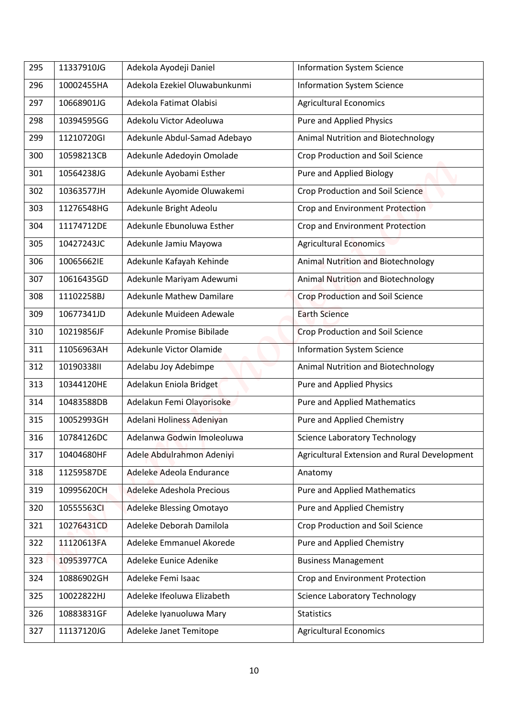| 295 | 11337910JG | Adekola Ayodeji Daniel          | <b>Information System Science</b>            |
|-----|------------|---------------------------------|----------------------------------------------|
| 296 | 10002455HA | Adekola Ezekiel Oluwabunkunmi   | <b>Information System Science</b>            |
| 297 | 10668901JG | Adekola Fatimat Olabisi         | <b>Agricultural Economics</b>                |
| 298 | 10394595GG | Adekolu Victor Adeoluwa         | <b>Pure and Applied Physics</b>              |
| 299 | 11210720GI | Adekunle Abdul-Samad Adebayo    | Animal Nutrition and Biotechnology           |
| 300 | 10598213CB | Adekunle Adedoyin Omolade       | Crop Production and Soil Science             |
| 301 | 10564238JG | Adekunle Ayobami Esther         | Pure and Applied Biology                     |
| 302 | 10363577JH | Adekunle Ayomide Oluwakemi      | <b>Crop Production and Soil Science</b>      |
| 303 | 11276548HG | Adekunle Bright Adeolu          | Crop and Environment Protection              |
| 304 | 11174712DE | Adekunle Ebunoluwa Esther       | Crop and Environment Protection              |
| 305 | 10427243JC | Adekunle Jamiu Mayowa           | <b>Agricultural Economics</b>                |
| 306 | 10065662IE | Adekunle Kafayah Kehinde        | <b>Animal Nutrition and Biotechnology</b>    |
| 307 | 10616435GD | Adekunle Mariyam Adewumi        | Animal Nutrition and Biotechnology           |
| 308 | 11102258BJ | <b>Adekunle Mathew Damilare</b> | <b>Crop Production and Soil Science</b>      |
| 309 | 10677341JD | Adekunle Muideen Adewale        | <b>Earth Science</b>                         |
| 310 | 10219856JF | Adekunle Promise Bibilade       | <b>Crop Production and Soil Science</b>      |
| 311 | 11056963AH | Adekunle Victor Olamide         | <b>Information System Science</b>            |
| 312 | 10190338II | Adelabu Joy Adebimpe            | Animal Nutrition and Biotechnology           |
| 313 | 10344120HE | Adelakun Eniola Bridget         | <b>Pure and Applied Physics</b>              |
| 314 | 10483588DB | Adelakun Femi Olayorisoke       | <b>Pure and Applied Mathematics</b>          |
| 315 | 10052993GH | Adelani Holiness Adeniyan       | Pure and Applied Chemistry                   |
| 316 | 10784126DC | Adelanwa Godwin Imoleoluwa      | <b>Science Laboratory Technology</b>         |
| 317 | 10404680HF | Adele Abdulrahmon Adeniyi       | Agricultural Extension and Rural Development |
| 318 | 11259587DE | Adeleke Adeola Endurance        | Anatomy                                      |
| 319 | 10995620CH | Adeleke Adeshola Precious       | <b>Pure and Applied Mathematics</b>          |
| 320 | 10555563CI | Adeleke Blessing Omotayo        | Pure and Applied Chemistry                   |
| 321 | 10276431CD | Adeleke Deborah Damilola        | Crop Production and Soil Science             |
| 322 | 11120613FA | Adeleke Emmanuel Akorede        | Pure and Applied Chemistry                   |
| 323 | 10953977CA | Adeleke Eunice Adenike          | <b>Business Management</b>                   |
| 324 | 10886902GH | Adeleke Femi Isaac              | Crop and Environment Protection              |
| 325 | 10022822HJ | Adeleke Ifeoluwa Elizabeth      | <b>Science Laboratory Technology</b>         |
| 326 | 10883831GF | Adeleke Iyanuoluwa Mary         | <b>Statistics</b>                            |
|     |            |                                 | <b>Agricultural Economics</b>                |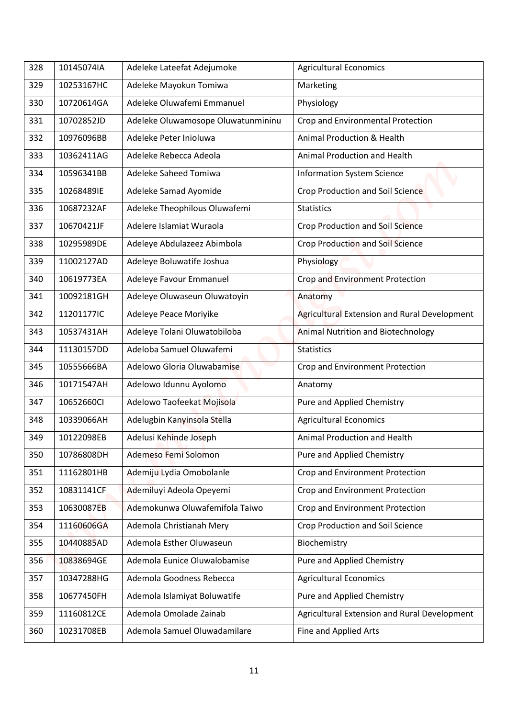| 328 | 10145074IA | Adeleke Lateefat Adejumoke         | <b>Agricultural Economics</b>                |
|-----|------------|------------------------------------|----------------------------------------------|
| 329 | 10253167HC | Adeleke Mayokun Tomiwa             | Marketing                                    |
| 330 | 10720614GA | Adeleke Oluwafemi Emmanuel         | Physiology                                   |
| 331 | 10702852JD | Adeleke Oluwamosope Oluwatunmininu | Crop and Environmental Protection            |
| 332 | 10976096BB | Adeleke Peter Inioluwa             | Animal Production & Health                   |
| 333 | 10362411AG | Adeleke Rebecca Adeola             | Animal Production and Health                 |
| 334 | 10596341BB | Adeleke Saheed Tomiwa              | <b>Information System Science</b>            |
| 335 | 10268489IE | Adeleke Samad Ayomide              | <b>Crop Production and Soil Science</b>      |
| 336 | 10687232AF | Adeleke Theophilous Oluwafemi      | <b>Statistics</b>                            |
| 337 | 10670421JF | Adelere Islamiat Wuraola           | <b>Crop Production and Soil Science</b>      |
| 338 | 10295989DE | Adeleye Abdulazeez Abimbola        | Crop Production and Soil Science             |
| 339 | 11002127AD | Adeleye Boluwatife Joshua          | Physiology                                   |
| 340 | 10619773EA | Adeleye Favour Emmanuel            | Crop and Environment Protection              |
| 341 | 10092181GH | Adeleye Oluwaseun Oluwatoyin       | Anatomy                                      |
| 342 | 11201177IC | Adeleye Peace Moriyike             | Agricultural Extension and Rural Development |
| 343 | 10537431AH | Adeleye Tolani Oluwatobiloba       | <b>Animal Nutrition and Biotechnology</b>    |
| 344 | 11130157DD | Adeloba Samuel Oluwafemi           | <b>Statistics</b>                            |
| 345 | 10555666BA | Adelowo Gloria Oluwabamise         | Crop and Environment Protection              |
| 346 | 10171547AH | Adelowo Idunnu Ayolomo             | Anatomy                                      |
| 347 | 10652660Cl | Adelowo Taofeekat Mojisola         | Pure and Applied Chemistry                   |
| 348 | 10339066AH | Adelugbin Kanyinsola Stella        | <b>Agricultural Economics</b>                |
| 349 | 10122098EB | Adelusi Kehinde Joseph             | Animal Production and Health                 |
| 350 | 10786808DH | Ademeso Femi Solomon               | Pure and Applied Chemistry                   |
| 351 | 11162801HB | Ademiju Lydia Omobolanle           | Crop and Environment Protection              |
| 352 | 10831141CF | Ademiluyi Adeola Opeyemi           | Crop and Environment Protection              |
| 353 | 10630087EB | Ademokunwa Oluwafemifola Taiwo     | Crop and Environment Protection              |
| 354 | 11160606GA | Ademola Christianah Mery           | Crop Production and Soil Science             |
| 355 | 10440885AD | Ademola Esther Oluwaseun           | Biochemistry                                 |
| 356 | 10838694GE | Ademola Eunice Oluwalobamise       | Pure and Applied Chemistry                   |
| 357 | 10347288HG | Ademola Goodness Rebecca           | <b>Agricultural Economics</b>                |
| 358 | 10677450FH | Ademola Islamiyat Boluwatife       | Pure and Applied Chemistry                   |
| 359 | 11160812CE | Ademola Omolade Zainab             | Agricultural Extension and Rural Development |
| 360 | 10231708EB | Ademola Samuel Oluwadamilare       | Fine and Applied Arts                        |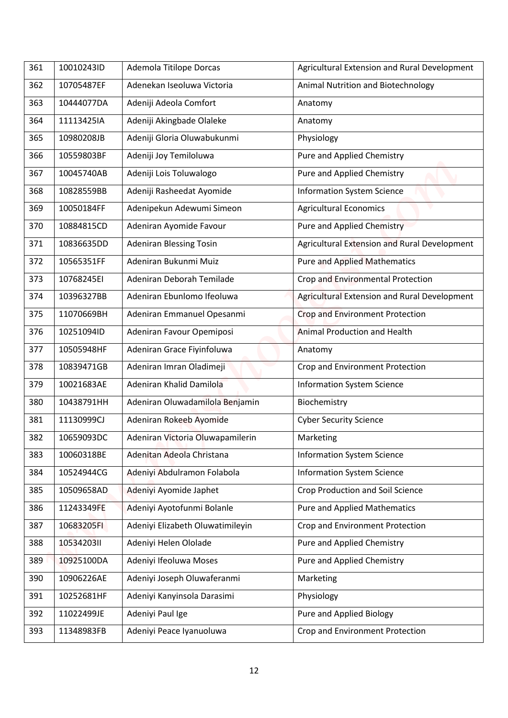| 361 | 10010243ID | Ademola Titilope Dorcas          | Agricultural Extension and Rural Development |
|-----|------------|----------------------------------|----------------------------------------------|
| 362 | 10705487EF | Adenekan Iseoluwa Victoria       | Animal Nutrition and Biotechnology           |
| 363 | 10444077DA | Adeniji Adeola Comfort           |                                              |
| 364 | 11113425IA |                                  | Anatomy                                      |
|     |            | Adeniji Akingbade Olaleke        | Anatomy                                      |
| 365 | 10980208JB | Adeniji Gloria Oluwabukunmi      | Physiology                                   |
| 366 | 10559803BF | Adeniji Joy Temiloluwa           | Pure and Applied Chemistry                   |
| 367 | 10045740AB | Adeniji Lois Toluwalogo          | Pure and Applied Chemistry                   |
| 368 | 10828559BB | Adeniji Rasheedat Ayomide        | <b>Information System Science</b>            |
| 369 | 10050184FF | Adenipekun Adewumi Simeon        | <b>Agricultural Economics</b>                |
| 370 | 10884815CD | Adeniran Ayomide Favour          | <b>Pure and Applied Chemistry</b>            |
| 371 | 10836635DD | <b>Adeniran Blessing Tosin</b>   | Agricultural Extension and Rural Development |
| 372 | 10565351FF | Adeniran Bukunmi Muiz            | <b>Pure and Applied Mathematics</b>          |
| 373 | 10768245EI | Adeniran Deborah Temilade        | Crop and Environmental Protection            |
| 374 | 10396327BB | Adeniran Ebunlomo Ifeoluwa       | Agricultural Extension and Rural Development |
| 375 | 11070669BH | Adeniran Emmanuel Opesanmi       | Crop and Environment Protection              |
| 376 | 10251094ID | Adeniran Favour Opemiposi        | <b>Animal Production and Health</b>          |
| 377 | 10505948HF | Adeniran Grace Fiyinfoluwa       | Anatomy                                      |
| 378 | 10839471GB | Adeniran Imran Oladimeji         | Crop and Environment Protection              |
| 379 | 10021683AE | Adeniran Khalid Damilola         | <b>Information System Science</b>            |
| 380 | 10438791HH | Adeniran Oluwadamilola Benjamin  | Biochemistry                                 |
| 381 | 11130999CJ | Adeniran Rokeeb Ayomide          | <b>Cyber Security Science</b>                |
| 382 | 10659093DC | Adeniran Victoria Oluwapamilerin | Marketing                                    |
| 383 | 10060318BE | Adenitan Adeola Christana        | <b>Information System Science</b>            |
| 384 | 10524944CG | Adeniyi Abdulramon Folabola      | <b>Information System Science</b>            |
| 385 | 10509658AD | Adeniyi Ayomide Japhet           | <b>Crop Production and Soil Science</b>      |
| 386 | 11243349FE | Adeniyi Ayotofunmi Bolanle       | <b>Pure and Applied Mathematics</b>          |
| 387 | 10683205FI | Adeniyi Elizabeth Oluwatimileyin | Crop and Environment Protection              |
| 388 | 1053420311 | Adeniyi Helen Ololade            | Pure and Applied Chemistry                   |
| 389 | 10925100DA | Adeniyi Ifeoluwa Moses           | Pure and Applied Chemistry                   |
|     |            |                                  |                                              |
| 390 | 10906226AE | Adeniyi Joseph Oluwaferanmi      | Marketing                                    |
| 391 | 10252681HF | Adeniyi Kanyinsola Darasimi      | Physiology                                   |
| 392 | 11022499JE | Adeniyi Paul Ige                 | Pure and Applied Biology                     |
| 393 | 11348983FB | Adeniyi Peace Iyanuoluwa         | Crop and Environment Protection              |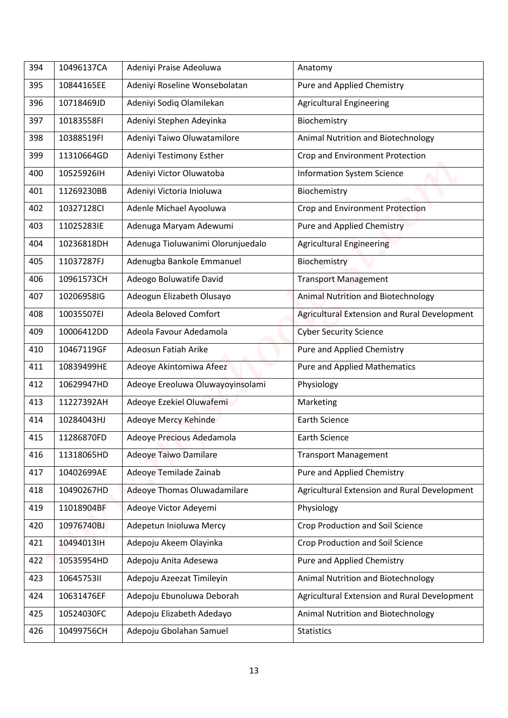| 394 | 10496137CA | Adeniyi Praise Adeoluwa           | Anatomy                                      |
|-----|------------|-----------------------------------|----------------------------------------------|
| 395 | 10844165EE | Adeniyi Roseline Wonsebolatan     | Pure and Applied Chemistry                   |
| 396 | 10718469JD | Adeniyi Sodiq Olamilekan          | <b>Agricultural Engineering</b>              |
| 397 | 10183558FI | Adeniyi Stephen Adeyinka          | Biochemistry                                 |
| 398 | 10388519FI | Adeniyi Taiwo Oluwatamilore       | Animal Nutrition and Biotechnology           |
| 399 | 11310664GD | Adeniyi Testimony Esther          | Crop and Environment Protection              |
| 400 | 10525926IH | Adeniyi Victor Oluwatoba          | <b>Information System Science</b>            |
| 401 | 11269230BB | Adeniyi Victoria Inioluwa         | Biochemistry                                 |
| 402 | 10327128CI | Adenle Michael Ayooluwa           | Crop and Environment Protection              |
| 403 | 11025283IE | Adenuga Maryam Adewumi            | <b>Pure and Applied Chemistry</b>            |
| 404 | 10236818DH | Adenuga Tioluwanimi Olorunjuedalo | <b>Agricultural Engineering</b>              |
| 405 | 11037287FJ | Adenugba Bankole Emmanuel         | Biochemistry                                 |
| 406 | 10961573CH | Adeogo Boluwatife David           | <b>Transport Management</b>                  |
| 407 | 10206958IG | Adeogun Elizabeth Olusayo         | <b>Animal Nutrition and Biotechnology</b>    |
| 408 | 10035507EI | Adeola Beloved Comfort            | Agricultural Extension and Rural Development |
| 409 | 10006412DD | Adeola Favour Adedamola           | <b>Cyber Security Science</b>                |
| 410 | 10467119GF | Adeosun Fatiah Arike              | <b>Pure and Applied Chemistry</b>            |
| 411 | 10839499HE | Adeoye Akintomiwa Afeez           | <b>Pure and Applied Mathematics</b>          |
| 412 | 10629947HD | Adeoye Ereoluwa Oluwayoyinsolami  | Physiology                                   |
| 413 | 11227392AH | Adeoye Ezekiel Oluwafemi          | Marketing                                    |
| 414 | 10284043HJ | Adeoye Mercy Kehinde              | Earth Science                                |
| 415 | 11286870FD | Adeoye Precious Adedamola         | Earth Science                                |
| 416 | 11318065HD | <b>Adeoye Taiwo Damilare</b>      | <b>Transport Management</b>                  |
| 417 | 10402699AE | Adeoye Temilade Zainab            | Pure and Applied Chemistry                   |
| 418 | 10490267HD | Adeoye Thomas Oluwadamilare       | Agricultural Extension and Rural Development |
| 419 | 11018904BF | Adeoye Victor Adeyemi             | Physiology                                   |
| 420 | 10976740BJ | Adepetun Inioluwa Mercy           | Crop Production and Soil Science             |
| 421 | 10494013IH | Adepoju Akeem Olayinka            | <b>Crop Production and Soil Science</b>      |
| 422 | 10535954HD | Adepoju Anita Adesewa             | Pure and Applied Chemistry                   |
| 423 | 1064575311 | Adepoju Azeezat Timileyin         | Animal Nutrition and Biotechnology           |
| 424 | 10631476EF | Adepoju Ebunoluwa Deborah         | Agricultural Extension and Rural Development |
| 425 | 10524030FC | Adepoju Elizabeth Adedayo         | Animal Nutrition and Biotechnology           |
|     |            |                                   |                                              |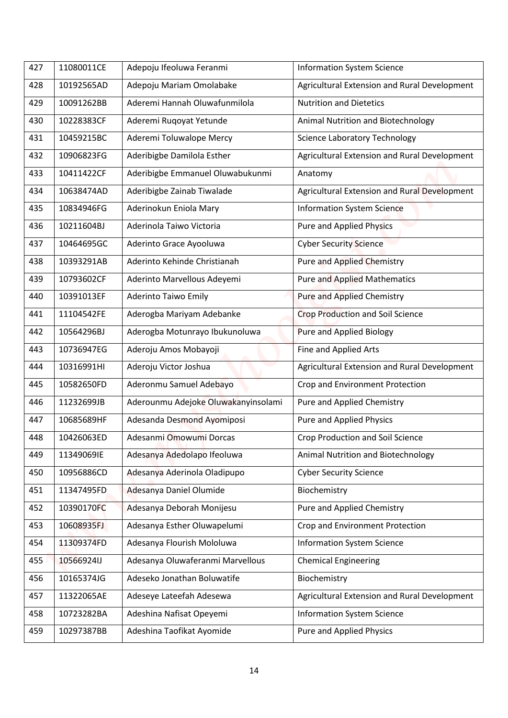| 427 | 11080011CE | Adepoju Ifeoluwa Feranmi            | <b>Information System Science</b>            |
|-----|------------|-------------------------------------|----------------------------------------------|
| 428 | 10192565AD | Adepoju Mariam Omolabake            | Agricultural Extension and Rural Development |
| 429 | 10091262BB | Aderemi Hannah Oluwafunmilola       | <b>Nutrition and Dietetics</b>               |
| 430 | 10228383CF | Aderemi Ruqoyat Yetunde             | Animal Nutrition and Biotechnology           |
| 431 | 10459215BC | Aderemi Toluwalope Mercy            | <b>Science Laboratory Technology</b>         |
| 432 | 10906823FG | Aderibigbe Damilola Esther          | Agricultural Extension and Rural Development |
| 433 | 10411422CF | Aderibigbe Emmanuel Oluwabukunmi    | Anatomy                                      |
| 434 | 10638474AD | Aderibigbe Zainab Tiwalade          | Agricultural Extension and Rural Development |
| 435 | 10834946FG | Aderinokun Eniola Mary              | <b>Information System Science</b>            |
| 436 | 10211604BJ | Aderinola Taiwo Victoria            | <b>Pure and Applied Physics</b>              |
| 437 | 10464695GC | Aderinto Grace Ayooluwa             | <b>Cyber Security Science</b>                |
| 438 | 10393291AB | Aderinto Kehinde Christianah        | <b>Pure and Applied Chemistry</b>            |
| 439 | 10793602CF | Aderinto Marvellous Adeyemi         | <b>Pure and Applied Mathematics</b>          |
| 440 | 10391013EF | <b>Aderinto Taiwo Emily</b>         | <b>Pure and Applied Chemistry</b>            |
| 441 | 11104542FE | Aderogba Mariyam Adebanke           | <b>Crop Production and Soil Science</b>      |
| 442 | 10564296BJ | Aderogba Motunrayo Ibukunoluwa      | <b>Pure and Applied Biology</b>              |
| 443 | 10736947EG | Aderoju Amos Mobayoji               | Fine and Applied Arts                        |
| 444 | 10316991HI | Aderoju Victor Joshua               | Agricultural Extension and Rural Development |
| 445 | 10582650FD | Aderonmu Samuel Adebayo             | Crop and Environment Protection              |
| 446 | 11232699JB | Aderounmu Adejoke Oluwakanyinsolami | Pure and Applied Chemistry                   |
| 447 | 10685689HF | Adesanda Desmond Ayomiposi          | <b>Pure and Applied Physics</b>              |
| 448 | 10426063ED | Adesanmi Omowumi Dorcas             | Crop Production and Soil Science             |
| 449 | 11349069IE | Adesanya Adedolapo Ifeoluwa         | Animal Nutrition and Biotechnology           |
| 450 | 10956886CD | Adesanya Aderinola Oladipupo        | <b>Cyber Security Science</b>                |
| 451 | 11347495FD | Adesanya Daniel Olumide             | Biochemistry                                 |
| 452 | 10390170FC | Adesanya Deborah Monijesu           | Pure and Applied Chemistry                   |
| 453 | 10608935FJ | Adesanya Esther Oluwapelumi         | Crop and Environment Protection              |
| 454 | 11309374FD | Adesanya Flourish Mololuwa          | <b>Information System Science</b>            |
| 455 | 10566924IJ | Adesanya Oluwaferanmi Marvellous    | <b>Chemical Engineering</b>                  |
| 456 | 10165374JG | Adeseko Jonathan Boluwatife         | Biochemistry                                 |
| 457 | 11322065AE | Adeseye Lateefah Adesewa            | Agricultural Extension and Rural Development |
| 458 | 10723282BA | Adeshina Nafisat Opeyemi            | <b>Information System Science</b>            |
| 459 | 10297387BB | Adeshina Taofikat Ayomide           | <b>Pure and Applied Physics</b>              |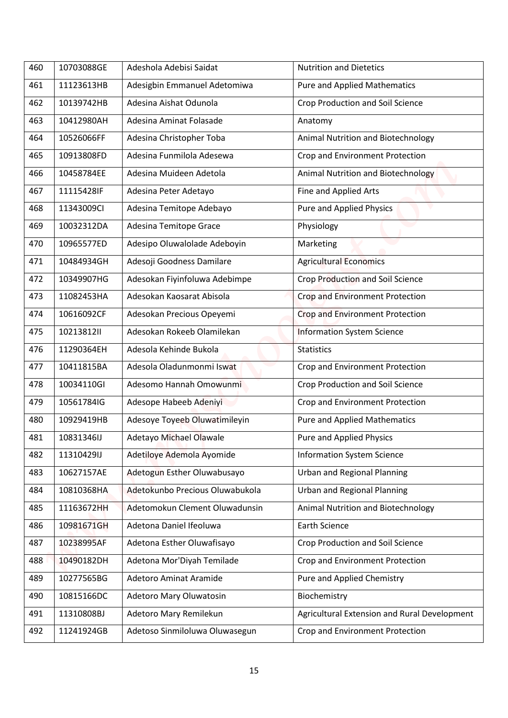| 460 | 10703088GE | Adeshola Adebisi Saidat         | <b>Nutrition and Dietetics</b>               |
|-----|------------|---------------------------------|----------------------------------------------|
| 461 | 11123613HB | Adesigbin Emmanuel Adetomiwa    | <b>Pure and Applied Mathematics</b>          |
| 462 | 10139742HB | Adesina Aishat Odunola          | <b>Crop Production and Soil Science</b>      |
| 463 | 10412980AH | Adesina Aminat Folasade         | Anatomy                                      |
| 464 | 10526066FF | Adesina Christopher Toba        | Animal Nutrition and Biotechnology           |
| 465 | 10913808FD | Adesina Funmilola Adesewa       |                                              |
|     |            |                                 | Crop and Environment Protection              |
| 466 | 10458784EE | Adesina Muideen Adetola         | Animal Nutrition and Biotechnology           |
| 467 | 11115428IF | Adesina Peter Adetayo           | Fine and Applied Arts                        |
| 468 | 11343009CI | Adesina Temitope Adebayo        | <b>Pure and Applied Physics</b>              |
| 469 | 10032312DA | Adesina Temitope Grace          | Physiology                                   |
| 470 | 10965577ED | Adesipo Oluwalolade Adeboyin    | Marketing                                    |
| 471 | 10484934GH | Adesoji Goodness Damilare       | <b>Agricultural Economics</b>                |
| 472 | 10349907HG | Adesokan Fiyinfoluwa Adebimpe   | Crop Production and Soil Science             |
| 473 | 11082453HA | Adesokan Kaosarat Abisola       | Crop and Environment Protection              |
| 474 | 10616092CF | Adesokan Precious Opeyemi       | Crop and Environment Protection              |
| 475 | 10213812II | Adesokan Rokeeb Olamilekan      | <b>Information System Science</b>            |
| 476 | 11290364EH | Adesola Kehinde Bukola          | <b>Statistics</b>                            |
| 477 | 10411815BA | Adesola Oladunmonmi Iswat       | Crop and Environment Protection              |
| 478 | 10034110GI | Adesomo Hannah Omowunmi         | Crop Production and Soil Science             |
| 479 | 10561784IG | Adesope Habeeb Adeniyi          | Crop and Environment Protection              |
| 480 | 10929419HB | Adesoye Toyeeb Oluwatimileyin   | <b>Pure and Applied Mathematics</b>          |
| 481 | 10831346IJ | <b>Adetayo Michael Olawale</b>  | <b>Pure and Applied Physics</b>              |
| 482 | 11310429IJ | Adetiloye Ademola Ayomide       | <b>Information System Science</b>            |
| 483 | 10627157AE | Adetogun Esther Oluwabusayo     | <b>Urban and Regional Planning</b>           |
| 484 | 10810368HA | Adetokunbo Precious Oluwabukola | <b>Urban and Regional Planning</b>           |
| 485 | 11163672HH | Adetomokun Clement Oluwadunsin  | Animal Nutrition and Biotechnology           |
| 486 | 10981671GH | Adetona Daniel Ifeoluwa         | <b>Earth Science</b>                         |
| 487 | 10238995AF | Adetona Esther Oluwafisayo      | <b>Crop Production and Soil Science</b>      |
| 488 | 10490182DH | Adetona Mor'Diyah Temilade      | Crop and Environment Protection              |
| 489 | 10277565BG | <b>Adetoro Aminat Aramide</b>   | Pure and Applied Chemistry                   |
| 490 | 10815166DC | Adetoro Mary Oluwatosin         | Biochemistry                                 |
| 491 | 11310808BJ | Adetoro Mary Remilekun          | Agricultural Extension and Rural Development |
|     | 11241924GB |                                 |                                              |
| 492 |            | Adetoso Sinmiloluwa Oluwasegun  | Crop and Environment Protection              |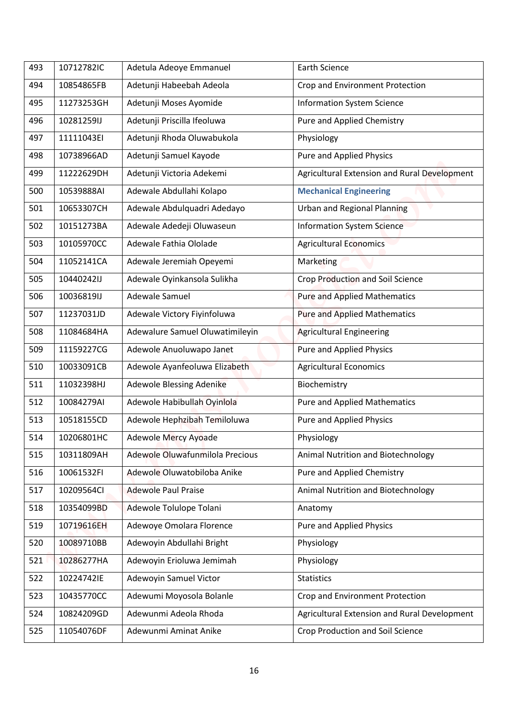| 493 | 10712782IC | Adetula Adeoye Emmanuel         | <b>Earth Science</b>                         |
|-----|------------|---------------------------------|----------------------------------------------|
| 494 | 10854865FB | Adetunji Habeebah Adeola        | Crop and Environment Protection              |
| 495 | 11273253GH | Adetunji Moses Ayomide          | <b>Information System Science</b>            |
| 496 | 10281259IJ | Adetunji Priscilla Ifeoluwa     | Pure and Applied Chemistry                   |
| 497 | 11111043EI | Adetunji Rhoda Oluwabukola      | Physiology                                   |
| 498 | 10738966AD | Adetunji Samuel Kayode          | Pure and Applied Physics                     |
| 499 | 11222629DH | Adetunji Victoria Adekemi       | Agricultural Extension and Rural Development |
| 500 | 10539888AI | Adewale Abdullahi Kolapo        | <b>Mechanical Engineering</b>                |
| 501 | 10653307CH | Adewale Abdulquadri Adedayo     | <b>Urban and Regional Planning</b>           |
| 502 | 10151273BA | Adewale Adedeji Oluwaseun       | <b>Information System Science</b>            |
| 503 | 10105970CC | Adewale Fathia Ololade          | <b>Agricultural Economics</b>                |
| 504 | 11052141CA | Adewale Jeremiah Opeyemi        | Marketing                                    |
| 505 | 10440242IJ | Adewale Oyinkansola Sulikha     | Crop Production and Soil Science             |
| 506 | 10036819IJ | Adewale Samuel                  | <b>Pure and Applied Mathematics</b>          |
| 507 | 11237031JD | Adewale Victory Fiyinfoluwa     | <b>Pure and Applied Mathematics</b>          |
| 508 | 11084684HA | Adewalure Samuel Oluwatimileyin | <b>Agricultural Engineering</b>              |
| 509 | 11159227CG | Adewole Anuoluwapo Janet        | Pure and Applied Physics                     |
| 510 | 10033091CB | Adewole Ayanfeoluwa Elizabeth   | <b>Agricultural Economics</b>                |
| 511 | 11032398HJ | Adewole Blessing Adenike        | Biochemistry                                 |
| 512 | 10084279AI | Adewole Habibullah Oyinlola     | <b>Pure and Applied Mathematics</b>          |
| 513 | 10518155CD | Adewole Hephzibah Temiloluwa    | <b>Pure and Applied Physics</b>              |
| 514 | 10206801HC | <b>Adewole Mercy Ayoade</b>     | Physiology                                   |
| 515 | 10311809AH | Adewole Oluwafunmilola Precious | Animal Nutrition and Biotechnology           |
| 516 | 10061532FI | Adewole Oluwatobiloba Anike     | Pure and Applied Chemistry                   |
| 517 | 10209564Cl | <b>Adewole Paul Praise</b>      | Animal Nutrition and Biotechnology           |
| 518 | 10354099BD | Adewole Tolulope Tolani         | Anatomy                                      |
| 519 | 10719616EH | Adewoye Omolara Florence        | Pure and Applied Physics                     |
| 520 | 10089710BB | Adewoyin Abdullahi Bright       | Physiology                                   |
| 521 | 10286277HA | Adewoyin Erioluwa Jemimah       | Physiology                                   |
| 522 | 10224742IE | Adewoyin Samuel Victor          | <b>Statistics</b>                            |
| 523 | 10435770CC | Adewumi Moyosola Bolanle        | Crop and Environment Protection              |
| 524 | 10824209GD | Adewunmi Adeola Rhoda           | Agricultural Extension and Rural Development |
| 525 | 11054076DF | Adewunmi Aminat Anike           | Crop Production and Soil Science             |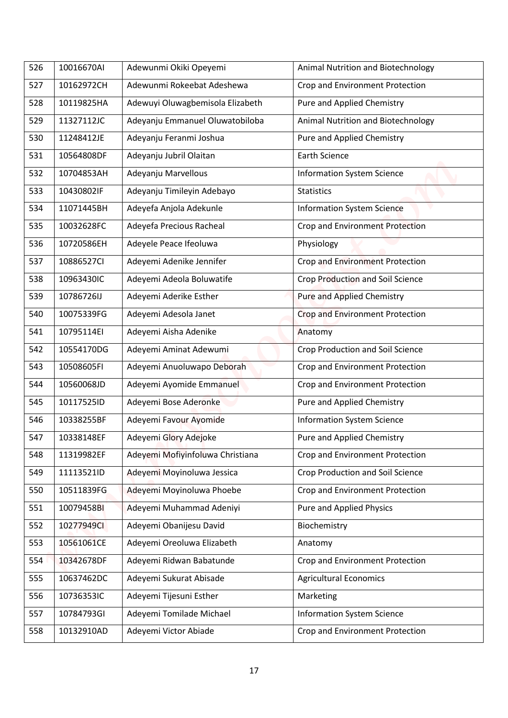| 526 | 10016670AI | Adewunmi Okiki Opeyemi           | Animal Nutrition and Biotechnology      |
|-----|------------|----------------------------------|-----------------------------------------|
| 527 | 10162972CH | Adewunmi Rokeebat Adeshewa       | Crop and Environment Protection         |
|     |            |                                  |                                         |
| 528 | 10119825HA | Adewuyi Oluwagbemisola Elizabeth | Pure and Applied Chemistry              |
| 529 | 11327112JC | Adeyanju Emmanuel Oluwatobiloba  | Animal Nutrition and Biotechnology      |
| 530 | 11248412JE | Adeyanju Feranmi Joshua          | Pure and Applied Chemistry              |
| 531 | 10564808DF | Adeyanju Jubril Olaitan          | <b>Earth Science</b>                    |
| 532 | 10704853AH | Adeyanju Marvellous              | <b>Information System Science</b>       |
| 533 | 10430802IF | Adeyanju Timileyin Adebayo       | <b>Statistics</b>                       |
| 534 | 11071445BH | Adeyefa Anjola Adekunle          | <b>Information System Science</b>       |
| 535 | 10032628FC | Adeyefa Precious Racheal         | Crop and Environment Protection         |
| 536 | 10720586EH | Adeyele Peace Ifeoluwa           | Physiology                              |
| 537 | 10886527CI | Adeyemi Adenike Jennifer         | <b>Crop and Environment Protection</b>  |
| 538 | 10963430IC | Adeyemi Adeola Boluwatife        | Crop Production and Soil Science        |
| 539 | 10786726IJ | Adeyemi Aderike Esther           | <b>Pure and Applied Chemistry</b>       |
| 540 | 10075339FG | Adeyemi Adesola Janet            | <b>Crop and Environment Protection</b>  |
| 541 | 10795114EI | Adeyemi Aisha Adenike            | Anatomy                                 |
| 542 | 10554170DG | Adeyemi Aminat Adewumi           | Crop Production and Soil Science        |
| 543 | 10508605FI | Adeyemi Anuoluwapo Deborah       | Crop and Environment Protection         |
| 544 | 10560068JD | Adeyemi Ayomide Emmanuel         | Crop and Environment Protection         |
| 545 | 10117525ID | Adeyemi Bose Aderonke            | Pure and Applied Chemistry              |
| 546 | 10338255BF | Adeyemi Favour Ayomide           | <b>Information System Science</b>       |
| 547 | 10338148EF | Adeyemi Glory Adejoke            | Pure and Applied Chemistry              |
| 548 | 11319982EF | Adeyemi Mofiyinfoluwa Christiana | Crop and Environment Protection         |
| 549 | 11113521ID | Adeyemi Moyinoluwa Jessica       | <b>Crop Production and Soil Science</b> |
| 550 | 10511839FG | Adeyemi Moyinoluwa Phoebe        | Crop and Environment Protection         |
| 551 | 10079458BI | Adeyemi Muhammad Adeniyi         | <b>Pure and Applied Physics</b>         |
| 552 | 10277949CI | Adeyemi Obanijesu David          | Biochemistry                            |
|     |            |                                  |                                         |
| 553 | 10561061CE | Adeyemi Oreoluwa Elizabeth       | Anatomy                                 |
| 554 | 10342678DF | Adeyemi Ridwan Babatunde         | Crop and Environment Protection         |
| 555 | 10637462DC | Adeyemi Sukurat Abisade          | <b>Agricultural Economics</b>           |
| 556 | 10736353IC | Adeyemi Tijesuni Esther          | Marketing                               |
| 557 | 10784793GI | Adeyemi Tomilade Michael         | <b>Information System Science</b>       |
|     |            | Adeyemi Victor Abiade            | Crop and Environment Protection         |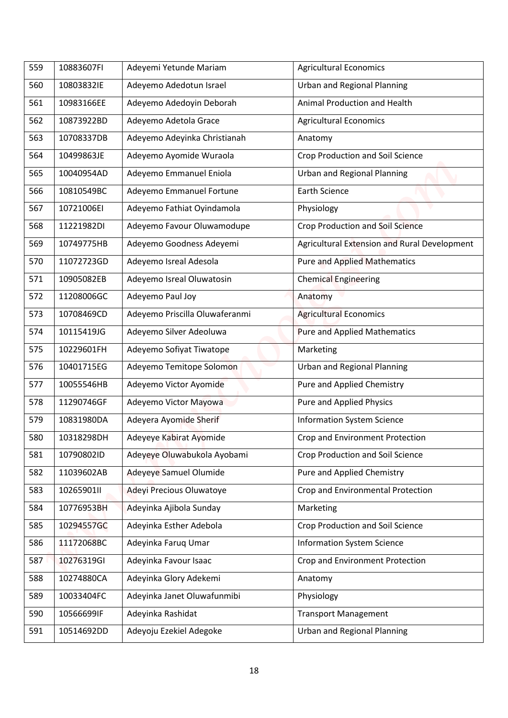| 559 | 10883607FI | Adeyemi Yetunde Mariam         | <b>Agricultural Economics</b>                |
|-----|------------|--------------------------------|----------------------------------------------|
| 560 | 10803832IE | Adeyemo Adedotun Israel        | <b>Urban and Regional Planning</b>           |
| 561 | 10983166EE | Adeyemo Adedoyin Deborah       | Animal Production and Health                 |
| 562 | 10873922BD | Adeyemo Adetola Grace          | <b>Agricultural Economics</b>                |
| 563 | 10708337DB | Adeyemo Adeyinka Christianah   | Anatomy                                      |
| 564 | 10499863JE | Adeyemo Ayomide Wuraola        | Crop Production and Soil Science             |
| 565 | 10040954AD | Adeyemo Emmanuel Eniola        | <b>Urban and Regional Planning</b>           |
| 566 | 10810549BC | Adeyemo Emmanuel Fortune       | <b>Earth Science</b>                         |
| 567 | 10721006EI | Adeyemo Fathiat Oyindamola     | Physiology                                   |
| 568 | 11221982DI | Adeyemo Favour Oluwamodupe     | <b>Crop Production and Soil Science</b>      |
| 569 | 10749775HB | Adeyemo Goodness Adeyemi       | Agricultural Extension and Rural Development |
| 570 | 11072723GD | Adeyemo Isreal Adesola         | <b>Pure and Applied Mathematics</b>          |
| 571 | 10905082EB | Adeyemo Isreal Oluwatosin      | <b>Chemical Engineering</b>                  |
| 572 | 11208006GC | Adeyemo Paul Joy               | Anatomy                                      |
| 573 | 10708469CD | Adeyemo Priscilla Oluwaferanmi | <b>Agricultural Economics</b>                |
| 574 | 10115419JG | Adeyemo Silver Adeoluwa        | <b>Pure and Applied Mathematics</b>          |
| 575 | 10229601FH | Adeyemo Sofiyat Tiwatope       | Marketing                                    |
| 576 | 10401715EG |                                | <b>Urban and Regional Planning</b>           |
| 577 | 10055546HB | Adeyemo Temitope Solomon       | Pure and Applied Chemistry                   |
|     |            | Adeyemo Victor Ayomide         |                                              |
| 578 | 11290746GF | Adeyemo Victor Mayowa          | <b>Pure and Applied Physics</b>              |
| 579 | 10831980DA | Adeyera Ayomide Sherif         | <b>Information System Science</b>            |
| 580 | 10318298DH | Adeyeye Kabirat Ayomide        | Crop and Environment Protection              |
| 581 | 10790802ID | Adeyeye Oluwabukola Ayobami    | Crop Production and Soil Science             |
| 582 | 11039602AB | Adeyeye Samuel Olumide         | Pure and Applied Chemistry                   |
| 583 | 10265901II | Adeyi Precious Oluwatoye       | Crop and Environmental Protection            |
| 584 | 10776953BH | Adeyinka Ajibola Sunday        | Marketing                                    |
| 585 | 10294557GC | Adeyinka Esther Adebola        | Crop Production and Soil Science             |
| 586 | 11172068BC | Adeyinka Faruq Umar            | <b>Information System Science</b>            |
| 587 | 10276319GI | Adeyinka Favour Isaac          | Crop and Environment Protection              |
| 588 | 10274880CA | Adeyinka Glory Adekemi         | Anatomy                                      |
| 589 | 10033404FC | Adeyinka Janet Oluwafunmibi    | Physiology                                   |
| 590 | 10566699IF | Adeyinka Rashidat              | <b>Transport Management</b>                  |
| 591 | 10514692DD | Adeyoju Ezekiel Adegoke        | <b>Urban and Regional Planning</b>           |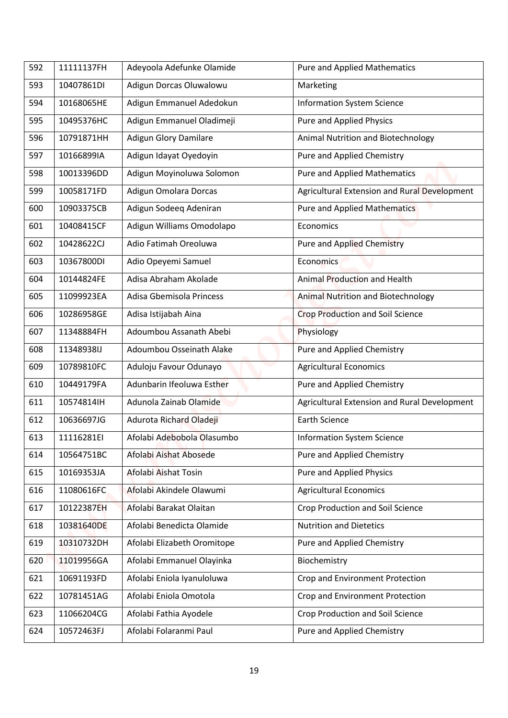| 592 | 11111137FH | Adeyoola Adefunke Olamide    | <b>Pure and Applied Mathematics</b>          |
|-----|------------|------------------------------|----------------------------------------------|
|     |            |                              |                                              |
| 593 | 10407861DI | Adigun Dorcas Oluwalowu      | Marketing                                    |
| 594 | 10168065HE | Adigun Emmanuel Adedokun     | <b>Information System Science</b>            |
| 595 | 10495376HC | Adigun Emmanuel Oladimeji    | <b>Pure and Applied Physics</b>              |
| 596 | 10791871HH | <b>Adigun Glory Damilare</b> | Animal Nutrition and Biotechnology           |
| 597 | 10166899IA | Adigun Idayat Oyedoyin       | Pure and Applied Chemistry                   |
| 598 | 10013396DD | Adigun Moyinoluwa Solomon    | <b>Pure and Applied Mathematics</b>          |
| 599 | 10058171FD | Adigun Omolara Dorcas        | Agricultural Extension and Rural Development |
| 600 | 10903375CB | Adigun Sodeeq Adeniran       | <b>Pure and Applied Mathematics</b>          |
| 601 | 10408415CF | Adigun Williams Omodolapo    | Economics                                    |
| 602 | 10428622CJ | Adio Fatimah Oreoluwa        | <b>Pure and Applied Chemistry</b>            |
| 603 | 10367800DI | Adio Opeyemi Samuel          | Economics                                    |
| 604 | 10144824FE | Adisa Abraham Akolade        | Animal Production and Health                 |
| 605 | 11099923EA | Adisa Gbemisola Princess     | Animal Nutrition and Biotechnology           |
| 606 | 10286958GE | Adisa Istijabah Aina         | <b>Crop Production and Soil Science</b>      |
| 607 | 11348884FH | Adoumbou Assanath Abebi      | Physiology                                   |
| 608 | 11348938IJ | Adoumbou Osseinath Alake     | Pure and Applied Chemistry                   |
| 609 | 10789810FC | Aduloju Favour Odunayo       | <b>Agricultural Economics</b>                |
| 610 | 10449179FA | Adunbarin Ifeoluwa Esther    | Pure and Applied Chemistry                   |
| 611 | 10574814lH | Adunola Zainab Olamide       | Agricultural Extension and Rural Development |
| 612 | 10636697JG | Adurota Richard Oladeji      | <b>Earth Science</b>                         |
| 613 | 11116281EI | Afolabi Adebobola Olasumbo   | <b>Information System Science</b>            |
| 614 | 10564751BC | Afolabi Aishat Abosede       | Pure and Applied Chemistry                   |
| 615 | 10169353JA | Afolabi Aishat Tosin         | <b>Pure and Applied Physics</b>              |
| 616 | 11080616FC | Afolabi Akindele Olawumi     | <b>Agricultural Economics</b>                |
| 617 | 10122387EH | Afolabi Barakat Olaitan      | Crop Production and Soil Science             |
| 618 | 10381640DE | Afolabi Benedicta Olamide    | <b>Nutrition and Dietetics</b>               |
| 619 | 10310732DH | Afolabi Elizabeth Oromitope  | Pure and Applied Chemistry                   |
| 620 | 11019956GA | Afolabi Emmanuel Olayinka    | Biochemistry                                 |
| 621 | 10691193FD | Afolabi Eniola Iyanuloluwa   | Crop and Environment Protection              |
| 622 | 10781451AG | Afolabi Eniola Omotola       | Crop and Environment Protection              |
|     | 11066204CG |                              | Crop Production and Soil Science             |
| 623 |            | Afolabi Fathia Ayodele       |                                              |
| 624 | 10572463FJ | Afolabi Folaranmi Paul       | Pure and Applied Chemistry                   |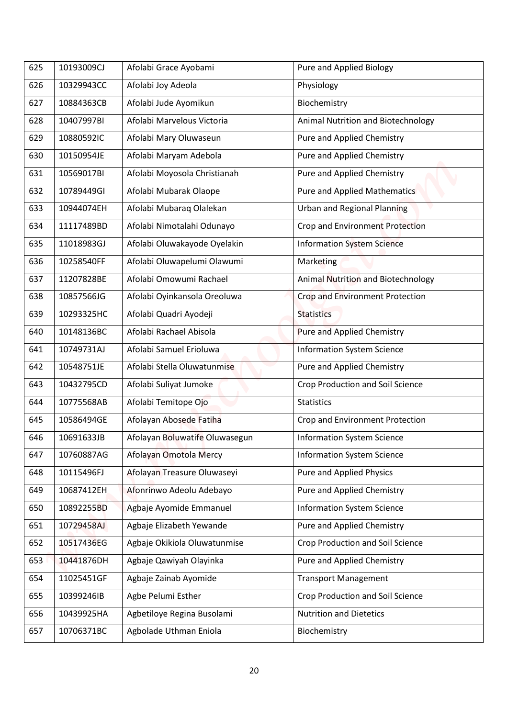| 625 | 10193009CJ | Afolabi Grace Ayobami          | Pure and Applied Biology                |
|-----|------------|--------------------------------|-----------------------------------------|
| 626 | 10329943CC | Afolabi Joy Adeola             | Physiology                              |
| 627 | 10884363CB | Afolabi Jude Ayomikun          | Biochemistry                            |
| 628 | 10407997BI | Afolabi Marvelous Victoria     | Animal Nutrition and Biotechnology      |
| 629 | 10880592IC | Afolabi Mary Oluwaseun         | Pure and Applied Chemistry              |
| 630 | 10150954JE | Afolabi Maryam Adebola         | Pure and Applied Chemistry              |
| 631 | 10569017BI | Afolabi Moyosola Christianah   | Pure and Applied Chemistry              |
| 632 | 10789449GI | Afolabi Mubarak Olaope         | Pure and Applied Mathematics            |
| 633 | 10944074EH | Afolabi Mubaraq Olalekan       | <b>Urban and Regional Planning</b>      |
| 634 | 11117489BD | Afolabi Nimotalahi Odunayo     | Crop and Environment Protection         |
| 635 | 11018983GJ | Afolabi Oluwakayode Oyelakin   | <b>Information System Science</b>       |
| 636 | 10258540FF | Afolabi Oluwapelumi Olawumi    | Marketing                               |
| 637 | 11207828BE | Afolabi Omowumi Rachael        | Animal Nutrition and Biotechnology      |
| 638 | 10857566JG | Afolabi Oyinkansola Oreoluwa   | <b>Crop and Environment Protection</b>  |
| 639 | 10293325HC | Afolabi Quadri Ayodeji         | <b>Statistics</b>                       |
| 640 | 10148136BC | Afolabi Rachael Abisola        | <b>Pure and Applied Chemistry</b>       |
| 641 | 10749731AJ | Afolabi Samuel Erioluwa        | <b>Information System Science</b>       |
| 642 | 10548751JE | Afolabi Stella Oluwatunmise    | Pure and Applied Chemistry              |
| 643 | 10432795CD | Afolabi Suliyat Jumoke         | Crop Production and Soil Science        |
| 644 | 10775568AB | Afolabi Temitope Ojo           | <b>Statistics</b>                       |
| 645 | 10586494GE | Afolayan Abosede Fatiha        | Crop and Environment Protection         |
| 646 | 10691633JB | Afolayan Boluwatife Oluwasegun | <b>Information System Science</b>       |
| 647 | 10760887AG | Afolayan Omotola Mercy         | <b>Information System Science</b>       |
| 648 | 10115496FJ | Afolayan Treasure Oluwaseyi    | Pure and Applied Physics                |
| 649 | 10687412EH | Afonrinwo Adeolu Adebayo       | Pure and Applied Chemistry              |
| 650 | 10892255BD | Agbaje Ayomide Emmanuel        | <b>Information System Science</b>       |
| 651 | 10729458AJ | Agbaje Elizabeth Yewande       | Pure and Applied Chemistry              |
| 652 | 10517436EG | Agbaje Okikiola Oluwatunmise   | <b>Crop Production and Soil Science</b> |
| 653 | 10441876DH | Agbaje Qawiyah Olayinka        | Pure and Applied Chemistry              |
| 654 | 11025451GF | Agbaje Zainab Ayomide          | <b>Transport Management</b>             |
| 655 | 10399246IB | Agbe Pelumi Esther             | Crop Production and Soil Science        |
| 656 | 10439925HA | Agbetiloye Regina Busolami     | <b>Nutrition and Dietetics</b>          |
| 657 | 10706371BC | Agbolade Uthman Eniola         | Biochemistry                            |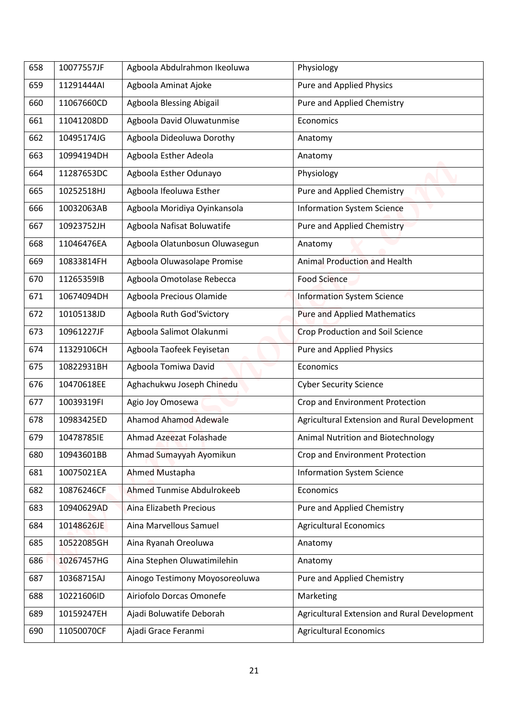| 658 | 10077557JF | Agboola Abdulrahmon Ikeoluwa   | Physiology                                   |
|-----|------------|--------------------------------|----------------------------------------------|
| 659 | 11291444AI | Agboola Aminat Ajoke           | Pure and Applied Physics                     |
| 660 | 11067660CD | Agboola Blessing Abigail       | Pure and Applied Chemistry                   |
| 661 | 11041208DD | Agboola David Oluwatunmise     | Economics                                    |
| 662 | 10495174JG | Agboola Dideoluwa Dorothy      | Anatomy                                      |
| 663 | 10994194DH | Agboola Esther Adeola          | Anatomy                                      |
| 664 | 11287653DC | Agboola Esther Odunayo         | Physiology                                   |
| 665 | 10252518HJ | Agboola Ifeoluwa Esther        | Pure and Applied Chemistry                   |
| 666 | 10032063AB | Agboola Moridiya Oyinkansola   | <b>Information System Science</b>            |
| 667 | 10923752JH | Agboola Nafisat Boluwatife     | <b>Pure and Applied Chemistry</b>            |
| 668 | 11046476EA | Agboola Olatunbosun Oluwasegun | Anatomy                                      |
| 669 | 10833814FH | Agboola Oluwasolape Promise    | <b>Animal Production and Health</b>          |
| 670 | 11265359IB | Agboola Omotolase Rebecca      | Food Science                                 |
| 671 | 10674094DH | Agboola Precious Olamide       | <b>Information System Science</b>            |
| 672 | 10105138JD | Agboola Ruth God'Svictory      | <b>Pure and Applied Mathematics</b>          |
| 673 | 10961227JF | Agboola Salimot Olakunmi       | <b>Crop Production and Soil Science</b>      |
| 674 | 11329106CH | Agboola Taofeek Feyisetan      | Pure and Applied Physics                     |
| 675 | 10822931BH | Agboola Tomiwa David           | Economics                                    |
| 676 | 10470618EE | Aghachukwu Joseph Chinedu      | <b>Cyber Security Science</b>                |
| 677 | 10039319FI | Agio Joy Omosewa               | Crop and Environment Protection              |
| 678 | 10983425ED | <b>Ahamod Ahamod Adewale</b>   | Agricultural Extension and Rural Development |
| 679 | 10478785IE | Ahmad Azeezat Folashade        | Animal Nutrition and Biotechnology           |
| 680 | 10943601BB | Ahmad Sumayyah Ayomikun        | Crop and Environment Protection              |
| 681 | 10075021EA | Ahmed Mustapha                 | <b>Information System Science</b>            |
| 682 | 10876246CF | Ahmed Tunmise Abdulrokeeb      | Economics                                    |
| 683 | 10940629AD | Aina Elizabeth Precious        | Pure and Applied Chemistry                   |
| 684 | 10148626JE | Aina Marvellous Samuel         | <b>Agricultural Economics</b>                |
| 685 | 10522085GH | Aina Ryanah Oreoluwa           | Anatomy                                      |
| 686 | 10267457HG | Aina Stephen Oluwatimilehin    | Anatomy                                      |
| 687 | 10368715AJ | Ainogo Testimony Moyosoreoluwa | Pure and Applied Chemistry                   |
| 688 | 10221606ID | Airiofolo Dorcas Omonefe       | Marketing                                    |
| 689 | 10159247EH | Ajadi Boluwatife Deborah       | Agricultural Extension and Rural Development |
|     |            |                                |                                              |
| 690 | 11050070CF | Ajadi Grace Feranmi            | <b>Agricultural Economics</b>                |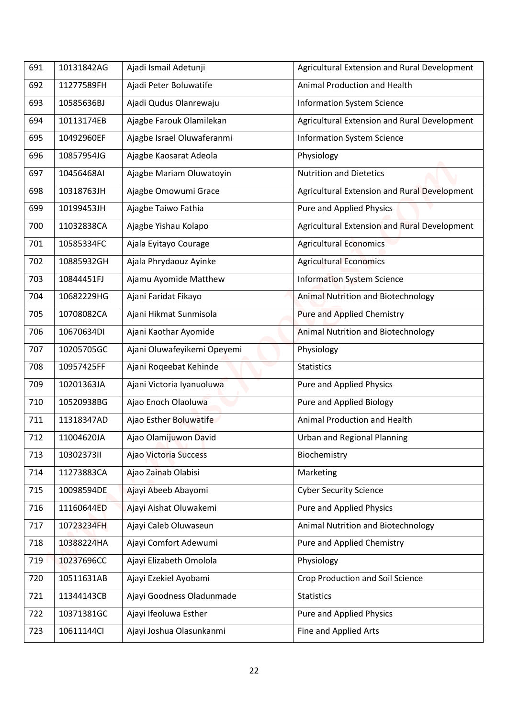| 691 | 10131842AG | Ajadi Ismail Adetunji       | Agricultural Extension and Rural Development |
|-----|------------|-----------------------------|----------------------------------------------|
| 692 | 11277589FH | Ajadi Peter Boluwatife      | Animal Production and Health                 |
|     |            |                             |                                              |
| 693 | 10585636BJ | Ajadi Qudus Olanrewaju      | <b>Information System Science</b>            |
| 694 | 10113174EB | Ajagbe Farouk Olamilekan    | Agricultural Extension and Rural Development |
| 695 | 10492960EF | Ajagbe Israel Oluwaferanmi  | <b>Information System Science</b>            |
| 696 | 10857954JG | Ajagbe Kaosarat Adeola      | Physiology                                   |
| 697 | 10456468AI | Ajagbe Mariam Oluwatoyin    | <b>Nutrition and Dietetics</b>               |
| 698 | 10318763JH | Ajagbe Omowumi Grace        | Agricultural Extension and Rural Development |
| 699 | 10199453JH | Ajagbe Taiwo Fathia         | Pure and Applied Physics                     |
| 700 | 11032838CA | Ajagbe Yishau Kolapo        | Agricultural Extension and Rural Development |
| 701 | 10585334FC | Ajala Eyitayo Courage       | <b>Agricultural Economics</b>                |
| 702 | 10885932GH | Ajala Phrydaouz Ayinke      | <b>Agricultural Economics</b>                |
| 703 | 10844451FJ | Ajamu Ayomide Matthew       | <b>Information System Science</b>            |
| 704 | 10682229HG | Ajani Faridat Fikayo        | <b>Animal Nutrition and Biotechnology</b>    |
| 705 | 10708082CA | Ajani Hikmat Sunmisola      | Pure and Applied Chemistry                   |
| 706 | 10670634DI | Ajani Kaothar Ayomide       | <b>Animal Nutrition and Biotechnology</b>    |
| 707 | 10205705GC | Ajani Oluwafeyikemi Opeyemi | Physiology                                   |
| 708 | 10957425FF | Ajani Roqeebat Kehinde      | <b>Statistics</b>                            |
| 709 | 10201363JA | Ajani Victoria Iyanuoluwa   | Pure and Applied Physics                     |
| 710 | 10520938BG | Ajao Enoch Olaoluwa         | Pure and Applied Biology                     |
| 711 | 11318347AD | Ajao Esther Boluwatife      | Animal Production and Health                 |
| 712 | 11004620JA | Ajao Olamijuwon David       | <b>Urban and Regional Planning</b>           |
| 713 | 10302373II | Ajao Victoria Success       | Biochemistry                                 |
| 714 | 11273883CA | Ajao Zainab Olabisi         | Marketing                                    |
| 715 | 10098594DE | Ajayi Abeeb Abayomi         | <b>Cyber Security Science</b>                |
| 716 | 11160644ED | Ajayi Aishat Oluwakemi      | Pure and Applied Physics                     |
| 717 | 10723234FH | Ajayi Caleb Oluwaseun       | Animal Nutrition and Biotechnology           |
| 718 | 10388224HA | Ajayi Comfort Adewumi       | Pure and Applied Chemistry                   |
| 719 | 10237696CC | Ajayi Elizabeth Omolola     | Physiology                                   |
| 720 | 10511631AB | Ajayi Ezekiel Ayobami       | Crop Production and Soil Science             |
| 721 | 11344143CB | Ajayi Goodness Oladunmade   | <b>Statistics</b>                            |
| 722 | 10371381GC | Ajayi Ifeoluwa Esther       | Pure and Applied Physics                     |
|     |            |                             |                                              |
| 723 | 10611144Cl | Ajayi Joshua Olasunkanmi    | Fine and Applied Arts                        |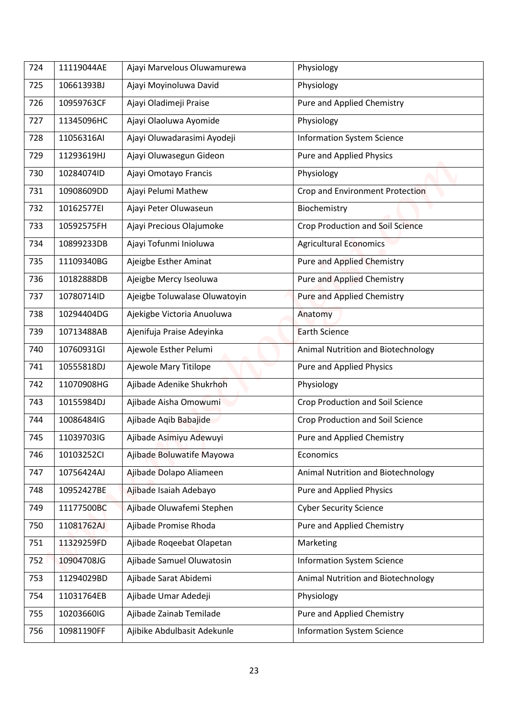| 724 | 11119044AE | Ajayi Marvelous Oluwamurewa   | Physiology                              |
|-----|------------|-------------------------------|-----------------------------------------|
| 725 | 10661393BJ | Ajayi Moyinoluwa David        | Physiology                              |
| 726 | 10959763CF | Ajayi Oladimeji Praise        | Pure and Applied Chemistry              |
| 727 | 11345096HC | Ajayi Olaoluwa Ayomide        | Physiology                              |
| 728 | 11056316AI | Ajayi Oluwadarasimi Ayodeji   | <b>Information System Science</b>       |
| 729 | 11293619HJ | Ajayi Oluwasegun Gideon       | Pure and Applied Physics                |
| 730 | 10284074ID | Ajayi Omotayo Francis         | Physiology                              |
| 731 | 10908609DD | Ajayi Pelumi Mathew           | Crop and Environment Protection         |
| 732 | 10162577EI | Ajayi Peter Oluwaseun         | Biochemistry                            |
| 733 | 10592575FH | Ajayi Precious Olajumoke      | <b>Crop Production and Soil Science</b> |
| 734 | 10899233DB | Ajayi Tofunmi Inioluwa        | <b>Agricultural Economics</b>           |
| 735 | 11109340BG | Ajeigbe Esther Aminat         | <b>Pure and Applied Chemistry</b>       |
| 736 | 10182888DB | Ajeigbe Mercy Iseoluwa        | <b>Pure and Applied Chemistry</b>       |
| 737 | 10780714ID | Ajeigbe Toluwalase Oluwatoyin | <b>Pure and Applied Chemistry</b>       |
| 738 | 10294404DG | Ajekigbe Victoria Anuoluwa    | Anatomy                                 |
| 739 | 10713488AB | Ajenifuja Praise Adeyinka     | <b>Earth Science</b>                    |
| 740 | 10760931GI | Ajewole Esther Pelumi         | Animal Nutrition and Biotechnology      |
| 741 | 10555818DJ | Ajewole Mary Titilope         | Pure and Applied Physics                |
| 742 | 11070908HG | Ajibade Adenike Shukrhoh      | Physiology                              |
|     |            |                               |                                         |
| 743 | 10155984DJ | Ajibade Aisha Omowumi         | Crop Production and Soil Science        |
| 744 | 10086484IG | Ajibade Aqib Babajide         | Crop Production and Soil Science        |
| 745 | 11039703IG | Ajibade Asimiyu Adewuyi       | Pure and Applied Chemistry              |
| 746 | 10103252CI | Ajibade Boluwatife Mayowa     | Economics                               |
| 747 | 10756424AJ | Ajibade Dolapo Aliameen       | Animal Nutrition and Biotechnology      |
| 748 | 10952427BE | Ajibade Isaiah Adebayo        | Pure and Applied Physics                |
| 749 | 11177500BC | Ajibade Oluwafemi Stephen     | <b>Cyber Security Science</b>           |
| 750 | 11081762AJ | Ajibade Promise Rhoda         | Pure and Applied Chemistry              |
| 751 | 11329259FD | Ajibade Roqeebat Olapetan     | Marketing                               |
| 752 | 10904708JG | Ajibade Samuel Oluwatosin     | <b>Information System Science</b>       |
| 753 | 11294029BD | Ajibade Sarat Abidemi         | Animal Nutrition and Biotechnology      |
| 754 | 11031764EB | Ajibade Umar Adedeji          | Physiology                              |
| 755 | 10203660IG | Ajibade Zainab Temilade       | Pure and Applied Chemistry              |
| 756 | 10981190FF | Ajibike Abdulbasit Adekunle   | <b>Information System Science</b>       |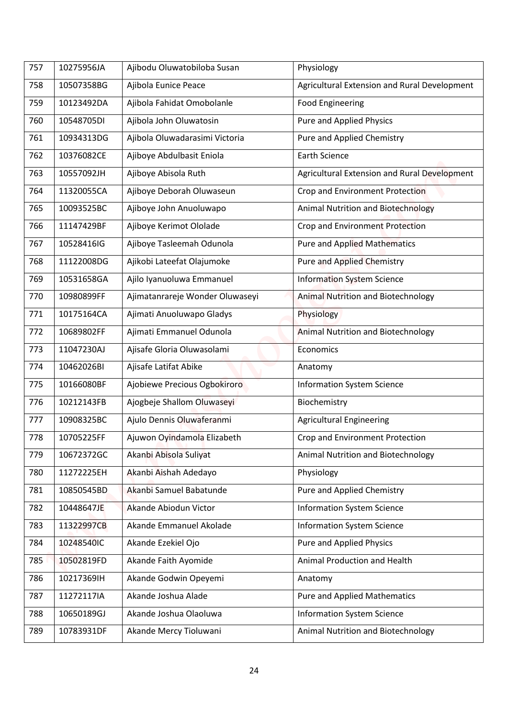| 757 | 10275956JA | Ajibodu Oluwatobiloba Susan     | Physiology                                   |
|-----|------------|---------------------------------|----------------------------------------------|
| 758 | 10507358BG | Ajibola Eunice Peace            | Agricultural Extension and Rural Development |
| 759 | 10123492DA | Ajibola Fahidat Omobolanle      | <b>Food Engineering</b>                      |
| 760 | 10548705DI | Ajibola John Oluwatosin         | <b>Pure and Applied Physics</b>              |
| 761 | 10934313DG | Ajibola Oluwadarasimi Victoria  | Pure and Applied Chemistry                   |
| 762 | 10376082CE | Ajiboye Abdulbasit Eniola       | <b>Earth Science</b>                         |
| 763 | 10557092JH | Ajiboye Abisola Ruth            | Agricultural Extension and Rural Development |
| 764 | 11320055CA | Ajiboye Deborah Oluwaseun       | Crop and Environment Protection              |
| 765 | 10093525BC | Ajiboye John Anuoluwapo         | <b>Animal Nutrition and Biotechnology</b>    |
| 766 | 11147429BF | Ajiboye Kerimot Ololade         | Crop and Environment Protection              |
| 767 | 10528416IG | Ajiboye Tasleemah Odunola       | <b>Pure and Applied Mathematics</b>          |
| 768 | 11122008DG | Ajikobi Lateefat Olajumoke      | <b>Pure and Applied Chemistry</b>            |
| 769 | 10531658GA | Ajilo Iyanuoluwa Emmanuel       | <b>Information System Science</b>            |
| 770 | 10980899FF | Ajimatanrareje Wonder Oluwaseyi | <b>Animal Nutrition and Biotechnology</b>    |
| 771 | 10175164CA | Ajimati Anuoluwapo Gladys       | Physiology                                   |
| 772 | 10689802FF | Ajimati Emmanuel Odunola        | <b>Animal Nutrition and Biotechnology</b>    |
| 773 | 11047230AJ | Ajisafe Gloria Oluwasolami      | Economics                                    |
| 774 | 10462026BI | Ajisafe Latifat Abike           | Anatomy                                      |
| 775 | 10166080BF | Ajobiewe Precious Ogbokiroro    | <b>Information System Science</b>            |
| 776 | 10212143FB | Ajogbeje Shallom Oluwaseyi      | Biochemistry                                 |
| 777 | 10908325BC | Ajulo Dennis Oluwaferanmi       | <b>Agricultural Engineering</b>              |
| 778 | 10705225FF | Ajuwon Oyindamola Elizabeth     | Crop and Environment Protection              |
| 779 | 10672372GC | Akanbi Abisola Suliyat          | Animal Nutrition and Biotechnology           |
| 780 | 11272225EH | Akanbi Aishah Adedayo           | Physiology                                   |
| 781 | 10850545BD | Akanbi Samuel Babatunde         | Pure and Applied Chemistry                   |
| 782 | 10448647JE | Akande Abiodun Victor           | <b>Information System Science</b>            |
| 783 | 11322997CB | Akande Emmanuel Akolade         | <b>Information System Science</b>            |
| 784 | 10248540IC | Akande Ezekiel Ojo              | <b>Pure and Applied Physics</b>              |
| 785 | 10502819FD | Akande Faith Ayomide            | Animal Production and Health                 |
| 786 | 10217369IH | Akande Godwin Opeyemi           | Anatomy                                      |
| 787 | 11272117IA | Akande Joshua Alade             | <b>Pure and Applied Mathematics</b>          |
| 788 | 10650189GJ | Akande Joshua Olaoluwa          | <b>Information System Science</b>            |
| 789 | 10783931DF | Akande Mercy Tioluwani          | Animal Nutrition and Biotechnology           |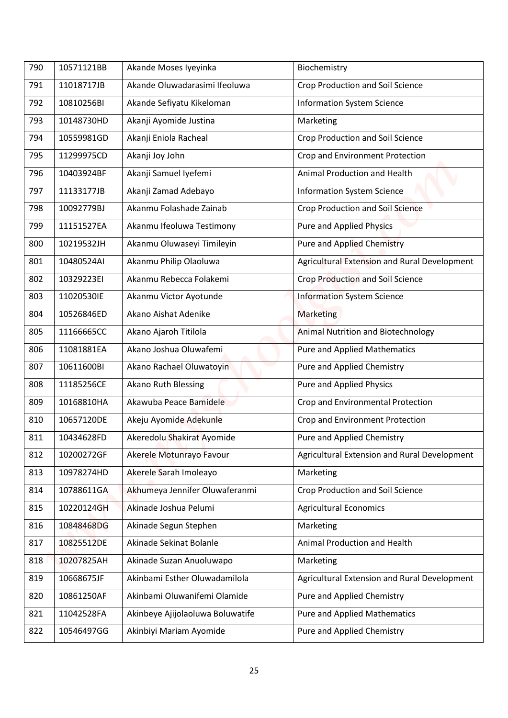| 790 | 10571121BB | Akande Moses Iyeyinka            | Biochemistry                                 |
|-----|------------|----------------------------------|----------------------------------------------|
| 791 | 11018717JB | Akande Oluwadarasimi Ifeoluwa    | Crop Production and Soil Science             |
| 792 | 10810256BI | Akande Sefiyatu Kikeloman        | <b>Information System Science</b>            |
| 793 | 10148730HD | Akanji Ayomide Justina           | Marketing                                    |
| 794 | 10559981GD | Akanji Eniola Racheal            | Crop Production and Soil Science             |
| 795 | 11299975CD | Akanji Joy John                  | Crop and Environment Protection              |
| 796 | 10403924BF | Akanji Samuel Iyefemi            | Animal Production and Health                 |
| 797 | 11133177JB | Akanji Zamad Adebayo             | <b>Information System Science</b>            |
| 798 | 10092779BJ | Akanmu Folashade Zainab          | Crop Production and Soil Science             |
| 799 | 11151527EA | Akanmu Ifeoluwa Testimony        | <b>Pure and Applied Physics</b>              |
| 800 | 10219532JH | Akanmu Oluwaseyi Timileyin       | <b>Pure and Applied Chemistry</b>            |
| 801 | 10480524AI | Akanmu Philip Olaoluwa           | Agricultural Extension and Rural Development |
| 802 | 10329223EI | Akanmu Rebecca Folakemi          | Crop Production and Soil Science             |
| 803 | 11020530IE | Akanmu Victor Ayotunde           | <b>Information System Science</b>            |
| 804 | 10526846ED | Akano Aishat Adenike             | <b>Marketing</b>                             |
| 805 | 11166665CC | Akano Ajaroh Titilola            | <b>Animal Nutrition and Biotechnology</b>    |
| 806 | 11081881EA | Akano Joshua Oluwafemi           | <b>Pure and Applied Mathematics</b>          |
| 807 | 10611600BI | Akano Rachael Oluwatoyin         | Pure and Applied Chemistry                   |
| 808 | 11185256CE | Akano Ruth Blessing              | <b>Pure and Applied Physics</b>              |
| 809 | 10168810HA | Akawuba Peace Bamidele           | Crop and Environmental Protection            |
| 810 | 10657120DE | Akeju Ayomide Adekunle           | Crop and Environment Protection              |
| 811 | 10434628FD | Akeredolu Shakirat Ayomide       | Pure and Applied Chemistry                   |
| 812 | 10200272GF | Akerele Motunrayo Favour         | Agricultural Extension and Rural Development |
| 813 | 10978274HD | Akerele Sarah Imoleayo           | Marketing                                    |
| 814 | 10788611GA | Akhumeya Jennifer Oluwaferanmi   | Crop Production and Soil Science             |
| 815 | 10220124GH | Akinade Joshua Pelumi            | <b>Agricultural Economics</b>                |
| 816 | 10848468DG | Akinade Segun Stephen            | Marketing                                    |
| 817 | 10825512DE | Akinade Sekinat Bolanle          | Animal Production and Health                 |
| 818 | 10207825AH | Akinade Suzan Anuoluwapo         | Marketing                                    |
| 819 | 10668675JF | Akinbami Esther Oluwadamilola    | Agricultural Extension and Rural Development |
| 820 | 10861250AF | Akinbami Oluwanifemi Olamide     | Pure and Applied Chemistry                   |
| 821 | 11042528FA | Akinbeye Ajijolaoluwa Boluwatife | <b>Pure and Applied Mathematics</b>          |
| 822 | 10546497GG | Akinbiyi Mariam Ayomide          | Pure and Applied Chemistry                   |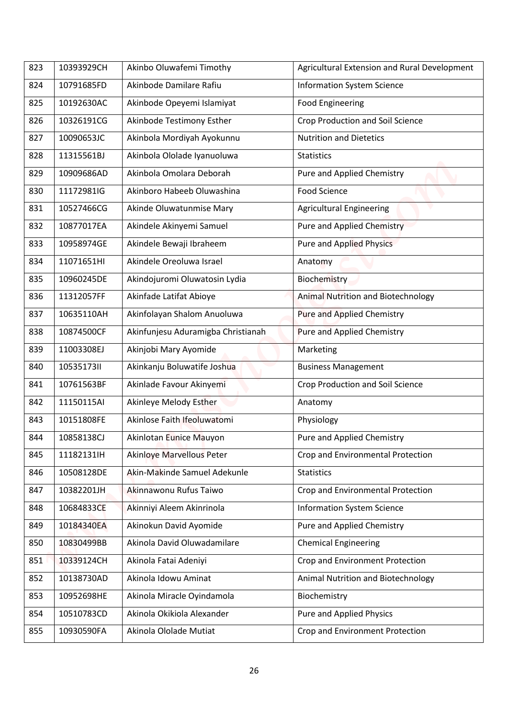| 823 | 10393929CH | Akinbo Oluwafemi Timothy           | Agricultural Extension and Rural Development |
|-----|------------|------------------------------------|----------------------------------------------|
|     |            |                                    |                                              |
| 824 | 10791685FD | Akinbode Damilare Rafiu            | <b>Information System Science</b>            |
| 825 | 10192630AC | Akinbode Opeyemi Islamiyat         | <b>Food Engineering</b>                      |
| 826 | 10326191CG | Akinbode Testimony Esther          | Crop Production and Soil Science             |
| 827 | 10090653JC | Akinbola Mordiyah Ayokunnu         | <b>Nutrition and Dietetics</b>               |
| 828 | 11315561BJ | Akinbola Ololade Iyanuoluwa        | <b>Statistics</b>                            |
| 829 | 10909686AD | Akinbola Omolara Deborah           | Pure and Applied Chemistry                   |
| 830 | 11172981IG | Akinboro Habeeb Oluwashina         | <b>Food Science</b>                          |
| 831 | 10527466CG | Akinde Oluwatunmise Mary           | <b>Agricultural Engineering</b>              |
| 832 | 10877017EA | Akindele Akinyemi Samuel           | Pure and Applied Chemistry                   |
| 833 | 10958974GE | Akindele Bewaji Ibraheem           | <b>Pure and Applied Physics</b>              |
| 834 | 11071651HI | Akindele Oreoluwa Israel           | Anatomy                                      |
| 835 | 10960245DE | Akindojuromi Oluwatosin Lydia      | <b>Biochemistry</b>                          |
| 836 | 11312057FF | Akinfade Latifat Abioye            | Animal Nutrition and Biotechnology           |
| 837 | 10635110AH | Akinfolayan Shalom Anuoluwa        | Pure and Applied Chemistry                   |
| 838 | 10874500CF | Akinfunjesu Aduramigba Christianah | Pure and Applied Chemistry                   |
| 839 | 11003308EJ | Akinjobi Mary Ayomide              | Marketing                                    |
| 840 | 1053517311 | Akinkanju Boluwatife Joshua        | <b>Business Management</b>                   |
| 841 | 10761563BF | Akinlade Favour Akinyemi           | Crop Production and Soil Science             |
| 842 | 11150115AI | Akinleye Melody Esther             | Anatomy                                      |
| 843 | 10151808FE | Akinlose Faith Ifeoluwatomi        | Physiology                                   |
| 844 | 10858138CJ | Akinlotan Eunice Mauyon            | Pure and Applied Chemistry                   |
| 845 | 11182131lH | <b>Akinloye Marvellous Peter</b>   | Crop and Environmental Protection            |
| 846 | 10508128DE | Akin-Makinde Samuel Adekunle       | <b>Statistics</b>                            |
| 847 | 10382201JH | Akinnawonu Rufus Taiwo             | Crop and Environmental Protection            |
| 848 | 10684833CE | Akinniyi Aleem Akinrinola          | <b>Information System Science</b>            |
| 849 | 10184340EA | Akinokun David Ayomide             | Pure and Applied Chemistry                   |
| 850 | 10830499BB | Akinola David Oluwadamilare        | <b>Chemical Engineering</b>                  |
| 851 | 10339124CH | Akinola Fatai Adeniyi              | Crop and Environment Protection              |
| 852 | 10138730AD | Akinola Idowu Aminat               | Animal Nutrition and Biotechnology           |
| 853 | 10952698HE | Akinola Miracle Oyindamola         | Biochemistry                                 |
| 854 | 10510783CD | Akinola Okikiola Alexander         | Pure and Applied Physics                     |
|     |            | Akinola Ololade Mutiat             |                                              |
| 855 | 10930590FA |                                    | Crop and Environment Protection              |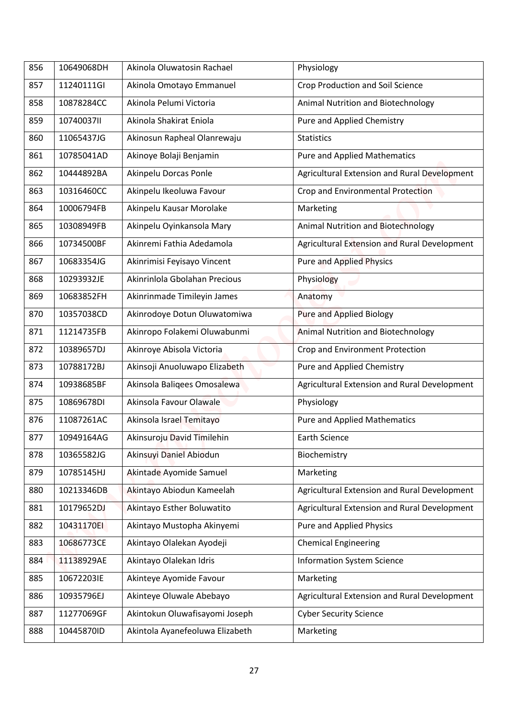| 856 | 10649068DH | Akinola Oluwatosin Rachael      | Physiology                                   |
|-----|------------|---------------------------------|----------------------------------------------|
| 857 | 11240111GI | Akinola Omotayo Emmanuel        | Crop Production and Soil Science             |
|     | 10878284CC | Akinola Pelumi Victoria         |                                              |
| 858 |            |                                 | Animal Nutrition and Biotechnology           |
| 859 | 10740037II | Akinola Shakirat Eniola         | Pure and Applied Chemistry                   |
| 860 | 11065437JG | Akinosun Rapheal Olanrewaju     | <b>Statistics</b>                            |
| 861 | 10785041AD | Akinoye Bolaji Benjamin         | <b>Pure and Applied Mathematics</b>          |
| 862 | 10444892BA | Akinpelu Dorcas Ponle           | Agricultural Extension and Rural Development |
| 863 | 10316460CC | Akinpelu Ikeoluwa Favour        | Crop and Environmental Protection            |
| 864 | 10006794FB | Akinpelu Kausar Morolake        | Marketing                                    |
| 865 | 10308949FB | Akinpelu Oyinkansola Mary       | <b>Animal Nutrition and Biotechnology</b>    |
| 866 | 10734500BF | Akinremi Fathia Adedamola       | Agricultural Extension and Rural Development |
| 867 | 10683354JG | Akinrimisi Feyisayo Vincent     | <b>Pure and Applied Physics</b>              |
| 868 | 10293932JE | Akinrinlola Gbolahan Precious   | Physiology                                   |
| 869 | 10683852FH | Akinrinmade Timileyin James     | Anatomy                                      |
| 870 | 10357038CD | Akinrodoye Dotun Oluwatomiwa    | <b>Pure and Applied Biology</b>              |
| 871 | 11214735FB | Akinropo Folakemi Oluwabunmi    | <b>Animal Nutrition and Biotechnology</b>    |
| 872 | 10389657DJ | Akinroye Abisola Victoria       | Crop and Environment Protection              |
| 873 | 10788172BJ | Akinsoji Anuoluwapo Elizabeth   | Pure and Applied Chemistry                   |
| 874 | 10938685BF | Akinsola Baliqees Omosalewa     | Agricultural Extension and Rural Development |
| 875 | 10869678DI | Akinsola Favour Olawale         | Physiology                                   |
| 876 | 11087261AC | Akinsola Israel Temitayo        | <b>Pure and Applied Mathematics</b>          |
| 877 | 10949164AG | Akinsuroju David Timilehin      | <b>Earth Science</b>                         |
| 878 | 10365582JG | Akinsuyi Daniel Abiodun         | Biochemistry                                 |
| 879 | 10785145HJ | Akintade Ayomide Samuel         | Marketing                                    |
| 880 | 10213346DB | Akintayo Abiodun Kameelah       | Agricultural Extension and Rural Development |
| 881 | 10179652DJ | Akintayo Esther Boluwatito      | Agricultural Extension and Rural Development |
| 882 | 10431170EI | Akintayo Mustopha Akinyemi      | Pure and Applied Physics                     |
| 883 | 10686773CE | Akintayo Olalekan Ayodeji       | <b>Chemical Engineering</b>                  |
| 884 | 11138929AE | Akintayo Olalekan Idris         | <b>Information System Science</b>            |
| 885 | 10672203IE | Akinteye Ayomide Favour         | Marketing                                    |
| 886 | 10935796EJ | Akinteye Oluwale Abebayo        | Agricultural Extension and Rural Development |
| 887 | 11277069GF | Akintokun Oluwafisayomi Joseph  | <b>Cyber Security Science</b>                |
|     |            |                                 |                                              |
| 888 | 10445870ID | Akintola Ayanefeoluwa Elizabeth | Marketing                                    |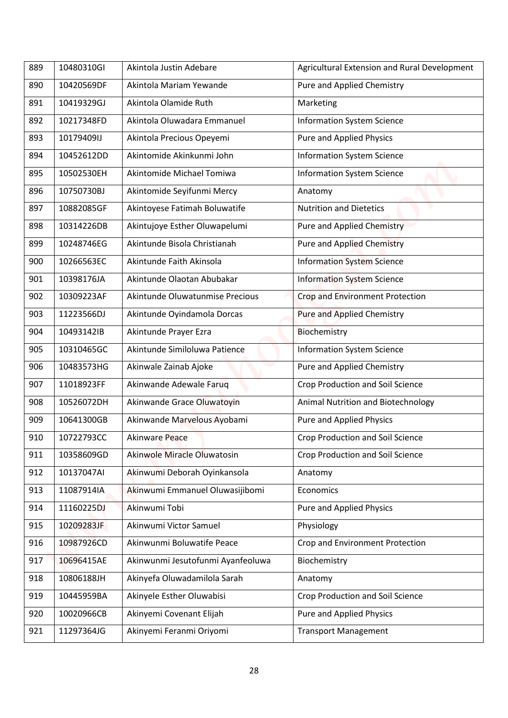| 889 | 10480310GI | Akintola Justin Adebare                                       | Agricultural Extension and Rural Development |
|-----|------------|---------------------------------------------------------------|----------------------------------------------|
| 890 | 10420569DF | Akintola Mariam Yewande                                       | Pure and Applied Chemistry                   |
| 891 | 10419329GJ | Akintola Olamide Ruth                                         | Marketing                                    |
| 892 | 10217348FD | Akintola Oluwadara Emmanuel                                   | <b>Information System Science</b>            |
| 893 | 10179409IJ | Akintola Precious Opeyemi                                     | Pure and Applied Physics                     |
| 894 | 10452612DD | Akintomide Akinkunmi John                                     | <b>Information System Science</b>            |
| 895 | 10502530EH | Akintomide Michael Tomiwa                                     | <b>Information System Science</b>            |
| 896 | 10750730BJ | Akintomide Seyifunmi Mercy                                    | Anatomy                                      |
| 897 | 10882085GF | Akintoyese Fatimah Boluwatife                                 | <b>Nutrition and Dietetics</b>               |
| 898 | 10314226DB |                                                               | <b>Pure and Applied Chemistry</b>            |
|     | 10248746EG | Akintujoye Esther Oluwapelumi<br>Akintunde Bisola Christianah |                                              |
| 899 |            |                                                               | <b>Pure and Applied Chemistry</b>            |
| 900 | 10266563EC | Akintunde Faith Akinsola                                      | <b>Information System Science</b>            |
| 901 | 10398176JA | Akintunde Olaotan Abubakar                                    | <b>Information System Science</b>            |
| 902 | 10309223AF | Akintunde Oluwatunmise Precious                               | <b>Crop and Environment Protection</b>       |
| 903 | 11223566DJ | Akintunde Oyindamola Dorcas                                   | Pure and Applied Chemistry                   |
| 904 | 10493142IB | Akintunde Prayer Ezra                                         | Biochemistry                                 |
| 905 | 10310465GC | Akintunde Similoluwa Patience                                 | <b>Information System Science</b>            |
| 906 | 10483573HG | Akinwale Zainab Ajoke                                         | Pure and Applied Chemistry                   |
| 907 | 11018923FF | Akinwande Adewale Farug                                       | Crop Production and Soil Science             |
| 908 | 10526072DH | Akinwande Grace Oluwatoyin                                    | Animal Nutrition and Biotechnology           |
| 909 | 10641300GB | Akinwande Marvelous Ayobami                                   | Pure and Applied Physics                     |
| 910 | 10722793CC | Akinware Peace                                                | Crop Production and Soil Science             |
| 911 | 10358609GD | Akinwole Miracle Oluwatosin                                   | Crop Production and Soil Science             |
| 912 | 10137047AI | Akinwumi Deborah Oyinkansola                                  | Anatomy                                      |
| 913 | 11087914IA | Akinwumi Emmanuel Oluwasijibomi                               | Economics                                    |
| 914 | 11160225DJ | Akinwumi Tobi                                                 | Pure and Applied Physics                     |
| 915 | 10209283JF | Akinwumi Victor Samuel                                        | Physiology                                   |
| 916 | 10987926CD | Akinwunmi Boluwatife Peace                                    | Crop and Environment Protection              |
| 917 | 10696415AE | Akinwunmi Jesutofunmi Ayanfeoluwa                             | Biochemistry                                 |
| 918 | 10806188JH | Akinyefa Oluwadamilola Sarah                                  | Anatomy                                      |
| 919 | 10445959BA | Akinyele Esther Oluwabisi                                     | Crop Production and Soil Science             |
| 920 | 10020966CB | Akinyemi Covenant Elijah                                      | Pure and Applied Physics                     |
| 921 | 11297364JG | Akinyemi Feranmi Oriyomi                                      | <b>Transport Management</b>                  |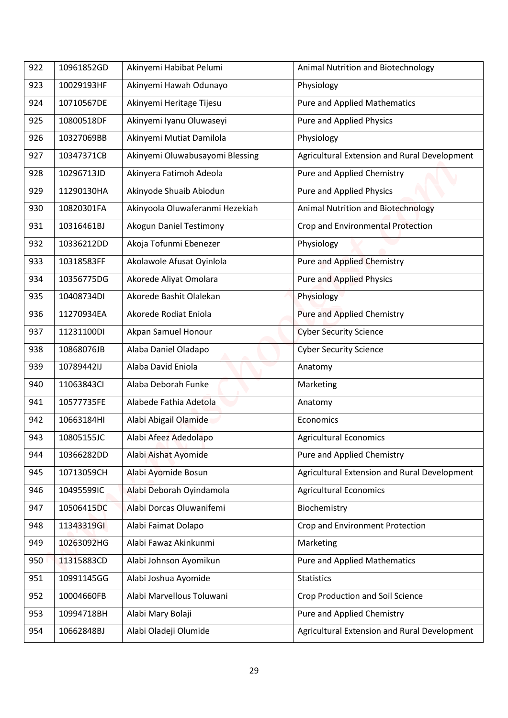| 922 | 10961852GD | Akinyemi Habibat Pelumi         | Animal Nutrition and Biotechnology           |
|-----|------------|---------------------------------|----------------------------------------------|
| 923 | 10029193HF | Akinyemi Hawah Odunayo          | Physiology                                   |
| 924 | 10710567DE | Akinyemi Heritage Tijesu        | <b>Pure and Applied Mathematics</b>          |
| 925 | 10800518DF | Akinyemi Iyanu Oluwaseyi        | <b>Pure and Applied Physics</b>              |
| 926 | 10327069BB | Akinyemi Mutiat Damilola        | Physiology                                   |
| 927 | 10347371CB | Akinyemi Oluwabusayomi Blessing | Agricultural Extension and Rural Development |
| 928 | 10296713JD | Akinyera Fatimoh Adeola         | Pure and Applied Chemistry                   |
| 929 | 11290130HA | Akinyode Shuaib Abiodun         | Pure and Applied Physics                     |
| 930 | 10820301FA | Akinyoola Oluwaferanmi Hezekiah | <b>Animal Nutrition and Biotechnology</b>    |
| 931 | 10316461BJ | Akogun Daniel Testimony         | Crop and Environmental Protection            |
| 932 | 10336212DD | Akoja Tofunmi Ebenezer          | Physiology                                   |
| 933 | 10318583FF | Akolawole Afusat Oyinlola       | <b>Pure and Applied Chemistry</b>            |
| 934 | 10356775DG | Akorede Aliyat Omolara          | <b>Pure and Applied Physics</b>              |
| 935 | 10408734DI | Akorede Bashit Olalekan         | Physiology                                   |
| 936 | 11270934EA | Akorede Rodiat Eniola           | Pure and Applied Chemistry                   |
| 937 | 11231100DI | Akpan Samuel Honour             | <b>Cyber Security Science</b>                |
| 938 | 10868076JB | Alaba Daniel Oladapo            | <b>Cyber Security Science</b>                |
| 939 | 10789442IJ | Alaba David Eniola              | Anatomy                                      |
| 940 | 11063843Cl | Alaba Deborah Funke             | Marketing                                    |
|     |            |                                 |                                              |
| 941 | 10577735FE | Alabede Fathia Adetola          | Anatomy                                      |
| 942 | 10663184HI | Alabi Abigail Olamide           | Economics                                    |
| 943 | 10805155JC | Alabi Afeez Adedolapo           | <b>Agricultural Economics</b>                |
| 944 | 10366282DD | Alabi Aishat Ayomide            | Pure and Applied Chemistry                   |
| 945 | 10713059CH | Alabi Ayomide Bosun             | Agricultural Extension and Rural Development |
| 946 | 10495599IC | Alabi Deborah Oyindamola        | <b>Agricultural Economics</b>                |
| 947 | 10506415DC | Alabi Dorcas Oluwanifemi        | Biochemistry                                 |
| 948 | 11343319GI | Alabi Faimat Dolapo             | Crop and Environment Protection              |
| 949 | 10263092HG | Alabi Fawaz Akinkunmi           | Marketing                                    |
| 950 | 11315883CD | Alabi Johnson Ayomikun          | <b>Pure and Applied Mathematics</b>          |
| 951 | 10991145GG | Alabi Joshua Ayomide            | <b>Statistics</b>                            |
| 952 | 10004660FB | Alabi Marvellous Toluwani       | Crop Production and Soil Science             |
| 953 | 10994718BH | Alabi Mary Bolaji               | Pure and Applied Chemistry                   |
| 954 | 10662848BJ | Alabi Oladeji Olumide           | Agricultural Extension and Rural Development |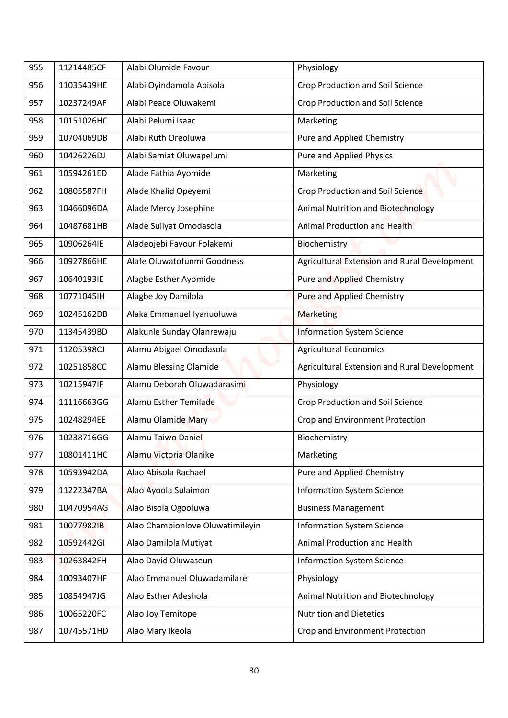| 955 | 11214485CF | Alabi Olumide Favour             | Physiology                                   |
|-----|------------|----------------------------------|----------------------------------------------|
| 956 | 11035439HE | Alabi Oyindamola Abisola         | <b>Crop Production and Soil Science</b>      |
| 957 | 10237249AF | Alabi Peace Oluwakemi            | <b>Crop Production and Soil Science</b>      |
| 958 | 10151026HC | Alabi Pelumi Isaac               | Marketing                                    |
| 959 | 10704069DB | Alabi Ruth Oreoluwa              | Pure and Applied Chemistry                   |
| 960 | 10426226DJ | Alabi Samiat Oluwapelumi         | Pure and Applied Physics                     |
| 961 | 10594261ED | Alade Fathia Ayomide             | Marketing                                    |
| 962 | 10805587FH | Alade Khalid Opeyemi             | Crop Production and Soil Science             |
| 963 | 10466096DA | Alade Mercy Josephine            | <b>Animal Nutrition and Biotechnology</b>    |
| 964 | 10487681HB | Alade Suliyat Omodasola          | Animal Production and Health                 |
| 965 | 10906264IE | Aladeojebi Favour Folakemi       | Biochemistry                                 |
| 966 | 10927866HE | Alafe Oluwatofunmi Goodness      | Agricultural Extension and Rural Development |
| 967 | 10640193IE | Alagbe Esther Ayomide            | <b>Pure and Applied Chemistry</b>            |
| 968 | 10771045IH | Alagbe Joy Damilola              | <b>Pure and Applied Chemistry</b>            |
| 969 | 10245162DB | Alaka Emmanuel Iyanuoluwa        | <b>Marketing</b>                             |
| 970 | 11345439BD | Alakunle Sunday Olanrewaju       | <b>Information System Science</b>            |
| 971 | 11205398CJ | Alamu Abigael Omodasola          | <b>Agricultural Economics</b>                |
| 972 | 10251858CC | Alamu Blessing Olamide           | Agricultural Extension and Rural Development |
| 973 | 10215947IF | Alamu Deborah Oluwadarasimi      | Physiology                                   |
| 974 | 11116663GG | Alamu Esther Temilade            | Crop Production and Soil Science             |
| 975 | 10248294EE | Alamu Olamide Mary               | Crop and Environment Protection              |
| 976 | 10238716GG | Alamu Taiwo Daniel               | Biochemistry                                 |
| 977 | 10801411HC | Alamu Victoria Olanike           | Marketing                                    |
| 978 | 10593942DA | Alao Abisola Rachael             | Pure and Applied Chemistry                   |
| 979 | 11222347BA | Alao Ayoola Sulaimon             | <b>Information System Science</b>            |
| 980 | 10470954AG | Alao Bisola Ogooluwa             | <b>Business Management</b>                   |
| 981 | 10077982IB | Alao Championlove Oluwatimileyin | <b>Information System Science</b>            |
| 982 | 10592442GI | Alao Damilola Mutiyat            | Animal Production and Health                 |
| 983 | 10263842FH | Alao David Oluwaseun             | <b>Information System Science</b>            |
| 984 | 10093407HF | Alao Emmanuel Oluwadamilare      | Physiology                                   |
| 985 | 10854947JG | Alao Esther Adeshola             | Animal Nutrition and Biotechnology           |
| 986 | 10065220FC | Alao Joy Temitope                | <b>Nutrition and Dietetics</b>               |
| 987 | 10745571HD | Alao Mary Ikeola                 | Crop and Environment Protection              |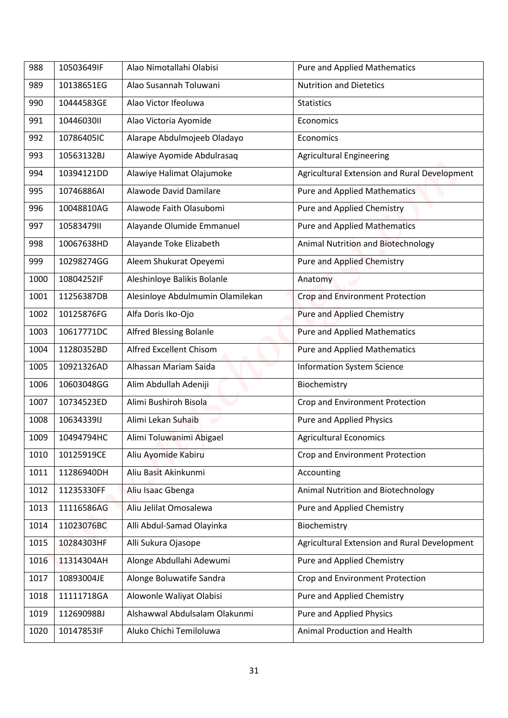| 988  | 10503649IF | Alao Nimotallahi Olabisi         | <b>Pure and Applied Mathematics</b>          |
|------|------------|----------------------------------|----------------------------------------------|
| 989  | 10138651EG | Alao Susannah Toluwani           | <b>Nutrition and Dietetics</b>               |
| 990  | 10444583GE | Alao Victor Ifeoluwa             | <b>Statistics</b>                            |
| 991  | 10446030II | Alao Victoria Ayomide            | Economics                                    |
| 992  | 10786405IC | Alarape Abdulmojeeb Oladayo      | Economics                                    |
| 993  | 10563132BJ | Alawiye Ayomide Abdulrasaq       | <b>Agricultural Engineering</b>              |
| 994  | 10394121DD | Alawiye Halimat Olajumoke        | Agricultural Extension and Rural Development |
| 995  | 10746886AI | Alawode David Damilare           | <b>Pure and Applied Mathematics</b>          |
| 996  | 10048810AG | Alawode Faith Olasubomi          | <b>Pure and Applied Chemistry</b>            |
|      |            |                                  |                                              |
| 997  | 1058347911 | Alayande Olumide Emmanuel        | <b>Pure and Applied Mathematics</b>          |
| 998  | 10067638HD | Alayande Toke Elizabeth          | Animal Nutrition and Biotechnology           |
| 999  | 10298274GG | Aleem Shukurat Opeyemi           | <b>Pure and Applied Chemistry</b>            |
| 1000 | 10804252IF | Aleshinloye Balikis Bolanle      | Anatomy                                      |
| 1001 | 11256387DB | Alesinloye Abdulmumin Olamilekan | <b>Crop and Environment Protection</b>       |
| 1002 | 10125876FG | Alfa Doris Iko-Ojo               | Pure and Applied Chemistry                   |
| 1003 | 10617771DC | <b>Alfred Blessing Bolanle</b>   | <b>Pure and Applied Mathematics</b>          |
| 1004 | 11280352BD | Alfred Excellent Chisom          | <b>Pure and Applied Mathematics</b>          |
| 1005 | 10921326AD | Alhassan Mariam Saida            | <b>Information System Science</b>            |
| 1006 | 10603048GG | Alim Abdullah Adeniji            | Biochemistry                                 |
| 1007 | 10734523ED | Alimi Bushiroh Bisola            | Crop and Environment Protection              |
| 1008 | 10634339IJ | Alimi Lekan Suhaib               | Pure and Applied Physics                     |
| 1009 | 10494794HC | Alimi Toluwanimi Abigael         | <b>Agricultural Economics</b>                |
| 1010 | 10125919CE | Aliu Ayomide Kabiru              | Crop and Environment Protection              |
| 1011 | 11286940DH | Aliu Basit Akinkunmi             | Accounting                                   |
| 1012 | 11235330FF | Aliu Isaac Gbenga                | Animal Nutrition and Biotechnology           |
| 1013 | 11116586AG | Aliu Jelilat Omosalewa           | Pure and Applied Chemistry                   |
| 1014 | 11023076BC | Alli Abdul-Samad Olayinka        | Biochemistry                                 |
| 1015 | 10284303HF | Alli Sukura Ojasope              | Agricultural Extension and Rural Development |
| 1016 | 11314304AH | Alonge Abdullahi Adewumi         | Pure and Applied Chemistry                   |
| 1017 | 10893004JE | Alonge Boluwatife Sandra         | Crop and Environment Protection              |
| 1018 | 11111718GA | Alowonle Waliyat Olabisi         | Pure and Applied Chemistry                   |
| 1019 | 11269098BJ | Alshawwal Abdulsalam Olakunmi    | Pure and Applied Physics                     |
| 1020 | 10147853IF | Aluko Chichi Temiloluwa          | Animal Production and Health                 |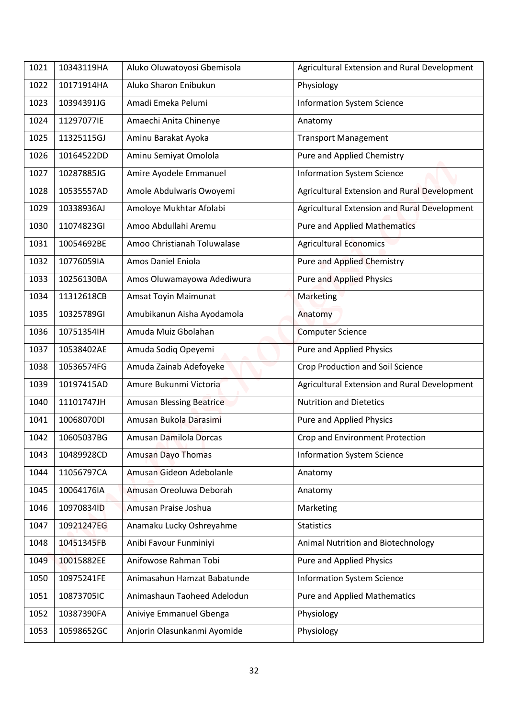| 1021 | 10343119HA | Aluko Oluwatoyosi Gbemisola     | Agricultural Extension and Rural Development |
|------|------------|---------------------------------|----------------------------------------------|
| 1022 | 10171914HA | Aluko Sharon Enibukun           | Physiology                                   |
|      | 10394391JG | Amadi Emeka Pelumi              | <b>Information System Science</b>            |
| 1023 |            |                                 |                                              |
| 1024 | 11297077IE | Amaechi Anita Chinenye          | Anatomy                                      |
| 1025 | 11325115GJ | Aminu Barakat Ayoka             | <b>Transport Management</b>                  |
| 1026 | 10164522DD | Aminu Semiyat Omolola           | Pure and Applied Chemistry                   |
| 1027 | 10287885JG | Amire Ayodele Emmanuel          | <b>Information System Science</b>            |
| 1028 | 10535557AD | Amole Abdulwaris Owoyemi        | Agricultural Extension and Rural Development |
| 1029 | 10338936AJ | Amoloye Mukhtar Afolabi         | Agricultural Extension and Rural Development |
| 1030 | 11074823GI | Amoo Abdullahi Aremu            | <b>Pure and Applied Mathematics</b>          |
| 1031 | 10054692BE | Amoo Christianah Toluwalase     | <b>Agricultural Economics</b>                |
| 1032 | 10776059IA | Amos Daniel Eniola              | <b>Pure and Applied Chemistry</b>            |
| 1033 | 10256130BA | Amos Oluwamayowa Adediwura      | <b>Pure and Applied Physics</b>              |
| 1034 | 11312618CB | Amsat Toyin Maimunat            | Marketing                                    |
| 1035 | 10325789GI | Amubikanun Aisha Ayodamola      | Anatomy                                      |
| 1036 | 10751354IH | Amuda Muiz Gbolahan             | <b>Computer Science</b>                      |
| 1037 | 10538402AE | Amuda Sodiq Opeyemi             | <b>Pure and Applied Physics</b>              |
| 1038 | 10536574FG | Amuda Zainab Adefoyeke          | Crop Production and Soil Science             |
| 1039 | 10197415AD | Amure Bukunmi Victoria          | Agricultural Extension and Rural Development |
| 1040 | 11101747JH | <b>Amusan Blessing Beatrice</b> | <b>Nutrition and Dietetics</b>               |
| 1041 | 10068070DI | Amusan Bukola Darasimi          | Pure and Applied Physics                     |
| 1042 | 10605037BG | Amusan Damilola Dorcas          | Crop and Environment Protection              |
| 1043 | 10489928CD | Amusan Dayo Thomas              | <b>Information System Science</b>            |
| 1044 | 11056797CA | Amusan Gideon Adebolanle        | Anatomy                                      |
| 1045 | 10064176IA | Amusan Oreoluwa Deborah         | Anatomy                                      |
| 1046 | 10970834ID | Amusan Praise Joshua            | Marketing                                    |
| 1047 | 10921247EG | Anamaku Lucky Oshreyahme        | <b>Statistics</b>                            |
| 1048 | 10451345FB | Anibi Favour Funminiyi          | Animal Nutrition and Biotechnology           |
| 1049 | 10015882EE | Anifowose Rahman Tobi           | Pure and Applied Physics                     |
| 1050 | 10975241FE | Animasahun Hamzat Babatunde     | <b>Information System Science</b>            |
| 1051 | 10873705IC | Animashaun Taoheed Adelodun     | <b>Pure and Applied Mathematics</b>          |
| 1052 | 10387390FA | Aniviye Emmanuel Gbenga         | Physiology                                   |
| 1053 | 10598652GC | Anjorin Olasunkanmi Ayomide     | Physiology                                   |
|      |            |                                 |                                              |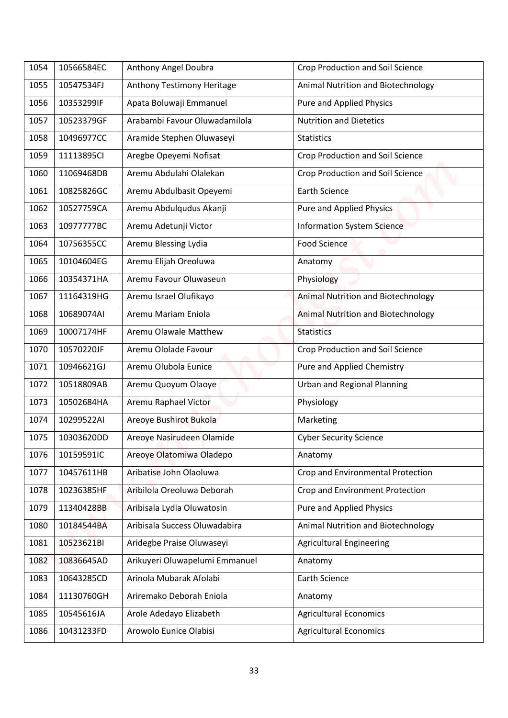| 10566584EC<br>Anthony Angel Doubra<br><b>Crop Production and Soil Science</b><br>1054<br>10547534FJ<br>Anthony Testimony Heritage<br>Animal Nutrition and Biotechnology<br>1055<br>Apata Boluwaji Emmanuel<br><b>Pure and Applied Physics</b><br>1056<br>10353299IF<br>Arabambi Fayour Oluwadamilola<br><b>Nutrition and Dietetics</b><br>1057<br>10523379GF<br>1058<br>10496977CC<br>Aramide Stephen Oluwaseyi<br><b>Statistics</b><br>Aregbe Opeyemi Nofisat<br>Crop Production and Soil Science<br>1059<br>11113895CI<br>Aremu Abdulahi Olalekan<br><b>Crop Production and Soil Science</b><br>11069468DB<br>1060<br>10825826GC<br>Aremu Abdulbasit Opeyemi<br>Earth Science<br>1061<br>10527759CA<br>Aremu Abdulqudus Akanji<br>Pure and Applied Physics<br>1062<br>10977777BC<br>Aremu Adetunji Victor<br><b>Information System Science</b><br>1063<br><b>Food Science</b><br>10756355CC<br>Aremu Blessing Lydia<br>1064<br>Aremu Elijah Oreoluwa<br>1065<br>10104604EG<br>Anatomy<br>Aremu Favour Oluwaseun<br>1066<br>10354371HA<br>Physiology<br>Aremu Israel Olufikayo<br><b>Animal Nutrition and Biotechnology</b><br>1067<br>11164319HG<br>Aremu Mariam Eniola<br><b>Animal Nutrition and Biotechnology</b><br>1068<br>10689074AI<br>10007174HF<br>Aremu Olawale Matthew<br>1069<br><b>Statistics</b><br>Aremu Ololade Favour<br>1070<br>10570220JF<br><b>Crop Production and Soil Science</b><br>Pure and Applied Chemistry<br>10946621GJ<br>Aremu Olubola Eunice<br>1071<br>1072<br>Aremu Quoyum Olaoye<br><b>Urban and Regional Planning</b><br>10518809AB<br>Aremu Raphael Victor<br>1073<br>10502684HA<br>Physiology<br>Areoye Bushirot Bukola<br>1074<br>10299522AI<br>Marketing<br>10303620DD<br>Areoye Nasirudeen Olamide<br><b>Cyber Security Science</b><br>1075<br>10159591IC<br>Areoye Olatomiwa Oladepo<br>1076<br>Anatomy |  |
|----------------------------------------------------------------------------------------------------------------------------------------------------------------------------------------------------------------------------------------------------------------------------------------------------------------------------------------------------------------------------------------------------------------------------------------------------------------------------------------------------------------------------------------------------------------------------------------------------------------------------------------------------------------------------------------------------------------------------------------------------------------------------------------------------------------------------------------------------------------------------------------------------------------------------------------------------------------------------------------------------------------------------------------------------------------------------------------------------------------------------------------------------------------------------------------------------------------------------------------------------------------------------------------------------------------------------------------------------------------------------------------------------------------------------------------------------------------------------------------------------------------------------------------------------------------------------------------------------------------------------------------------------------------------------------------------------------------------------------------------------------------------------------------------------------------------------------------------------|--|
|                                                                                                                                                                                                                                                                                                                                                                                                                                                                                                                                                                                                                                                                                                                                                                                                                                                                                                                                                                                                                                                                                                                                                                                                                                                                                                                                                                                                                                                                                                                                                                                                                                                                                                                                                                                                                                                    |  |
|                                                                                                                                                                                                                                                                                                                                                                                                                                                                                                                                                                                                                                                                                                                                                                                                                                                                                                                                                                                                                                                                                                                                                                                                                                                                                                                                                                                                                                                                                                                                                                                                                                                                                                                                                                                                                                                    |  |
|                                                                                                                                                                                                                                                                                                                                                                                                                                                                                                                                                                                                                                                                                                                                                                                                                                                                                                                                                                                                                                                                                                                                                                                                                                                                                                                                                                                                                                                                                                                                                                                                                                                                                                                                                                                                                                                    |  |
|                                                                                                                                                                                                                                                                                                                                                                                                                                                                                                                                                                                                                                                                                                                                                                                                                                                                                                                                                                                                                                                                                                                                                                                                                                                                                                                                                                                                                                                                                                                                                                                                                                                                                                                                                                                                                                                    |  |
|                                                                                                                                                                                                                                                                                                                                                                                                                                                                                                                                                                                                                                                                                                                                                                                                                                                                                                                                                                                                                                                                                                                                                                                                                                                                                                                                                                                                                                                                                                                                                                                                                                                                                                                                                                                                                                                    |  |
|                                                                                                                                                                                                                                                                                                                                                                                                                                                                                                                                                                                                                                                                                                                                                                                                                                                                                                                                                                                                                                                                                                                                                                                                                                                                                                                                                                                                                                                                                                                                                                                                                                                                                                                                                                                                                                                    |  |
|                                                                                                                                                                                                                                                                                                                                                                                                                                                                                                                                                                                                                                                                                                                                                                                                                                                                                                                                                                                                                                                                                                                                                                                                                                                                                                                                                                                                                                                                                                                                                                                                                                                                                                                                                                                                                                                    |  |
|                                                                                                                                                                                                                                                                                                                                                                                                                                                                                                                                                                                                                                                                                                                                                                                                                                                                                                                                                                                                                                                                                                                                                                                                                                                                                                                                                                                                                                                                                                                                                                                                                                                                                                                                                                                                                                                    |  |
|                                                                                                                                                                                                                                                                                                                                                                                                                                                                                                                                                                                                                                                                                                                                                                                                                                                                                                                                                                                                                                                                                                                                                                                                                                                                                                                                                                                                                                                                                                                                                                                                                                                                                                                                                                                                                                                    |  |
|                                                                                                                                                                                                                                                                                                                                                                                                                                                                                                                                                                                                                                                                                                                                                                                                                                                                                                                                                                                                                                                                                                                                                                                                                                                                                                                                                                                                                                                                                                                                                                                                                                                                                                                                                                                                                                                    |  |
|                                                                                                                                                                                                                                                                                                                                                                                                                                                                                                                                                                                                                                                                                                                                                                                                                                                                                                                                                                                                                                                                                                                                                                                                                                                                                                                                                                                                                                                                                                                                                                                                                                                                                                                                                                                                                                                    |  |
|                                                                                                                                                                                                                                                                                                                                                                                                                                                                                                                                                                                                                                                                                                                                                                                                                                                                                                                                                                                                                                                                                                                                                                                                                                                                                                                                                                                                                                                                                                                                                                                                                                                                                                                                                                                                                                                    |  |
|                                                                                                                                                                                                                                                                                                                                                                                                                                                                                                                                                                                                                                                                                                                                                                                                                                                                                                                                                                                                                                                                                                                                                                                                                                                                                                                                                                                                                                                                                                                                                                                                                                                                                                                                                                                                                                                    |  |
|                                                                                                                                                                                                                                                                                                                                                                                                                                                                                                                                                                                                                                                                                                                                                                                                                                                                                                                                                                                                                                                                                                                                                                                                                                                                                                                                                                                                                                                                                                                                                                                                                                                                                                                                                                                                                                                    |  |
|                                                                                                                                                                                                                                                                                                                                                                                                                                                                                                                                                                                                                                                                                                                                                                                                                                                                                                                                                                                                                                                                                                                                                                                                                                                                                                                                                                                                                                                                                                                                                                                                                                                                                                                                                                                                                                                    |  |
|                                                                                                                                                                                                                                                                                                                                                                                                                                                                                                                                                                                                                                                                                                                                                                                                                                                                                                                                                                                                                                                                                                                                                                                                                                                                                                                                                                                                                                                                                                                                                                                                                                                                                                                                                                                                                                                    |  |
|                                                                                                                                                                                                                                                                                                                                                                                                                                                                                                                                                                                                                                                                                                                                                                                                                                                                                                                                                                                                                                                                                                                                                                                                                                                                                                                                                                                                                                                                                                                                                                                                                                                                                                                                                                                                                                                    |  |
|                                                                                                                                                                                                                                                                                                                                                                                                                                                                                                                                                                                                                                                                                                                                                                                                                                                                                                                                                                                                                                                                                                                                                                                                                                                                                                                                                                                                                                                                                                                                                                                                                                                                                                                                                                                                                                                    |  |
|                                                                                                                                                                                                                                                                                                                                                                                                                                                                                                                                                                                                                                                                                                                                                                                                                                                                                                                                                                                                                                                                                                                                                                                                                                                                                                                                                                                                                                                                                                                                                                                                                                                                                                                                                                                                                                                    |  |
|                                                                                                                                                                                                                                                                                                                                                                                                                                                                                                                                                                                                                                                                                                                                                                                                                                                                                                                                                                                                                                                                                                                                                                                                                                                                                                                                                                                                                                                                                                                                                                                                                                                                                                                                                                                                                                                    |  |
|                                                                                                                                                                                                                                                                                                                                                                                                                                                                                                                                                                                                                                                                                                                                                                                                                                                                                                                                                                                                                                                                                                                                                                                                                                                                                                                                                                                                                                                                                                                                                                                                                                                                                                                                                                                                                                                    |  |
|                                                                                                                                                                                                                                                                                                                                                                                                                                                                                                                                                                                                                                                                                                                                                                                                                                                                                                                                                                                                                                                                                                                                                                                                                                                                                                                                                                                                                                                                                                                                                                                                                                                                                                                                                                                                                                                    |  |
|                                                                                                                                                                                                                                                                                                                                                                                                                                                                                                                                                                                                                                                                                                                                                                                                                                                                                                                                                                                                                                                                                                                                                                                                                                                                                                                                                                                                                                                                                                                                                                                                                                                                                                                                                                                                                                                    |  |
| Aribatise John Olaoluwa<br>Crop and Environmental Protection<br>10457611HB<br>1077                                                                                                                                                                                                                                                                                                                                                                                                                                                                                                                                                                                                                                                                                                                                                                                                                                                                                                                                                                                                                                                                                                                                                                                                                                                                                                                                                                                                                                                                                                                                                                                                                                                                                                                                                                 |  |
| 10236385HF<br>Aribilola Oreoluwa Deborah<br>Crop and Environment Protection<br>1078                                                                                                                                                                                                                                                                                                                                                                                                                                                                                                                                                                                                                                                                                                                                                                                                                                                                                                                                                                                                                                                                                                                                                                                                                                                                                                                                                                                                                                                                                                                                                                                                                                                                                                                                                                |  |
| Aribisala Lydia Oluwatosin<br>Pure and Applied Physics<br>11340428BB<br>1079                                                                                                                                                                                                                                                                                                                                                                                                                                                                                                                                                                                                                                                                                                                                                                                                                                                                                                                                                                                                                                                                                                                                                                                                                                                                                                                                                                                                                                                                                                                                                                                                                                                                                                                                                                       |  |
| Aribisala Success Oluwadabira<br>Animal Nutrition and Biotechnology<br>10184544BA<br>1080                                                                                                                                                                                                                                                                                                                                                                                                                                                                                                                                                                                                                                                                                                                                                                                                                                                                                                                                                                                                                                                                                                                                                                                                                                                                                                                                                                                                                                                                                                                                                                                                                                                                                                                                                          |  |
| 10523621BI<br>Aridegbe Praise Oluwaseyi<br><b>Agricultural Engineering</b><br>1081                                                                                                                                                                                                                                                                                                                                                                                                                                                                                                                                                                                                                                                                                                                                                                                                                                                                                                                                                                                                                                                                                                                                                                                                                                                                                                                                                                                                                                                                                                                                                                                                                                                                                                                                                                 |  |
| Arikuyeri Oluwapelumi Emmanuel<br>10836645AD<br>1082<br>Anatomy                                                                                                                                                                                                                                                                                                                                                                                                                                                                                                                                                                                                                                                                                                                                                                                                                                                                                                                                                                                                                                                                                                                                                                                                                                                                                                                                                                                                                                                                                                                                                                                                                                                                                                                                                                                    |  |
| Arinola Mubarak Afolabi<br>1083<br>10643285CD<br><b>Earth Science</b>                                                                                                                                                                                                                                                                                                                                                                                                                                                                                                                                                                                                                                                                                                                                                                                                                                                                                                                                                                                                                                                                                                                                                                                                                                                                                                                                                                                                                                                                                                                                                                                                                                                                                                                                                                              |  |
| 1084<br>11130760GH<br>Ariremako Deborah Eniola<br>Anatomy                                                                                                                                                                                                                                                                                                                                                                                                                                                                                                                                                                                                                                                                                                                                                                                                                                                                                                                                                                                                                                                                                                                                                                                                                                                                                                                                                                                                                                                                                                                                                                                                                                                                                                                                                                                          |  |
| 10545616JA<br>Arole Adedayo Elizabeth<br><b>Agricultural Economics</b><br>1085                                                                                                                                                                                                                                                                                                                                                                                                                                                                                                                                                                                                                                                                                                                                                                                                                                                                                                                                                                                                                                                                                                                                                                                                                                                                                                                                                                                                                                                                                                                                                                                                                                                                                                                                                                     |  |
| 10431233FD<br>Arowolo Eunice Olabisi<br><b>Agricultural Economics</b><br>1086                                                                                                                                                                                                                                                                                                                                                                                                                                                                                                                                                                                                                                                                                                                                                                                                                                                                                                                                                                                                                                                                                                                                                                                                                                                                                                                                                                                                                                                                                                                                                                                                                                                                                                                                                                      |  |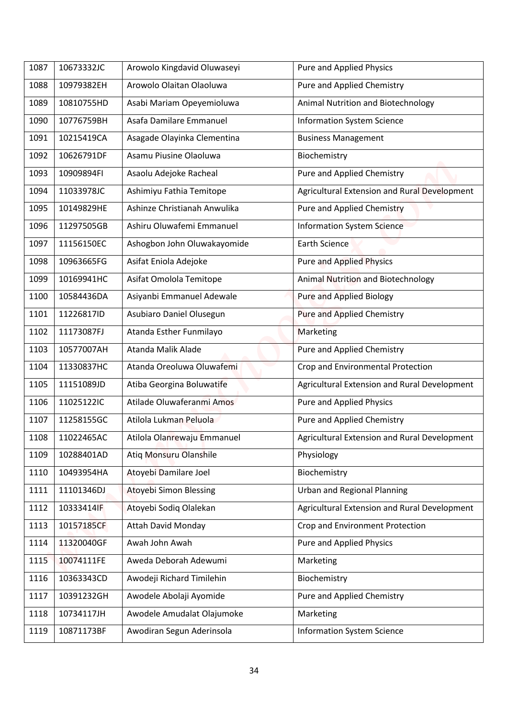| 1087 | 10673332JC | Arowolo Kingdavid Oluwaseyi   | Pure and Applied Physics                     |
|------|------------|-------------------------------|----------------------------------------------|
| 1088 | 10979382EH | Arowolo Olaitan Olaoluwa      | Pure and Applied Chemistry                   |
| 1089 | 10810755HD | Asabi Mariam Opeyemioluwa     | Animal Nutrition and Biotechnology           |
| 1090 | 10776759BH | Asafa Damilare Emmanuel       | <b>Information System Science</b>            |
| 1091 | 10215419CA | Asagade Olayinka Clementina   | <b>Business Management</b>                   |
| 1092 | 10626791DF | Asamu Piusine Olaoluwa        | Biochemistry                                 |
| 1093 | 10909894FI | Asaolu Adejoke Racheal        | Pure and Applied Chemistry                   |
| 1094 | 11033978JC | Ashimiyu Fathia Temitope      | Agricultural Extension and Rural Development |
| 1095 | 10149829HE | Ashinze Christianah Anwulika  | Pure and Applied Chemistry                   |
| 1096 | 11297505GB | Ashiru Oluwafemi Emmanuel     | <b>Information System Science</b>            |
| 1097 | 11156150EC | Ashogbon John Oluwakayomide   | <b>Earth Science</b>                         |
| 1098 | 10963665FG | Asifat Eniola Adejoke         | <b>Pure and Applied Physics</b>              |
| 1099 | 10169941HC | Asifat Omolola Temitope       | Animal Nutrition and Biotechnology           |
| 1100 | 10584436DA | Asiyanbi Emmanuel Adewale     | <b>Pure and Applied Biology</b>              |
| 1101 | 11226817ID | Asubiaro Daniel Olusegun      | Pure and Applied Chemistry                   |
| 1102 | 11173087FJ | Atanda Esther Funmilayo       | Marketing                                    |
| 1103 | 10577007AH | Atanda Malik Alade            | Pure and Applied Chemistry                   |
| 1104 | 11330837HC | Atanda Oreoluwa Oluwafemi     | Crop and Environmental Protection            |
| 1105 | 11151089JD | Atiba Georgina Boluwatife     | Agricultural Extension and Rural Development |
| 1106 | 11025122IC | Atilade Oluwaferanmi Amos     | Pure and Applied Physics                     |
| 1107 | 11258155GC | Atilola Lukman Peluola        | Pure and Applied Chemistry                   |
| 1108 | 11022465AC | Atilola Olanrewaju Emmanuel   | Agricultural Extension and Rural Development |
| 1109 | 10288401AD | <b>Atiq Monsuru Olanshile</b> | Physiology                                   |
| 1110 | 10493954HA | Atoyebi Damilare Joel         | Biochemistry                                 |
| 1111 | 11101346DJ | Atoyebi Simon Blessing        | <b>Urban and Regional Planning</b>           |
| 1112 | 10333414IF | Atoyebi Sodiq Olalekan        | Agricultural Extension and Rural Development |
| 1113 | 10157185CF | <b>Attah David Monday</b>     | Crop and Environment Protection              |
| 1114 | 11320040GF | Awah John Awah                | Pure and Applied Physics                     |
| 1115 | 10074111FE | Aweda Deborah Adewumi         | Marketing                                    |
| 1116 | 10363343CD | Awodeji Richard Timilehin     | Biochemistry                                 |
| 1117 | 10391232GH | Awodele Abolaji Ayomide       | Pure and Applied Chemistry                   |
| 1118 | 10734117JH | Awodele Amudalat Olajumoke    | Marketing                                    |
| 1119 | 10871173BF | Awodiran Segun Aderinsola     | <b>Information System Science</b>            |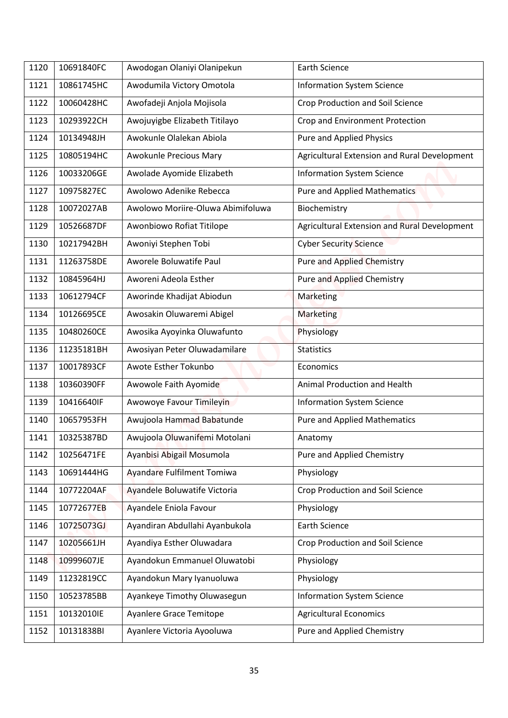| 1120 | 10691840FC | Awodogan Olaniyi Olanipekun       | <b>Earth Science</b>                         |
|------|------------|-----------------------------------|----------------------------------------------|
| 1121 | 10861745HC | Awodumila Victory Omotola         | <b>Information System Science</b>            |
| 1122 | 10060428HC | Awofadeji Anjola Mojisola         | <b>Crop Production and Soil Science</b>      |
| 1123 | 10293922CH | Awojuyigbe Elizabeth Titilayo     | Crop and Environment Protection              |
| 1124 | 10134948JH | Awokunle Olalekan Abiola          | Pure and Applied Physics                     |
| 1125 | 10805194HC | Awokunle Precious Mary            | Agricultural Extension and Rural Development |
| 1126 | 10033206GE | Awolade Ayomide Elizabeth         | <b>Information System Science</b>            |
| 1127 | 10975827EC | Awolowo Adenike Rebecca           | <b>Pure and Applied Mathematics</b>          |
| 1128 | 10072027AB | Awolowo Moriire-Oluwa Abimifoluwa | Biochemistry                                 |
| 1129 | 10526687DF | Awonbiowo Rofiat Titilope         | Agricultural Extension and Rural Development |
| 1130 | 10217942BH | Awoniyi Stephen Tobi              | <b>Cyber Security Science</b>                |
| 1131 | 11263758DE | Aworele Boluwatife Paul           | <b>Pure and Applied Chemistry</b>            |
| 1132 | 10845964HJ | Aworeni Adeola Esther             | <b>Pure and Applied Chemistry</b>            |
| 1133 | 10612794CF | Aworinde Khadijat Abiodun         | Marketing                                    |
| 1134 | 10126695CE | Awosakin Oluwaremi Abigel         | <b>Marketing</b>                             |
| 1135 | 10480260CE | Awosika Ayoyinka Oluwafunto       | Physiology                                   |
| 1136 | 11235181BH | Awosiyan Peter Oluwadamilare      | <b>Statistics</b>                            |
| 1137 | 10017893CF | Awote Esther Tokunbo              | Economics                                    |
| 1138 | 10360390FF | Awowole Faith Ayomide             | Animal Production and Health                 |
| 1139 | 10416640IF | Awowoye Favour Timileyin          | <b>Information System Science</b>            |
| 1140 | 10657953FH | Awujoola Hammad Babatunde         | <b>Pure and Applied Mathematics</b>          |
| 1141 | 10325387BD | Awujoola Oluwanifemi Motolani     | Anatomy                                      |
| 1142 | 10256471FE | Ayanbisi Abigail Mosumola         | Pure and Applied Chemistry                   |
| 1143 | 10691444HG | Ayandare Fulfilment Tomiwa        | Physiology                                   |
| 1144 | 10772204AF | Ayandele Boluwatife Victoria      | <b>Crop Production and Soil Science</b>      |
| 1145 | 10772677EB | Ayandele Eniola Favour            | Physiology                                   |
| 1146 | 10725073GJ | Ayandiran Abdullahi Ayanbukola    | <b>Earth Science</b>                         |
| 1147 | 10205661JH | Ayandiya Esther Oluwadara         | <b>Crop Production and Soil Science</b>      |
| 1148 | 10999607JE | Ayandokun Emmanuel Oluwatobi      | Physiology                                   |
| 1149 | 11232819CC | Ayandokun Mary Iyanuoluwa         | Physiology                                   |
| 1150 | 10523785BB | Ayankeye Timothy Oluwasegun       | <b>Information System Science</b>            |
| 1151 | 10132010IE | Ayanlere Grace Temitope           | <b>Agricultural Economics</b>                |
| 1152 | 10131838BI | Ayanlere Victoria Ayooluwa        | Pure and Applied Chemistry                   |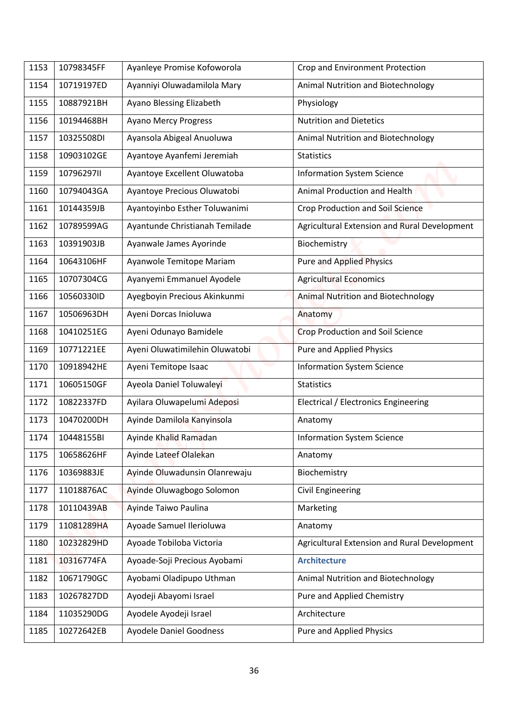| 1153 | 10798345FF | Ayanleye Promise Kofoworola    | Crop and Environment Protection              |
|------|------------|--------------------------------|----------------------------------------------|
|      |            |                                |                                              |
| 1154 | 10719197ED | Ayanniyi Oluwadamilola Mary    | Animal Nutrition and Biotechnology           |
| 1155 | 10887921BH | Ayano Blessing Elizabeth       | Physiology                                   |
| 1156 | 10194468BH | <b>Ayano Mercy Progress</b>    | <b>Nutrition and Dietetics</b>               |
| 1157 | 10325508DI | Ayansola Abigeal Anuoluwa      | Animal Nutrition and Biotechnology           |
| 1158 | 10903102GE | Ayantoye Ayanfemi Jeremiah     | <b>Statistics</b>                            |
| 1159 | 10796297II | Ayantoye Excellent Oluwatoba   | <b>Information System Science</b>            |
| 1160 | 10794043GA | Ayantoye Precious Oluwatobi    | Animal Production and Health                 |
| 1161 | 10144359JB | Ayantoyinbo Esther Toluwanimi  | Crop Production and Soil Science             |
| 1162 | 10789599AG | Ayantunde Christianah Temilade | Agricultural Extension and Rural Development |
| 1163 | 10391903JB | Ayanwale James Ayorinde        | Biochemistry                                 |
| 1164 | 10643106HF | Ayanwole Temitope Mariam       | <b>Pure and Applied Physics</b>              |
| 1165 | 10707304CG | Ayanyemi Emmanuel Ayodele      | <b>Agricultural Economics</b>                |
| 1166 | 10560330ID | Ayegboyin Precious Akinkunmi   | <b>Animal Nutrition and Biotechnology</b>    |
| 1167 | 10506963DH | Ayeni Dorcas Inioluwa          | Anatomy                                      |
| 1168 | 10410251EG | Ayeni Odunayo Bamidele         | <b>Crop Production and Soil Science</b>      |
| 1169 | 10771221EE | Ayeni Oluwatimilehin Oluwatobi | <b>Pure and Applied Physics</b>              |
| 1170 | 10918942HE | Ayeni Temitope Isaac           | <b>Information System Science</b>            |
| 1171 | 10605150GF | Ayeola Daniel Toluwaleyi       | <b>Statistics</b>                            |
| 1172 | 10822337FD | Ayilara Oluwapelumi Adeposi    | Electrical / Electronics Engineering         |
| 1173 | 10470200DH | Ayinde Damilola Kanyinsola     | Anatomy                                      |
| 1174 | 10448155BI | Ayinde Khalid Ramadan          | <b>Information System Science</b>            |
| 1175 | 10658626HF | Ayinde Lateef Olalekan         | Anatomy                                      |
| 1176 | 10369883JE | Ayinde Oluwadunsin Olanrewaju  | Biochemistry                                 |
| 1177 | 11018876AC | Ayinde Oluwagbogo Solomon      | <b>Civil Engineering</b>                     |
| 1178 | 10110439AB | Ayinde Taiwo Paulina           | Marketing                                    |
| 1179 | 11081289HA | Ayoade Samuel Ilerioluwa       | Anatomy                                      |
| 1180 | 10232829HD | Ayoade Tobiloba Victoria       | Agricultural Extension and Rural Development |
| 1181 | 10316774FA | Ayoade-Soji Precious Ayobami   | <b>Architecture</b>                          |
| 1182 | 10671790GC | Ayobami Oladipupo Uthman       | Animal Nutrition and Biotechnology           |
| 1183 | 10267827DD | Ayodeji Abayomi Israel         | Pure and Applied Chemistry                   |
| 1184 | 11035290DG | Ayodele Ayodeji Israel         | Architecture                                 |
|      |            |                                |                                              |
| 1185 | 10272642EB | <b>Ayodele Daniel Goodness</b> | Pure and Applied Physics                     |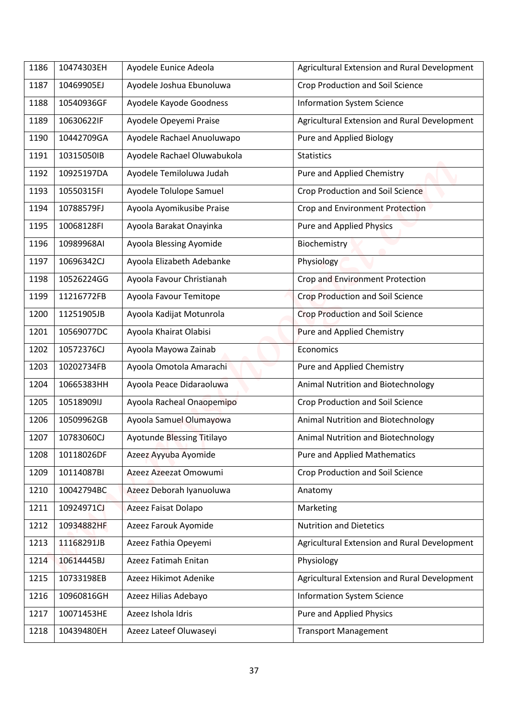| 1186 | 10474303EH | Ayodele Eunice Adeola             | Agricultural Extension and Rural Development |
|------|------------|-----------------------------------|----------------------------------------------|
| 1187 | 10469905EJ | Ayodele Joshua Ebunoluwa          | Crop Production and Soil Science             |
| 1188 | 10540936GF | Ayodele Kayode Goodness           | <b>Information System Science</b>            |
| 1189 | 10630622IF | Ayodele Opeyemi Praise            | Agricultural Extension and Rural Development |
| 1190 | 10442709GA | Ayodele Rachael Anuoluwapo        | Pure and Applied Biology                     |
| 1191 | 10315050IB | Ayodele Rachael Oluwabukola       | <b>Statistics</b>                            |
| 1192 | 10925197DA | Ayodele Temiloluwa Judah          | Pure and Applied Chemistry                   |
| 1193 | 10550315FI | Ayodele Tolulope Samuel           | <b>Crop Production and Soil Science</b>      |
| 1194 | 10788579FJ | Ayoola Ayomikusibe Praise         | Crop and Environment Protection              |
| 1195 | 10068128FI | Ayoola Barakat Onayinka           | <b>Pure and Applied Physics</b>              |
| 1196 | 10989968AI | Ayoola Blessing Ayomide           | Biochemistry                                 |
| 1197 | 10696342CJ | Ayoola Elizabeth Adebanke         | Physiology                                   |
| 1198 | 10526224GG | Ayoola Favour Christianah         | Crop and Environment Protection              |
| 1199 | 11216772FB | Ayoola Favour Temitope            | <b>Crop Production and Soil Science</b>      |
| 1200 | 11251905JB | Ayoola Kadijat Motunrola          | <b>Crop Production and Soil Science</b>      |
| 1201 | 10569077DC | Ayoola Khairat Olabisi            | Pure and Applied Chemistry                   |
| 1202 | 10572376CJ | Ayoola Mayowa Zainab              | Economics                                    |
| 1203 | 10202734FB | Ayoola Omotola Amarachi           | Pure and Applied Chemistry                   |
| 1204 | 10665383HH | Ayoola Peace Didaraoluwa          | Animal Nutrition and Biotechnology           |
| 1205 | 10518909IJ | Ayoola Racheal Onaopemipo         | Crop Production and Soil Science             |
| 1206 | 10509962GB | Ayoola Samuel Olumayowa           | Animal Nutrition and Biotechnology           |
| 1207 | 10783060CJ | <b>Ayotunde Blessing Titilayo</b> | Animal Nutrition and Biotechnology           |
| 1208 | 10118026DF | Azeez Ayyuba Ayomide              | <b>Pure and Applied Mathematics</b>          |
| 1209 | 10114087BI | Azeez Azeezat Omowumi             | <b>Crop Production and Soil Science</b>      |
| 1210 | 10042794BC | Azeez Deborah Iyanuoluwa          | Anatomy                                      |
| 1211 | 10924971CJ | Azeez Faisat Dolapo               | Marketing                                    |
| 1212 | 10934882HF | Azeez Farouk Ayomide              | <b>Nutrition and Dietetics</b>               |
| 1213 | 11168291JB | Azeez Fathia Opeyemi              | Agricultural Extension and Rural Development |
| 1214 | 10614445BJ | Azeez Fatimah Enitan              | Physiology                                   |
| 1215 | 10733198EB | Azeez Hikimot Adenike             | Agricultural Extension and Rural Development |
| 1216 | 10960816GH | Azeez Hilias Adebayo              | <b>Information System Science</b>            |
| 1217 | 10071453HE | Azeez Ishola Idris                | Pure and Applied Physics                     |
| 1218 | 10439480EH | Azeez Lateef Oluwaseyi            | <b>Transport Management</b>                  |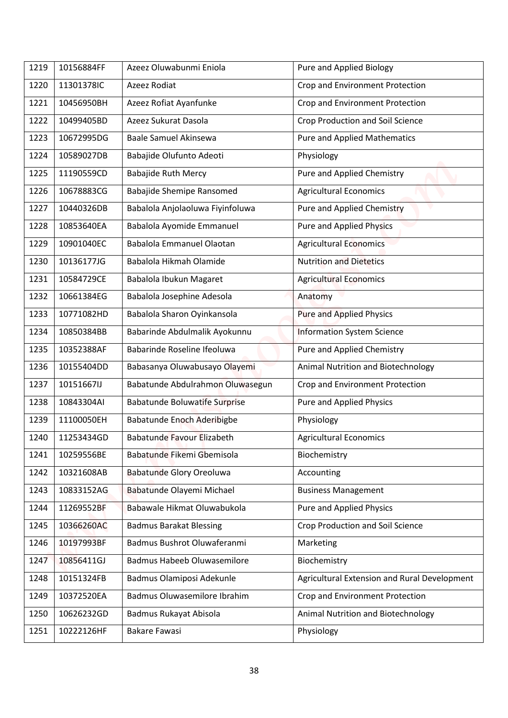| Crop and Environment Protection<br>11301378IC<br>Azeez Rodiat<br>1220<br>Azeez Rofiat Ayanfunke<br>Crop and Environment Protection<br>1221<br>10456950BH<br>Azeez Sukurat Dasola<br>Crop Production and Soil Science<br>1222<br>10499405BD |  |
|--------------------------------------------------------------------------------------------------------------------------------------------------------------------------------------------------------------------------------------------|--|
|                                                                                                                                                                                                                                            |  |
|                                                                                                                                                                                                                                            |  |
|                                                                                                                                                                                                                                            |  |
| 1223<br>10672995DG<br><b>Baale Samuel Akinsewa</b><br><b>Pure and Applied Mathematics</b>                                                                                                                                                  |  |
| Babajide Olufunto Adeoti<br>Physiology<br>1224<br>10589027DB                                                                                                                                                                               |  |
| <b>Babajide Ruth Mercy</b><br>Pure and Applied Chemistry<br>1225<br>11190559CD                                                                                                                                                             |  |
| 10678883CG<br>Babajide Shemipe Ransomed<br><b>Agricultural Economics</b><br>1226                                                                                                                                                           |  |
| Babalola Anjolaoluwa Fiyinfoluwa<br>Pure and Applied Chemistry<br>1227<br>10440326DB                                                                                                                                                       |  |
| <b>Pure and Applied Physics</b><br>Babalola Ayomide Emmanuel<br>1228<br>10853640EA                                                                                                                                                         |  |
| Babalola Emmanuel Olaotan<br><b>Agricultural Economics</b><br>10901040EC<br>1229                                                                                                                                                           |  |
| 10136177JG<br>Babalola Hikmah Olamide<br><b>Nutrition and Dietetics</b><br>1230                                                                                                                                                            |  |
| Babalola Ibukun Magaret<br><b>Agricultural Economics</b><br>10584729CE<br>1231                                                                                                                                                             |  |
| Babalola Josephine Adesola<br>10661384EG<br>1232<br>Anatomy                                                                                                                                                                                |  |
| Babalola Sharon Oyinkansola<br>10771082HD<br><b>Pure and Applied Physics</b><br>1233                                                                                                                                                       |  |
| 10850384BB<br>Babarinde Abdulmalik Ayokunnu<br><b>Information System Science</b><br>1234                                                                                                                                                   |  |
| Babarinde Roseline Ifeoluwa<br>Pure and Applied Chemistry<br>1235<br>10352388AF                                                                                                                                                            |  |
| Animal Nutrition and Biotechnology<br>1236<br>10155404DD<br>Babasanya Oluwabusayo Olayemi                                                                                                                                                  |  |
| 1237<br>10151667IJ<br>Babatunde Abdulrahmon Oluwasegun<br>Crop and Environment Protection                                                                                                                                                  |  |
| 10843304AI<br><b>Babatunde Boluwatife Surprise</b><br>Pure and Applied Physics<br>1238                                                                                                                                                     |  |
| Babatunde Enoch Aderibigbe<br>Physiology<br>1239<br>11100050EH                                                                                                                                                                             |  |
| <b>Babatunde Favour Elizabeth</b><br><b>Agricultural Economics</b><br>11253434GD<br>1240                                                                                                                                                   |  |
| Babatunde Fikemi Gbemisola<br>Biochemistry<br>1241<br>10259556BE                                                                                                                                                                           |  |
| <b>Babatunde Glory Oreoluwa</b><br>10321608AB<br>Accounting<br>1242                                                                                                                                                                        |  |
| 10833152AG<br>Babatunde Olayemi Michael<br>1243<br><b>Business Management</b>                                                                                                                                                              |  |
| Babawale Hikmat Oluwabukola<br>Pure and Applied Physics<br>11269552BF<br>1244                                                                                                                                                              |  |
| 10366260AC<br><b>Badmus Barakat Blessing</b><br>Crop Production and Soil Science<br>1245                                                                                                                                                   |  |
| Badmus Bushrot Oluwaferanmi<br>1246<br>10197993BF<br>Marketing                                                                                                                                                                             |  |
| <b>Badmus Habeeb Oluwasemilore</b><br>Biochemistry<br>10856411GJ<br>1247                                                                                                                                                                   |  |
| Agricultural Extension and Rural Development<br>10151324FB<br>Badmus Olamiposi Adekunle<br>1248                                                                                                                                            |  |
| Badmus Oluwasemilore Ibrahim<br>10372520EA<br>Crop and Environment Protection<br>1249                                                                                                                                                      |  |
| Badmus Rukayat Abisola<br>Animal Nutrition and Biotechnology<br>1250<br>10626232GD                                                                                                                                                         |  |
| <b>Bakare Fawasi</b><br>Physiology<br>10222126HF<br>1251                                                                                                                                                                                   |  |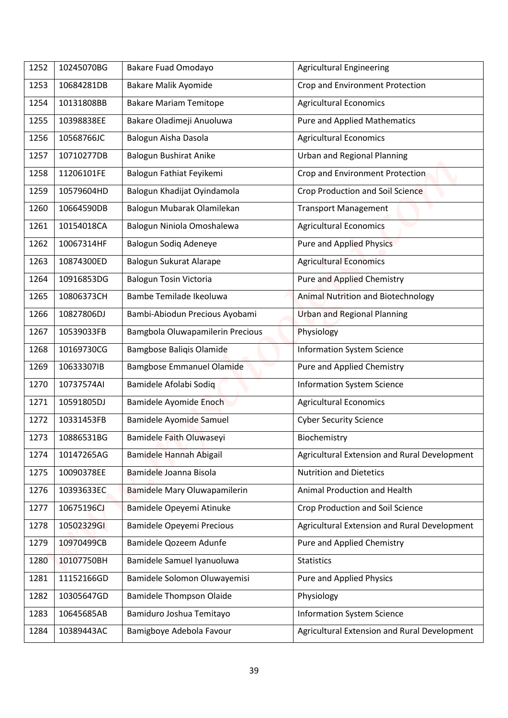| 1252 | 10245070BG | Bakare Fuad Omodayo              | <b>Agricultural Engineering</b>              |
|------|------------|----------------------------------|----------------------------------------------|
| 1253 | 10684281DB | Bakare Malik Ayomide             | Crop and Environment Protection              |
| 1254 | 10131808BB | <b>Bakare Mariam Temitope</b>    | <b>Agricultural Economics</b>                |
| 1255 | 10398838EE | Bakare Oladimeji Anuoluwa        | <b>Pure and Applied Mathematics</b>          |
| 1256 | 10568766JC | Balogun Aisha Dasola             | <b>Agricultural Economics</b>                |
| 1257 | 10710277DB | Balogun Bushirat Anike           | <b>Urban and Regional Planning</b>           |
| 1258 | 11206101FE | Balogun Fathiat Feyikemi         | Crop and Environment Protection              |
| 1259 | 10579604HD | Balogun Khadijat Oyindamola      | <b>Crop Production and Soil Science</b>      |
| 1260 | 10664590DB | Balogun Mubarak Olamilekan       | <b>Transport Management</b>                  |
|      |            |                                  |                                              |
| 1261 | 10154018CA | Balogun Niniola Omoshalewa       | <b>Agricultural Economics</b>                |
| 1262 | 10067314HF | Balogun Sodiq Adeneye            | Pure and Applied Physics                     |
| 1263 | 10874300ED | Balogun Sukurat Alarape          | <b>Agricultural Economics</b>                |
| 1264 | 10916853DG | <b>Balogun Tosin Victoria</b>    | <b>Pure and Applied Chemistry</b>            |
| 1265 | 10806373CH | Bambe Temilade Ikeoluwa          | <b>Animal Nutrition and Biotechnology</b>    |
| 1266 | 10827806DJ | Bambi-Abiodun Precious Ayobami   | <b>Urban and Regional Planning</b>           |
| 1267 | 10539033FB | Bamgbola Oluwapamilerin Precious | Physiology                                   |
| 1268 | 10169730CG | <b>Bamgbose Baliqis Olamide</b>  | <b>Information System Science</b>            |
| 1269 | 10633307IB | <b>Bamgbose Emmanuel Olamide</b> | Pure and Applied Chemistry                   |
| 1270 | 10737574AI | Bamidele Afolabi Sodiq           | <b>Information System Science</b>            |
| 1271 | 10591805DJ | Bamidele Ayomide Enoch           | <b>Agricultural Economics</b>                |
| 1272 | 10331453FB | <b>Bamidele Ayomide Samuel</b>   | <b>Cyber Security Science</b>                |
| 1273 | 10886531BG | Bamidele Faith Oluwaseyi         | Biochemistry                                 |
| 1274 | 10147265AG | Bamidele Hannah Abigail          | Agricultural Extension and Rural Development |
| 1275 | 10090378EE | Bamidele Joanna Bisola           | <b>Nutrition and Dietetics</b>               |
| 1276 | 10393633EC | Bamidele Mary Oluwapamilerin     | Animal Production and Health                 |
| 1277 | 10675196CJ | Bamidele Opeyemi Atinuke         | Crop Production and Soil Science             |
| 1278 | 10502329GI | <b>Bamidele Opeyemi Precious</b> | Agricultural Extension and Rural Development |
| 1279 | 10970499CB | Bamidele Qozeem Adunfe           | Pure and Applied Chemistry                   |
| 1280 | 10107750BH | Bamidele Samuel Iyanuoluwa       | <b>Statistics</b>                            |
| 1281 | 11152166GD | Bamidele Solomon Oluwayemisi     | Pure and Applied Physics                     |
| 1282 | 10305647GD | <b>Bamidele Thompson Olaide</b>  | Physiology                                   |
| 1283 | 10645685AB | Bamiduro Joshua Temitayo         | <b>Information System Science</b>            |
| 1284 | 10389443AC | Bamigboye Adebola Favour         | Agricultural Extension and Rural Development |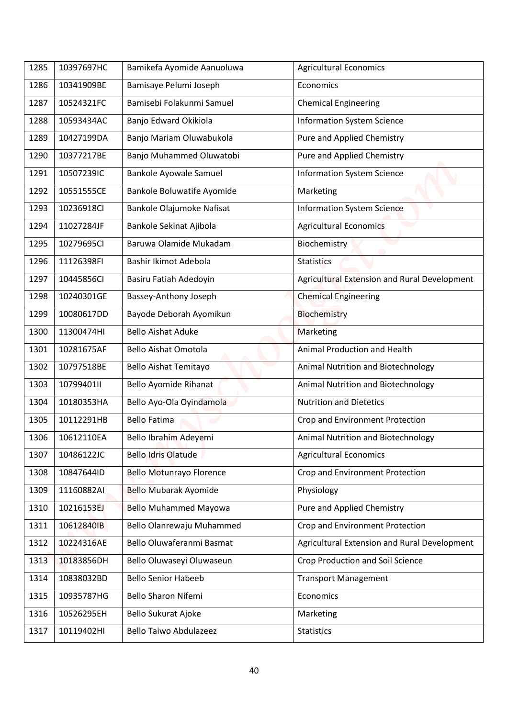| 1285 | 10397697HC | Bamikefa Ayomide Aanuoluwa        | <b>Agricultural Economics</b>                |
|------|------------|-----------------------------------|----------------------------------------------|
| 1286 | 10341909BE | Bamisaye Pelumi Joseph            | Economics                                    |
| 1287 | 10524321FC | Bamisebi Folakunmi Samuel         | <b>Chemical Engineering</b>                  |
| 1288 | 10593434AC | Banjo Edward Okikiola             | <b>Information System Science</b>            |
| 1289 | 10427199DA | Banjo Mariam Oluwabukola          | Pure and Applied Chemistry                   |
| 1290 | 10377217BE | Banjo Muhammed Oluwatobi          | Pure and Applied Chemistry                   |
| 1291 | 10507239IC | <b>Bankole Ayowale Samuel</b>     | <b>Information System Science</b>            |
| 1292 | 10551555CE | <b>Bankole Boluwatife Ayomide</b> | Marketing                                    |
| 1293 | 10236918Cl | Bankole Olajumoke Nafisat         | <b>Information System Science</b>            |
| 1294 | 11027284JF | Bankole Sekinat Ajibola           | <b>Agricultural Economics</b>                |
| 1295 | 10279695CI | Baruwa Olamide Mukadam            | Biochemistry                                 |
| 1296 | 11126398FI | Bashir Ikimot Adebola             | <b>Statistics</b>                            |
| 1297 | 10445856CI | Basiru Fatiah Adedoyin            | Agricultural Extension and Rural Development |
| 1298 | 10240301GE | Bassey-Anthony Joseph             | <b>Chemical Engineering</b>                  |
| 1299 | 10080617DD | Bayode Deborah Ayomikun           | Biochemistry                                 |
| 1300 | 11300474HI | <b>Bello Aishat Aduke</b>         | Marketing                                    |
| 1301 | 10281675AF | <b>Bello Aishat Omotola</b>       | <b>Animal Production and Health</b>          |
| 1302 | 10797518BE | Bello Aishat Temitayo             | Animal Nutrition and Biotechnology           |
| 1303 | 10799401II | Bello Ayomide Rihanat             | Animal Nutrition and Biotechnology           |
| 1304 | 10180353HA | Bello Ayo-Ola Oyindamola          | <b>Nutrition and Dietetics</b>               |
| 1305 | 10112291HB | <b>Bello Fatima</b>               | Crop and Environment Protection              |
| 1306 | 10612110EA | Bello Ibrahim Adeyemi             | Animal Nutrition and Biotechnology           |
| 1307 | 10486122JC | <b>Bello Idris Olatude</b>        | <b>Agricultural Economics</b>                |
| 1308 | 10847644ID | <b>Bello Motunrayo Florence</b>   | Crop and Environment Protection              |
| 1309 | 11160882AI | Bello Mubarak Ayomide             | Physiology                                   |
| 1310 | 10216153EJ | <b>Bello Muhammed Mayowa</b>      | Pure and Applied Chemistry                   |
| 1311 | 10612840IB | Bello Olanrewaju Muhammed         | Crop and Environment Protection              |
| 1312 | 10224316AE | Bello Oluwaferanmi Basmat         | Agricultural Extension and Rural Development |
| 1313 | 10183856DH | Bello Oluwaseyi Oluwaseun         | Crop Production and Soil Science             |
| 1314 | 10838032BD | <b>Bello Senior Habeeb</b>        | <b>Transport Management</b>                  |
| 1315 | 10935787HG | <b>Bello Sharon Nifemi</b>        | Economics                                    |
| 1316 | 10526295EH | Bello Sukurat Ajoke               | Marketing                                    |
| 1317 | 10119402HI | <b>Bello Taiwo Abdulazeez</b>     | <b>Statistics</b>                            |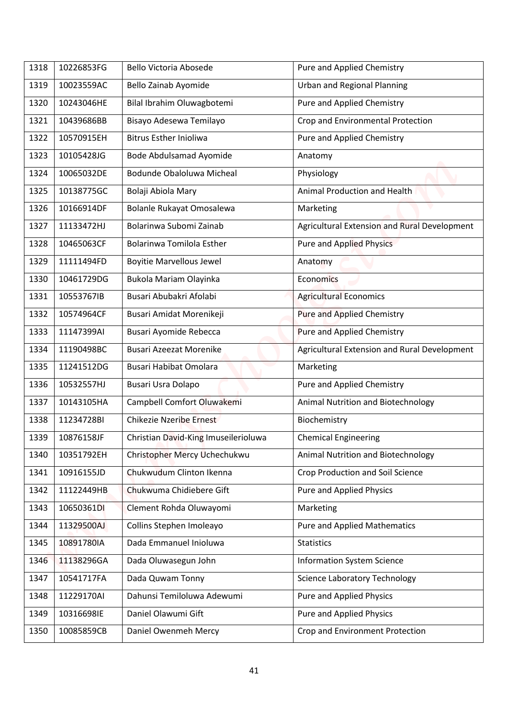| 1318 | 10226853FG | Bello Victoria Abosede               | Pure and Applied Chemistry                   |
|------|------------|--------------------------------------|----------------------------------------------|
| 1319 | 10023559AC | Bello Zainab Ayomide                 | <b>Urban and Regional Planning</b>           |
| 1320 | 10243046HE | Bilal Ibrahim Oluwagbotemi           | Pure and Applied Chemistry                   |
| 1321 | 10439686BB | Bisayo Adesewa Temilayo              | Crop and Environmental Protection            |
|      | 10570915EH |                                      |                                              |
| 1322 |            | <b>Bitrus Esther Inioliwa</b>        | Pure and Applied Chemistry                   |
| 1323 | 10105428JG | Bode Abdulsamad Ayomide              | Anatomy                                      |
| 1324 | 10065032DE | Bodunde Obaloluwa Micheal            | Physiology                                   |
| 1325 | 10138775GC | Bolaji Abiola Mary                   | Animal Production and Health                 |
| 1326 | 10166914DF | Bolanle Rukayat Omosalewa            | Marketing                                    |
| 1327 | 11133472HJ | Bolarinwa Subomi Zainab              | Agricultural Extension and Rural Development |
| 1328 | 10465063CF | <b>Bolarinwa Tomilola Esther</b>     | <b>Pure and Applied Physics</b>              |
| 1329 | 11111494FD | <b>Boyitie Marvellous Jewel</b>      | Anatomy                                      |
| 1330 | 10461729DG | Bukola Mariam Olayinka               | <b>Economics</b>                             |
| 1331 | 10553767IB | Busari Abubakri Afolabi              | <b>Agricultural Economics</b>                |
| 1332 | 10574964CF | Busari Amidat Morenikeji             | Pure and Applied Chemistry                   |
| 1333 | 11147399AI | Busari Ayomide Rebecca               | <b>Pure and Applied Chemistry</b>            |
| 1334 | 11190498BC | <b>Busari Azeezat Morenike</b>       | Agricultural Extension and Rural Development |
| 1335 | 11241512DG | <b>Busari Habibat Omolara</b>        | Marketing                                    |
| 1336 | 10532557HJ | Busari Usra Dolapo                   | Pure and Applied Chemistry                   |
| 1337 | 10143105HA | Campbell Comfort Oluwakemi           | Animal Nutrition and Biotechnology           |
| 1338 | 11234728BI | Chikezie Nzeribe Ernest              | Biochemistry                                 |
| 1339 | 10876158JF | Christian David-King Imuseilerioluwa | <b>Chemical Engineering</b>                  |
| 1340 | 10351792EH | Christopher Mercy Uchechukwu         | Animal Nutrition and Biotechnology           |
| 1341 | 10916155JD | Chukwudum Clinton Ikenna             | <b>Crop Production and Soil Science</b>      |
| 1342 | 11122449HB | Chukwuma Chidiebere Gift             | <b>Pure and Applied Physics</b>              |
| 1343 | 10650361DI | Clement Rohda Oluwayomi              | Marketing                                    |
| 1344 | 11329500AJ | Collins Stephen Imoleayo             | <b>Pure and Applied Mathematics</b>          |
| 1345 | 10891780IA | Dada Emmanuel Inioluwa               | <b>Statistics</b>                            |
| 1346 | 11138296GA | Dada Oluwasegun John                 | <b>Information System Science</b>            |
| 1347 | 10541717FA | Dada Quwam Tonny                     | <b>Science Laboratory Technology</b>         |
| 1348 | 11229170AI | Dahunsi Temiloluwa Adewumi           | Pure and Applied Physics                     |
| 1349 | 10316698IE | Daniel Olawumi Gift                  | Pure and Applied Physics                     |
|      |            |                                      |                                              |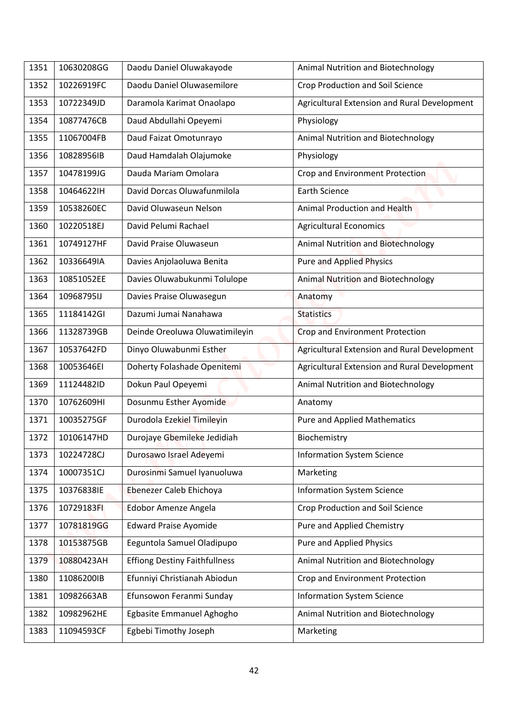| 1351 | 10630208GG | Daodu Daniel Oluwakayode             | Animal Nutrition and Biotechnology           |
|------|------------|--------------------------------------|----------------------------------------------|
| 1352 | 10226919FC | Daodu Daniel Oluwasemilore           | Crop Production and Soil Science             |
| 1353 | 10722349JD | Daramola Karimat Onaolapo            | Agricultural Extension and Rural Development |
| 1354 | 10877476CB | Daud Abdullahi Opeyemi               | Physiology                                   |
| 1355 | 11067004FB | Daud Faizat Omotunrayo               | Animal Nutrition and Biotechnology           |
| 1356 | 10828956IB | Daud Hamdalah Olajumoke              | Physiology                                   |
| 1357 | 10478199JG | Dauda Mariam Omolara                 | Crop and Environment Protection              |
| 1358 | 104646221H | David Dorcas Oluwafunmilola          | <b>Earth Science</b>                         |
| 1359 | 10538260EC | David Oluwaseun Nelson               | Animal Production and Health                 |
| 1360 | 10220518EJ | David Pelumi Rachael                 | <b>Agricultural Economics</b>                |
| 1361 | 10749127HF | David Praise Oluwaseun               | Animal Nutrition and Biotechnology           |
| 1362 | 10336649IA | Davies Anjolaoluwa Benita            | <b>Pure and Applied Physics</b>              |
| 1363 | 10851052EE | Davies Oluwabukunmi Tolulope         | Animal Nutrition and Biotechnology           |
| 1364 | 10968795IJ | Davies Praise Oluwasegun             | Anatomy                                      |
| 1365 | 11184142GI | Dazumi Jumai Nanahawa                | <b>Statistics</b>                            |
| 1366 | 11328739GB | Deinde Oreoluwa Oluwatimileyin       | <b>Crop and Environment Protection</b>       |
| 1367 | 10537642FD | Dinyo Oluwabunmi Esther              | Agricultural Extension and Rural Development |
| 1368 | 10053646EI | Doherty Folashade Openitemi          | Agricultural Extension and Rural Development |
| 1369 | 11124482ID | Dokun Paul Opeyemi                   | Animal Nutrition and Biotechnology           |
| 1370 | 10762609HI | Dosunmu Esther Ayomide               | Anatomy                                      |
| 1371 | 10035275GF | Durodola Ezekiel Timileyin           | <b>Pure and Applied Mathematics</b>          |
| 1372 | 10106147HD | Durojaye Gbemileke Jedidiah          | Biochemistry                                 |
| 1373 | 10224728CJ | Durosawo Israel Adeyemi              | <b>Information System Science</b>            |
| 1374 | 10007351CJ | Durosinmi Samuel Iyanuoluwa          | Marketing                                    |
| 1375 | 10376838IE | Ebenezer Caleb Ehichoya              | <b>Information System Science</b>            |
| 1376 | 10729183FI | Edobor Amenze Angela                 | Crop Production and Soil Science             |
| 1377 | 10781819GG | <b>Edward Praise Ayomide</b>         | Pure and Applied Chemistry                   |
| 1378 | 10153875GB | Eeguntola Samuel Oladipupo           | <b>Pure and Applied Physics</b>              |
| 1379 | 10880423AH | <b>Effiong Destiny Faithfullness</b> | Animal Nutrition and Biotechnology           |
| 1380 | 11086200IB | Efunniyi Christianah Abiodun         | Crop and Environment Protection              |
| 1381 | 10982663AB | Efunsowon Feranmi Sunday             | <b>Information System Science</b>            |
| 1382 | 10982962HE | Egbasite Emmanuel Aghogho            | Animal Nutrition and Biotechnology           |
| 1383 | 11094593CF | Egbebi Timothy Joseph                | Marketing                                    |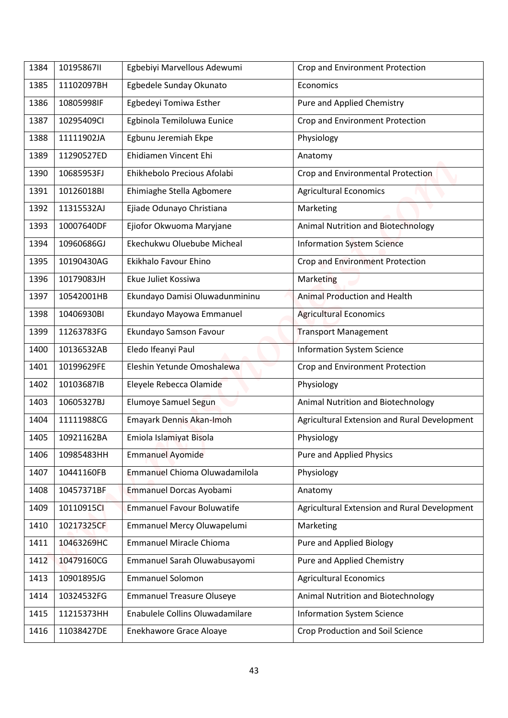| 1384 | 10195867II | Egbebiyi Marvellous Adewumi       | Crop and Environment Protection              |
|------|------------|-----------------------------------|----------------------------------------------|
| 1385 | 11102097BH | Egbedele Sunday Okunato           | Economics                                    |
| 1386 | 10805998IF | Egbedeyi Tomiwa Esther            | Pure and Applied Chemistry                   |
| 1387 | 10295409CI | Egbinola Temiloluwa Eunice        | Crop and Environment Protection              |
| 1388 | 11111902JA | Egbunu Jeremiah Ekpe              | Physiology                                   |
| 1389 | 11290527ED | Ehidiamen Vincent Ehi             | Anatomy                                      |
| 1390 | 10685953FJ | Ehikhebolo Precious Afolabi       | Crop and Environmental Protection            |
| 1391 | 10126018BI | Ehimiaghe Stella Agbomere         | <b>Agricultural Economics</b>                |
| 1392 | 11315532AJ | Ejiade Odunayo Christiana         | Marketing                                    |
| 1393 | 10007640DF | Ejiofor Okwuoma Maryjane          | <b>Animal Nutrition and Biotechnology</b>    |
| 1394 | 10960686GJ | Ekechukwu Oluebube Micheal        | <b>Information System Science</b>            |
| 1395 | 10190430AG | Ekikhalo Favour Ehino             | <b>Crop and Environment Protection</b>       |
| 1396 | 10179083JH | Ekue Juliet Kossiwa               | Marketing                                    |
| 1397 | 10542001HB | Ekundayo Damisi Oluwadunmininu    | Animal Production and Health                 |
| 1398 | 10406930BI | Ekundayo Mayowa Emmanuel          | <b>Agricultural Economics</b>                |
| 1399 | 11263783FG | Ekundayo Samson Favour            | <b>Transport Management</b>                  |
| 1400 | 10136532AB | Eledo Ifeanyi Paul                | <b>Information System Science</b>            |
| 1401 | 10199629FE | Eleshin Yetunde Omoshalewa        | Crop and Environment Protection              |
| 1402 | 10103687IB | Eleyele Rebecca Olamide           | Physiology                                   |
| 1403 | 10605327BJ | Elumoye Samuel Segun              | Animal Nutrition and Biotechnology           |
| 1404 | 11111988CG | Emayark Dennis Akan-Imoh          | Agricultural Extension and Rural Development |
| 1405 | 10921162BA | Emiola Islamiyat Bisola           | Physiology                                   |
| 1406 | 10985483HH | <b>Emmanuel Ayomide</b>           | Pure and Applied Physics                     |
| 1407 | 10441160FB | Emmanuel Chioma Oluwadamilola     | Physiology                                   |
| 1408 | 10457371BF | Emmanuel Dorcas Ayobami           | Anatomy                                      |
| 1409 | 10110915Cl | <b>Emmanuel Favour Boluwatife</b> | Agricultural Extension and Rural Development |
| 1410 | 10217325CF | Emmanuel Mercy Oluwapelumi        | Marketing                                    |
| 1411 | 10463269HC | <b>Emmanuel Miracle Chioma</b>    | Pure and Applied Biology                     |
| 1412 | 10479160CG | Emmanuel Sarah Oluwabusayomi      | Pure and Applied Chemistry                   |
| 1413 | 10901895JG | <b>Emmanuel Solomon</b>           | <b>Agricultural Economics</b>                |
| 1414 | 10324532FG | <b>Emmanuel Treasure Oluseye</b>  | Animal Nutrition and Biotechnology           |
| 1415 | 11215373HH | Enabulele Collins Oluwadamilare   | <b>Information System Science</b>            |
| 1416 | 11038427DE | Enekhawore Grace Aloaye           | Crop Production and Soil Science             |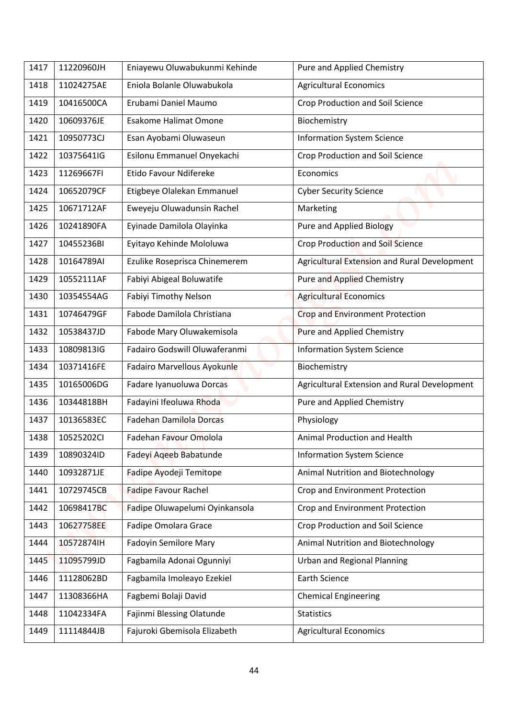| 1417 | 11220960JH | Eniayewu Oluwabukunmi Kehinde  | Pure and Applied Chemistry                   |
|------|------------|--------------------------------|----------------------------------------------|
| 1418 | 11024275AE | Eniola Bolanle Oluwabukola     | <b>Agricultural Economics</b>                |
| 1419 | 10416500CA | Erubami Daniel Maumo           | <b>Crop Production and Soil Science</b>      |
| 1420 | 10609376JE | <b>Esakome Halimat Omone</b>   | Biochemistry                                 |
| 1421 | 10950773CJ | Esan Ayobami Oluwaseun         | <b>Information System Science</b>            |
| 1422 | 10375641IG | Esilonu Emmanuel Onyekachi     | Crop Production and Soil Science             |
| 1423 | 11269667FI | Etido Favour Ndifereke         | Economics                                    |
| 1424 | 10652079CF | Etigbeye Olalekan Emmanuel     | <b>Cyber Security Science</b>                |
| 1425 | 10671712AF | Eweyeju Oluwadunsin Rachel     | Marketing                                    |
| 1426 | 10241890FA | Eyinade Damilola Olayinka      | <b>Pure and Applied Biology</b>              |
| 1427 | 10455236BI | Eyitayo Kehinde Mololuwa       | <b>Crop Production and Soil Science</b>      |
| 1428 | 10164789AI | Ezulike Roseprisca Chinemerem  | Agricultural Extension and Rural Development |
| 1429 | 10552111AF | Fabiyi Abigeal Boluwatife      | <b>Pure and Applied Chemistry</b>            |
| 1430 | 10354554AG | Fabiyi Timothy Nelson          | <b>Agricultural Economics</b>                |
| 1431 | 10746479GF | Fabode Damilola Christiana     | Crop and Environment Protection              |
| 1432 | 10538437JD | Fabode Mary Oluwakemisola      | <b>Pure and Applied Chemistry</b>            |
| 1433 | 10809813IG | Fadairo Godswill Oluwaferanmi  | <b>Information System Science</b>            |
| 1434 | 10371416FE | Fadairo Marvellous Ayokunle    | Biochemistry                                 |
| 1435 | 10165006DG | Fadare Iyanuoluwa Dorcas       | Agricultural Extension and Rural Development |
| 1436 | 10344818BH | Fadayini Ifeoluwa Rhoda        | Pure and Applied Chemistry                   |
| 1437 | 10136583EC | <b>Fadehan Damilola Dorcas</b> | Physiology                                   |
| 1438 | 10525202Cl | Fadehan Favour Omolola         | Animal Production and Health                 |
| 1439 | 10890324ID | Fadeyi Aqeeb Babatunde         | <b>Information System Science</b>            |
| 1440 | 10932871JE | Fadipe Ayodeji Temitope        | Animal Nutrition and Biotechnology           |
| 1441 | 10729745CB | <b>Fadipe Favour Rachel</b>    | Crop and Environment Protection              |
| 1442 | 10698417BC | Fadipe Oluwapelumi Oyinkansola | Crop and Environment Protection              |
| 1443 | 10627758EE | <b>Fadipe Omolara Grace</b>    | Crop Production and Soil Science             |
| 1444 | 10572874IH | <b>Fadoyin Semilore Mary</b>   | Animal Nutrition and Biotechnology           |
| 1445 | 11095799JD | Fagbamila Adonai Ogunniyi      | <b>Urban and Regional Planning</b>           |
| 1446 | 11128062BD | Fagbamila Imoleayo Ezekiel     | <b>Earth Science</b>                         |
| 1447 | 11308366HA | Fagbemi Bolaji David           | <b>Chemical Engineering</b>                  |
| 1448 | 11042334FA | Fajinmi Blessing Olatunde      | <b>Statistics</b>                            |
| 1449 | 11114844JB | Fajuroki Gbemisola Elizabeth   | <b>Agricultural Economics</b>                |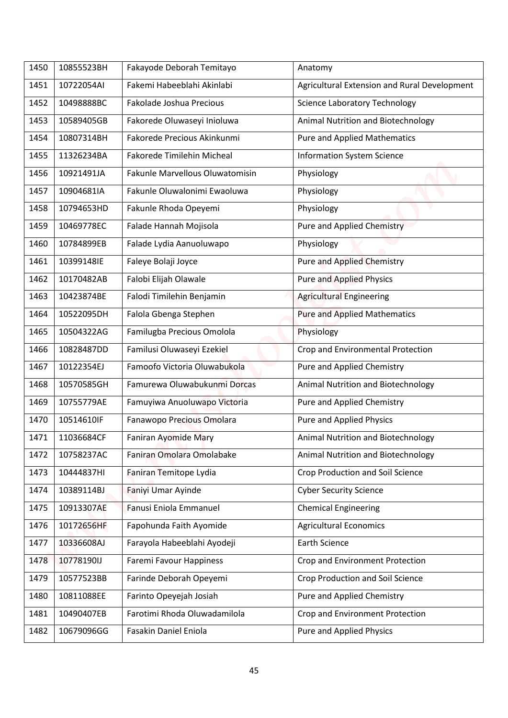| 1450 | 10855523BH | Fakayode Deborah Temitayo       | Anatomy                                      |
|------|------------|---------------------------------|----------------------------------------------|
| 1451 | 10722054AI | Fakemi Habeeblahi Akinlabi      | Agricultural Extension and Rural Development |
| 1452 | 10498888BC | Fakolade Joshua Precious        | <b>Science Laboratory Technology</b>         |
| 1453 | 10589405GB | Fakorede Oluwaseyi Inioluwa     | Animal Nutrition and Biotechnology           |
| 1454 | 10807314BH | Fakorede Precious Akinkunmi     | <b>Pure and Applied Mathematics</b>          |
| 1455 | 11326234BA | Fakorede Timilehin Micheal      | <b>Information System Science</b>            |
| 1456 | 10921491JA | Fakunle Marvellous Oluwatomisin | Physiology                                   |
| 1457 | 10904681IA | Fakunle Oluwalonimi Ewaoluwa    | Physiology                                   |
| 1458 | 10794653HD | Fakunle Rhoda Opeyemi           | Physiology                                   |
| 1459 | 10469778EC | Falade Hannah Mojisola          | <b>Pure and Applied Chemistry</b>            |
| 1460 | 10784899EB | Falade Lydia Aanuoluwapo        | Physiology                                   |
| 1461 | 10399148IE | Faleye Bolaji Joyce             | <b>Pure and Applied Chemistry</b>            |
| 1462 | 10170482AB | Falobi Elijah Olawale           | <b>Pure and Applied Physics</b>              |
| 1463 | 10423874BE | Falodi Timilehin Benjamin       | <b>Agricultural Engineering</b>              |
| 1464 | 10522095DH | Falola Gbenga Stephen           | <b>Pure and Applied Mathematics</b>          |
| 1465 | 10504322AG | Familugba Precious Omolola      | Physiology                                   |
| 1466 | 10828487DD | Familusi Oluwaseyi Ezekiel      | Crop and Environmental Protection            |
| 1467 | 10122354EJ | Famoofo Victoria Oluwabukola    | Pure and Applied Chemistry                   |
| 1468 | 10570585GH | Famurewa Oluwabukunmi Dorcas    | Animal Nutrition and Biotechnology           |
| 1469 | 10755779AE | Famuyiwa Anuoluwapo Victoria    | Pure and Applied Chemistry                   |
| 1470 | 10514610IF | Fanawopo Precious Omolara       | Pure and Applied Physics                     |
| 1471 | 11036684CF | Faniran Ayomide Mary            | Animal Nutrition and Biotechnology           |
| 1472 | 10758237AC | Faniran Omolara Omolabake       | Animal Nutrition and Biotechnology           |
| 1473 | 10444837HI | Faniran Temitope Lydia          | <b>Crop Production and Soil Science</b>      |
| 1474 | 10389114BJ | Faniyi Umar Ayinde              | <b>Cyber Security Science</b>                |
| 1475 | 10913307AE | Fanusi Eniola Emmanuel          | <b>Chemical Engineering</b>                  |
| 1476 | 10172656HF | Fapohunda Faith Ayomide         | <b>Agricultural Economics</b>                |
| 1477 | 10336608AJ | Farayola Habeeblahi Ayodeji     | <b>Earth Science</b>                         |
| 1478 | 10778190IJ | Faremi Favour Happiness         | Crop and Environment Protection              |
| 1479 | 10577523BB | Farinde Deborah Opeyemi         | Crop Production and Soil Science             |
| 1480 | 10811088EE | Farinto Opeyejah Josiah         | Pure and Applied Chemistry                   |
| 1481 | 10490407EB | Farotimi Rhoda Oluwadamilola    | Crop and Environment Protection              |
| 1482 | 10679096GG | Fasakin Daniel Eniola           | <b>Pure and Applied Physics</b>              |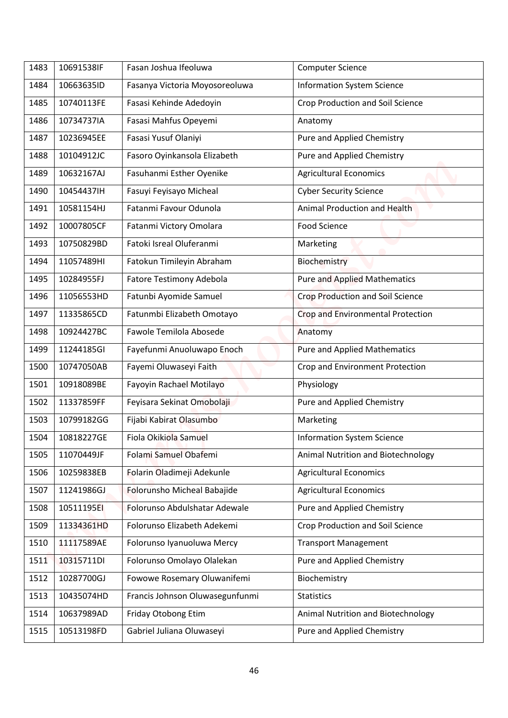| 1483 | 10691538IF | Fasan Joshua Ifeoluwa                               | <b>Computer Science</b>                  |
|------|------------|-----------------------------------------------------|------------------------------------------|
| 1484 | 10663635ID | Fasanya Victoria Moyosoreoluwa                      | <b>Information System Science</b>        |
| 1485 | 10740113FE | Fasasi Kehinde Adedoyin                             | <b>Crop Production and Soil Science</b>  |
| 1486 | 10734737IA | Fasasi Mahfus Opeyemi                               | Anatomy                                  |
| 1487 | 10236945EE | Fasasi Yusuf Olaniyi                                | Pure and Applied Chemistry               |
| 1488 | 10104912JC | Fasoro Oyinkansola Elizabeth                        | Pure and Applied Chemistry               |
| 1489 | 10632167AJ | Fasuhanmi Esther Oyenike                            | <b>Agricultural Economics</b>            |
| 1490 | 10454437IH | Fasuyi Feyisayo Micheal                             | <b>Cyber Security Science</b>            |
| 1491 | 10581154HJ | Fatanmi Favour Odunola                              | Animal Production and Health             |
|      |            |                                                     |                                          |
| 1492 | 10007805CF | Fatanmi Victory Omolara<br>Fatoki Isreal Oluferanmi | <b>Food Science</b>                      |
| 1493 | 10750829BD |                                                     | Marketing                                |
| 1494 | 11057489HI | Fatokun Timileyin Abraham                           | Biochemistry                             |
| 1495 | 10284955FJ | <b>Fatore Testimony Adebola</b>                     | <b>Pure and Applied Mathematics</b>      |
| 1496 | 11056553HD | Fatunbi Ayomide Samuel                              | <b>Crop Production and Soil Science</b>  |
| 1497 | 11335865CD | Fatunmbi Elizabeth Omotayo                          | <b>Crop and Environmental Protection</b> |
| 1498 | 10924427BC | Fawole Temilola Abosede                             | Anatomy                                  |
| 1499 | 11244185GI | Fayefunmi Anuoluwapo Enoch                          | <b>Pure and Applied Mathematics</b>      |
| 1500 | 10747050AB | Fayemi Oluwaseyi Faith                              | Crop and Environment Protection          |
| 1501 | 10918089BE | Fayoyin Rachael Motilayo                            | Physiology                               |
| 1502 | 11337859FF | Feyisara Sekinat Omobolaji                          | Pure and Applied Chemistry               |
| 1503 | 10799182GG | Fijabi Kabirat Olasumbo                             | Marketing                                |
| 1504 | 10818227GE | Fiola Okikiola Samuel                               | <b>Information System Science</b>        |
| 1505 | 11070449JF | Folami Samuel Obafemi                               | Animal Nutrition and Biotechnology       |
| 1506 | 10259838EB | Folarin Oladimeji Adekunle                          | <b>Agricultural Economics</b>            |
| 1507 | 11241986GJ | Folorunsho Micheal Babajide                         | <b>Agricultural Economics</b>            |
| 1508 | 10511195EI | Folorunso Abdulshatar Adewale                       | Pure and Applied Chemistry               |
| 1509 | 11334361HD | Folorunso Elizabeth Adekemi                         | Crop Production and Soil Science         |
| 1510 | 11117589AE | Folorunso Iyanuoluwa Mercy                          | <b>Transport Management</b>              |
| 1511 | 10315711DI | Folorunso Omolayo Olalekan                          | Pure and Applied Chemistry               |
| 1512 | 10287700GJ | Fowowe Rosemary Oluwanifemi                         | Biochemistry                             |
| 1513 | 10435074HD | Francis Johnson Oluwasegunfunmi                     | <b>Statistics</b>                        |
| 1514 | 10637989AD | Friday Otobong Etim                                 | Animal Nutrition and Biotechnology       |
| 1515 | 10513198FD | Gabriel Juliana Oluwaseyi                           | Pure and Applied Chemistry               |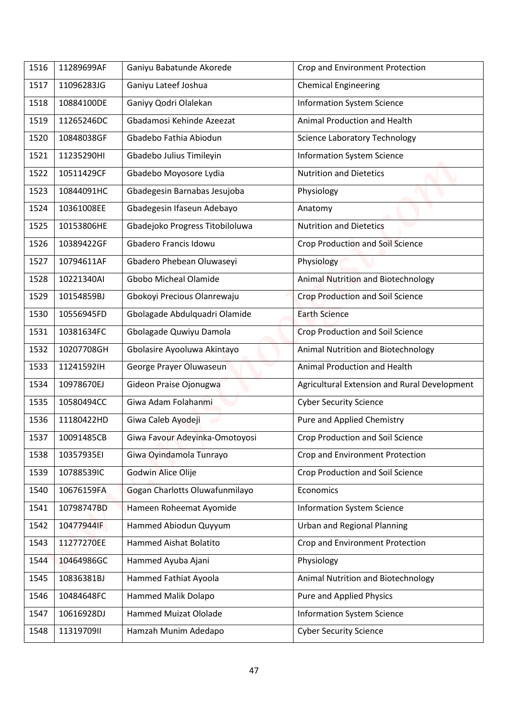| Ganiyu Lateef Joshua<br>11096283JG<br><b>Chemical Engineering</b><br>1517<br>Ganiyy Qodri Olalekan<br>10884100DE<br><b>Information System Science</b><br>Gbadamosi Kehinde Azeezat<br>Animal Production and Health<br>11265246DC<br>10848038GF<br>Gbadebo Fathia Abiodun<br><b>Science Laboratory Technology</b><br>Gbadebo Julius Timileyin<br><b>Information System Science</b><br>11235290HI<br>10511429CF<br>Gbadebo Moyosore Lydia<br><b>Nutrition and Dietetics</b><br>10844091HC<br>Gbadegesin Barnabas Jesujoba<br>Physiology<br>10361008EE<br>Gbadegesin Ifaseun Adebayo<br>Anatomy<br>Gbadejoko Progress Titobiloluwa<br><b>Nutrition and Dietetics</b><br>10153806HE<br>Gbadero Francis Idowu<br>10389422GF<br>Crop Production and Soil Science<br>10794611AF<br>Gbadero Phebean Oluwaseyi<br>Physiology<br>Gbobo Micheal Olamide<br>Animal Nutrition and Biotechnology<br>10221340AI<br><b>Crop Production and Soil Science</b><br>Gbokoyi Precious Olanrewaju<br>10154859BJ<br>10556945FD<br>Gbolagade Abdulquadri Olamide<br><b>Earth Science</b><br>10381634FC<br>Gbolagade Quwiyu Damola<br><b>Crop Production and Soil Science</b><br>1531<br>Gbolasire Ayooluwa Akintayo<br>Animal Nutrition and Biotechnology<br>10207708GH<br><b>Animal Production and Health</b><br>11241592IH<br>George Prayer Oluwaseun<br>10978670EJ<br>Gideon Praise Ojonugwa<br>10580494CC<br>Giwa Adam Folahanmi<br><b>Cyber Security Science</b><br>Giwa Caleb Ayodeji<br>Pure and Applied Chemistry<br>11180422HD<br>Giwa Favour Adeyinka-Omotoyosi<br>10091485CB<br>Crop Production and Soil Science<br>Giwa Oyindamola Tunrayo<br>Crop and Environment Protection<br>10357935EI<br><b>Godwin Alice Olije</b><br><b>Crop Production and Soil Science</b><br>10788539IC<br>Gogan Charlotts Oluwafunmilayo<br>10676159FA<br>Economics<br>Hameen Roheemat Ayomide<br>10798747BD<br><b>Information System Science</b><br>Hammed Abiodun Quyyum<br><b>Urban and Regional Planning</b><br>10477944IF<br>11277270EE<br>Hammed Aishat Bolatito<br>Crop and Environment Protection<br>Hammed Ayuba Ajani<br>Physiology<br>10464986GC<br>Hammed Fathiat Ayoola<br>Animal Nutrition and Biotechnology<br>10836381BJ<br>1545 |      |            |                          |                                              |
|----------------------------------------------------------------------------------------------------------------------------------------------------------------------------------------------------------------------------------------------------------------------------------------------------------------------------------------------------------------------------------------------------------------------------------------------------------------------------------------------------------------------------------------------------------------------------------------------------------------------------------------------------------------------------------------------------------------------------------------------------------------------------------------------------------------------------------------------------------------------------------------------------------------------------------------------------------------------------------------------------------------------------------------------------------------------------------------------------------------------------------------------------------------------------------------------------------------------------------------------------------------------------------------------------------------------------------------------------------------------------------------------------------------------------------------------------------------------------------------------------------------------------------------------------------------------------------------------------------------------------------------------------------------------------------------------------------------------------------------------------------------------------------------------------------------------------------------------------------------------------------------------------------------------------------------------------------------------------------------------------------------------------------------------------------------------------------------------------------------------------------------------------------------------------------------------------------------|------|------------|--------------------------|----------------------------------------------|
|                                                                                                                                                                                                                                                                                                                                                                                                                                                                                                                                                                                                                                                                                                                                                                                                                                                                                                                                                                                                                                                                                                                                                                                                                                                                                                                                                                                                                                                                                                                                                                                                                                                                                                                                                                                                                                                                                                                                                                                                                                                                                                                                                                                                                | 1516 | 11289699AF | Ganiyu Babatunde Akorede | Crop and Environment Protection              |
|                                                                                                                                                                                                                                                                                                                                                                                                                                                                                                                                                                                                                                                                                                                                                                                                                                                                                                                                                                                                                                                                                                                                                                                                                                                                                                                                                                                                                                                                                                                                                                                                                                                                                                                                                                                                                                                                                                                                                                                                                                                                                                                                                                                                                |      |            |                          |                                              |
|                                                                                                                                                                                                                                                                                                                                                                                                                                                                                                                                                                                                                                                                                                                                                                                                                                                                                                                                                                                                                                                                                                                                                                                                                                                                                                                                                                                                                                                                                                                                                                                                                                                                                                                                                                                                                                                                                                                                                                                                                                                                                                                                                                                                                | 1518 |            |                          |                                              |
|                                                                                                                                                                                                                                                                                                                                                                                                                                                                                                                                                                                                                                                                                                                                                                                                                                                                                                                                                                                                                                                                                                                                                                                                                                                                                                                                                                                                                                                                                                                                                                                                                                                                                                                                                                                                                                                                                                                                                                                                                                                                                                                                                                                                                | 1519 |            |                          |                                              |
|                                                                                                                                                                                                                                                                                                                                                                                                                                                                                                                                                                                                                                                                                                                                                                                                                                                                                                                                                                                                                                                                                                                                                                                                                                                                                                                                                                                                                                                                                                                                                                                                                                                                                                                                                                                                                                                                                                                                                                                                                                                                                                                                                                                                                | 1520 |            |                          |                                              |
|                                                                                                                                                                                                                                                                                                                                                                                                                                                                                                                                                                                                                                                                                                                                                                                                                                                                                                                                                                                                                                                                                                                                                                                                                                                                                                                                                                                                                                                                                                                                                                                                                                                                                                                                                                                                                                                                                                                                                                                                                                                                                                                                                                                                                | 1521 |            |                          |                                              |
|                                                                                                                                                                                                                                                                                                                                                                                                                                                                                                                                                                                                                                                                                                                                                                                                                                                                                                                                                                                                                                                                                                                                                                                                                                                                                                                                                                                                                                                                                                                                                                                                                                                                                                                                                                                                                                                                                                                                                                                                                                                                                                                                                                                                                | 1522 |            |                          |                                              |
|                                                                                                                                                                                                                                                                                                                                                                                                                                                                                                                                                                                                                                                                                                                                                                                                                                                                                                                                                                                                                                                                                                                                                                                                                                                                                                                                                                                                                                                                                                                                                                                                                                                                                                                                                                                                                                                                                                                                                                                                                                                                                                                                                                                                                | 1523 |            |                          |                                              |
|                                                                                                                                                                                                                                                                                                                                                                                                                                                                                                                                                                                                                                                                                                                                                                                                                                                                                                                                                                                                                                                                                                                                                                                                                                                                                                                                                                                                                                                                                                                                                                                                                                                                                                                                                                                                                                                                                                                                                                                                                                                                                                                                                                                                                | 1524 |            |                          |                                              |
|                                                                                                                                                                                                                                                                                                                                                                                                                                                                                                                                                                                                                                                                                                                                                                                                                                                                                                                                                                                                                                                                                                                                                                                                                                                                                                                                                                                                                                                                                                                                                                                                                                                                                                                                                                                                                                                                                                                                                                                                                                                                                                                                                                                                                | 1525 |            |                          |                                              |
|                                                                                                                                                                                                                                                                                                                                                                                                                                                                                                                                                                                                                                                                                                                                                                                                                                                                                                                                                                                                                                                                                                                                                                                                                                                                                                                                                                                                                                                                                                                                                                                                                                                                                                                                                                                                                                                                                                                                                                                                                                                                                                                                                                                                                | 1526 |            |                          |                                              |
|                                                                                                                                                                                                                                                                                                                                                                                                                                                                                                                                                                                                                                                                                                                                                                                                                                                                                                                                                                                                                                                                                                                                                                                                                                                                                                                                                                                                                                                                                                                                                                                                                                                                                                                                                                                                                                                                                                                                                                                                                                                                                                                                                                                                                | 1527 |            |                          |                                              |
|                                                                                                                                                                                                                                                                                                                                                                                                                                                                                                                                                                                                                                                                                                                                                                                                                                                                                                                                                                                                                                                                                                                                                                                                                                                                                                                                                                                                                                                                                                                                                                                                                                                                                                                                                                                                                                                                                                                                                                                                                                                                                                                                                                                                                | 1528 |            |                          |                                              |
|                                                                                                                                                                                                                                                                                                                                                                                                                                                                                                                                                                                                                                                                                                                                                                                                                                                                                                                                                                                                                                                                                                                                                                                                                                                                                                                                                                                                                                                                                                                                                                                                                                                                                                                                                                                                                                                                                                                                                                                                                                                                                                                                                                                                                | 1529 |            |                          |                                              |
|                                                                                                                                                                                                                                                                                                                                                                                                                                                                                                                                                                                                                                                                                                                                                                                                                                                                                                                                                                                                                                                                                                                                                                                                                                                                                                                                                                                                                                                                                                                                                                                                                                                                                                                                                                                                                                                                                                                                                                                                                                                                                                                                                                                                                | 1530 |            |                          |                                              |
|                                                                                                                                                                                                                                                                                                                                                                                                                                                                                                                                                                                                                                                                                                                                                                                                                                                                                                                                                                                                                                                                                                                                                                                                                                                                                                                                                                                                                                                                                                                                                                                                                                                                                                                                                                                                                                                                                                                                                                                                                                                                                                                                                                                                                |      |            |                          |                                              |
|                                                                                                                                                                                                                                                                                                                                                                                                                                                                                                                                                                                                                                                                                                                                                                                                                                                                                                                                                                                                                                                                                                                                                                                                                                                                                                                                                                                                                                                                                                                                                                                                                                                                                                                                                                                                                                                                                                                                                                                                                                                                                                                                                                                                                | 1532 |            |                          |                                              |
|                                                                                                                                                                                                                                                                                                                                                                                                                                                                                                                                                                                                                                                                                                                                                                                                                                                                                                                                                                                                                                                                                                                                                                                                                                                                                                                                                                                                                                                                                                                                                                                                                                                                                                                                                                                                                                                                                                                                                                                                                                                                                                                                                                                                                | 1533 |            |                          |                                              |
|                                                                                                                                                                                                                                                                                                                                                                                                                                                                                                                                                                                                                                                                                                                                                                                                                                                                                                                                                                                                                                                                                                                                                                                                                                                                                                                                                                                                                                                                                                                                                                                                                                                                                                                                                                                                                                                                                                                                                                                                                                                                                                                                                                                                                | 1534 |            |                          | Agricultural Extension and Rural Development |
|                                                                                                                                                                                                                                                                                                                                                                                                                                                                                                                                                                                                                                                                                                                                                                                                                                                                                                                                                                                                                                                                                                                                                                                                                                                                                                                                                                                                                                                                                                                                                                                                                                                                                                                                                                                                                                                                                                                                                                                                                                                                                                                                                                                                                | 1535 |            |                          |                                              |
|                                                                                                                                                                                                                                                                                                                                                                                                                                                                                                                                                                                                                                                                                                                                                                                                                                                                                                                                                                                                                                                                                                                                                                                                                                                                                                                                                                                                                                                                                                                                                                                                                                                                                                                                                                                                                                                                                                                                                                                                                                                                                                                                                                                                                | 1536 |            |                          |                                              |
|                                                                                                                                                                                                                                                                                                                                                                                                                                                                                                                                                                                                                                                                                                                                                                                                                                                                                                                                                                                                                                                                                                                                                                                                                                                                                                                                                                                                                                                                                                                                                                                                                                                                                                                                                                                                                                                                                                                                                                                                                                                                                                                                                                                                                | 1537 |            |                          |                                              |
|                                                                                                                                                                                                                                                                                                                                                                                                                                                                                                                                                                                                                                                                                                                                                                                                                                                                                                                                                                                                                                                                                                                                                                                                                                                                                                                                                                                                                                                                                                                                                                                                                                                                                                                                                                                                                                                                                                                                                                                                                                                                                                                                                                                                                | 1538 |            |                          |                                              |
|                                                                                                                                                                                                                                                                                                                                                                                                                                                                                                                                                                                                                                                                                                                                                                                                                                                                                                                                                                                                                                                                                                                                                                                                                                                                                                                                                                                                                                                                                                                                                                                                                                                                                                                                                                                                                                                                                                                                                                                                                                                                                                                                                                                                                | 1539 |            |                          |                                              |
|                                                                                                                                                                                                                                                                                                                                                                                                                                                                                                                                                                                                                                                                                                                                                                                                                                                                                                                                                                                                                                                                                                                                                                                                                                                                                                                                                                                                                                                                                                                                                                                                                                                                                                                                                                                                                                                                                                                                                                                                                                                                                                                                                                                                                | 1540 |            |                          |                                              |
|                                                                                                                                                                                                                                                                                                                                                                                                                                                                                                                                                                                                                                                                                                                                                                                                                                                                                                                                                                                                                                                                                                                                                                                                                                                                                                                                                                                                                                                                                                                                                                                                                                                                                                                                                                                                                                                                                                                                                                                                                                                                                                                                                                                                                | 1541 |            |                          |                                              |
|                                                                                                                                                                                                                                                                                                                                                                                                                                                                                                                                                                                                                                                                                                                                                                                                                                                                                                                                                                                                                                                                                                                                                                                                                                                                                                                                                                                                                                                                                                                                                                                                                                                                                                                                                                                                                                                                                                                                                                                                                                                                                                                                                                                                                | 1542 |            |                          |                                              |
|                                                                                                                                                                                                                                                                                                                                                                                                                                                                                                                                                                                                                                                                                                                                                                                                                                                                                                                                                                                                                                                                                                                                                                                                                                                                                                                                                                                                                                                                                                                                                                                                                                                                                                                                                                                                                                                                                                                                                                                                                                                                                                                                                                                                                | 1543 |            |                          |                                              |
|                                                                                                                                                                                                                                                                                                                                                                                                                                                                                                                                                                                                                                                                                                                                                                                                                                                                                                                                                                                                                                                                                                                                                                                                                                                                                                                                                                                                                                                                                                                                                                                                                                                                                                                                                                                                                                                                                                                                                                                                                                                                                                                                                                                                                | 1544 |            |                          |                                              |
|                                                                                                                                                                                                                                                                                                                                                                                                                                                                                                                                                                                                                                                                                                                                                                                                                                                                                                                                                                                                                                                                                                                                                                                                                                                                                                                                                                                                                                                                                                                                                                                                                                                                                                                                                                                                                                                                                                                                                                                                                                                                                                                                                                                                                |      |            |                          |                                              |
| 10484648FC<br>Hammed Malik Dolapo<br>Pure and Applied Physics                                                                                                                                                                                                                                                                                                                                                                                                                                                                                                                                                                                                                                                                                                                                                                                                                                                                                                                                                                                                                                                                                                                                                                                                                                                                                                                                                                                                                                                                                                                                                                                                                                                                                                                                                                                                                                                                                                                                                                                                                                                                                                                                                  | 1546 |            |                          |                                              |
| <b>Hammed Muizat Ololade</b><br>10616928DJ<br><b>Information System Science</b>                                                                                                                                                                                                                                                                                                                                                                                                                                                                                                                                                                                                                                                                                                                                                                                                                                                                                                                                                                                                                                                                                                                                                                                                                                                                                                                                                                                                                                                                                                                                                                                                                                                                                                                                                                                                                                                                                                                                                                                                                                                                                                                                | 1547 |            |                          |                                              |
| 1131970911<br>Hamzah Munim Adedapo<br><b>Cyber Security Science</b>                                                                                                                                                                                                                                                                                                                                                                                                                                                                                                                                                                                                                                                                                                                                                                                                                                                                                                                                                                                                                                                                                                                                                                                                                                                                                                                                                                                                                                                                                                                                                                                                                                                                                                                                                                                                                                                                                                                                                                                                                                                                                                                                            | 1548 |            |                          |                                              |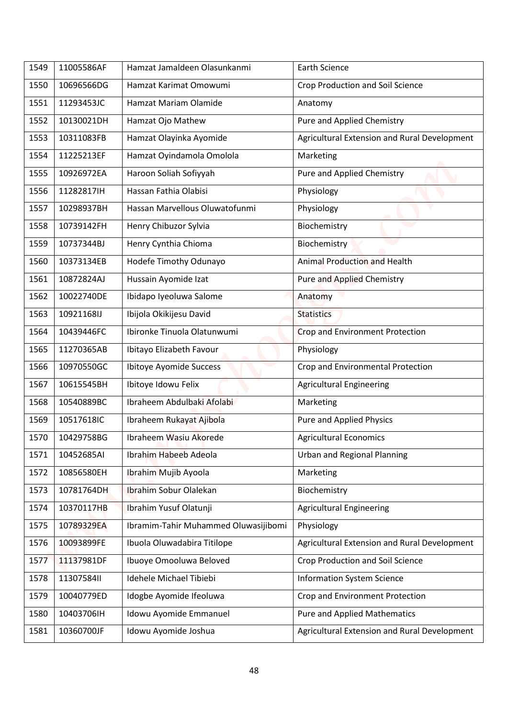| 10696566DG<br>Hamzat Karimat Omowumi<br>Crop Production and Soil Science<br>1550<br>1551<br>11293453JC<br>Hamzat Mariam Olamide<br>Anatomy<br>Pure and Applied Chemistry<br>1552<br>10130021DH<br>Hamzat Ojo Mathew<br>Hamzat Olayinka Ayomide<br>1553<br>10311083FB<br>11225213EF<br>Hamzat Oyindamola Omolola<br>Marketing<br>1554<br>Haroon Soliah Sofiyyah<br>Pure and Applied Chemistry<br>1555<br>10926972EA<br>11282817IH<br>Hassan Fathia Olabisi<br>Physiology<br>1556<br>10298937BH<br>Hassan Marvellous Oluwatofunmi<br>Physiology<br>1557<br>Henry Chibuzor Sylvia<br>Biochemistry<br>1558<br>10739142FH<br>Henry Cynthia Chioma<br>10737344BJ<br>Biochemistry<br>1559<br><b>Animal Production and Health</b><br>1560<br>10373134EB<br>Hodefe Timothy Odunayo<br>Hussain Ayomide Izat<br>10872824AJ<br><b>Pure and Applied Chemistry</b><br>1561<br>10022740DE<br>Ibidapo Iyeoluwa Salome<br>1562<br>Anatomy<br>Ibijola Okikijesu David<br>10921168IJ<br>1563<br><b>Statistics</b><br>Ibironke Tinuola Olatunwumi<br><b>Crop and Environment Protection</b><br>10439446FC<br>1564<br>Physiology<br>11270365AB<br>Ibitayo Elizabeth Favour<br>1565<br>1566<br>10970550GC<br>Ibitoye Ayomide Success<br>Crop and Environmental Protection<br>1567<br>10615545BH<br>Ibitoye Idowu Felix<br><b>Agricultural Engineering</b><br>Ibraheem Abdulbaki Afolabi<br>10540889BC<br>1568<br>Marketing<br>10517618IC<br>Ibraheem Rukayat Ajibola<br>Pure and Applied Physics<br>1569<br><b>Agricultural Economics</b><br>10429758BG<br>Ibraheem Wasiu Akorede<br>1570<br><b>Urban and Regional Planning</b><br>Ibrahim Habeeb Adeola<br>1571<br>10452685AI<br>Ibrahim Mujib Ayoola<br>1572<br>10856580EH<br>Marketing<br>10781764DH<br>Ibrahim Sobur Olalekan<br>Biochemistry<br>1573<br>Ibrahim Yusuf Olatunji<br><b>Agricultural Engineering</b><br>10370117HB<br>1574<br>Ibramim-Tahir Muhammed Oluwasijibomi<br>1575<br>10789329EA<br>Physiology<br>Ibuola Oluwadabira Titilope<br>1576<br>10093899FE |      |            |                              |                                              |
|---------------------------------------------------------------------------------------------------------------------------------------------------------------------------------------------------------------------------------------------------------------------------------------------------------------------------------------------------------------------------------------------------------------------------------------------------------------------------------------------------------------------------------------------------------------------------------------------------------------------------------------------------------------------------------------------------------------------------------------------------------------------------------------------------------------------------------------------------------------------------------------------------------------------------------------------------------------------------------------------------------------------------------------------------------------------------------------------------------------------------------------------------------------------------------------------------------------------------------------------------------------------------------------------------------------------------------------------------------------------------------------------------------------------------------------------------------------------------------------------------------------------------------------------------------------------------------------------------------------------------------------------------------------------------------------------------------------------------------------------------------------------------------------------------------------------------------------------------------------------------------------------------------------------------------------------------------------------------------------------------------|------|------------|------------------------------|----------------------------------------------|
|                                                                                                                                                                                                                                                                                                                                                                                                                                                                                                                                                                                                                                                                                                                                                                                                                                                                                                                                                                                                                                                                                                                                                                                                                                                                                                                                                                                                                                                                                                                                                                                                                                                                                                                                                                                                                                                                                                                                                                                                         | 1549 | 11005586AF | Hamzat Jamaldeen Olasunkanmi | <b>Earth Science</b>                         |
|                                                                                                                                                                                                                                                                                                                                                                                                                                                                                                                                                                                                                                                                                                                                                                                                                                                                                                                                                                                                                                                                                                                                                                                                                                                                                                                                                                                                                                                                                                                                                                                                                                                                                                                                                                                                                                                                                                                                                                                                         |      |            |                              |                                              |
|                                                                                                                                                                                                                                                                                                                                                                                                                                                                                                                                                                                                                                                                                                                                                                                                                                                                                                                                                                                                                                                                                                                                                                                                                                                                                                                                                                                                                                                                                                                                                                                                                                                                                                                                                                                                                                                                                                                                                                                                         |      |            |                              |                                              |
|                                                                                                                                                                                                                                                                                                                                                                                                                                                                                                                                                                                                                                                                                                                                                                                                                                                                                                                                                                                                                                                                                                                                                                                                                                                                                                                                                                                                                                                                                                                                                                                                                                                                                                                                                                                                                                                                                                                                                                                                         |      |            |                              |                                              |
|                                                                                                                                                                                                                                                                                                                                                                                                                                                                                                                                                                                                                                                                                                                                                                                                                                                                                                                                                                                                                                                                                                                                                                                                                                                                                                                                                                                                                                                                                                                                                                                                                                                                                                                                                                                                                                                                                                                                                                                                         |      |            |                              | Agricultural Extension and Rural Development |
|                                                                                                                                                                                                                                                                                                                                                                                                                                                                                                                                                                                                                                                                                                                                                                                                                                                                                                                                                                                                                                                                                                                                                                                                                                                                                                                                                                                                                                                                                                                                                                                                                                                                                                                                                                                                                                                                                                                                                                                                         |      |            |                              |                                              |
|                                                                                                                                                                                                                                                                                                                                                                                                                                                                                                                                                                                                                                                                                                                                                                                                                                                                                                                                                                                                                                                                                                                                                                                                                                                                                                                                                                                                                                                                                                                                                                                                                                                                                                                                                                                                                                                                                                                                                                                                         |      |            |                              |                                              |
|                                                                                                                                                                                                                                                                                                                                                                                                                                                                                                                                                                                                                                                                                                                                                                                                                                                                                                                                                                                                                                                                                                                                                                                                                                                                                                                                                                                                                                                                                                                                                                                                                                                                                                                                                                                                                                                                                                                                                                                                         |      |            |                              |                                              |
|                                                                                                                                                                                                                                                                                                                                                                                                                                                                                                                                                                                                                                                                                                                                                                                                                                                                                                                                                                                                                                                                                                                                                                                                                                                                                                                                                                                                                                                                                                                                                                                                                                                                                                                                                                                                                                                                                                                                                                                                         |      |            |                              |                                              |
|                                                                                                                                                                                                                                                                                                                                                                                                                                                                                                                                                                                                                                                                                                                                                                                                                                                                                                                                                                                                                                                                                                                                                                                                                                                                                                                                                                                                                                                                                                                                                                                                                                                                                                                                                                                                                                                                                                                                                                                                         |      |            |                              |                                              |
|                                                                                                                                                                                                                                                                                                                                                                                                                                                                                                                                                                                                                                                                                                                                                                                                                                                                                                                                                                                                                                                                                                                                                                                                                                                                                                                                                                                                                                                                                                                                                                                                                                                                                                                                                                                                                                                                                                                                                                                                         |      |            |                              |                                              |
|                                                                                                                                                                                                                                                                                                                                                                                                                                                                                                                                                                                                                                                                                                                                                                                                                                                                                                                                                                                                                                                                                                                                                                                                                                                                                                                                                                                                                                                                                                                                                                                                                                                                                                                                                                                                                                                                                                                                                                                                         |      |            |                              |                                              |
|                                                                                                                                                                                                                                                                                                                                                                                                                                                                                                                                                                                                                                                                                                                                                                                                                                                                                                                                                                                                                                                                                                                                                                                                                                                                                                                                                                                                                                                                                                                                                                                                                                                                                                                                                                                                                                                                                                                                                                                                         |      |            |                              |                                              |
|                                                                                                                                                                                                                                                                                                                                                                                                                                                                                                                                                                                                                                                                                                                                                                                                                                                                                                                                                                                                                                                                                                                                                                                                                                                                                                                                                                                                                                                                                                                                                                                                                                                                                                                                                                                                                                                                                                                                                                                                         |      |            |                              |                                              |
|                                                                                                                                                                                                                                                                                                                                                                                                                                                                                                                                                                                                                                                                                                                                                                                                                                                                                                                                                                                                                                                                                                                                                                                                                                                                                                                                                                                                                                                                                                                                                                                                                                                                                                                                                                                                                                                                                                                                                                                                         |      |            |                              |                                              |
|                                                                                                                                                                                                                                                                                                                                                                                                                                                                                                                                                                                                                                                                                                                                                                                                                                                                                                                                                                                                                                                                                                                                                                                                                                                                                                                                                                                                                                                                                                                                                                                                                                                                                                                                                                                                                                                                                                                                                                                                         |      |            |                              |                                              |
|                                                                                                                                                                                                                                                                                                                                                                                                                                                                                                                                                                                                                                                                                                                                                                                                                                                                                                                                                                                                                                                                                                                                                                                                                                                                                                                                                                                                                                                                                                                                                                                                                                                                                                                                                                                                                                                                                                                                                                                                         |      |            |                              |                                              |
|                                                                                                                                                                                                                                                                                                                                                                                                                                                                                                                                                                                                                                                                                                                                                                                                                                                                                                                                                                                                                                                                                                                                                                                                                                                                                                                                                                                                                                                                                                                                                                                                                                                                                                                                                                                                                                                                                                                                                                                                         |      |            |                              |                                              |
|                                                                                                                                                                                                                                                                                                                                                                                                                                                                                                                                                                                                                                                                                                                                                                                                                                                                                                                                                                                                                                                                                                                                                                                                                                                                                                                                                                                                                                                                                                                                                                                                                                                                                                                                                                                                                                                                                                                                                                                                         |      |            |                              |                                              |
|                                                                                                                                                                                                                                                                                                                                                                                                                                                                                                                                                                                                                                                                                                                                                                                                                                                                                                                                                                                                                                                                                                                                                                                                                                                                                                                                                                                                                                                                                                                                                                                                                                                                                                                                                                                                                                                                                                                                                                                                         |      |            |                              |                                              |
|                                                                                                                                                                                                                                                                                                                                                                                                                                                                                                                                                                                                                                                                                                                                                                                                                                                                                                                                                                                                                                                                                                                                                                                                                                                                                                                                                                                                                                                                                                                                                                                                                                                                                                                                                                                                                                                                                                                                                                                                         |      |            |                              |                                              |
|                                                                                                                                                                                                                                                                                                                                                                                                                                                                                                                                                                                                                                                                                                                                                                                                                                                                                                                                                                                                                                                                                                                                                                                                                                                                                                                                                                                                                                                                                                                                                                                                                                                                                                                                                                                                                                                                                                                                                                                                         |      |            |                              |                                              |
|                                                                                                                                                                                                                                                                                                                                                                                                                                                                                                                                                                                                                                                                                                                                                                                                                                                                                                                                                                                                                                                                                                                                                                                                                                                                                                                                                                                                                                                                                                                                                                                                                                                                                                                                                                                                                                                                                                                                                                                                         |      |            |                              |                                              |
|                                                                                                                                                                                                                                                                                                                                                                                                                                                                                                                                                                                                                                                                                                                                                                                                                                                                                                                                                                                                                                                                                                                                                                                                                                                                                                                                                                                                                                                                                                                                                                                                                                                                                                                                                                                                                                                                                                                                                                                                         |      |            |                              |                                              |
|                                                                                                                                                                                                                                                                                                                                                                                                                                                                                                                                                                                                                                                                                                                                                                                                                                                                                                                                                                                                                                                                                                                                                                                                                                                                                                                                                                                                                                                                                                                                                                                                                                                                                                                                                                                                                                                                                                                                                                                                         |      |            |                              |                                              |
|                                                                                                                                                                                                                                                                                                                                                                                                                                                                                                                                                                                                                                                                                                                                                                                                                                                                                                                                                                                                                                                                                                                                                                                                                                                                                                                                                                                                                                                                                                                                                                                                                                                                                                                                                                                                                                                                                                                                                                                                         |      |            |                              |                                              |
|                                                                                                                                                                                                                                                                                                                                                                                                                                                                                                                                                                                                                                                                                                                                                                                                                                                                                                                                                                                                                                                                                                                                                                                                                                                                                                                                                                                                                                                                                                                                                                                                                                                                                                                                                                                                                                                                                                                                                                                                         |      |            |                              |                                              |
|                                                                                                                                                                                                                                                                                                                                                                                                                                                                                                                                                                                                                                                                                                                                                                                                                                                                                                                                                                                                                                                                                                                                                                                                                                                                                                                                                                                                                                                                                                                                                                                                                                                                                                                                                                                                                                                                                                                                                                                                         |      |            |                              | Agricultural Extension and Rural Development |
|                                                                                                                                                                                                                                                                                                                                                                                                                                                                                                                                                                                                                                                                                                                                                                                                                                                                                                                                                                                                                                                                                                                                                                                                                                                                                                                                                                                                                                                                                                                                                                                                                                                                                                                                                                                                                                                                                                                                                                                                         | 1577 | 11137981DF | Ibuoye Omooluwa Beloved      | Crop Production and Soil Science             |
| Idehele Michael Tibiebi<br><b>Information System Science</b><br>1578<br>11307584II                                                                                                                                                                                                                                                                                                                                                                                                                                                                                                                                                                                                                                                                                                                                                                                                                                                                                                                                                                                                                                                                                                                                                                                                                                                                                                                                                                                                                                                                                                                                                                                                                                                                                                                                                                                                                                                                                                                      |      |            |                              |                                              |
| 1579<br>10040779ED<br>Idogbe Ayomide Ifeoluwa<br>Crop and Environment Protection                                                                                                                                                                                                                                                                                                                                                                                                                                                                                                                                                                                                                                                                                                                                                                                                                                                                                                                                                                                                                                                                                                                                                                                                                                                                                                                                                                                                                                                                                                                                                                                                                                                                                                                                                                                                                                                                                                                        |      |            |                              |                                              |
| 10403706IH<br>Idowu Ayomide Emmanuel<br><b>Pure and Applied Mathematics</b><br>1580                                                                                                                                                                                                                                                                                                                                                                                                                                                                                                                                                                                                                                                                                                                                                                                                                                                                                                                                                                                                                                                                                                                                                                                                                                                                                                                                                                                                                                                                                                                                                                                                                                                                                                                                                                                                                                                                                                                     |      |            |                              |                                              |
| 10360700JF<br>Idowu Ayomide Joshua<br>1581                                                                                                                                                                                                                                                                                                                                                                                                                                                                                                                                                                                                                                                                                                                                                                                                                                                                                                                                                                                                                                                                                                                                                                                                                                                                                                                                                                                                                                                                                                                                                                                                                                                                                                                                                                                                                                                                                                                                                              |      |            |                              | Agricultural Extension and Rural Development |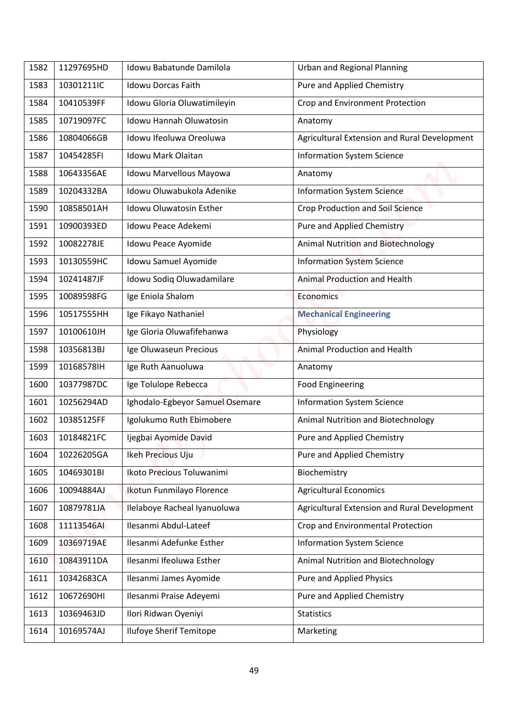| 11297695HD<br>Idowu Babatunde Damilola<br><b>Urban and Regional Planning</b><br>1582<br>Pure and Applied Chemistry<br>10301211IC<br><b>Idowu Dorcas Faith</b><br>1583<br>10410539FF<br>Idowu Gloria Oluwatimileyin<br>Crop and Environment Protection<br>1584<br><b>Idowu Hannah Oluwatosin</b><br>1585<br>10719097FC<br>Anatomy<br>1586<br>10804066GB<br>Idowu Ifeoluwa Oreoluwa<br>Agricultural Extension and Rural Development<br>Idowu Mark Olaitan<br><b>Information System Science</b><br>1587<br>10454285FI<br>1588<br>10643356AE<br>Idowu Marvellous Mayowa<br>Anatomy<br>10204332BA<br>Idowu Oluwabukola Adenike<br><b>Information System Science</b><br>1589<br>10858501AH<br><b>Idowu Oluwatosin Esther</b><br>Crop Production and Soil Science<br>1590<br><b>Pure and Applied Chemistry</b><br>1591<br>10900393ED<br>Idowu Peace Adekemi<br>Animal Nutrition and Biotechnology<br>10082278JE<br>Idowu Peace Ayomide<br>1592<br>1593<br>10130559HC<br>Idowu Samuel Ayomide<br><b>Information System Science</b><br>Idowu Sodiq Oluwadamilare<br>Animal Production and Health<br>10241487JF<br>1594<br>Ige Eniola Shalom<br>10089598FG<br>1595<br><b>Economics</b><br>Ige Fikayo Nathaniel<br><b>Mechanical Engineering</b><br>1596<br>10517555HH<br>Ige Gloria Oluwafifehanwa<br>10100610JH<br>Physiology<br>1597<br>Ige Oluwaseun Precious<br>Animal Production and Health<br>1598<br>10356813BJ<br>1599<br>10168578IH<br>Ige Ruth Aanuoluwa<br>Anatomy<br>1600<br>10377987DC<br>Ige Tolulope Rebecca<br><b>Food Engineering</b><br>Ighodalo-Egbeyor Samuel Osemare<br><b>Information System Science</b><br>10256294AD<br>1601<br>Igolukumo Ruth Ebimobere<br>Animal Nutrition and Biotechnology<br>1602<br>10385125FF<br>10184821FC<br>Pure and Applied Chemistry<br>Ijegbai Ayomide David<br>1603<br>Pure and Applied Chemistry<br>10226205GA<br>Ikeh Precious Uju<br>1604<br>10469301BI<br>Ikoto Precious Toluwanimi<br>Biochemistry<br>1605<br>10094884AJ<br>Ikotun Funmilayo Florence<br><b>Agricultural Economics</b><br>1606<br>Ilelaboye Racheal Iyanuoluwa<br>Agricultural Extension and Rural Development<br>10879781JA<br>1607<br>Ilesanmi Abdul-Lateef<br>Crop and Environmental Protection<br>11113546AI<br>1608<br><b>Information System Science</b><br>Ilesanmi Adefunke Esther<br>1609<br>10369719AE |  |
|----------------------------------------------------------------------------------------------------------------------------------------------------------------------------------------------------------------------------------------------------------------------------------------------------------------------------------------------------------------------------------------------------------------------------------------------------------------------------------------------------------------------------------------------------------------------------------------------------------------------------------------------------------------------------------------------------------------------------------------------------------------------------------------------------------------------------------------------------------------------------------------------------------------------------------------------------------------------------------------------------------------------------------------------------------------------------------------------------------------------------------------------------------------------------------------------------------------------------------------------------------------------------------------------------------------------------------------------------------------------------------------------------------------------------------------------------------------------------------------------------------------------------------------------------------------------------------------------------------------------------------------------------------------------------------------------------------------------------------------------------------------------------------------------------------------------------------------------------------------------------------------------------------------------------------------------------------------------------------------------------------------------------------------------------------------------------------------------------------------------------------------------------------------------------------------------------------------------------------------------------------------------------------------------------------------------------------|--|
|                                                                                                                                                                                                                                                                                                                                                                                                                                                                                                                                                                                                                                                                                                                                                                                                                                                                                                                                                                                                                                                                                                                                                                                                                                                                                                                                                                                                                                                                                                                                                                                                                                                                                                                                                                                                                                                                                                                                                                                                                                                                                                                                                                                                                                                                                                                                  |  |
|                                                                                                                                                                                                                                                                                                                                                                                                                                                                                                                                                                                                                                                                                                                                                                                                                                                                                                                                                                                                                                                                                                                                                                                                                                                                                                                                                                                                                                                                                                                                                                                                                                                                                                                                                                                                                                                                                                                                                                                                                                                                                                                                                                                                                                                                                                                                  |  |
|                                                                                                                                                                                                                                                                                                                                                                                                                                                                                                                                                                                                                                                                                                                                                                                                                                                                                                                                                                                                                                                                                                                                                                                                                                                                                                                                                                                                                                                                                                                                                                                                                                                                                                                                                                                                                                                                                                                                                                                                                                                                                                                                                                                                                                                                                                                                  |  |
|                                                                                                                                                                                                                                                                                                                                                                                                                                                                                                                                                                                                                                                                                                                                                                                                                                                                                                                                                                                                                                                                                                                                                                                                                                                                                                                                                                                                                                                                                                                                                                                                                                                                                                                                                                                                                                                                                                                                                                                                                                                                                                                                                                                                                                                                                                                                  |  |
|                                                                                                                                                                                                                                                                                                                                                                                                                                                                                                                                                                                                                                                                                                                                                                                                                                                                                                                                                                                                                                                                                                                                                                                                                                                                                                                                                                                                                                                                                                                                                                                                                                                                                                                                                                                                                                                                                                                                                                                                                                                                                                                                                                                                                                                                                                                                  |  |
|                                                                                                                                                                                                                                                                                                                                                                                                                                                                                                                                                                                                                                                                                                                                                                                                                                                                                                                                                                                                                                                                                                                                                                                                                                                                                                                                                                                                                                                                                                                                                                                                                                                                                                                                                                                                                                                                                                                                                                                                                                                                                                                                                                                                                                                                                                                                  |  |
|                                                                                                                                                                                                                                                                                                                                                                                                                                                                                                                                                                                                                                                                                                                                                                                                                                                                                                                                                                                                                                                                                                                                                                                                                                                                                                                                                                                                                                                                                                                                                                                                                                                                                                                                                                                                                                                                                                                                                                                                                                                                                                                                                                                                                                                                                                                                  |  |
|                                                                                                                                                                                                                                                                                                                                                                                                                                                                                                                                                                                                                                                                                                                                                                                                                                                                                                                                                                                                                                                                                                                                                                                                                                                                                                                                                                                                                                                                                                                                                                                                                                                                                                                                                                                                                                                                                                                                                                                                                                                                                                                                                                                                                                                                                                                                  |  |
|                                                                                                                                                                                                                                                                                                                                                                                                                                                                                                                                                                                                                                                                                                                                                                                                                                                                                                                                                                                                                                                                                                                                                                                                                                                                                                                                                                                                                                                                                                                                                                                                                                                                                                                                                                                                                                                                                                                                                                                                                                                                                                                                                                                                                                                                                                                                  |  |
|                                                                                                                                                                                                                                                                                                                                                                                                                                                                                                                                                                                                                                                                                                                                                                                                                                                                                                                                                                                                                                                                                                                                                                                                                                                                                                                                                                                                                                                                                                                                                                                                                                                                                                                                                                                                                                                                                                                                                                                                                                                                                                                                                                                                                                                                                                                                  |  |
|                                                                                                                                                                                                                                                                                                                                                                                                                                                                                                                                                                                                                                                                                                                                                                                                                                                                                                                                                                                                                                                                                                                                                                                                                                                                                                                                                                                                                                                                                                                                                                                                                                                                                                                                                                                                                                                                                                                                                                                                                                                                                                                                                                                                                                                                                                                                  |  |
|                                                                                                                                                                                                                                                                                                                                                                                                                                                                                                                                                                                                                                                                                                                                                                                                                                                                                                                                                                                                                                                                                                                                                                                                                                                                                                                                                                                                                                                                                                                                                                                                                                                                                                                                                                                                                                                                                                                                                                                                                                                                                                                                                                                                                                                                                                                                  |  |
|                                                                                                                                                                                                                                                                                                                                                                                                                                                                                                                                                                                                                                                                                                                                                                                                                                                                                                                                                                                                                                                                                                                                                                                                                                                                                                                                                                                                                                                                                                                                                                                                                                                                                                                                                                                                                                                                                                                                                                                                                                                                                                                                                                                                                                                                                                                                  |  |
|                                                                                                                                                                                                                                                                                                                                                                                                                                                                                                                                                                                                                                                                                                                                                                                                                                                                                                                                                                                                                                                                                                                                                                                                                                                                                                                                                                                                                                                                                                                                                                                                                                                                                                                                                                                                                                                                                                                                                                                                                                                                                                                                                                                                                                                                                                                                  |  |
|                                                                                                                                                                                                                                                                                                                                                                                                                                                                                                                                                                                                                                                                                                                                                                                                                                                                                                                                                                                                                                                                                                                                                                                                                                                                                                                                                                                                                                                                                                                                                                                                                                                                                                                                                                                                                                                                                                                                                                                                                                                                                                                                                                                                                                                                                                                                  |  |
|                                                                                                                                                                                                                                                                                                                                                                                                                                                                                                                                                                                                                                                                                                                                                                                                                                                                                                                                                                                                                                                                                                                                                                                                                                                                                                                                                                                                                                                                                                                                                                                                                                                                                                                                                                                                                                                                                                                                                                                                                                                                                                                                                                                                                                                                                                                                  |  |
|                                                                                                                                                                                                                                                                                                                                                                                                                                                                                                                                                                                                                                                                                                                                                                                                                                                                                                                                                                                                                                                                                                                                                                                                                                                                                                                                                                                                                                                                                                                                                                                                                                                                                                                                                                                                                                                                                                                                                                                                                                                                                                                                                                                                                                                                                                                                  |  |
|                                                                                                                                                                                                                                                                                                                                                                                                                                                                                                                                                                                                                                                                                                                                                                                                                                                                                                                                                                                                                                                                                                                                                                                                                                                                                                                                                                                                                                                                                                                                                                                                                                                                                                                                                                                                                                                                                                                                                                                                                                                                                                                                                                                                                                                                                                                                  |  |
|                                                                                                                                                                                                                                                                                                                                                                                                                                                                                                                                                                                                                                                                                                                                                                                                                                                                                                                                                                                                                                                                                                                                                                                                                                                                                                                                                                                                                                                                                                                                                                                                                                                                                                                                                                                                                                                                                                                                                                                                                                                                                                                                                                                                                                                                                                                                  |  |
|                                                                                                                                                                                                                                                                                                                                                                                                                                                                                                                                                                                                                                                                                                                                                                                                                                                                                                                                                                                                                                                                                                                                                                                                                                                                                                                                                                                                                                                                                                                                                                                                                                                                                                                                                                                                                                                                                                                                                                                                                                                                                                                                                                                                                                                                                                                                  |  |
|                                                                                                                                                                                                                                                                                                                                                                                                                                                                                                                                                                                                                                                                                                                                                                                                                                                                                                                                                                                                                                                                                                                                                                                                                                                                                                                                                                                                                                                                                                                                                                                                                                                                                                                                                                                                                                                                                                                                                                                                                                                                                                                                                                                                                                                                                                                                  |  |
|                                                                                                                                                                                                                                                                                                                                                                                                                                                                                                                                                                                                                                                                                                                                                                                                                                                                                                                                                                                                                                                                                                                                                                                                                                                                                                                                                                                                                                                                                                                                                                                                                                                                                                                                                                                                                                                                                                                                                                                                                                                                                                                                                                                                                                                                                                                                  |  |
|                                                                                                                                                                                                                                                                                                                                                                                                                                                                                                                                                                                                                                                                                                                                                                                                                                                                                                                                                                                                                                                                                                                                                                                                                                                                                                                                                                                                                                                                                                                                                                                                                                                                                                                                                                                                                                                                                                                                                                                                                                                                                                                                                                                                                                                                                                                                  |  |
|                                                                                                                                                                                                                                                                                                                                                                                                                                                                                                                                                                                                                                                                                                                                                                                                                                                                                                                                                                                                                                                                                                                                                                                                                                                                                                                                                                                                                                                                                                                                                                                                                                                                                                                                                                                                                                                                                                                                                                                                                                                                                                                                                                                                                                                                                                                                  |  |
|                                                                                                                                                                                                                                                                                                                                                                                                                                                                                                                                                                                                                                                                                                                                                                                                                                                                                                                                                                                                                                                                                                                                                                                                                                                                                                                                                                                                                                                                                                                                                                                                                                                                                                                                                                                                                                                                                                                                                                                                                                                                                                                                                                                                                                                                                                                                  |  |
|                                                                                                                                                                                                                                                                                                                                                                                                                                                                                                                                                                                                                                                                                                                                                                                                                                                                                                                                                                                                                                                                                                                                                                                                                                                                                                                                                                                                                                                                                                                                                                                                                                                                                                                                                                                                                                                                                                                                                                                                                                                                                                                                                                                                                                                                                                                                  |  |
|                                                                                                                                                                                                                                                                                                                                                                                                                                                                                                                                                                                                                                                                                                                                                                                                                                                                                                                                                                                                                                                                                                                                                                                                                                                                                                                                                                                                                                                                                                                                                                                                                                                                                                                                                                                                                                                                                                                                                                                                                                                                                                                                                                                                                                                                                                                                  |  |
|                                                                                                                                                                                                                                                                                                                                                                                                                                                                                                                                                                                                                                                                                                                                                                                                                                                                                                                                                                                                                                                                                                                                                                                                                                                                                                                                                                                                                                                                                                                                                                                                                                                                                                                                                                                                                                                                                                                                                                                                                                                                                                                                                                                                                                                                                                                                  |  |
| Ilesanmi Ifeoluwa Esther<br>Animal Nutrition and Biotechnology<br>10843911DA<br>1610                                                                                                                                                                                                                                                                                                                                                                                                                                                                                                                                                                                                                                                                                                                                                                                                                                                                                                                                                                                                                                                                                                                                                                                                                                                                                                                                                                                                                                                                                                                                                                                                                                                                                                                                                                                                                                                                                                                                                                                                                                                                                                                                                                                                                                             |  |
| Pure and Applied Physics<br>10342683CA<br>Ilesanmi James Ayomide<br>1611                                                                                                                                                                                                                                                                                                                                                                                                                                                                                                                                                                                                                                                                                                                                                                                                                                                                                                                                                                                                                                                                                                                                                                                                                                                                                                                                                                                                                                                                                                                                                                                                                                                                                                                                                                                                                                                                                                                                                                                                                                                                                                                                                                                                                                                         |  |
| Pure and Applied Chemistry<br>1612<br>10672690HI<br>Ilesanmi Praise Adeyemi                                                                                                                                                                                                                                                                                                                                                                                                                                                                                                                                                                                                                                                                                                                                                                                                                                                                                                                                                                                                                                                                                                                                                                                                                                                                                                                                                                                                                                                                                                                                                                                                                                                                                                                                                                                                                                                                                                                                                                                                                                                                                                                                                                                                                                                      |  |
| 10369463JD<br>Ilori Ridwan Oyeniyi<br>1613<br><b>Statistics</b>                                                                                                                                                                                                                                                                                                                                                                                                                                                                                                                                                                                                                                                                                                                                                                                                                                                                                                                                                                                                                                                                                                                                                                                                                                                                                                                                                                                                                                                                                                                                                                                                                                                                                                                                                                                                                                                                                                                                                                                                                                                                                                                                                                                                                                                                  |  |
| <b>Ilufoye Sherif Temitope</b><br>10169574AJ<br>Marketing<br>1614                                                                                                                                                                                                                                                                                                                                                                                                                                                                                                                                                                                                                                                                                                                                                                                                                                                                                                                                                                                                                                                                                                                                                                                                                                                                                                                                                                                                                                                                                                                                                                                                                                                                                                                                                                                                                                                                                                                                                                                                                                                                                                                                                                                                                                                                |  |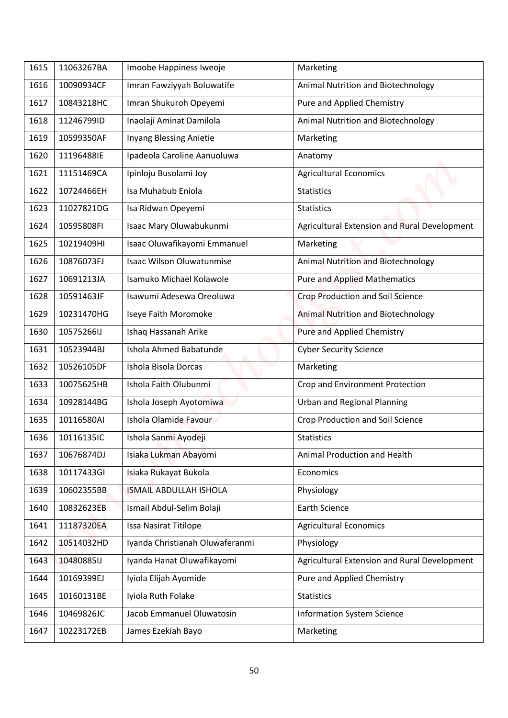| 1615 | 11063267BA | Imoobe Happiness Iweoje          | Marketing                                    |
|------|------------|----------------------------------|----------------------------------------------|
| 1616 | 10090934CF | Imran Fawziyyah Boluwatife       | Animal Nutrition and Biotechnology           |
| 1617 | 10843218HC | Imran Shukuroh Opeyemi           | Pure and Applied Chemistry                   |
| 1618 | 11246799ID | Inaolaji Aminat Damilola         | Animal Nutrition and Biotechnology           |
| 1619 | 10599350AF | Inyang Blessing Anietie          |                                              |
| 1620 | 11196488IE |                                  | Marketing                                    |
|      |            | Ipadeola Caroline Aanuoluwa      | Anatomy                                      |
| 1621 | 11151469CA | Ipinloju Busolami Joy            | <b>Agricultural Economics</b>                |
| 1622 | 10724466EH | Isa Muhabub Eniola               | <b>Statistics</b>                            |
| 1623 | 11027821DG | Isa Ridwan Opeyemi               | <b>Statistics</b>                            |
| 1624 | 10595808FI | Isaac Mary Oluwabukunmi          | Agricultural Extension and Rural Development |
| 1625 | 10219409HI | Isaac Oluwafikayomi Emmanuel     | Marketing                                    |
| 1626 | 10876073FJ | <b>Isaac Wilson Oluwatunmise</b> | <b>Animal Nutrition and Biotechnology</b>    |
| 1627 | 10691213JA | Isamuko Michael Kolawole         | <b>Pure and Applied Mathematics</b>          |
| 1628 | 10591463JF | Isawumi Adesewa Oreoluwa         | <b>Crop Production and Soil Science</b>      |
| 1629 | 10231470HG | Iseye Faith Moromoke             | <b>Animal Nutrition and Biotechnology</b>    |
| 1630 | 10575266IJ | Ishaq Hassanah Arike             | <b>Pure and Applied Chemistry</b>            |
| 1631 | 10523944BJ | Ishola Ahmed Babatunde           | <b>Cyber Security Science</b>                |
| 1632 | 10526105DF | Ishola Bisola Dorcas             | Marketing                                    |
| 1633 | 10075625HB | Ishola Faith Olubunmi            | Crop and Environment Protection              |
| 1634 | 10928144BG | Ishola Joseph Ayotomiwa          | <b>Urban and Regional Planning</b>           |
| 1635 | 10116580AI | Ishola Olamide Favour            | <b>Crop Production and Soil Science</b>      |
| 1636 | 10116135IC | Ishola Sanmi Ayodeji             | <b>Statistics</b>                            |
| 1637 | 10676874DJ | Isiaka Lukman Abayomi            | Animal Production and Health                 |
| 1638 | 10117433GI | Isiaka Rukayat Bukola            | Economics                                    |
| 1639 | 10602355BB | <b>ISMAIL ABDULLAH ISHOLA</b>    | Physiology                                   |
| 1640 | 10832623EB | Ismail Abdul-Selim Bolaji        | <b>Earth Science</b>                         |
| 1641 | 11187320EA | Issa Nasirat Titilope            | <b>Agricultural Economics</b>                |
| 1642 | 10514032HD | Iyanda Christianah Oluwaferanmi  | Physiology                                   |
| 1643 | 10480885IJ | Iyanda Hanat Oluwafikayomi       | Agricultural Extension and Rural Development |
| 1644 | 10169399EJ | Iyiola Elijah Ayomide            | Pure and Applied Chemistry                   |
| 1645 | 10160131BE | Iyiola Ruth Folake               | <b>Statistics</b>                            |
| 1646 | 10469826JC | Jacob Emmanuel Oluwatosin        | <b>Information System Science</b>            |
| 1647 | 10223172EB | James Ezekiah Bayo               | Marketing                                    |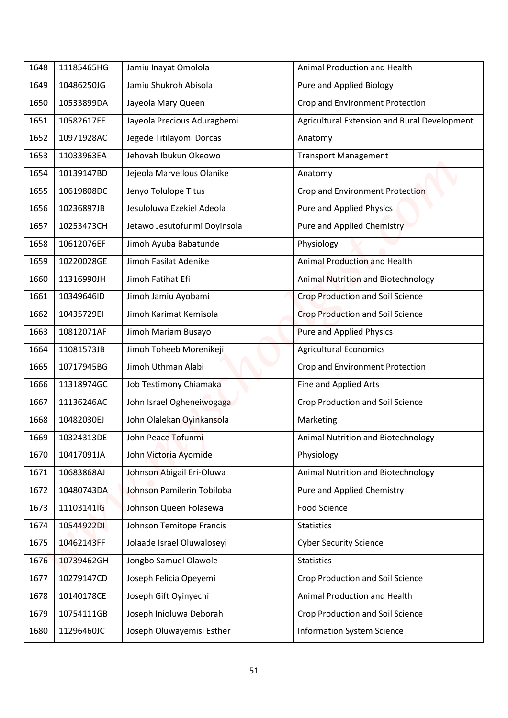| 11185465HG<br>Jamiu Inayat Omolola<br>Animal Production and Health<br>1648<br>10486250JG<br>Jamiu Shukroh Abisola<br>Pure and Applied Biology<br>1649<br>Crop and Environment Protection<br>1650<br>10533899DA<br>Jayeola Mary Queen<br>Jayeola Precious Aduragbemi<br>1651<br>10582617FF<br>Agricultural Extension and Rural Development<br>Jegede Titilayomi Dorcas<br>1652<br>10971928AC<br>Anatomy<br>Jehovah Ibukun Okeowo<br>1653<br>11033963EA<br><b>Transport Management</b><br>Jejeola Marvellous Olanike<br>1654<br>10139147BD<br>Anatomy<br>10619808DC<br>Jenyo Tolulope Titus<br>Crop and Environment Protection<br>1655<br>10236897JB<br>Jesuloluwa Ezekiel Adeola<br>Pure and Applied Physics<br>1656<br>Jetawo Jesutofunmi Doyinsola<br><b>Pure and Applied Chemistry</b><br>1657<br>10253473CH<br>10612076EF<br>Jimoh Ayuba Babatunde<br>Physiology<br>1658<br>Jimoh Fasilat Adenike<br><b>Animal Production and Health</b><br>1659<br>10220028GE<br>Jimoh Fatihat Efi<br>1660<br>11316990JH<br>Animal Nutrition and Biotechnology<br><b>Crop Production and Soil Science</b><br>1661<br>10349646ID<br>Jimoh Jamiu Ayobami<br>10435729EI<br>Jimoh Karimat Kemisola<br><b>Crop Production and Soil Science</b><br>1662<br>10812071AF<br><b>Pure and Applied Physics</b><br>1663<br>Jimoh Mariam Busayo<br><b>Agricultural Economics</b><br>Jimoh Toheeb Morenikeji<br>1664<br>11081573JB<br>Jimoh Uthman Alabi<br>10717945BG<br>Crop and Environment Protection<br>1665<br>11318974GC<br>Job Testimony Chiamaka<br>Fine and Applied Arts<br>1666<br>11136246AC<br>John Israel Ogheneiwogaga<br>Crop Production and Soil Science<br>1667<br>John Olalekan Oyinkansola<br>1668<br>10482030EJ<br>Marketing<br>John Peace Tofunmi<br>10324313DE<br>Animal Nutrition and Biotechnology<br>1669 |  |
|----------------------------------------------------------------------------------------------------------------------------------------------------------------------------------------------------------------------------------------------------------------------------------------------------------------------------------------------------------------------------------------------------------------------------------------------------------------------------------------------------------------------------------------------------------------------------------------------------------------------------------------------------------------------------------------------------------------------------------------------------------------------------------------------------------------------------------------------------------------------------------------------------------------------------------------------------------------------------------------------------------------------------------------------------------------------------------------------------------------------------------------------------------------------------------------------------------------------------------------------------------------------------------------------------------------------------------------------------------------------------------------------------------------------------------------------------------------------------------------------------------------------------------------------------------------------------------------------------------------------------------------------------------------------------------------------------------------------------------------------------------------------------------------------------------|--|
|                                                                                                                                                                                                                                                                                                                                                                                                                                                                                                                                                                                                                                                                                                                                                                                                                                                                                                                                                                                                                                                                                                                                                                                                                                                                                                                                                                                                                                                                                                                                                                                                                                                                                                                                                                                                          |  |
|                                                                                                                                                                                                                                                                                                                                                                                                                                                                                                                                                                                                                                                                                                                                                                                                                                                                                                                                                                                                                                                                                                                                                                                                                                                                                                                                                                                                                                                                                                                                                                                                                                                                                                                                                                                                          |  |
|                                                                                                                                                                                                                                                                                                                                                                                                                                                                                                                                                                                                                                                                                                                                                                                                                                                                                                                                                                                                                                                                                                                                                                                                                                                                                                                                                                                                                                                                                                                                                                                                                                                                                                                                                                                                          |  |
|                                                                                                                                                                                                                                                                                                                                                                                                                                                                                                                                                                                                                                                                                                                                                                                                                                                                                                                                                                                                                                                                                                                                                                                                                                                                                                                                                                                                                                                                                                                                                                                                                                                                                                                                                                                                          |  |
|                                                                                                                                                                                                                                                                                                                                                                                                                                                                                                                                                                                                                                                                                                                                                                                                                                                                                                                                                                                                                                                                                                                                                                                                                                                                                                                                                                                                                                                                                                                                                                                                                                                                                                                                                                                                          |  |
|                                                                                                                                                                                                                                                                                                                                                                                                                                                                                                                                                                                                                                                                                                                                                                                                                                                                                                                                                                                                                                                                                                                                                                                                                                                                                                                                                                                                                                                                                                                                                                                                                                                                                                                                                                                                          |  |
|                                                                                                                                                                                                                                                                                                                                                                                                                                                                                                                                                                                                                                                                                                                                                                                                                                                                                                                                                                                                                                                                                                                                                                                                                                                                                                                                                                                                                                                                                                                                                                                                                                                                                                                                                                                                          |  |
|                                                                                                                                                                                                                                                                                                                                                                                                                                                                                                                                                                                                                                                                                                                                                                                                                                                                                                                                                                                                                                                                                                                                                                                                                                                                                                                                                                                                                                                                                                                                                                                                                                                                                                                                                                                                          |  |
|                                                                                                                                                                                                                                                                                                                                                                                                                                                                                                                                                                                                                                                                                                                                                                                                                                                                                                                                                                                                                                                                                                                                                                                                                                                                                                                                                                                                                                                                                                                                                                                                                                                                                                                                                                                                          |  |
|                                                                                                                                                                                                                                                                                                                                                                                                                                                                                                                                                                                                                                                                                                                                                                                                                                                                                                                                                                                                                                                                                                                                                                                                                                                                                                                                                                                                                                                                                                                                                                                                                                                                                                                                                                                                          |  |
|                                                                                                                                                                                                                                                                                                                                                                                                                                                                                                                                                                                                                                                                                                                                                                                                                                                                                                                                                                                                                                                                                                                                                                                                                                                                                                                                                                                                                                                                                                                                                                                                                                                                                                                                                                                                          |  |
|                                                                                                                                                                                                                                                                                                                                                                                                                                                                                                                                                                                                                                                                                                                                                                                                                                                                                                                                                                                                                                                                                                                                                                                                                                                                                                                                                                                                                                                                                                                                                                                                                                                                                                                                                                                                          |  |
|                                                                                                                                                                                                                                                                                                                                                                                                                                                                                                                                                                                                                                                                                                                                                                                                                                                                                                                                                                                                                                                                                                                                                                                                                                                                                                                                                                                                                                                                                                                                                                                                                                                                                                                                                                                                          |  |
|                                                                                                                                                                                                                                                                                                                                                                                                                                                                                                                                                                                                                                                                                                                                                                                                                                                                                                                                                                                                                                                                                                                                                                                                                                                                                                                                                                                                                                                                                                                                                                                                                                                                                                                                                                                                          |  |
|                                                                                                                                                                                                                                                                                                                                                                                                                                                                                                                                                                                                                                                                                                                                                                                                                                                                                                                                                                                                                                                                                                                                                                                                                                                                                                                                                                                                                                                                                                                                                                                                                                                                                                                                                                                                          |  |
|                                                                                                                                                                                                                                                                                                                                                                                                                                                                                                                                                                                                                                                                                                                                                                                                                                                                                                                                                                                                                                                                                                                                                                                                                                                                                                                                                                                                                                                                                                                                                                                                                                                                                                                                                                                                          |  |
|                                                                                                                                                                                                                                                                                                                                                                                                                                                                                                                                                                                                                                                                                                                                                                                                                                                                                                                                                                                                                                                                                                                                                                                                                                                                                                                                                                                                                                                                                                                                                                                                                                                                                                                                                                                                          |  |
|                                                                                                                                                                                                                                                                                                                                                                                                                                                                                                                                                                                                                                                                                                                                                                                                                                                                                                                                                                                                                                                                                                                                                                                                                                                                                                                                                                                                                                                                                                                                                                                                                                                                                                                                                                                                          |  |
|                                                                                                                                                                                                                                                                                                                                                                                                                                                                                                                                                                                                                                                                                                                                                                                                                                                                                                                                                                                                                                                                                                                                                                                                                                                                                                                                                                                                                                                                                                                                                                                                                                                                                                                                                                                                          |  |
|                                                                                                                                                                                                                                                                                                                                                                                                                                                                                                                                                                                                                                                                                                                                                                                                                                                                                                                                                                                                                                                                                                                                                                                                                                                                                                                                                                                                                                                                                                                                                                                                                                                                                                                                                                                                          |  |
|                                                                                                                                                                                                                                                                                                                                                                                                                                                                                                                                                                                                                                                                                                                                                                                                                                                                                                                                                                                                                                                                                                                                                                                                                                                                                                                                                                                                                                                                                                                                                                                                                                                                                                                                                                                                          |  |
|                                                                                                                                                                                                                                                                                                                                                                                                                                                                                                                                                                                                                                                                                                                                                                                                                                                                                                                                                                                                                                                                                                                                                                                                                                                                                                                                                                                                                                                                                                                                                                                                                                                                                                                                                                                                          |  |
| John Victoria Ayomide<br>Physiology<br>1670<br>10417091JA                                                                                                                                                                                                                                                                                                                                                                                                                                                                                                                                                                                                                                                                                                                                                                                                                                                                                                                                                                                                                                                                                                                                                                                                                                                                                                                                                                                                                                                                                                                                                                                                                                                                                                                                                |  |
| Johnson Abigail Eri-Oluwa<br>Animal Nutrition and Biotechnology<br>1671<br>10683868AJ                                                                                                                                                                                                                                                                                                                                                                                                                                                                                                                                                                                                                                                                                                                                                                                                                                                                                                                                                                                                                                                                                                                                                                                                                                                                                                                                                                                                                                                                                                                                                                                                                                                                                                                    |  |
| 10480743DA<br>Johnson Pamilerin Tobiloba<br>Pure and Applied Chemistry<br>1672                                                                                                                                                                                                                                                                                                                                                                                                                                                                                                                                                                                                                                                                                                                                                                                                                                                                                                                                                                                                                                                                                                                                                                                                                                                                                                                                                                                                                                                                                                                                                                                                                                                                                                                           |  |
| Johnson Queen Folasewa<br>Food Science<br>11103141lG<br>1673                                                                                                                                                                                                                                                                                                                                                                                                                                                                                                                                                                                                                                                                                                                                                                                                                                                                                                                                                                                                                                                                                                                                                                                                                                                                                                                                                                                                                                                                                                                                                                                                                                                                                                                                             |  |
| 10544922DI<br>Johnson Temitope Francis<br>1674<br><b>Statistics</b>                                                                                                                                                                                                                                                                                                                                                                                                                                                                                                                                                                                                                                                                                                                                                                                                                                                                                                                                                                                                                                                                                                                                                                                                                                                                                                                                                                                                                                                                                                                                                                                                                                                                                                                                      |  |
| 10462143FF<br>Jolaade Israel Oluwaloseyi<br>1675<br><b>Cyber Security Science</b>                                                                                                                                                                                                                                                                                                                                                                                                                                                                                                                                                                                                                                                                                                                                                                                                                                                                                                                                                                                                                                                                                                                                                                                                                                                                                                                                                                                                                                                                                                                                                                                                                                                                                                                        |  |
| 10739462GH<br>Jongbo Samuel Olawole<br><b>Statistics</b><br>1676                                                                                                                                                                                                                                                                                                                                                                                                                                                                                                                                                                                                                                                                                                                                                                                                                                                                                                                                                                                                                                                                                                                                                                                                                                                                                                                                                                                                                                                                                                                                                                                                                                                                                                                                         |  |
| Joseph Felicia Opeyemi<br>10279147CD<br>Crop Production and Soil Science<br>1677                                                                                                                                                                                                                                                                                                                                                                                                                                                                                                                                                                                                                                                                                                                                                                                                                                                                                                                                                                                                                                                                                                                                                                                                                                                                                                                                                                                                                                                                                                                                                                                                                                                                                                                         |  |
| Animal Production and Health<br>1678<br>10140178CE<br>Joseph Gift Oyinyechi                                                                                                                                                                                                                                                                                                                                                                                                                                                                                                                                                                                                                                                                                                                                                                                                                                                                                                                                                                                                                                                                                                                                                                                                                                                                                                                                                                                                                                                                                                                                                                                                                                                                                                                              |  |
| Joseph Inioluwa Deborah<br>Crop Production and Soil Science<br>1679<br>10754111GB                                                                                                                                                                                                                                                                                                                                                                                                                                                                                                                                                                                                                                                                                                                                                                                                                                                                                                                                                                                                                                                                                                                                                                                                                                                                                                                                                                                                                                                                                                                                                                                                                                                                                                                        |  |
| 11296460JC<br>Joseph Oluwayemisi Esther<br><b>Information System Science</b><br>1680                                                                                                                                                                                                                                                                                                                                                                                                                                                                                                                                                                                                                                                                                                                                                                                                                                                                                                                                                                                                                                                                                                                                                                                                                                                                                                                                                                                                                                                                                                                                                                                                                                                                                                                     |  |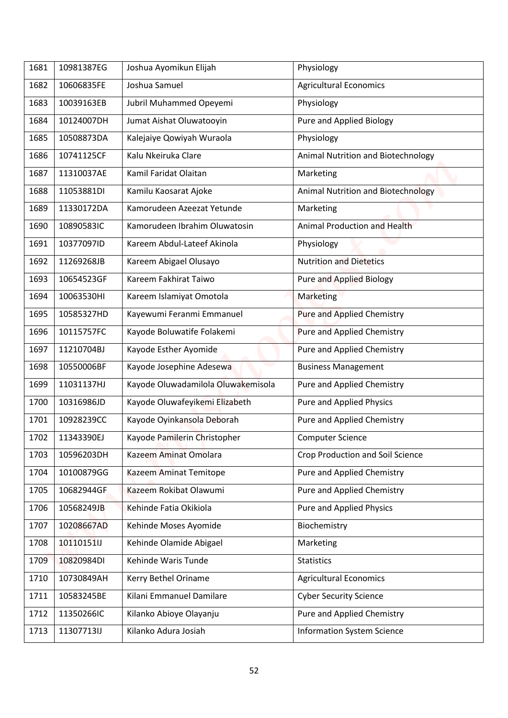| <b>Agricultural Economics</b><br>10606835FE<br>Joshua Samuel<br>10039163EB<br>Jubril Muhammed Opeyemi<br>Physiology<br><b>Pure and Applied Biology</b><br>10124007DH<br>Jumat Aishat Oluwatooyin<br>Physiology<br>10508873DA<br>Kalejaiye Qowiyah Wuraola<br>10741125CF<br>Kalu Nkeiruka Clare<br>Animal Nutrition and Biotechnology<br>Kamil Faridat Olaitan<br>11310037AE<br>Marketing<br>11053881DI<br>Kamilu Kaosarat Ajoke<br>Animal Nutrition and Biotechnology<br>11330172DA<br>Kamorudeen Azeezat Yetunde<br>Marketing<br>Animal Production and Health<br>10890583IC<br>Kamorudeen Ibrahim Oluwatosin<br>10377097ID<br>Kareem Abdul-Lateef Akinola<br>Physiology<br>11269268JB<br>Kareem Abigael Olusayo<br><b>Nutrition and Dietetics</b><br>Kareem Fakhirat Taiwo<br>10654523GF<br>Pure and Applied Biology<br>10063530HI<br>Kareem Islamiyat Omotola<br>Marketing<br>Kayewumi Feranmi Emmanuel<br>10585327HD<br>Pure and Applied Chemistry<br>Kayode Boluwatife Folakemi<br><b>Pure and Applied Chemistry</b><br>10115757FC<br>Kayode Esther Ayomide<br><b>Pure and Applied Chemistry</b><br>11210704BJ<br>Kayode Josephine Adesewa<br>10550006BF<br><b>Business Management</b><br>11031137HJ<br>Kayode Oluwadamilola Oluwakemisola<br>Pure and Applied Chemistry<br>Kayode Oluwafeyikemi Elizabeth<br><b>Pure and Applied Physics</b><br>10316986JD<br>Kayode Oyinkansola Deborah<br>10928239CC<br>Pure and Applied Chemistry<br>Kayode Pamilerin Christopher<br><b>Computer Science</b><br>11343390EJ<br>Crop Production and Soil Science<br>Kazeem Aminat Omolara<br>10596203DH<br>Pure and Applied Chemistry<br>10100879GG<br>Kazeem Aminat Temitope<br>10682944GF<br>Kazeem Rokibat Olawumi<br>Pure and Applied Chemistry<br>Kehinde Fatia Okikiola<br>Pure and Applied Physics<br>10568249JB<br>10208667AD<br>Kehinde Moses Ayomide<br>Biochemistry<br>Kehinde Olamide Abigael<br>10110151lJ<br>Marketing<br>Kehinde Waris Tunde<br>10820984DI<br><b>Statistics</b><br><b>Agricultural Economics</b><br>10730849AH<br>Kerry Bethel Oriname<br>Kilani Emmanuel Damilare<br>10583245BE<br><b>Cyber Security Science</b><br>Pure and Applied Chemistry<br>11350266IC<br>Kilanko Abioye Olayanju | 1681 | 10981387EG | Joshua Ayomikun Elijah | Physiology |
|---------------------------------------------------------------------------------------------------------------------------------------------------------------------------------------------------------------------------------------------------------------------------------------------------------------------------------------------------------------------------------------------------------------------------------------------------------------------------------------------------------------------------------------------------------------------------------------------------------------------------------------------------------------------------------------------------------------------------------------------------------------------------------------------------------------------------------------------------------------------------------------------------------------------------------------------------------------------------------------------------------------------------------------------------------------------------------------------------------------------------------------------------------------------------------------------------------------------------------------------------------------------------------------------------------------------------------------------------------------------------------------------------------------------------------------------------------------------------------------------------------------------------------------------------------------------------------------------------------------------------------------------------------------------------------------------------------------------------------------------------------------------------------------------------------------------------------------------------------------------------------------------------------------------------------------------------------------------------------------------------------------------------------------------------------------------------------------------------------------------------------------------------------------------------------------------------------------|------|------------|------------------------|------------|
|                                                                                                                                                                                                                                                                                                                                                                                                                                                                                                                                                                                                                                                                                                                                                                                                                                                                                                                                                                                                                                                                                                                                                                                                                                                                                                                                                                                                                                                                                                                                                                                                                                                                                                                                                                                                                                                                                                                                                                                                                                                                                                                                                                                                               | 1682 |            |                        |            |
|                                                                                                                                                                                                                                                                                                                                                                                                                                                                                                                                                                                                                                                                                                                                                                                                                                                                                                                                                                                                                                                                                                                                                                                                                                                                                                                                                                                                                                                                                                                                                                                                                                                                                                                                                                                                                                                                                                                                                                                                                                                                                                                                                                                                               | 1683 |            |                        |            |
|                                                                                                                                                                                                                                                                                                                                                                                                                                                                                                                                                                                                                                                                                                                                                                                                                                                                                                                                                                                                                                                                                                                                                                                                                                                                                                                                                                                                                                                                                                                                                                                                                                                                                                                                                                                                                                                                                                                                                                                                                                                                                                                                                                                                               | 1684 |            |                        |            |
|                                                                                                                                                                                                                                                                                                                                                                                                                                                                                                                                                                                                                                                                                                                                                                                                                                                                                                                                                                                                                                                                                                                                                                                                                                                                                                                                                                                                                                                                                                                                                                                                                                                                                                                                                                                                                                                                                                                                                                                                                                                                                                                                                                                                               | 1685 |            |                        |            |
|                                                                                                                                                                                                                                                                                                                                                                                                                                                                                                                                                                                                                                                                                                                                                                                                                                                                                                                                                                                                                                                                                                                                                                                                                                                                                                                                                                                                                                                                                                                                                                                                                                                                                                                                                                                                                                                                                                                                                                                                                                                                                                                                                                                                               | 1686 |            |                        |            |
|                                                                                                                                                                                                                                                                                                                                                                                                                                                                                                                                                                                                                                                                                                                                                                                                                                                                                                                                                                                                                                                                                                                                                                                                                                                                                                                                                                                                                                                                                                                                                                                                                                                                                                                                                                                                                                                                                                                                                                                                                                                                                                                                                                                                               | 1687 |            |                        |            |
|                                                                                                                                                                                                                                                                                                                                                                                                                                                                                                                                                                                                                                                                                                                                                                                                                                                                                                                                                                                                                                                                                                                                                                                                                                                                                                                                                                                                                                                                                                                                                                                                                                                                                                                                                                                                                                                                                                                                                                                                                                                                                                                                                                                                               |      |            |                        |            |
|                                                                                                                                                                                                                                                                                                                                                                                                                                                                                                                                                                                                                                                                                                                                                                                                                                                                                                                                                                                                                                                                                                                                                                                                                                                                                                                                                                                                                                                                                                                                                                                                                                                                                                                                                                                                                                                                                                                                                                                                                                                                                                                                                                                                               | 1688 |            |                        |            |
|                                                                                                                                                                                                                                                                                                                                                                                                                                                                                                                                                                                                                                                                                                                                                                                                                                                                                                                                                                                                                                                                                                                                                                                                                                                                                                                                                                                                                                                                                                                                                                                                                                                                                                                                                                                                                                                                                                                                                                                                                                                                                                                                                                                                               | 1689 |            |                        |            |
|                                                                                                                                                                                                                                                                                                                                                                                                                                                                                                                                                                                                                                                                                                                                                                                                                                                                                                                                                                                                                                                                                                                                                                                                                                                                                                                                                                                                                                                                                                                                                                                                                                                                                                                                                                                                                                                                                                                                                                                                                                                                                                                                                                                                               | 1690 |            |                        |            |
|                                                                                                                                                                                                                                                                                                                                                                                                                                                                                                                                                                                                                                                                                                                                                                                                                                                                                                                                                                                                                                                                                                                                                                                                                                                                                                                                                                                                                                                                                                                                                                                                                                                                                                                                                                                                                                                                                                                                                                                                                                                                                                                                                                                                               | 1691 |            |                        |            |
|                                                                                                                                                                                                                                                                                                                                                                                                                                                                                                                                                                                                                                                                                                                                                                                                                                                                                                                                                                                                                                                                                                                                                                                                                                                                                                                                                                                                                                                                                                                                                                                                                                                                                                                                                                                                                                                                                                                                                                                                                                                                                                                                                                                                               | 1692 |            |                        |            |
|                                                                                                                                                                                                                                                                                                                                                                                                                                                                                                                                                                                                                                                                                                                                                                                                                                                                                                                                                                                                                                                                                                                                                                                                                                                                                                                                                                                                                                                                                                                                                                                                                                                                                                                                                                                                                                                                                                                                                                                                                                                                                                                                                                                                               | 1693 |            |                        |            |
|                                                                                                                                                                                                                                                                                                                                                                                                                                                                                                                                                                                                                                                                                                                                                                                                                                                                                                                                                                                                                                                                                                                                                                                                                                                                                                                                                                                                                                                                                                                                                                                                                                                                                                                                                                                                                                                                                                                                                                                                                                                                                                                                                                                                               | 1694 |            |                        |            |
|                                                                                                                                                                                                                                                                                                                                                                                                                                                                                                                                                                                                                                                                                                                                                                                                                                                                                                                                                                                                                                                                                                                                                                                                                                                                                                                                                                                                                                                                                                                                                                                                                                                                                                                                                                                                                                                                                                                                                                                                                                                                                                                                                                                                               | 1695 |            |                        |            |
|                                                                                                                                                                                                                                                                                                                                                                                                                                                                                                                                                                                                                                                                                                                                                                                                                                                                                                                                                                                                                                                                                                                                                                                                                                                                                                                                                                                                                                                                                                                                                                                                                                                                                                                                                                                                                                                                                                                                                                                                                                                                                                                                                                                                               | 1696 |            |                        |            |
|                                                                                                                                                                                                                                                                                                                                                                                                                                                                                                                                                                                                                                                                                                                                                                                                                                                                                                                                                                                                                                                                                                                                                                                                                                                                                                                                                                                                                                                                                                                                                                                                                                                                                                                                                                                                                                                                                                                                                                                                                                                                                                                                                                                                               | 1697 |            |                        |            |
|                                                                                                                                                                                                                                                                                                                                                                                                                                                                                                                                                                                                                                                                                                                                                                                                                                                                                                                                                                                                                                                                                                                                                                                                                                                                                                                                                                                                                                                                                                                                                                                                                                                                                                                                                                                                                                                                                                                                                                                                                                                                                                                                                                                                               | 1698 |            |                        |            |
|                                                                                                                                                                                                                                                                                                                                                                                                                                                                                                                                                                                                                                                                                                                                                                                                                                                                                                                                                                                                                                                                                                                                                                                                                                                                                                                                                                                                                                                                                                                                                                                                                                                                                                                                                                                                                                                                                                                                                                                                                                                                                                                                                                                                               | 1699 |            |                        |            |
|                                                                                                                                                                                                                                                                                                                                                                                                                                                                                                                                                                                                                                                                                                                                                                                                                                                                                                                                                                                                                                                                                                                                                                                                                                                                                                                                                                                                                                                                                                                                                                                                                                                                                                                                                                                                                                                                                                                                                                                                                                                                                                                                                                                                               | 1700 |            |                        |            |
|                                                                                                                                                                                                                                                                                                                                                                                                                                                                                                                                                                                                                                                                                                                                                                                                                                                                                                                                                                                                                                                                                                                                                                                                                                                                                                                                                                                                                                                                                                                                                                                                                                                                                                                                                                                                                                                                                                                                                                                                                                                                                                                                                                                                               | 1701 |            |                        |            |
|                                                                                                                                                                                                                                                                                                                                                                                                                                                                                                                                                                                                                                                                                                                                                                                                                                                                                                                                                                                                                                                                                                                                                                                                                                                                                                                                                                                                                                                                                                                                                                                                                                                                                                                                                                                                                                                                                                                                                                                                                                                                                                                                                                                                               | 1702 |            |                        |            |
|                                                                                                                                                                                                                                                                                                                                                                                                                                                                                                                                                                                                                                                                                                                                                                                                                                                                                                                                                                                                                                                                                                                                                                                                                                                                                                                                                                                                                                                                                                                                                                                                                                                                                                                                                                                                                                                                                                                                                                                                                                                                                                                                                                                                               | 1703 |            |                        |            |
|                                                                                                                                                                                                                                                                                                                                                                                                                                                                                                                                                                                                                                                                                                                                                                                                                                                                                                                                                                                                                                                                                                                                                                                                                                                                                                                                                                                                                                                                                                                                                                                                                                                                                                                                                                                                                                                                                                                                                                                                                                                                                                                                                                                                               | 1704 |            |                        |            |
|                                                                                                                                                                                                                                                                                                                                                                                                                                                                                                                                                                                                                                                                                                                                                                                                                                                                                                                                                                                                                                                                                                                                                                                                                                                                                                                                                                                                                                                                                                                                                                                                                                                                                                                                                                                                                                                                                                                                                                                                                                                                                                                                                                                                               | 1705 |            |                        |            |
|                                                                                                                                                                                                                                                                                                                                                                                                                                                                                                                                                                                                                                                                                                                                                                                                                                                                                                                                                                                                                                                                                                                                                                                                                                                                                                                                                                                                                                                                                                                                                                                                                                                                                                                                                                                                                                                                                                                                                                                                                                                                                                                                                                                                               | 1706 |            |                        |            |
|                                                                                                                                                                                                                                                                                                                                                                                                                                                                                                                                                                                                                                                                                                                                                                                                                                                                                                                                                                                                                                                                                                                                                                                                                                                                                                                                                                                                                                                                                                                                                                                                                                                                                                                                                                                                                                                                                                                                                                                                                                                                                                                                                                                                               | 1707 |            |                        |            |
|                                                                                                                                                                                                                                                                                                                                                                                                                                                                                                                                                                                                                                                                                                                                                                                                                                                                                                                                                                                                                                                                                                                                                                                                                                                                                                                                                                                                                                                                                                                                                                                                                                                                                                                                                                                                                                                                                                                                                                                                                                                                                                                                                                                                               | 1708 |            |                        |            |
|                                                                                                                                                                                                                                                                                                                                                                                                                                                                                                                                                                                                                                                                                                                                                                                                                                                                                                                                                                                                                                                                                                                                                                                                                                                                                                                                                                                                                                                                                                                                                                                                                                                                                                                                                                                                                                                                                                                                                                                                                                                                                                                                                                                                               | 1709 |            |                        |            |
|                                                                                                                                                                                                                                                                                                                                                                                                                                                                                                                                                                                                                                                                                                                                                                                                                                                                                                                                                                                                                                                                                                                                                                                                                                                                                                                                                                                                                                                                                                                                                                                                                                                                                                                                                                                                                                                                                                                                                                                                                                                                                                                                                                                                               | 1710 |            |                        |            |
|                                                                                                                                                                                                                                                                                                                                                                                                                                                                                                                                                                                                                                                                                                                                                                                                                                                                                                                                                                                                                                                                                                                                                                                                                                                                                                                                                                                                                                                                                                                                                                                                                                                                                                                                                                                                                                                                                                                                                                                                                                                                                                                                                                                                               | 1711 |            |                        |            |
|                                                                                                                                                                                                                                                                                                                                                                                                                                                                                                                                                                                                                                                                                                                                                                                                                                                                                                                                                                                                                                                                                                                                                                                                                                                                                                                                                                                                                                                                                                                                                                                                                                                                                                                                                                                                                                                                                                                                                                                                                                                                                                                                                                                                               | 1712 |            |                        |            |
| 11307713IJ<br>Kilanko Adura Josiah<br><b>Information System Science</b>                                                                                                                                                                                                                                                                                                                                                                                                                                                                                                                                                                                                                                                                                                                                                                                                                                                                                                                                                                                                                                                                                                                                                                                                                                                                                                                                                                                                                                                                                                                                                                                                                                                                                                                                                                                                                                                                                                                                                                                                                                                                                                                                       | 1713 |            |                        |            |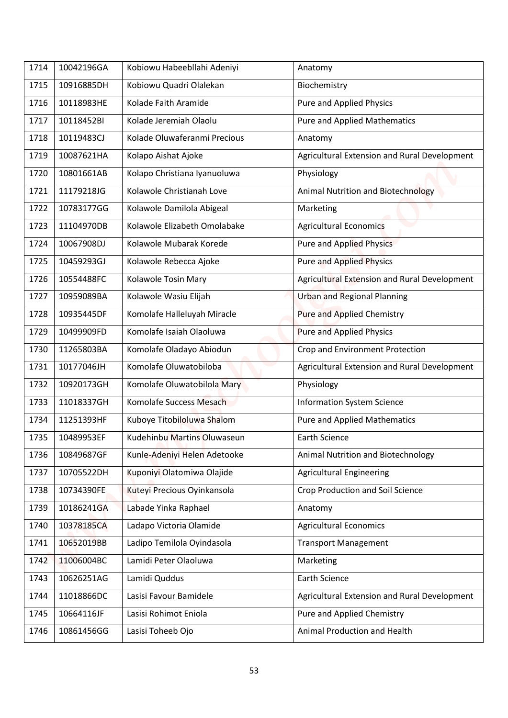| 1714 | 10042196GA | Kobiowu Habeebllahi Adeniyi  |                                              |
|------|------------|------------------------------|----------------------------------------------|
|      |            |                              | Anatomy                                      |
| 1715 | 10916885DH | Kobiowu Quadri Olalekan      | Biochemistry                                 |
| 1716 | 10118983HE | Kolade Faith Aramide         | Pure and Applied Physics                     |
| 1717 | 10118452BI | Kolade Jeremiah Olaolu       | <b>Pure and Applied Mathematics</b>          |
| 1718 | 10119483CJ | Kolade Oluwaferanmi Precious | Anatomy                                      |
| 1719 | 10087621HA | Kolapo Aishat Ajoke          | Agricultural Extension and Rural Development |
| 1720 | 10801661AB | Kolapo Christiana Iyanuoluwa | Physiology                                   |
| 1721 | 11179218JG | Kolawole Christianah Love    | Animal Nutrition and Biotechnology           |
| 1722 | 10783177GG | Kolawole Damilola Abigeal    | Marketing                                    |
| 1723 | 11104970DB | Kolawole Elizabeth Omolabake | <b>Agricultural Economics</b>                |
| 1724 | 10067908DJ | Kolawole Mubarak Korede      | <b>Pure and Applied Physics</b>              |
| 1725 | 10459293GJ | Kolawole Rebecca Ajoke       | <b>Pure and Applied Physics</b>              |
| 1726 | 10554488FC | Kolawole Tosin Mary          | Agricultural Extension and Rural Development |
| 1727 | 10959089BA | Kolawole Wasiu Elijah        | <b>Urban and Regional Planning</b>           |
| 1728 | 10935445DF | Komolafe Halleluyah Miracle  | Pure and Applied Chemistry                   |
| 1729 | 10499909FD | Komolafe Isaiah Olaoluwa     | Pure and Applied Physics                     |
| 1730 | 11265803BA | Komolafe Oladayo Abiodun     | Crop and Environment Protection              |
| 1731 | 10177046JH | Komolafe Oluwatobiloba       | Agricultural Extension and Rural Development |
| 1732 | 10920173GH | Komolafe Oluwatobilola Mary  | Physiology                                   |
| 1733 | 11018337GH | Komolafe Success Mesach      | <b>Information System Science</b>            |
| 1734 | 11251393HF | Kuboye Titobiloluwa Shalom   | <b>Pure and Applied Mathematics</b>          |
| 1735 | 10489953EF | Kudehinbu Martins Oluwaseun  | <b>Earth Science</b>                         |
| 1736 | 10849687GF | Kunle-Adeniyi Helen Adetooke | Animal Nutrition and Biotechnology           |
| 1737 | 10705522DH | Kuponiyi Olatomiwa Olajide   | <b>Agricultural Engineering</b>              |
| 1738 | 10734390FE | Kuteyi Precious Oyinkansola  | <b>Crop Production and Soil Science</b>      |
| 1739 | 10186241GA | Labade Yinka Raphael         | Anatomy                                      |
| 1740 | 10378185CA | Ladapo Victoria Olamide      | <b>Agricultural Economics</b>                |
| 1741 | 10652019BB | Ladipo Temilola Oyindasola   | <b>Transport Management</b>                  |
| 1742 | 11006004BC | Lamidi Peter Olaoluwa        | Marketing                                    |
| 1743 | 10626251AG | Lamidi Quddus                | <b>Earth Science</b>                         |
| 1744 | 11018866DC | Lasisi Favour Bamidele       | Agricultural Extension and Rural Development |
| 1745 | 10664116JF | Lasisi Rohimot Eniola        | Pure and Applied Chemistry                   |
| 1746 | 10861456GG | Lasisi Toheeb Ojo            | Animal Production and Health                 |
|      |            |                              |                                              |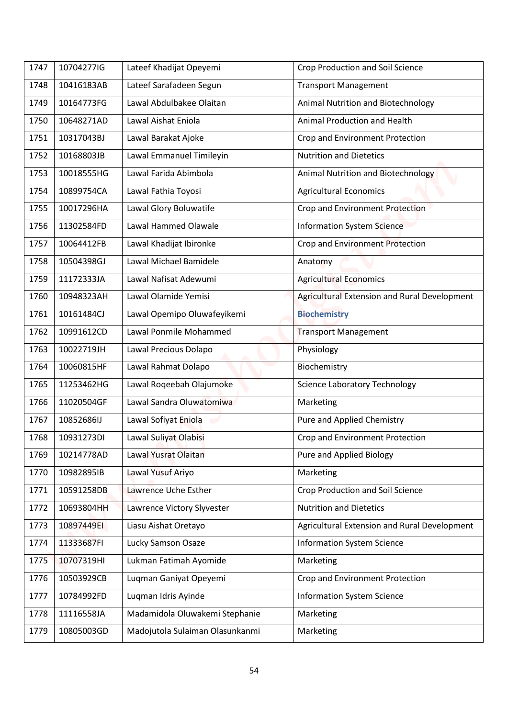| 1747 | 10704277IG | Lateef Khadijat Opeyemi         | <b>Crop Production and Soil Science</b>      |
|------|------------|---------------------------------|----------------------------------------------|
| 1748 | 10416183AB | Lateef Sarafadeen Segun         | <b>Transport Management</b>                  |
| 1749 | 10164773FG | Lawal Abdulbakee Olaitan        | Animal Nutrition and Biotechnology           |
| 1750 | 10648271AD | Lawal Aishat Eniola             | Animal Production and Health                 |
| 1751 | 10317043BJ | Lawal Barakat Ajoke             | Crop and Environment Protection              |
| 1752 | 10168803JB | Lawal Emmanuel Timileyin        | <b>Nutrition and Dietetics</b>               |
| 1753 | 10018555HG | Lawal Farida Abimbola           | Animal Nutrition and Biotechnology           |
| 1754 | 10899754CA | Lawal Fathia Toyosi             | <b>Agricultural Economics</b>                |
| 1755 | 10017296HA | Lawal Glory Boluwatife          | Crop and Environment Protection              |
| 1756 | 11302584FD | Lawal Hammed Olawale            | <b>Information System Science</b>            |
| 1757 | 10064412FB | Lawal Khadijat Ibironke         | Crop and Environment Protection              |
| 1758 | 10504398GJ | Lawal Michael Bamidele          | Anatomy                                      |
| 1759 | 11172333JA | Lawal Nafisat Adewumi           | <b>Agricultural Economics</b>                |
| 1760 | 10948323AH | Lawal Olamide Yemisi            | Agricultural Extension and Rural Development |
| 1761 | 10161484CJ | Lawal Opemipo Oluwafeyikemi     | <b>Biochemistry</b>                          |
| 1762 | 10991612CD | Lawal Ponmile Mohammed          | <b>Transport Management</b>                  |
| 1763 | 10022719JH | Lawal Precious Dolapo           | Physiology                                   |
| 1764 | 10060815HF | Lawal Rahmat Dolapo             | Biochemistry                                 |
| 1765 | 11253462HG | Lawal Roqeebah Olajumoke        | <b>Science Laboratory Technology</b>         |
| 1766 | 11020504GF | Lawal Sandra Oluwatomiwa        | Marketing                                    |
| 1767 | 10852686IJ | Lawal Sofiyat Eniola            | Pure and Applied Chemistry                   |
| 1768 | 10931273DI | Lawal Suliyat Olabisi           | Crop and Environment Protection              |
| 1769 | 10214778AD | Lawal Yusrat Olaitan            | Pure and Applied Biology                     |
| 1770 | 10982895IB | Lawal Yusuf Ariyo               | Marketing                                    |
| 1771 | 10591258DB | Lawrence Uche Esther            | <b>Crop Production and Soil Science</b>      |
| 1772 | 10693804HH | Lawrence Victory Slyvester      | <b>Nutrition and Dietetics</b>               |
| 1773 | 10897449EI | Liasu Aishat Oretayo            | Agricultural Extension and Rural Development |
| 1774 | 11333687FI | Lucky Samson Osaze              | <b>Information System Science</b>            |
| 1775 | 10707319HI | Lukman Fatimah Ayomide          | Marketing                                    |
| 1776 | 10503929CB | Luqman Ganiyat Opeyemi          | Crop and Environment Protection              |
| 1777 | 10784992FD | Luqman Idris Ayinde             | <b>Information System Science</b>            |
| 1778 | 11116558JA | Madamidola Oluwakemi Stephanie  | Marketing                                    |
| 1779 | 10805003GD | Madojutola Sulaiman Olasunkanmi | Marketing                                    |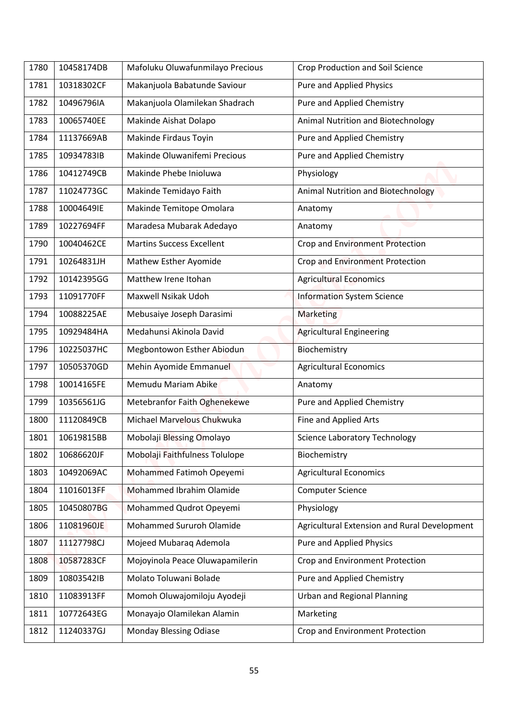| 1780 | 10458174DB | Mafoluku Oluwafunmilayo Precious | <b>Crop Production and Soil Science</b>      |
|------|------------|----------------------------------|----------------------------------------------|
| 1781 | 10318302CF | Makanjuola Babatunde Saviour     | Pure and Applied Physics                     |
| 1782 | 10496796IA | Makanjuola Olamilekan Shadrach   | Pure and Applied Chemistry                   |
| 1783 | 10065740EE | Makinde Aishat Dolapo            | Animal Nutrition and Biotechnology           |
|      |            |                                  |                                              |
| 1784 | 11137669AB | Makinde Firdaus Toyin            | Pure and Applied Chemistry                   |
| 1785 | 10934783IB | Makinde Oluwanifemi Precious     | Pure and Applied Chemistry                   |
| 1786 | 10412749CB | Makinde Phebe Inioluwa           | Physiology                                   |
| 1787 | 11024773GC | Makinde Temidayo Faith           | Animal Nutrition and Biotechnology           |
| 1788 | 10004649IE | Makinde Temitope Omolara         | Anatomy                                      |
| 1789 | 10227694FF | Maradesa Mubarak Adedayo         | Anatomy                                      |
| 1790 | 10040462CE | <b>Martins Success Excellent</b> | Crop and Environment Protection              |
| 1791 | 10264831JH | Mathew Esther Ayomide            | Crop and Environment Protection              |
| 1792 | 10142395GG | Matthew Irene Itohan             | <b>Agricultural Economics</b>                |
| 1793 | 11091770FF | Maxwell Nsikak Udoh              | <b>Information System Science</b>            |
| 1794 | 10088225AE | Mebusaiye Joseph Darasimi        | <b>Marketing</b>                             |
| 1795 | 10929484HA | Medahunsi Akinola David          | <b>Agricultural Engineering</b>              |
| 1796 | 10225037HC | Megbontowon Esther Abiodun       | Biochemistry                                 |
| 1797 | 10505370GD | Mehin Ayomide Emmanuel           | <b>Agricultural Economics</b>                |
| 1798 | 10014165FE | Memudu Mariam Abike              | Anatomy                                      |
| 1799 | 10356561JG | Metebranfor Faith Oghenekewe     | Pure and Applied Chemistry                   |
| 1800 | 11120849CB | Michael Marvelous Chukwuka       | Fine and Applied Arts                        |
| 1801 | 10619815BB | Mobolaji Blessing Omolayo        | <b>Science Laboratory Technology</b>         |
| 1802 | 10686620JF | Mobolaji Faithfulness Tolulope   | Biochemistry                                 |
| 1803 | 10492069AC | Mohammed Fatimoh Opeyemi         | <b>Agricultural Economics</b>                |
| 1804 | 11016013FF | Mohammed Ibrahim Olamide         | <b>Computer Science</b>                      |
| 1805 | 10450807BG | Mohammed Qudrot Opeyemi          | Physiology                                   |
| 1806 | 11081960JE | Mohammed Sururoh Olamide         | Agricultural Extension and Rural Development |
| 1807 | 11127798CJ | Mojeed Mubaraq Ademola           | Pure and Applied Physics                     |
| 1808 | 10587283CF | Mojoyinola Peace Oluwapamilerin  | Crop and Environment Protection              |
| 1809 | 10803542IB | Molato Toluwani Bolade           | Pure and Applied Chemistry                   |
| 1810 | 11083913FF | Momoh Oluwajomiloju Ayodeji      | <b>Urban and Regional Planning</b>           |
| 1811 | 10772643EG | Monayajo Olamilekan Alamin       | Marketing                                    |
| 1812 | 11240337GJ | <b>Monday Blessing Odiase</b>    | Crop and Environment Protection              |
|      |            |                                  |                                              |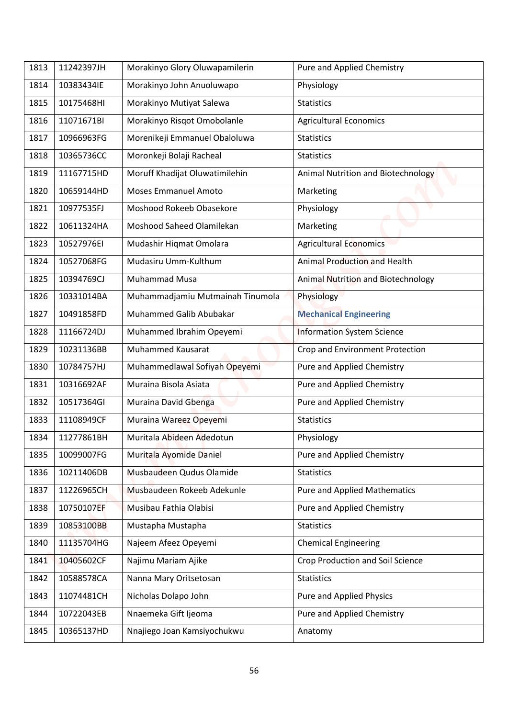| 1813 | 11242397JH | Morakinyo Glory Oluwapamilerin   | Pure and Applied Chemistry          |
|------|------------|----------------------------------|-------------------------------------|
| 1814 | 10383434IE | Morakinyo John Anuoluwapo        | Physiology                          |
| 1815 | 10175468HI | Morakinyo Mutiyat Salewa         | <b>Statistics</b>                   |
| 1816 | 11071671BI | Morakinyo Risqot Omobolanle      | <b>Agricultural Economics</b>       |
| 1817 | 10966963FG | Morenikeji Emmanuel Obaloluwa    | <b>Statistics</b>                   |
| 1818 | 10365736CC | Moronkeji Bolaji Racheal         | <b>Statistics</b>                   |
| 1819 | 11167715HD | Moruff Khadijat Oluwatimilehin   | Animal Nutrition and Biotechnology  |
| 1820 | 10659144HD | <b>Moses Emmanuel Amoto</b>      | Marketing                           |
| 1821 | 10977535FJ | Moshood Rokeeb Obasekore         | Physiology                          |
| 1822 | 10611324HA | Moshood Saheed Olamilekan        | Marketing                           |
| 1823 | 10527976EI | Mudashir Hiqmat Omolara          | <b>Agricultural Economics</b>       |
| 1824 | 10527068FG | Mudasiru Umm-Kulthum             | <b>Animal Production and Health</b> |
| 1825 | 10394769CJ | <b>Muhammad Musa</b>             | Animal Nutrition and Biotechnology  |
| 1826 | 10331014BA | Muhammadjamiu Mutmainah Tinumola | Physiology                          |
| 1827 | 10491858FD | Muhammed Galib Abubakar          | <b>Mechanical Engineering</b>       |
| 1828 | 11166724DJ | Muhammed Ibrahim Opeyemi         | <b>Information System Science</b>   |
| 1829 | 10231136BB | <b>Muhammed Kausarat</b>         | Crop and Environment Protection     |
| 1830 | 10784757HJ | Muhammedlawal Sofiyah Opeyemi    | Pure and Applied Chemistry          |
| 1831 | 10316692AF | Muraina Bisola Asiata            | Pure and Applied Chemistry          |
| 1832 | 10517364GI | Muraina David Gbenga             | Pure and Applied Chemistry          |
| 1833 | 11108949CF | Muraina Wareez Opeyemi           | <b>Statistics</b>                   |
| 1834 | 11277861BH | Muritala Abideen Adedotun        | Physiology                          |
| 1835 | 10099007FG | Muritala Ayomide Daniel          | Pure and Applied Chemistry          |
| 1836 | 10211406DB | Musbaudeen Qudus Olamide         | <b>Statistics</b>                   |
| 1837 | 11226965CH | Musbaudeen Rokeeb Adekunle       | <b>Pure and Applied Mathematics</b> |
| 1838 | 10750107EF | Musibau Fathia Olabisi           | Pure and Applied Chemistry          |
| 1839 | 10853100BB | Mustapha Mustapha                | <b>Statistics</b>                   |
| 1840 | 11135704HG | Najeem Afeez Opeyemi             | <b>Chemical Engineering</b>         |
| 1841 | 10405602CF | Najimu Mariam Ajike              | Crop Production and Soil Science    |
| 1842 | 10588578CA | Nanna Mary Oritsetosan           | <b>Statistics</b>                   |
| 1843 | 11074481CH | Nicholas Dolapo John             | Pure and Applied Physics            |
| 1844 | 10722043EB | Nnaemeka Gift Ijeoma             | Pure and Applied Chemistry          |
| 1845 | 10365137HD | Nnajiego Joan Kamsiyochukwu      | Anatomy                             |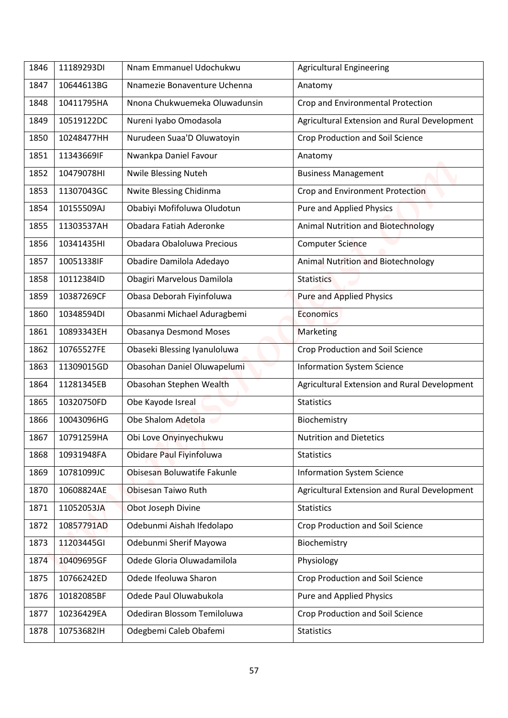| 1846 | 11189293DI | Nnam Emmanuel Udochukwu       | <b>Agricultural Engineering</b>              |
|------|------------|-------------------------------|----------------------------------------------|
|      |            |                               |                                              |
| 1847 | 10644613BG | Nnamezie Bonaventure Uchenna  | Anatomy                                      |
| 1848 | 10411795HA | Nnona Chukwuemeka Oluwadunsin | Crop and Environmental Protection            |
| 1849 | 10519122DC | Nureni Iyabo Omodasola        | Agricultural Extension and Rural Development |
| 1850 | 10248477HH | Nurudeen Suaa'D Oluwatoyin    | Crop Production and Soil Science             |
| 1851 | 11343669IF | Nwankpa Daniel Favour         | Anatomy                                      |
| 1852 | 10479078HI | <b>Nwile Blessing Nuteh</b>   | <b>Business Management</b>                   |
| 1853 | 11307043GC | Nwite Blessing Chidinma       | Crop and Environment Protection              |
| 1854 | 10155509AJ | Obabiyi Mofifoluwa Oludotun   | Pure and Applied Physics                     |
| 1855 | 11303537AH | Obadara Fatiah Aderonke       | <b>Animal Nutrition and Biotechnology</b>    |
| 1856 | 10341435HI | Obadara Obaloluwa Precious    | <b>Computer Science</b>                      |
| 1857 | 10051338IF | Obadire Damilola Adedayo      | <b>Animal Nutrition and Biotechnology</b>    |
| 1858 | 10112384ID | Obagiri Marvelous Damilola    | <b>Statistics</b>                            |
| 1859 | 10387269CF | Obasa Deborah Fiyinfoluwa     | <b>Pure and Applied Physics</b>              |
| 1860 | 10348594DI | Obasanmi Michael Aduragbemi   | <b>Economics</b>                             |
| 1861 | 10893343EH | <b>Obasanya Desmond Moses</b> | Marketing                                    |
| 1862 | 10765527FE | Obaseki Blessing Iyanuloluwa  | <b>Crop Production and Soil Science</b>      |
| 1863 | 11309015GD | Obasohan Daniel Oluwapelumi   | <b>Information System Science</b>            |
| 1864 | 11281345EB | Obasohan Stephen Wealth       | Agricultural Extension and Rural Development |
| 1865 | 10320750FD | Obe Kayode Isreal             | <b>Statistics</b>                            |
| 1866 | 10043096HG | Obe Shalom Adetola            | Biochemistry                                 |
| 1867 | 10791259HA | Obi Love Onyinyechukwu        | <b>Nutrition and Dietetics</b>               |
| 1868 | 10931948FA | Obidare Paul Fiyinfoluwa      | <b>Statistics</b>                            |
| 1869 | 10781099JC | Obisesan Boluwatife Fakunle   | <b>Information System Science</b>            |
| 1870 | 10608824AE | Obisesan Taiwo Ruth           | Agricultural Extension and Rural Development |
| 1871 | 11052053JA | Obot Joseph Divine            | <b>Statistics</b>                            |
| 1872 | 10857791AD | Odebunmi Aishah Ifedolapo     | Crop Production and Soil Science             |
| 1873 | 11203445GI | Odebunmi Sherif Mayowa        | Biochemistry                                 |
| 1874 | 10409695GF | Odede Gloria Oluwadamilola    | Physiology                                   |
| 1875 | 10766242ED | Odede Ifeoluwa Sharon         | <b>Crop Production and Soil Science</b>      |
| 1876 | 10182085BF | Odede Paul Oluwabukola        | Pure and Applied Physics                     |
| 1877 | 10236429EA | Odediran Blossom Temiloluwa   | Crop Production and Soil Science             |
|      |            |                               |                                              |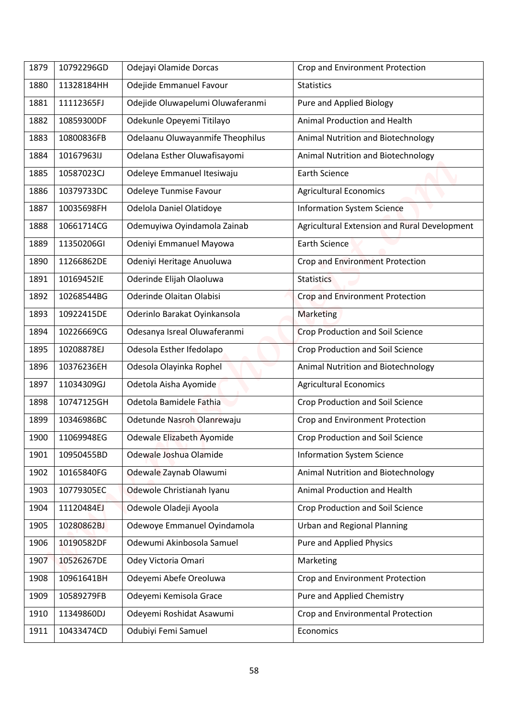| 1879 | 10792296GD | Odejayi Olamide Dorcas           | Crop and Environment Protection              |
|------|------------|----------------------------------|----------------------------------------------|
| 1880 | 11328184HH | Odejide Emmanuel Favour          | <b>Statistics</b>                            |
| 1881 | 11112365FJ | Odejide Oluwapelumi Oluwaferanmi | Pure and Applied Biology                     |
| 1882 | 10859300DF | Odekunle Opeyemi Titilayo        | Animal Production and Health                 |
| 1883 | 10800836FB |                                  |                                              |
|      |            | Odelaanu Oluwayanmife Theophilus | Animal Nutrition and Biotechnology           |
| 1884 | 10167963IJ | Odelana Esther Oluwafisayomi     | Animal Nutrition and Biotechnology           |
| 1885 | 10587023CJ | Odeleye Emmanuel Itesiwaju       | <b>Earth Science</b>                         |
| 1886 | 10379733DC | Odeleye Tunmise Favour           | <b>Agricultural Economics</b>                |
| 1887 | 10035698FH | Odelola Daniel Olatidoye         | <b>Information System Science</b>            |
| 1888 | 10661714CG | Odemuyiwa Oyindamola Zainab      | Agricultural Extension and Rural Development |
| 1889 | 11350206GI | Odeniyi Emmanuel Mayowa          | <b>Earth Science</b>                         |
| 1890 | 11266862DE | Odeniyi Heritage Anuoluwa        | <b>Crop and Environment Protection</b>       |
| 1891 | 10169452IE | Oderinde Elijah Olaoluwa         | <b>Statistics</b>                            |
| 1892 | 10268544BG | Oderinde Olaitan Olabisi         | Crop and Environment Protection              |
| 1893 | 10922415DE | Oderinlo Barakat Oyinkansola     | <b>Marketing</b>                             |
| 1894 | 10226669CG | Odesanya Isreal Oluwaferanmi     | <b>Crop Production and Soil Science</b>      |
| 1895 | 10208878EJ | Odesola Esther Ifedolapo         | <b>Crop Production and Soil Science</b>      |
| 1896 | 10376236EH | Odesola Olayinka Rophel          | Animal Nutrition and Biotechnology           |
| 1897 | 11034309GJ | Odetola Aisha Ayomide            | <b>Agricultural Economics</b>                |
| 1898 | 10747125GH | Odetola Bamidele Fathia          | Crop Production and Soil Science             |
| 1899 | 10346986BC | Odetunde Nasroh Olanrewaju       | Crop and Environment Protection              |
| 1900 | 11069948EG | Odewale Elizabeth Ayomide        | Crop Production and Soil Science             |
| 1901 | 10950455BD | Odewale Joshua Olamide           | <b>Information System Science</b>            |
| 1902 | 10165840FG | Odewale Zaynab Olawumi           | Animal Nutrition and Biotechnology           |
| 1903 | 10779305EC | Odewole Christianah Iyanu        | Animal Production and Health                 |
| 1904 | 11120484EJ | Odewole Oladeji Ayoola           | Crop Production and Soil Science             |
| 1905 | 10280862BJ | Odewoye Emmanuel Oyindamola      | <b>Urban and Regional Planning</b>           |
| 1906 | 10190582DF | Odewumi Akinbosola Samuel        | <b>Pure and Applied Physics</b>              |
| 1907 | 10526267DE | Odey Victoria Omari              | Marketing                                    |
| 1908 | 10961641BH | Odeyemi Abefe Oreoluwa           | Crop and Environment Protection              |
|      |            |                                  |                                              |
| 1909 | 10589279FB | Odeyemi Kemisola Grace           | Pure and Applied Chemistry                   |
| 1910 | 11349860DJ | Odeyemi Roshidat Asawumi         | Crop and Environmental Protection            |
| 1911 | 10433474CD | Odubiyi Femi Samuel              | Economics                                    |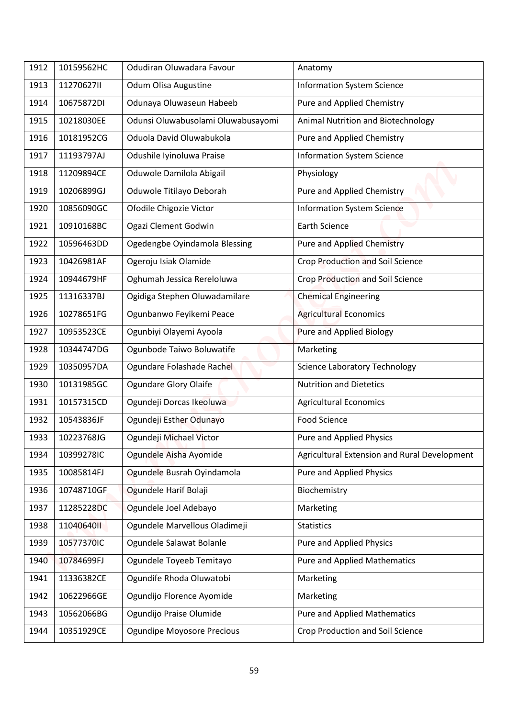| Anatomy<br>11270627II<br>Odum Olisa Augustine<br><b>Information System Science</b><br>1913<br>Pure and Applied Chemistry<br>10675872DI<br>Odunaya Oluwaseun Habeeb<br>1914<br>Odunsi Oluwabusolami Oluwabusayomi<br>Animal Nutrition and Biotechnology<br>1915<br>10218030EE<br>10181952CG<br>Oduola David Oluwabukola<br>Pure and Applied Chemistry<br>1916<br>Odushile Iyinoluwa Praise<br><b>Information System Science</b><br>1917<br>11193797AJ<br>Oduwole Damilola Abigail<br>1918<br>11209894CE<br>Physiology<br>10206899GJ<br>Oduwole Titilayo Deborah<br>Pure and Applied Chemistry<br>1919<br>10856090GC<br>Ofodile Chigozie Victor<br><b>Information System Science</b><br>1920<br>Ogazi Clement Godwin<br><b>Earth Science</b><br>1921<br>10910168BC<br>10596463DD<br>Ogedengbe Oyindamola Blessing<br><b>Pure and Applied Chemistry</b><br>1922<br><b>Crop Production and Soil Science</b><br>1923<br>10426981AF<br>Ogeroju Isiak Olamide<br>Oghumah Jessica Rereloluwa<br>Crop Production and Soil Science<br>10944679HF<br>1924<br>Ogidiga Stephen Oluwadamilare<br><b>Chemical Engineering</b><br>1925<br>11316337BJ<br>10278651FG<br>Ogunbanwo Feyikemi Peace<br><b>Agricultural Economics</b><br>1926<br>10953523CE<br>Ogunbiyi Olayemi Ayoola<br>Pure and Applied Biology<br>1927<br>Ogunbode Taiwo Boluwatife<br>10344747DG<br>1928<br>Marketing<br><b>Science Laboratory Technology</b><br>1929<br>10350957DA<br>Ogundare Folashade Rachel<br>1930<br>10131985GC<br><b>Ogundare Glory Olaife</b><br><b>Nutrition and Dietetics</b><br>Ogundeji Dorcas Ikeoluwa<br>10157315CD<br><b>Agricultural Economics</b><br>1931<br>Ogundeji Esther Odunayo<br>Food Science<br>1932<br>10543836JF<br><b>Pure and Applied Physics</b><br>1933<br>10223768JG<br>Ogundeji Michael Victor<br>Ogundele Aisha Ayomide<br>Agricultural Extension and Rural Development<br>1934<br>10399278IC<br>Ogundele Busrah Oyindamola<br><b>Pure and Applied Physics</b><br>1935<br>10085814FJ<br>10748710GF<br>Ogundele Harif Bolaji<br>Biochemistry<br>1936<br>Ogundele Joel Adebayo<br>1937<br>11285228DC<br>Marketing |  |
|-------------------------------------------------------------------------------------------------------------------------------------------------------------------------------------------------------------------------------------------------------------------------------------------------------------------------------------------------------------------------------------------------------------------------------------------------------------------------------------------------------------------------------------------------------------------------------------------------------------------------------------------------------------------------------------------------------------------------------------------------------------------------------------------------------------------------------------------------------------------------------------------------------------------------------------------------------------------------------------------------------------------------------------------------------------------------------------------------------------------------------------------------------------------------------------------------------------------------------------------------------------------------------------------------------------------------------------------------------------------------------------------------------------------------------------------------------------------------------------------------------------------------------------------------------------------------------------------------------------------------------------------------------------------------------------------------------------------------------------------------------------------------------------------------------------------------------------------------------------------------------------------------------------------------------------------------------------------------------------------------------------------------------------------------------------------------------------------------------------------|--|
|                                                                                                                                                                                                                                                                                                                                                                                                                                                                                                                                                                                                                                                                                                                                                                                                                                                                                                                                                                                                                                                                                                                                                                                                                                                                                                                                                                                                                                                                                                                                                                                                                                                                                                                                                                                                                                                                                                                                                                                                                                                                                                                   |  |
|                                                                                                                                                                                                                                                                                                                                                                                                                                                                                                                                                                                                                                                                                                                                                                                                                                                                                                                                                                                                                                                                                                                                                                                                                                                                                                                                                                                                                                                                                                                                                                                                                                                                                                                                                                                                                                                                                                                                                                                                                                                                                                                   |  |
|                                                                                                                                                                                                                                                                                                                                                                                                                                                                                                                                                                                                                                                                                                                                                                                                                                                                                                                                                                                                                                                                                                                                                                                                                                                                                                                                                                                                                                                                                                                                                                                                                                                                                                                                                                                                                                                                                                                                                                                                                                                                                                                   |  |
|                                                                                                                                                                                                                                                                                                                                                                                                                                                                                                                                                                                                                                                                                                                                                                                                                                                                                                                                                                                                                                                                                                                                                                                                                                                                                                                                                                                                                                                                                                                                                                                                                                                                                                                                                                                                                                                                                                                                                                                                                                                                                                                   |  |
|                                                                                                                                                                                                                                                                                                                                                                                                                                                                                                                                                                                                                                                                                                                                                                                                                                                                                                                                                                                                                                                                                                                                                                                                                                                                                                                                                                                                                                                                                                                                                                                                                                                                                                                                                                                                                                                                                                                                                                                                                                                                                                                   |  |
|                                                                                                                                                                                                                                                                                                                                                                                                                                                                                                                                                                                                                                                                                                                                                                                                                                                                                                                                                                                                                                                                                                                                                                                                                                                                                                                                                                                                                                                                                                                                                                                                                                                                                                                                                                                                                                                                                                                                                                                                                                                                                                                   |  |
|                                                                                                                                                                                                                                                                                                                                                                                                                                                                                                                                                                                                                                                                                                                                                                                                                                                                                                                                                                                                                                                                                                                                                                                                                                                                                                                                                                                                                                                                                                                                                                                                                                                                                                                                                                                                                                                                                                                                                                                                                                                                                                                   |  |
|                                                                                                                                                                                                                                                                                                                                                                                                                                                                                                                                                                                                                                                                                                                                                                                                                                                                                                                                                                                                                                                                                                                                                                                                                                                                                                                                                                                                                                                                                                                                                                                                                                                                                                                                                                                                                                                                                                                                                                                                                                                                                                                   |  |
|                                                                                                                                                                                                                                                                                                                                                                                                                                                                                                                                                                                                                                                                                                                                                                                                                                                                                                                                                                                                                                                                                                                                                                                                                                                                                                                                                                                                                                                                                                                                                                                                                                                                                                                                                                                                                                                                                                                                                                                                                                                                                                                   |  |
|                                                                                                                                                                                                                                                                                                                                                                                                                                                                                                                                                                                                                                                                                                                                                                                                                                                                                                                                                                                                                                                                                                                                                                                                                                                                                                                                                                                                                                                                                                                                                                                                                                                                                                                                                                                                                                                                                                                                                                                                                                                                                                                   |  |
|                                                                                                                                                                                                                                                                                                                                                                                                                                                                                                                                                                                                                                                                                                                                                                                                                                                                                                                                                                                                                                                                                                                                                                                                                                                                                                                                                                                                                                                                                                                                                                                                                                                                                                                                                                                                                                                                                                                                                                                                                                                                                                                   |  |
|                                                                                                                                                                                                                                                                                                                                                                                                                                                                                                                                                                                                                                                                                                                                                                                                                                                                                                                                                                                                                                                                                                                                                                                                                                                                                                                                                                                                                                                                                                                                                                                                                                                                                                                                                                                                                                                                                                                                                                                                                                                                                                                   |  |
|                                                                                                                                                                                                                                                                                                                                                                                                                                                                                                                                                                                                                                                                                                                                                                                                                                                                                                                                                                                                                                                                                                                                                                                                                                                                                                                                                                                                                                                                                                                                                                                                                                                                                                                                                                                                                                                                                                                                                                                                                                                                                                                   |  |
|                                                                                                                                                                                                                                                                                                                                                                                                                                                                                                                                                                                                                                                                                                                                                                                                                                                                                                                                                                                                                                                                                                                                                                                                                                                                                                                                                                                                                                                                                                                                                                                                                                                                                                                                                                                                                                                                                                                                                                                                                                                                                                                   |  |
|                                                                                                                                                                                                                                                                                                                                                                                                                                                                                                                                                                                                                                                                                                                                                                                                                                                                                                                                                                                                                                                                                                                                                                                                                                                                                                                                                                                                                                                                                                                                                                                                                                                                                                                                                                                                                                                                                                                                                                                                                                                                                                                   |  |
|                                                                                                                                                                                                                                                                                                                                                                                                                                                                                                                                                                                                                                                                                                                                                                                                                                                                                                                                                                                                                                                                                                                                                                                                                                                                                                                                                                                                                                                                                                                                                                                                                                                                                                                                                                                                                                                                                                                                                                                                                                                                                                                   |  |
|                                                                                                                                                                                                                                                                                                                                                                                                                                                                                                                                                                                                                                                                                                                                                                                                                                                                                                                                                                                                                                                                                                                                                                                                                                                                                                                                                                                                                                                                                                                                                                                                                                                                                                                                                                                                                                                                                                                                                                                                                                                                                                                   |  |
|                                                                                                                                                                                                                                                                                                                                                                                                                                                                                                                                                                                                                                                                                                                                                                                                                                                                                                                                                                                                                                                                                                                                                                                                                                                                                                                                                                                                                                                                                                                                                                                                                                                                                                                                                                                                                                                                                                                                                                                                                                                                                                                   |  |
|                                                                                                                                                                                                                                                                                                                                                                                                                                                                                                                                                                                                                                                                                                                                                                                                                                                                                                                                                                                                                                                                                                                                                                                                                                                                                                                                                                                                                                                                                                                                                                                                                                                                                                                                                                                                                                                                                                                                                                                                                                                                                                                   |  |
|                                                                                                                                                                                                                                                                                                                                                                                                                                                                                                                                                                                                                                                                                                                                                                                                                                                                                                                                                                                                                                                                                                                                                                                                                                                                                                                                                                                                                                                                                                                                                                                                                                                                                                                                                                                                                                                                                                                                                                                                                                                                                                                   |  |
|                                                                                                                                                                                                                                                                                                                                                                                                                                                                                                                                                                                                                                                                                                                                                                                                                                                                                                                                                                                                                                                                                                                                                                                                                                                                                                                                                                                                                                                                                                                                                                                                                                                                                                                                                                                                                                                                                                                                                                                                                                                                                                                   |  |
|                                                                                                                                                                                                                                                                                                                                                                                                                                                                                                                                                                                                                                                                                                                                                                                                                                                                                                                                                                                                                                                                                                                                                                                                                                                                                                                                                                                                                                                                                                                                                                                                                                                                                                                                                                                                                                                                                                                                                                                                                                                                                                                   |  |
|                                                                                                                                                                                                                                                                                                                                                                                                                                                                                                                                                                                                                                                                                                                                                                                                                                                                                                                                                                                                                                                                                                                                                                                                                                                                                                                                                                                                                                                                                                                                                                                                                                                                                                                                                                                                                                                                                                                                                                                                                                                                                                                   |  |
|                                                                                                                                                                                                                                                                                                                                                                                                                                                                                                                                                                                                                                                                                                                                                                                                                                                                                                                                                                                                                                                                                                                                                                                                                                                                                                                                                                                                                                                                                                                                                                                                                                                                                                                                                                                                                                                                                                                                                                                                                                                                                                                   |  |
|                                                                                                                                                                                                                                                                                                                                                                                                                                                                                                                                                                                                                                                                                                                                                                                                                                                                                                                                                                                                                                                                                                                                                                                                                                                                                                                                                                                                                                                                                                                                                                                                                                                                                                                                                                                                                                                                                                                                                                                                                                                                                                                   |  |
| Ogundele Marvellous Oladimeji<br>1104064011<br><b>Statistics</b><br>1938                                                                                                                                                                                                                                                                                                                                                                                                                                                                                                                                                                                                                                                                                                                                                                                                                                                                                                                                                                                                                                                                                                                                                                                                                                                                                                                                                                                                                                                                                                                                                                                                                                                                                                                                                                                                                                                                                                                                                                                                                                          |  |
| Ogundele Salawat Bolanle<br>10577370IC<br><b>Pure and Applied Physics</b><br>1939                                                                                                                                                                                                                                                                                                                                                                                                                                                                                                                                                                                                                                                                                                                                                                                                                                                                                                                                                                                                                                                                                                                                                                                                                                                                                                                                                                                                                                                                                                                                                                                                                                                                                                                                                                                                                                                                                                                                                                                                                                 |  |
| Ogundele Toyeeb Temitayo<br><b>Pure and Applied Mathematics</b><br>10784699FJ<br>1940                                                                                                                                                                                                                                                                                                                                                                                                                                                                                                                                                                                                                                                                                                                                                                                                                                                                                                                                                                                                                                                                                                                                                                                                                                                                                                                                                                                                                                                                                                                                                                                                                                                                                                                                                                                                                                                                                                                                                                                                                             |  |
| Ogundife Rhoda Oluwatobi<br>11336382CE<br>1941<br>Marketing                                                                                                                                                                                                                                                                                                                                                                                                                                                                                                                                                                                                                                                                                                                                                                                                                                                                                                                                                                                                                                                                                                                                                                                                                                                                                                                                                                                                                                                                                                                                                                                                                                                                                                                                                                                                                                                                                                                                                                                                                                                       |  |
| 10622966GE<br>Ogundijo Florence Ayomide<br>1942<br>Marketing                                                                                                                                                                                                                                                                                                                                                                                                                                                                                                                                                                                                                                                                                                                                                                                                                                                                                                                                                                                                                                                                                                                                                                                                                                                                                                                                                                                                                                                                                                                                                                                                                                                                                                                                                                                                                                                                                                                                                                                                                                                      |  |
| 10562066BG<br>Ogundijo Praise Olumide<br><b>Pure and Applied Mathematics</b><br>1943                                                                                                                                                                                                                                                                                                                                                                                                                                                                                                                                                                                                                                                                                                                                                                                                                                                                                                                                                                                                                                                                                                                                                                                                                                                                                                                                                                                                                                                                                                                                                                                                                                                                                                                                                                                                                                                                                                                                                                                                                              |  |
| 10351929CE<br>Ogundipe Moyosore Precious<br>Crop Production and Soil Science<br>1944                                                                                                                                                                                                                                                                                                                                                                                                                                                                                                                                                                                                                                                                                                                                                                                                                                                                                                                                                                                                                                                                                                                                                                                                                                                                                                                                                                                                                                                                                                                                                                                                                                                                                                                                                                                                                                                                                                                                                                                                                              |  |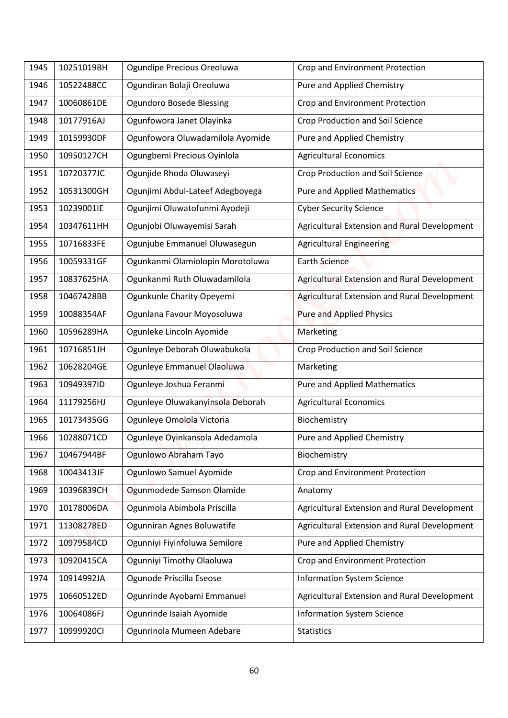| 10522488CC<br>Ogundiran Bolaji Oreoluwa<br>Pure and Applied Chemistry<br>1946<br>10060861DE<br><b>Ogundoro Bosede Blessing</b><br>Crop and Environment Protection<br>1947<br>Ogunfowora Janet Olayinka<br>10177916AJ<br><b>Crop Production and Soil Science</b><br>1948<br>Ogunfowora Oluwadamilola Ayomide<br>10159930DF<br>Pure and Applied Chemistry<br>1949 |  |
|-----------------------------------------------------------------------------------------------------------------------------------------------------------------------------------------------------------------------------------------------------------------------------------------------------------------------------------------------------------------|--|
|                                                                                                                                                                                                                                                                                                                                                                 |  |
|                                                                                                                                                                                                                                                                                                                                                                 |  |
|                                                                                                                                                                                                                                                                                                                                                                 |  |
|                                                                                                                                                                                                                                                                                                                                                                 |  |
| 10950127CH<br>Ogungbemi Precious Oyinlola<br><b>Agricultural Economics</b><br>1950                                                                                                                                                                                                                                                                              |  |
| Ogunjide Rhoda Oluwaseyi<br><b>Crop Production and Soil Science</b><br>1951<br>10720377JC                                                                                                                                                                                                                                                                       |  |
| 10531300GH<br>Ogunjimi Abdul-Lateef Adegboyega<br>Pure and Applied Mathematics<br>1952                                                                                                                                                                                                                                                                          |  |
| 10239001IE<br>Ogunjimi Oluwatofunmi Ayodeji<br><b>Cyber Security Science</b><br>1953                                                                                                                                                                                                                                                                            |  |
| Ogunjobi Oluwayemisi Sarah<br>Agricultural Extension and Rural Development<br>1954<br>10347611HH                                                                                                                                                                                                                                                                |  |
| 10716833FE<br>Ogunjube Emmanuel Oluwasegun<br><b>Agricultural Engineering</b><br>1955                                                                                                                                                                                                                                                                           |  |
| 1956<br>10059331GF<br>Ogunkanmi Olamiolopin Morotoluwa<br><b>Earth Science</b>                                                                                                                                                                                                                                                                                  |  |
| Ogunkanmi Ruth Oluwadamilola<br>Agricultural Extension and Rural Development<br>10837625HA<br>1957                                                                                                                                                                                                                                                              |  |
| Agricultural Extension and Rural Development<br>Ogunkunle Charity Opeyemi<br>1958<br>10467428BB                                                                                                                                                                                                                                                                 |  |
| Ogunlana Favour Moyosoluwa<br><b>Pure and Applied Physics</b><br>1959<br>10088354AF                                                                                                                                                                                                                                                                             |  |
| 10596289HA<br>Ogunleke Lincoln Ayomide<br>1960<br>Marketing                                                                                                                                                                                                                                                                                                     |  |
| Ogunleye Deborah Oluwabukola<br>Crop Production and Soil Science<br>1961<br>10716851JH                                                                                                                                                                                                                                                                          |  |
| Ogunleye Emmanuel Olaoluwa<br>10628204GE<br>Marketing<br>1962                                                                                                                                                                                                                                                                                                   |  |
| 1963<br>10949397ID<br>Ogunleye Joshua Feranmi<br><b>Pure and Applied Mathematics</b>                                                                                                                                                                                                                                                                            |  |
| Ogunleye Oluwakanyinsola Deborah<br><b>Agricultural Economics</b><br>11179256HJ<br>1964                                                                                                                                                                                                                                                                         |  |
| Ogunleye Omolola Victoria<br>1965<br>10173435GG<br>Biochemistry                                                                                                                                                                                                                                                                                                 |  |
| Ogunleye Oyinkansola Adedamola<br>Pure and Applied Chemistry<br>10288071CD<br>1966                                                                                                                                                                                                                                                                              |  |
| Ogunlowo Abraham Tayo<br>1967<br>10467944BF<br>Biochemistry                                                                                                                                                                                                                                                                                                     |  |
| Ogunlowo Samuel Ayomide<br>Crop and Environment Protection<br>10043413JF<br>1968                                                                                                                                                                                                                                                                                |  |
| Ogunmodede Samson Olamide<br>10396839CH<br>1969<br>Anatomy                                                                                                                                                                                                                                                                                                      |  |
| Ogunmola Abimbola Priscilla<br>Agricultural Extension and Rural Development<br>10178006DA<br>1970                                                                                                                                                                                                                                                               |  |
| Ogunniran Agnes Boluwatife<br>Agricultural Extension and Rural Development<br>11308278ED<br>1971                                                                                                                                                                                                                                                                |  |
| Ogunniyi Fiyinfoluwa Semilore<br>Pure and Applied Chemistry<br>1972<br>10979584CD                                                                                                                                                                                                                                                                               |  |
| Ogunniyi Timothy Olaoluwa<br>Crop and Environment Protection<br>10920415CA<br>1973                                                                                                                                                                                                                                                                              |  |
| Ogunode Priscilla Eseose<br><b>Information System Science</b><br>10914992JA<br>1974                                                                                                                                                                                                                                                                             |  |
| Ogunrinde Ayobami Emmanuel<br>Agricultural Extension and Rural Development<br>10660512ED<br>1975                                                                                                                                                                                                                                                                |  |
| 10064086FJ<br>Ogunrinde Isaiah Ayomide<br>1976<br><b>Information System Science</b>                                                                                                                                                                                                                                                                             |  |
| 10999920CI<br>Ogunrinola Mumeen Adebare<br><b>Statistics</b><br>1977                                                                                                                                                                                                                                                                                            |  |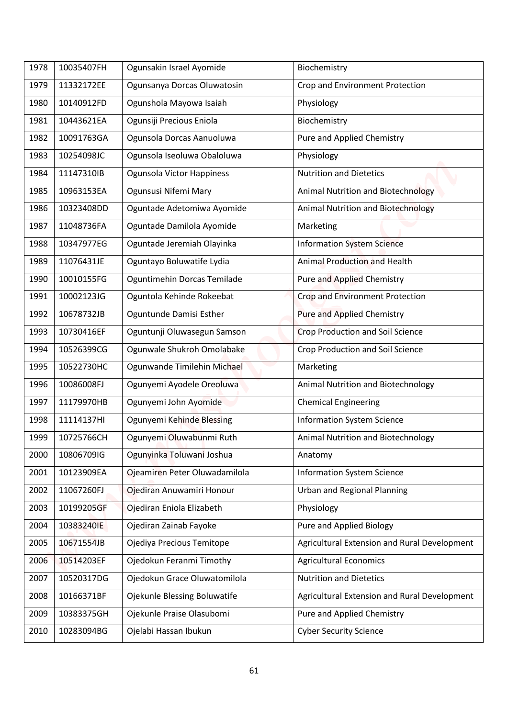| 1978 | 10035407FH | Ogunsakin Israel Ayomide      | Biochemistry                                 |
|------|------------|-------------------------------|----------------------------------------------|
| 1979 | 11332172EE | Ogunsanya Dorcas Oluwatosin   | Crop and Environment Protection              |
| 1980 | 10140912FD | Ogunshola Mayowa Isaiah       | Physiology                                   |
| 1981 | 10443621EA | Ogunsiji Precious Eniola      | Biochemistry                                 |
| 1982 | 10091763GA | Ogunsola Dorcas Aanuoluwa     | Pure and Applied Chemistry                   |
| 1983 | 10254098JC | Ogunsola Iseoluwa Obaloluwa   | Physiology                                   |
| 1984 | 11147310IB | Ogunsola Victor Happiness     | <b>Nutrition and Dietetics</b>               |
| 1985 | 10963153EA | Ogunsusi Nifemi Mary          | Animal Nutrition and Biotechnology           |
| 1986 | 10323408DD | Oguntade Adetomiwa Ayomide    | <b>Animal Nutrition and Biotechnology</b>    |
| 1987 | 11048736FA | Oguntade Damilola Ayomide     | Marketing                                    |
| 1988 | 10347977EG | Oguntade Jeremiah Olayinka    | <b>Information System Science</b>            |
| 1989 | 11076431JE | Oguntayo Boluwatife Lydia     | <b>Animal Production and Health</b>          |
| 1990 | 10010155FG | Oguntimehin Dorcas Temilade   | <b>Pure and Applied Chemistry</b>            |
| 1991 | 10002123JG | Oguntola Kehinde Rokeebat     | Crop and Environment Protection              |
| 1992 | 10678732JB | Oguntunde Damisi Esther       | Pure and Applied Chemistry                   |
| 1993 | 10730416EF | Oguntunji Oluwasegun Samson   | <b>Crop Production and Soil Science</b>      |
| 1994 | 10526399CG | Ogunwale Shukroh Omolabake    | <b>Crop Production and Soil Science</b>      |
| 1995 | 10522730HC | Ogunwande Timilehin Michael   | Marketing                                    |
| 1996 | 10086008FJ | Ogunyemi Ayodele Oreoluwa     | Animal Nutrition and Biotechnology           |
| 1997 | 11179970HB | Ogunyemi John Ayomide         | <b>Chemical Engineering</b>                  |
| 1998 | 11114137HI | Ogunyemi Kehinde Blessing     | <b>Information System Science</b>            |
| 1999 | 10725766CH | Ogunyemi Oluwabunmi Ruth      | Animal Nutrition and Biotechnology           |
| 2000 | 10806709IG | Ogunyinka Toluwani Joshua     | Anatomy                                      |
| 2001 | 10123909EA | Ojeamiren Peter Oluwadamilola | <b>Information System Science</b>            |
| 2002 | 11067260FJ | Ojediran Anuwamiri Honour     | <b>Urban and Regional Planning</b>           |
| 2003 | 10199205GF | Ojediran Eniola Elizabeth     | Physiology                                   |
| 2004 | 10383240IE | Ojediran Zainab Fayoke        | Pure and Applied Biology                     |
| 2005 | 10671554JB | Ojediya Precious Temitope     | Agricultural Extension and Rural Development |
| 2006 | 10514203EF | Ojedokun Feranmi Timothy      | <b>Agricultural Economics</b>                |
| 2007 | 10520317DG | Ojedokun Grace Oluwatomilola  | <b>Nutrition and Dietetics</b>               |
| 2008 | 10166371BF | Ojekunle Blessing Boluwatife  | Agricultural Extension and Rural Development |
| 2009 | 10383375GH | Ojekunle Praise Olasubomi     | Pure and Applied Chemistry                   |
| 2010 | 10283094BG | Ojelabi Hassan Ibukun         | <b>Cyber Security Science</b>                |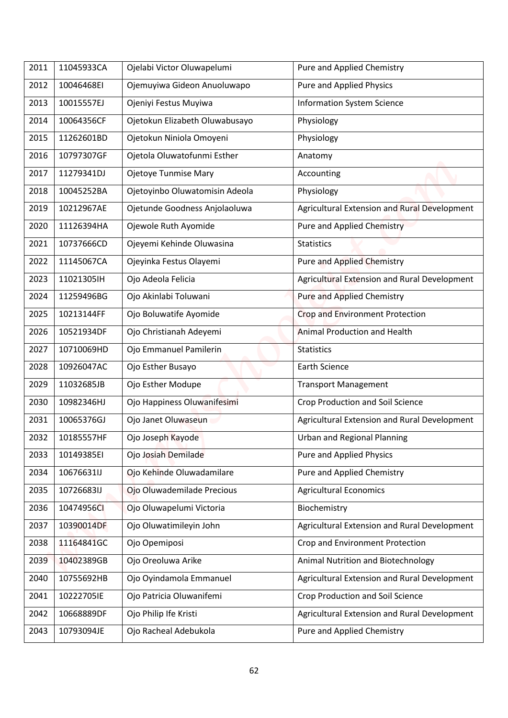| 2011 | 11045933CA | Ojelabi Victor Oluwapelumi     | Pure and Applied Chemistry                   |
|------|------------|--------------------------------|----------------------------------------------|
| 2012 | 10046468EI | Ojemuyiwa Gideon Anuoluwapo    | <b>Pure and Applied Physics</b>              |
| 2013 | 10015557EJ | Ojeniyi Festus Muyiwa          | <b>Information System Science</b>            |
| 2014 | 10064356CF | Ojetokun Elizabeth Oluwabusayo | Physiology                                   |
| 2015 | 11262601BD | Ojetokun Niniola Omoyeni       | Physiology                                   |
| 2016 | 10797307GF | Ojetola Oluwatofunmi Esther    | Anatomy                                      |
| 2017 | 11279341DJ | Ojetoye Tunmise Mary           | Accounting                                   |
| 2018 | 10045252BA | Ojetoyinbo Oluwatomisin Adeola | Physiology                                   |
| 2019 | 10212967AE | Ojetunde Goodness Anjolaoluwa  | Agricultural Extension and Rural Development |
| 2020 | 11126394HA | Ojewole Ruth Ayomide           | <b>Pure and Applied Chemistry</b>            |
| 2021 | 10737666CD | Ojeyemi Kehinde Oluwasina      | <b>Statistics</b>                            |
| 2022 | 11145067CA | Ojeyinka Festus Olayemi        | <b>Pure and Applied Chemistry</b>            |
| 2023 | 11021305IH | Ojo Adeola Felicia             | Agricultural Extension and Rural Development |
| 2024 | 11259496BG | Ojo Akinlabi Toluwani          | <b>Pure and Applied Chemistry</b>            |
| 2025 | 10213144FF | Ojo Boluwatife Ayomide         | Crop and Environment Protection              |
| 2026 | 10521934DF | Ojo Christianah Adeyemi        | <b>Animal Production and Health</b>          |
| 2027 | 10710069HD | Ojo Emmanuel Pamilerin         | <b>Statistics</b>                            |
| 2028 | 10926047AC | Ojo Esther Busayo              | <b>Earth Science</b>                         |
| 2029 | 11032685JB | Ojo Esther Modupe              | <b>Transport Management</b>                  |
| 2030 | 10982346HJ | Ojo Happiness Oluwanifesimi    | <b>Crop Production and Soil Science</b>      |
| 2031 | 10065376GJ | Ojo Janet Oluwaseun            | Agricultural Extension and Rural Development |
| 2032 | 10185557HF | Ojo Joseph Kayode              | <b>Urban and Regional Planning</b>           |
| 2033 | 10149385EI | Ojo Josiah Demilade            | Pure and Applied Physics                     |
| 2034 | 10676631IJ | Ojo Kehinde Oluwadamilare      | Pure and Applied Chemistry                   |
| 2035 | 10726683IJ | Ojo Oluwademilade Precious     | <b>Agricultural Economics</b>                |
| 2036 | 10474956CI | Ojo Oluwapelumi Victoria       | Biochemistry                                 |
| 2037 | 10390014DF | Ojo Oluwatimileyin John        | Agricultural Extension and Rural Development |
| 2038 | 11164841GC | Ojo Opemiposi                  | Crop and Environment Protection              |
| 2039 | 10402389GB | Ojo Oreoluwa Arike             | Animal Nutrition and Biotechnology           |
| 2040 | 10755692HB | Ojo Oyindamola Emmanuel        | Agricultural Extension and Rural Development |
| 2041 | 10222705IE | Ojo Patricia Oluwanifemi       | <b>Crop Production and Soil Science</b>      |
|      | 10668889DF | Ojo Philip Ife Kristi          | Agricultural Extension and Rural Development |
| 2042 |            |                                |                                              |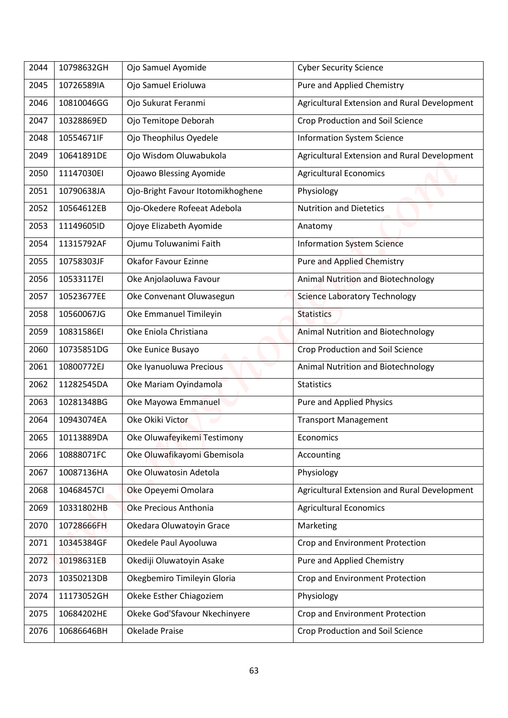| 2044 | 10798632GH | Ojo Samuel Ayomide                | <b>Cyber Security Science</b>                |
|------|------------|-----------------------------------|----------------------------------------------|
| 2045 | 10726589IA | Ojo Samuel Erioluwa               | Pure and Applied Chemistry                   |
| 2046 | 10810046GG | Ojo Sukurat Feranmi               | Agricultural Extension and Rural Development |
| 2047 | 10328869ED | Ojo Temitope Deborah              | Crop Production and Soil Science             |
| 2048 | 10554671IF | Ojo Theophilus Oyedele            | <b>Information System Science</b>            |
| 2049 | 10641891DE | Ojo Wisdom Oluwabukola            | Agricultural Extension and Rural Development |
| 2050 | 11147030EI | <b>Ojoawo Blessing Ayomide</b>    | <b>Agricultural Economics</b>                |
| 2051 | 10790638JA | Ojo-Bright Favour Itotomikhoghene | Physiology                                   |
| 2052 | 10564612EB |                                   | <b>Nutrition and Dietetics</b>               |
|      |            | Ojo-Okedere Rofeeat Adebola       |                                              |
| 2053 | 11149605ID | Ojoye Elizabeth Ayomide           | Anatomy                                      |
| 2054 | 11315792AF | Ojumu Toluwanimi Faith            | <b>Information System Science</b>            |
| 2055 | 10758303JF | <b>Okafor Favour Ezinne</b>       | <b>Pure and Applied Chemistry</b>            |
| 2056 | 10533117EI | Oke Anjolaoluwa Favour            | Animal Nutrition and Biotechnology           |
| 2057 | 10523677EE | Oke Convenant Oluwasegun          | <b>Science Laboratory Technology</b>         |
| 2058 | 10560067JG | Oke Emmanuel Timileyin            | <b>Statistics</b>                            |
| 2059 | 10831586EI | Oke Eniola Christiana             | <b>Animal Nutrition and Biotechnology</b>    |
| 2060 | 10735851DG | Oke Eunice Busayo                 | Crop Production and Soil Science             |
| 2061 | 10800772EJ | Oke Iyanuoluwa Precious           | Animal Nutrition and Biotechnology           |
| 2062 | 11282545DA | Oke Mariam Oyindamola             | <b>Statistics</b>                            |
| 2063 | 10281348BG | Oke Mayowa Emmanuel               | Pure and Applied Physics                     |
| 2064 | 10943074EA | Oke Okiki Victor                  | <b>Transport Management</b>                  |
| 2065 | 10113889DA | Oke Oluwafeyikemi Testimony       | Economics                                    |
| 2066 | 10888071FC | Oke Oluwafikayomi Gbemisola       | Accounting                                   |
| 2067 | 10087136HA | Oke Oluwatosin Adetola            | Physiology                                   |
| 2068 | 10468457CI | Oke Opeyemi Omolara               | Agricultural Extension and Rural Development |
| 2069 | 10331802HB | Oke Precious Anthonia             | <b>Agricultural Economics</b>                |
| 2070 | 10728666FH | Okedara Oluwatoyin Grace          | Marketing                                    |
| 2071 | 10345384GF | Okedele Paul Ayooluwa             | Crop and Environment Protection              |
| 2072 | 10198631EB | Okediji Oluwatoyin Asake          | Pure and Applied Chemistry                   |
| 2073 | 10350213DB | Okegbemiro Timileyin Gloria       | Crop and Environment Protection              |
| 2074 | 11173052GH | Okeke Esther Chiagoziem           | Physiology                                   |
| 2075 | 10684202HE | Okeke God'Sfavour Nkechinyere     | Crop and Environment Protection              |
| 2076 | 10686646BH | Okelade Praise                    | Crop Production and Soil Science             |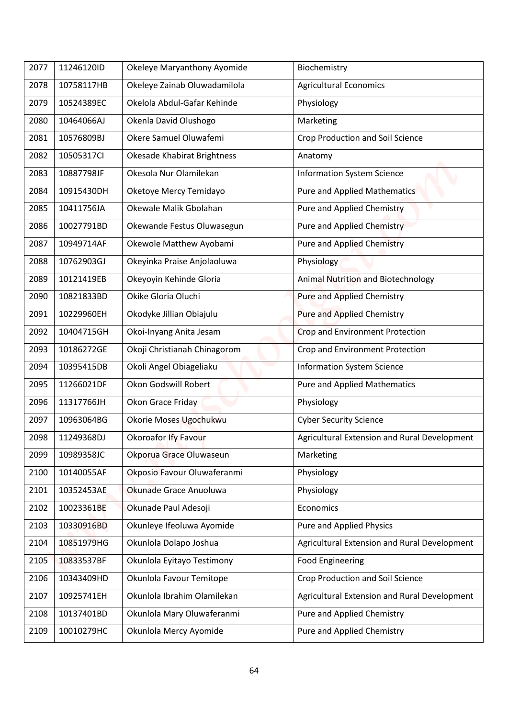| 2077 | 11246120ID | Okeleye Maryanthony Ayomide        | Biochemistry                                 |
|------|------------|------------------------------------|----------------------------------------------|
| 2078 | 10758117HB | Okeleye Zainab Oluwadamilola       | <b>Agricultural Economics</b>                |
| 2079 | 10524389EC | Okelola Abdul-Gafar Kehinde        | Physiology                                   |
| 2080 | 10464066AJ | Okenla David Olushogo              | Marketing                                    |
| 2081 | 10576809BJ | Okere Samuel Oluwafemi             | <b>Crop Production and Soil Science</b>      |
| 2082 | 10505317Cl | <b>Okesade Khabirat Brightness</b> | Anatomy                                      |
| 2083 | 10887798JF | Okesola Nur Olamilekan             | <b>Information System Science</b>            |
| 2084 | 10915430DH | Oketoye Mercy Temidayo             | Pure and Applied Mathematics                 |
| 2085 | 10411756JA | Okewale Malik Gbolahan             | Pure and Applied Chemistry                   |
|      | 10027791BD |                                    |                                              |
| 2086 |            | Okewande Festus Oluwasegun         | Pure and Applied Chemistry                   |
| 2087 | 10949714AF | Okewole Matthew Ayobami            | <b>Pure and Applied Chemistry</b>            |
| 2088 | 10762903GJ | Okeyinka Praise Anjolaoluwa        | Physiology                                   |
| 2089 | 10121419EB | Okeyoyin Kehinde Gloria            | Animal Nutrition and Biotechnology           |
| 2090 | 10821833BD | Okike Gloria Oluchi                | <b>Pure and Applied Chemistry</b>            |
| 2091 | 10229960EH | Okodyke Jillian Obiajulu           | Pure and Applied Chemistry                   |
| 2092 | 10404715GH | Okoi-Inyang Anita Jesam            | <b>Crop and Environment Protection</b>       |
| 2093 | 10186272GE | Okoji Christianah Chinagorom       | Crop and Environment Protection              |
| 2094 | 10395415DB | Okoli Angel Obiageliaku            | <b>Information System Science</b>            |
| 2095 | 11266021DF | Okon Godswill Robert               | <b>Pure and Applied Mathematics</b>          |
| 2096 | 11317766JH | Okon Grace Friday                  | Physiology                                   |
| 2097 | 10963064BG | Okorie Moses Ugochukwu             | <b>Cyber Security Science</b>                |
| 2098 | 11249368DJ | <b>Okoroafor Ify Favour</b>        | Agricultural Extension and Rural Development |
| 2099 | 10989358JC | Okporua Grace Oluwaseun            | Marketing                                    |
| 2100 | 10140055AF | Okposio Favour Oluwaferanmi        | Physiology                                   |
| 2101 | 10352453AE | Okunade Grace Anuoluwa             | Physiology                                   |
| 2102 | 10023361BE | Okunade Paul Adesoji               | Economics                                    |
| 2103 | 10330916BD | Okunleye Ifeoluwa Ayomide          | Pure and Applied Physics                     |
| 2104 | 10851979HG | Okunlola Dolapo Joshua             | Agricultural Extension and Rural Development |
| 2105 | 10833537BF | Okunlola Eyitayo Testimony         | <b>Food Engineering</b>                      |
| 2106 | 10343409HD | Okunlola Favour Temitope           | Crop Production and Soil Science             |
| 2107 | 10925741EH | Okunlola Ibrahim Olamilekan        | Agricultural Extension and Rural Development |
| 2108 | 10137401BD | Okunlola Mary Oluwaferanmi         | Pure and Applied Chemistry                   |
| 2109 | 10010279HC | Okunlola Mercy Ayomide             | Pure and Applied Chemistry                   |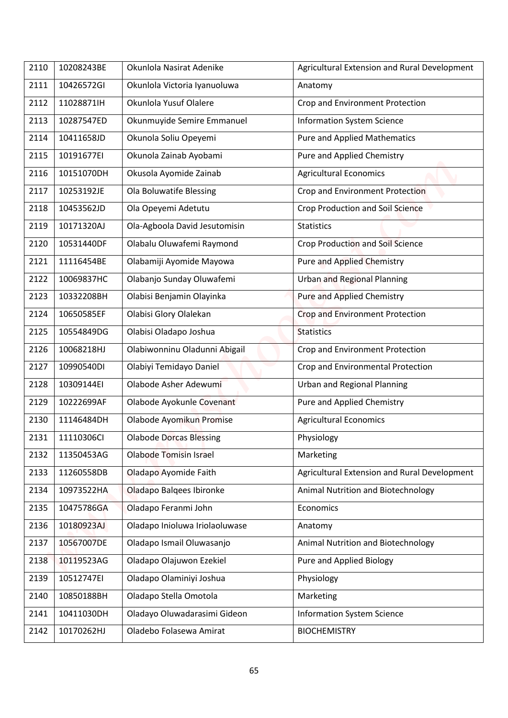| 2110 | 10208243BE | Okunlola Nasirat Adenike       | Agricultural Extension and Rural Development |
|------|------------|--------------------------------|----------------------------------------------|
| 2111 | 10426572GI | Okunlola Victoria Iyanuoluwa   | Anatomy                                      |
| 2112 | 11028871lH | Okunlola Yusuf Olalere         | Crop and Environment Protection              |
| 2113 | 10287547ED | Okunmuyide Semire Emmanuel     | <b>Information System Science</b>            |
| 2114 | 10411658JD | Okunola Soliu Opeyemi          | <b>Pure and Applied Mathematics</b>          |
| 2115 | 10191677EI |                                |                                              |
|      |            | Okunola Zainab Ayobami         | Pure and Applied Chemistry                   |
| 2116 | 10151070DH | Okusola Ayomide Zainab         | <b>Agricultural Economics</b>                |
| 2117 | 10253192JE | Ola Boluwatife Blessing        | Crop and Environment Protection              |
| 2118 | 10453562JD | Ola Opeyemi Adetutu            | Crop Production and Soil Science             |
| 2119 | 10171320AJ | Ola-Agboola David Jesutomisin  | <b>Statistics</b>                            |
| 2120 | 10531440DF | Olabalu Oluwafemi Raymond      | <b>Crop Production and Soil Science</b>      |
| 2121 | 11116454BE | Olabamiji Ayomide Mayowa       | <b>Pure and Applied Chemistry</b>            |
| 2122 | 10069837HC | Olabanjo Sunday Oluwafemi      | <b>Urban and Regional Planning</b>           |
| 2123 | 10332208BH | Olabisi Benjamin Olayinka      | <b>Pure and Applied Chemistry</b>            |
| 2124 | 10650585EF | Olabisi Glory Olalekan         | <b>Crop and Environment Protection</b>       |
| 2125 | 10554849DG | Olabisi Oladapo Joshua         | <b>Statistics</b>                            |
| 2126 | 10068218HJ | Olabiwonninu Oladunni Abigail  | Crop and Environment Protection              |
| 2127 | 10990540DI | Olabiyi Temidayo Daniel        | Crop and Environmental Protection            |
| 2128 | 10309144EI | Olabode Asher Adewumi          | <b>Urban and Regional Planning</b>           |
| 2129 | 10222699AF | Olabode Ayokunle Covenant      | Pure and Applied Chemistry                   |
| 2130 | 11146484DH | Olabode Ayomikun Promise       | <b>Agricultural Economics</b>                |
| 2131 | 11110306CI | <b>Olabode Dorcas Blessing</b> | Physiology                                   |
| 2132 | 11350453AG | <b>Olabode Tomisin Israel</b>  | Marketing                                    |
| 2133 | 11260558DB | Oladapo Ayomide Faith          | Agricultural Extension and Rural Development |
| 2134 | 10973522HA | Oladapo Balqees Ibironke       | Animal Nutrition and Biotechnology           |
| 2135 | 10475786GA | Oladapo Feranmi John           | Economics                                    |
| 2136 | 10180923AJ | Oladapo Inioluwa Iriolaoluwase | Anatomy                                      |
| 2137 | 10567007DE | Oladapo Ismail Oluwasanjo      | Animal Nutrition and Biotechnology           |
| 2138 | 10119523AG | Oladapo Olajuwon Ezekiel       | Pure and Applied Biology                     |
| 2139 | 10512747EI | Oladapo Olaminiyi Joshua       | Physiology                                   |
| 2140 | 10850188BH | Oladapo Stella Omotola         | Marketing                                    |
|      |            |                                |                                              |
| 2141 | 10411030DH | Oladayo Oluwadarasimi Gideon   | <b>Information System Science</b>            |
| 2142 | 10170262HJ | Oladebo Folasewa Amirat        | <b>BIOCHEMISTRY</b>                          |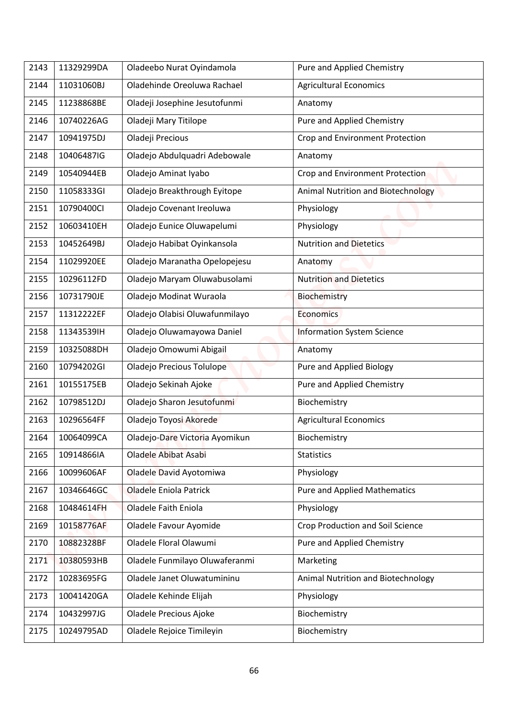| 2143 | 11329299DA | Oladeebo Nurat Oyindamola      | Pure and Applied Chemistry          |
|------|------------|--------------------------------|-------------------------------------|
| 2144 | 11031060BJ | Oladehinde Oreoluwa Rachael    | <b>Agricultural Economics</b>       |
| 2145 | 11238868BE | Oladeji Josephine Jesutofunmi  | Anatomy                             |
| 2146 | 10740226AG | Oladeji Mary Titilope          | Pure and Applied Chemistry          |
| 2147 | 10941975DJ | Oladeji Precious               | Crop and Environment Protection     |
| 2148 | 10406487IG | Oladejo Abdulquadri Adebowale  | Anatomy                             |
| 2149 | 10540944EB | Oladejo Aminat Iyabo           | Crop and Environment Protection     |
| 2150 | 11058333GI | Oladejo Breakthrough Eyitope   | Animal Nutrition and Biotechnology  |
| 2151 | 10790400Cl | Oladejo Covenant Ireoluwa      | Physiology                          |
| 2152 | 10603410EH | Oladejo Eunice Oluwapelumi     | Physiology                          |
| 2153 | 10452649BJ | Oladejo Habibat Oyinkansola    | <b>Nutrition and Dietetics</b>      |
| 2154 | 11029920EE | Oladejo Maranatha Opelopejesu  | Anatomy                             |
| 2155 | 10296112FD | Oladejo Maryam Oluwabusolami   | <b>Nutrition and Dietetics</b>      |
| 2156 | 10731790JE | Oladejo Modinat Wuraola        | Biochemistry                        |
| 2157 | 11312222EF | Oladejo Olabisi Oluwafunmilayo | <b>Economics</b>                    |
| 2158 | 11343539IH | Oladejo Oluwamayowa Daniel     | <b>Information System Science</b>   |
| 2159 | 10325088DH | Oladejo Omowumi Abigail        | Anatomy                             |
| 2160 | 10794202GI | Oladejo Precious Tolulope      | Pure and Applied Biology            |
| 2161 | 10155175EB | Oladejo Sekinah Ajoke          | Pure and Applied Chemistry          |
|      | 10798512DJ | Oladejo Sharon Jesutofunmi     | Biochemistry                        |
| 2162 |            |                                |                                     |
| 2163 | 10296564FF | Oladejo Toyosi Akorede         | <b>Agricultural Economics</b>       |
| 2164 | 10064099CA | Oladejo-Dare Victoria Ayomikun | Biochemistry                        |
| 2165 | 10914866IA | Oladele Abibat Asabi           | <b>Statistics</b>                   |
| 2166 | 10099606AF | Oladele David Ayotomiwa        | Physiology                          |
| 2167 | 10346646GC | <b>Oladele Eniola Patrick</b>  | <b>Pure and Applied Mathematics</b> |
| 2168 | 10484614FH | <b>Oladele Faith Eniola</b>    | Physiology                          |
| 2169 | 10158776AF | Oladele Favour Ayomide         | Crop Production and Soil Science    |
| 2170 | 10882328BF | Oladele Floral Olawumi         | Pure and Applied Chemistry          |
| 2171 | 10380593HB | Oladele Funmilayo Oluwaferanmi | Marketing                           |
| 2172 | 10283695FG | Oladele Janet Oluwatumininu    | Animal Nutrition and Biotechnology  |
| 2173 | 10041420GA | Oladele Kehinde Elijah         | Physiology                          |
| 2174 | 10432997JG | Oladele Precious Ajoke         | Biochemistry                        |
| 2175 | 10249795AD | Oladele Rejoice Timileyin      | Biochemistry                        |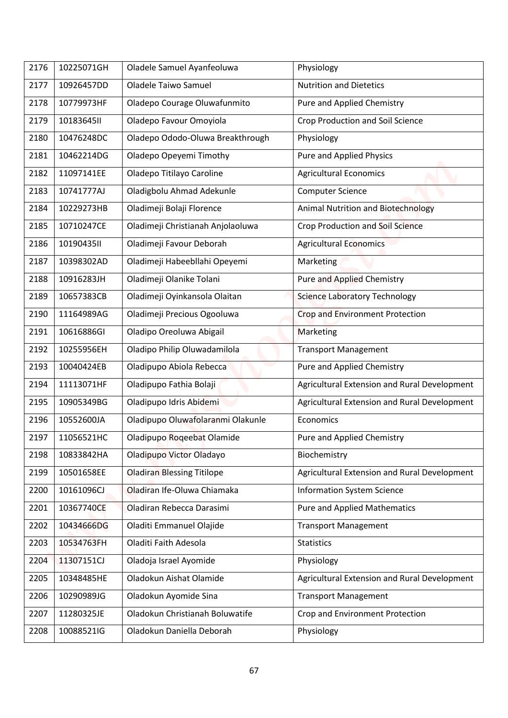| 2176         | 10225071GH               | Oladele Samuel Ayanfeoluwa                                   | Physiology                                    |
|--------------|--------------------------|--------------------------------------------------------------|-----------------------------------------------|
| 2177         | 10926457DD               | <b>Oladele Taiwo Samuel</b>                                  | <b>Nutrition and Dietetics</b>                |
| 2178         | 10779973HF               | Oladepo Courage Oluwafunmito                                 | Pure and Applied Chemistry                    |
| 2179         | 10183645II               | Oladepo Favour Omoyiola                                      | Crop Production and Soil Science              |
| 2180         | 10476248DC               | Oladepo Ododo-Oluwa Breakthrough                             | Physiology                                    |
| 2181         | 10462214DG               | Oladepo Opeyemi Timothy                                      | <b>Pure and Applied Physics</b>               |
| 2182         | 11097141EE               | Oladepo Titilayo Caroline                                    | <b>Agricultural Economics</b>                 |
| 2183         | 10741777AJ               | Oladigbolu Ahmad Adekunle                                    | <b>Computer Science</b>                       |
| 2184         | 10229273HB               | Oladimeji Bolaji Florence                                    | <b>Animal Nutrition and Biotechnology</b>     |
| 2185         | 10710247CE               | Oladimeji Christianah Anjolaoluwa                            | <b>Crop Production and Soil Science</b>       |
| 2186         | 10190435II               | Oladimeji Favour Deborah                                     | <b>Agricultural Economics</b>                 |
| 2187         | 10398302AD               | Oladimeji Habeebllahi Opeyemi                                | Marketing                                     |
| 2188         | 10916283JH               | Oladimeji Olanike Tolani                                     | <b>Pure and Applied Chemistry</b>             |
| 2189         | 10657383CB               | Oladimeji Oyinkansola Olaitan                                | <b>Science Laboratory Technology</b>          |
| 2190         | 11164989AG               | Oladimeji Precious Ogooluwa                                  | Crop and Environment Protection               |
| 2191         | 10616886GI               | Oladipo Oreoluwa Abigail                                     | Marketing                                     |
| 2192         | 10255956EH               | Oladipo Philip Oluwadamilola                                 | <b>Transport Management</b>                   |
| 2193         | 10040424EB               | Oladipupo Abiola Rebecca                                     | Pure and Applied Chemistry                    |
| 2194         | 11113071HF               | Oladipupo Fathia Bolaji                                      | Agricultural Extension and Rural Development  |
| 2195         | 10905349BG               | Oladipupo Idris Abidemi                                      | Agricultural Extension and Rural Development  |
| 2196         | 10552600JA               | Oladipupo Oluwafolaranmi Olakunle                            | Economics                                     |
| 2197         | 11056521HC               | Oladipupo Roqeebat Olamide                                   | Pure and Applied Chemistry                    |
| 2198         | 10833842HA               | Oladipupo Victor Oladayo                                     | Biochemistry                                  |
| 2199         | 10501658EE               | <b>Oladiran Blessing Titilope</b>                            | Agricultural Extension and Rural Development  |
| 2200         | 10161096CJ               | Oladiran Ife-Oluwa Chiamaka                                  | <b>Information System Science</b>             |
| 2201         | 10367740CE               | Oladiran Rebecca Darasimi                                    | <b>Pure and Applied Mathematics</b>           |
| 2202         | 10434666DG               | Oladiti Emmanuel Olajide                                     | <b>Transport Management</b>                   |
| 2203         | 10534763FH               | Oladiti Faith Adesola                                        | <b>Statistics</b>                             |
| 2204         | 11307151CJ               | Oladoja Israel Ayomide                                       | Physiology                                    |
| 2205         | 10348485HE               | Oladokun Aishat Olamide                                      | Agricultural Extension and Rural Development  |
| 2206         | 10290989JG               | Oladokun Ayomide Sina                                        | <b>Transport Management</b>                   |
|              |                          |                                                              |                                               |
|              |                          |                                                              |                                               |
| 2207<br>2208 | 11280325JE<br>10088521IG | Oladokun Christianah Boluwatife<br>Oladokun Daniella Deborah | Crop and Environment Protection<br>Physiology |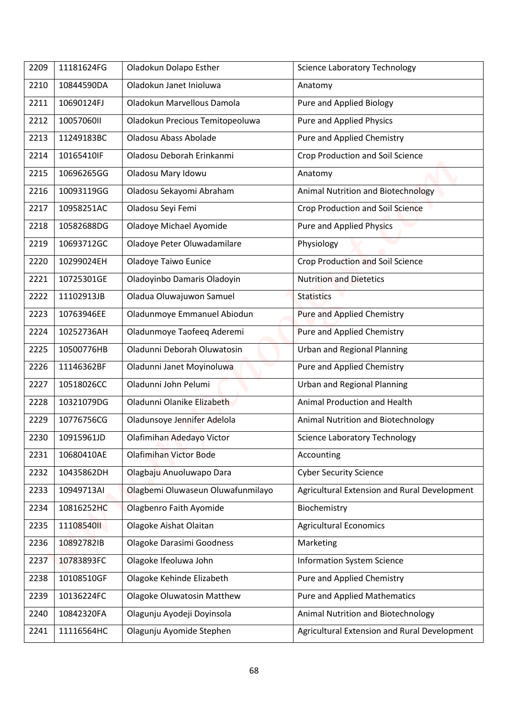| 2209 | 11181624FG | Oladokun Dolapo Esther            | <b>Science Laboratory Technology</b>         |
|------|------------|-----------------------------------|----------------------------------------------|
| 2210 | 10844590DA | Oladokun Janet Inioluwa           | Anatomy                                      |
| 2211 | 10690124FJ | Oladokun Marvellous Damola        | Pure and Applied Biology                     |
| 2212 | 1005706011 | Oladokun Precious Temitopeoluwa   | <b>Pure and Applied Physics</b>              |
| 2213 | 11249183BC | Oladosu Abass Abolade             | Pure and Applied Chemistry                   |
| 2214 | 10165410IF | Oladosu Deborah Erinkanmi         | Crop Production and Soil Science             |
| 2215 | 10696265GG | Oladosu Mary Idowu                | Anatomy                                      |
| 2216 | 10093119GG | Oladosu Sekayomi Abraham          | Animal Nutrition and Biotechnology           |
| 2217 | 10958251AC | Oladosu Seyi Femi                 | Crop Production and Soil Science             |
| 2218 | 10582688DG | Oladoye Michael Ayomide           | <b>Pure and Applied Physics</b>              |
| 2219 | 10693712GC | Oladoye Peter Oluwadamilare       | Physiology                                   |
| 2220 | 10299024EH | Oladoye Taiwo Eunice              | <b>Crop Production and Soil Science</b>      |
| 2221 | 10725301GE | Oladoyinbo Damaris Oladoyin       | <b>Nutrition and Dietetics</b>               |
| 2222 | 11102913JB | Oladua Oluwajuwon Samuel          | <b>Statistics</b>                            |
|      |            |                                   |                                              |
| 2223 | 10763946EE | Oladunmoye Emmanuel Abiodun       | Pure and Applied Chemistry                   |
| 2224 | 10252736AH | Oladunmoye Taofeeq Aderemi        | Pure and Applied Chemistry                   |
| 2225 | 10500776HB | Oladunni Deborah Oluwatosin       | <b>Urban and Regional Planning</b>           |
| 2226 | 11146362BF | Oladunni Janet Moyinoluwa         | Pure and Applied Chemistry                   |
| 2227 | 10518026CC | Oladunni John Pelumi              | <b>Urban and Regional Planning</b>           |
| 2228 | 10321079DG | Oladunni Olanike Elizabeth        | Animal Production and Health                 |
| 2229 | 10776756CG | Oladunsoye Jennifer Adelola       | Animal Nutrition and Biotechnology           |
| 2230 | 10915961JD | Olafimihan Adedayo Victor         | <b>Science Laboratory Technology</b>         |
| 2231 | 10680410AE | <b>Olafimihan Victor Bode</b>     | Accounting                                   |
| 2232 | 10435862DH | Olagbaju Anuoluwapo Dara          | <b>Cyber Security Science</b>                |
| 2233 | 10949713AI | Olagbemi Oluwaseun Oluwafunmilayo | Agricultural Extension and Rural Development |
| 2234 | 10816252HC | Olagbenro Faith Ayomide           | Biochemistry                                 |
| 2235 | 1110854011 | Olagoke Aishat Olaitan            | <b>Agricultural Economics</b>                |
| 2236 | 10892782IB | Olagoke Darasimi Goodness         | Marketing                                    |
| 2237 | 10783893FC | Olagoke Ifeoluwa John             | <b>Information System Science</b>            |
| 2238 | 10108510GF | Olagoke Kehinde Elizabeth         | Pure and Applied Chemistry                   |
| 2239 | 10136224FC | <b>Olagoke Oluwatosin Matthew</b> | <b>Pure and Applied Mathematics</b>          |
| 2240 | 10842320FA | Olagunju Ayodeji Doyinsola        | Animal Nutrition and Biotechnology           |
| 2241 | 11116564HC | Olagunju Ayomide Stephen          | Agricultural Extension and Rural Development |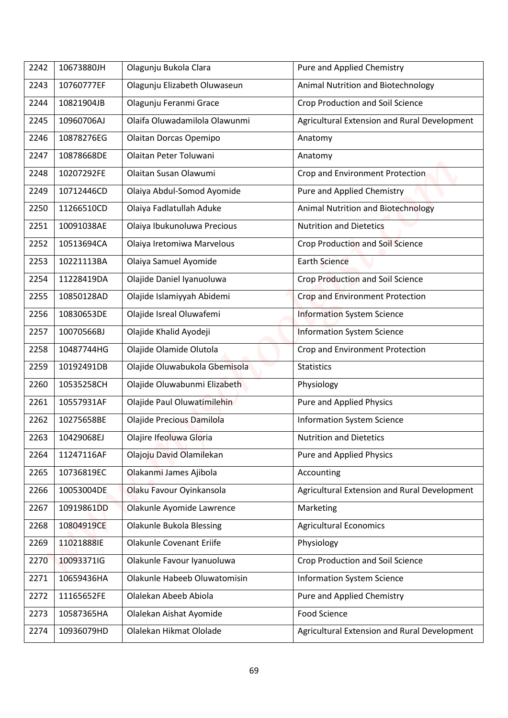| 2242 | 10673880JH | Olagunju Bukola Clara           | Pure and Applied Chemistry                   |
|------|------------|---------------------------------|----------------------------------------------|
| 2243 | 10760777EF | Olagunju Elizabeth Oluwaseun    | Animal Nutrition and Biotechnology           |
| 2244 | 10821904JB | Olagunju Feranmi Grace          | <b>Crop Production and Soil Science</b>      |
| 2245 | 10960706AJ | Olaifa Oluwadamilola Olawunmi   | Agricultural Extension and Rural Development |
| 2246 | 10878276EG | Olaitan Dorcas Opemipo          | Anatomy                                      |
| 2247 | 10878668DE | Olaitan Peter Toluwani          | Anatomy                                      |
| 2248 | 10207292FE | Olaitan Susan Olawumi           | Crop and Environment Protection              |
| 2249 | 10712446CD | Olaiya Abdul-Somod Ayomide      | Pure and Applied Chemistry                   |
| 2250 | 11266510CD | Olaiya Fadlatullah Aduke        | <b>Animal Nutrition and Biotechnology</b>    |
| 2251 | 10091038AE | Olaiya Ibukunoluwa Precious     | <b>Nutrition and Dietetics</b>               |
|      |            |                                 |                                              |
| 2252 | 10513694CA | Olaiya Iretomiwa Marvelous      | <b>Crop Production and Soil Science</b>      |
| 2253 | 10221113BA | Olaiya Samuel Ayomide           | <b>Earth Science</b>                         |
| 2254 | 11228419DA | Olajide Daniel Iyanuoluwa       | Crop Production and Soil Science             |
| 2255 | 10850128AD | Olajide Islamiyyah Abidemi      | Crop and Environment Protection              |
| 2256 | 10830653DE | Olajide Isreal Oluwafemi        | <b>Information System Science</b>            |
| 2257 | 10070566BJ | Olajide Khalid Ayodeji          | <b>Information System Science</b>            |
| 2258 | 10487744HG | Olajide Olamide Olutola         | Crop and Environment Protection              |
| 2259 | 10192491DB | Olajide Oluwabukola Gbemisola   | <b>Statistics</b>                            |
| 2260 | 10535258CH | Olajide Oluwabunmi Elizabeth    | Physiology                                   |
| 2261 | 10557931AF | Olajide Paul Oluwatimilehin     | <b>Pure and Applied Physics</b>              |
| 2262 | 10275658BE | Olajide Precious Damilola       | <b>Information System Science</b>            |
| 2263 | 10429068EJ | Olajire Ifeoluwa Gloria         | <b>Nutrition and Dietetics</b>               |
| 2264 | 11247116AF | Olajoju David Olamilekan        | Pure and Applied Physics                     |
| 2265 | 10736819EC | Olakanmi James Ajibola          | Accounting                                   |
| 2266 | 10053004DE | Olaku Favour Oyinkansola        | Agricultural Extension and Rural Development |
| 2267 | 10919861DD | Olakunle Ayomide Lawrence       | Marketing                                    |
| 2268 | 10804919CE | <b>Olakunle Bukola Blessing</b> | <b>Agricultural Economics</b>                |
| 2269 | 11021888IE | <b>Olakunle Covenant Eriife</b> | Physiology                                   |
| 2270 | 10093371IG | Olakunle Favour Iyanuoluwa      | Crop Production and Soil Science             |
| 2271 | 10659436HA | Olakunle Habeeb Oluwatomisin    | <b>Information System Science</b>            |
| 2272 | 11165652FE | Olalekan Abeeb Abiola           | Pure and Applied Chemistry                   |
| 2273 | 10587365HA | Olalekan Aishat Ayomide         | <b>Food Science</b>                          |
| 2274 | 10936079HD | Olalekan Hikmat Ololade         | Agricultural Extension and Rural Development |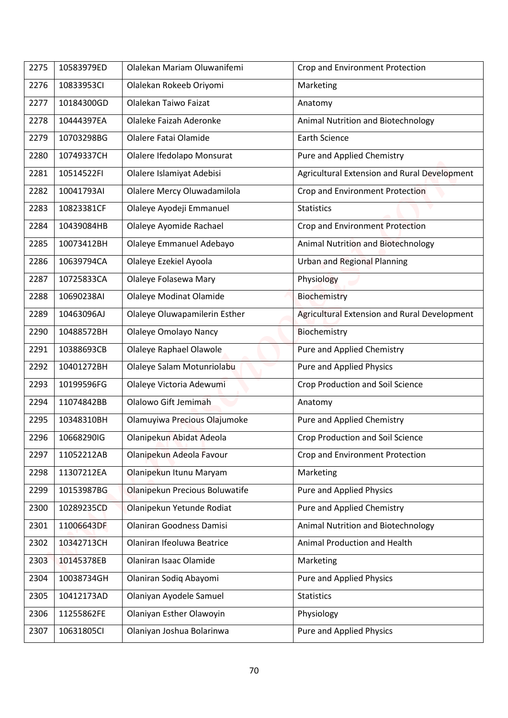|      | 10583979ED | Olalekan Mariam Oluwanifemi    |                                              |
|------|------------|--------------------------------|----------------------------------------------|
| 2275 |            |                                | Crop and Environment Protection              |
| 2276 | 10833953CI | Olalekan Rokeeb Oriyomi        | Marketing                                    |
| 2277 | 10184300GD | Olalekan Taiwo Faizat          | Anatomy                                      |
| 2278 | 10444397EA | Olaleke Faizah Aderonke        | Animal Nutrition and Biotechnology           |
| 2279 | 10703298BG | Olalere Fatai Olamide          | <b>Earth Science</b>                         |
| 2280 | 10749337CH | Olalere Ifedolapo Monsurat     | Pure and Applied Chemistry                   |
| 2281 | 10514522FI | Olalere Islamiyat Adebisi      | Agricultural Extension and Rural Development |
| 2282 | 10041793AI | Olalere Mercy Oluwadamilola    | Crop and Environment Protection              |
| 2283 | 10823381CF | Olaleye Ayodeji Emmanuel       | <b>Statistics</b>                            |
| 2284 | 10439084HB | Olaleye Ayomide Rachael        | Crop and Environment Protection              |
| 2285 | 10073412BH | Olaleye Emmanuel Adebayo       | <b>Animal Nutrition and Biotechnology</b>    |
| 2286 | 10639794CA | Olaleye Ezekiel Ayoola         | <b>Urban and Regional Planning</b>           |
| 2287 | 10725833CA | Olaleye Folasewa Mary          | Physiology                                   |
| 2288 | 10690238AI | <b>Olaleye Modinat Olamide</b> | Biochemistry                                 |
| 2289 | 10463096AJ | Olaleye Oluwapamilerin Esther  | Agricultural Extension and Rural Development |
| 2290 | 10488572BH | Olaleye Omolayo Nancy          | Biochemistry                                 |
| 2291 | 10388693CB | Olaleye Raphael Olawole        | Pure and Applied Chemistry                   |
| 2292 | 10401272BH | Olaleye Salam Motunriolabu     | Pure and Applied Physics                     |
| 2293 | 10199596FG | Olaleye Victoria Adewumi       | Crop Production and Soil Science             |
| 2294 | 11074842BB | Olalowo Gift Jemimah           | Anatomy                                      |
| 2295 | 10348310BH | Olamuyiwa Precious Olajumoke   | Pure and Applied Chemistry                   |
| 2296 | 10668290IG | Olanipekun Abidat Adeola       | <b>Crop Production and Soil Science</b>      |
| 2297 | 11052212AB | Olanipekun Adeola Favour       | Crop and Environment Protection              |
| 2298 | 11307212EA | Olanipekun Itunu Maryam        | Marketing                                    |
| 2299 | 10153987BG | Olanipekun Precious Boluwatife | <b>Pure and Applied Physics</b>              |
| 2300 | 10289235CD | Olanipekun Yetunde Rodiat      | Pure and Applied Chemistry                   |
| 2301 | 11006643DF | Olaniran Goodness Damisi       | Animal Nutrition and Biotechnology           |
| 2302 | 10342713CH | Olaniran Ifeoluwa Beatrice     | Animal Production and Health                 |
| 2303 | 10145378EB | Olaniran Isaac Olamide         | Marketing                                    |
| 2304 | 10038734GH | Olaniran Sodiq Abayomi         | Pure and Applied Physics                     |
| 2305 | 10412173AD | Olaniyan Ayodele Samuel        | <b>Statistics</b>                            |
| 2306 | 11255862FE | Olaniyan Esther Olawoyin       | Physiology                                   |
|      |            |                                |                                              |
| 2307 | 10631805CI | Olaniyan Joshua Bolarinwa      | Pure and Applied Physics                     |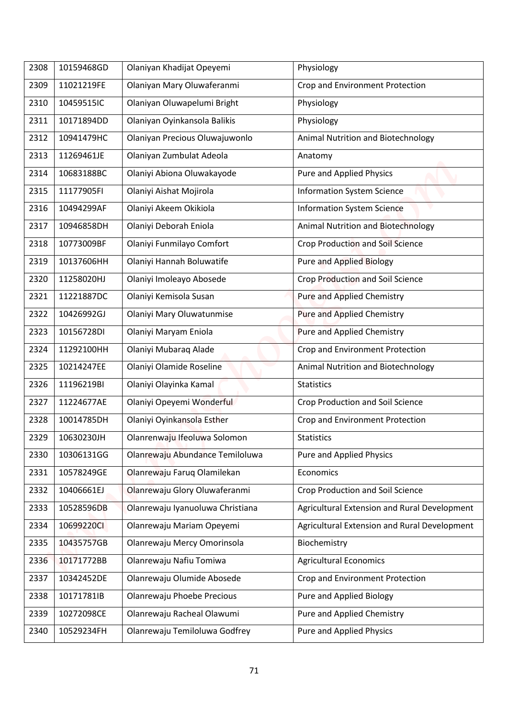| 2308 | 10159468GD | Olaniyan Khadijat Opeyemi        | Physiology                                   |
|------|------------|----------------------------------|----------------------------------------------|
| 2309 | 11021219FE | Olaniyan Mary Oluwaferanmi       | Crop and Environment Protection              |
| 2310 | 10459515IC | Olaniyan Oluwapelumi Bright      | Physiology                                   |
| 2311 | 10171894DD | Olaniyan Oyinkansola Balikis     | Physiology                                   |
| 2312 | 10941479HC | Olaniyan Precious Oluwajuwonlo   | Animal Nutrition and Biotechnology           |
| 2313 | 11269461JE | Olaniyan Zumbulat Adeola         | Anatomy                                      |
| 2314 | 10683188BC | Olaniyi Abiona Oluwakayode       | Pure and Applied Physics                     |
| 2315 | 11177905FI | Olaniyi Aishat Mojirola          | <b>Information System Science</b>            |
| 2316 | 10494299AF | Olaniyi Akeem Okikiola           | <b>Information System Science</b>            |
| 2317 | 10946858DH | Olaniyi Deborah Eniola           | <b>Animal Nutrition and Biotechnology</b>    |
| 2318 | 10773009BF | Olaniyi Funmilayo Comfort        | <b>Crop Production and Soil Science</b>      |
| 2319 | 10137606HH | Olaniyi Hannah Boluwatife        | <b>Pure and Applied Biology</b>              |
| 2320 | 11258020HJ | Olaniyi Imoleayo Abosede         | Crop Production and Soil Science             |
| 2321 | 11221887DC | Olaniyi Kemisola Susan           | <b>Pure and Applied Chemistry</b>            |
| 2322 | 10426992GJ | Olaniyi Mary Oluwatunmise        | Pure and Applied Chemistry                   |
| 2323 | 10156728DI | Olaniyi Maryam Eniola            | Pure and Applied Chemistry                   |
| 2324 | 11292100HH | Olaniyi Mubaraq Alade            | Crop and Environment Protection              |
| 2325 | 10214247EE |                                  |                                              |
|      | 11196219BI | Olaniyi Olamide Roseline         | Animal Nutrition and Biotechnology           |
| 2326 |            | Olaniyi Olayinka Kamal           | <b>Statistics</b>                            |
| 2327 | 11224677AE | Olaniyi Opeyemi Wonderful        | <b>Crop Production and Soil Science</b>      |
| 2328 | 10014785DH | Olaniyi Oyinkansola Esther       | Crop and Environment Protection              |
| 2329 | 10630230JH | Olanrenwaju Ifeoluwa Solomon     | <b>Statistics</b>                            |
| 2330 | 10306131GG | Olanrewaju Abundance Temiloluwa  | Pure and Applied Physics                     |
| 2331 | 10578249GE | Olanrewaju Faruq Olamilekan      | Economics                                    |
| 2332 | 10406661EJ | Olanrewaju Glory Oluwaferanmi    | Crop Production and Soil Science             |
| 2333 | 10528596DB | Olanrewaju Iyanuoluwa Christiana | Agricultural Extension and Rural Development |
| 2334 | 10699220CI | Olanrewaju Mariam Opeyemi        | Agricultural Extension and Rural Development |
| 2335 | 10435757GB | Olanrewaju Mercy Omorinsola      | Biochemistry                                 |
| 2336 | 10171772BB | Olanrewaju Nafiu Tomiwa          | <b>Agricultural Economics</b>                |
| 2337 | 10342452DE | Olanrewaju Olumide Abosede       | Crop and Environment Protection              |
| 2338 | 10171781IB | Olanrewaju Phoebe Precious       | Pure and Applied Biology                     |
| 2339 | 10272098CE | Olanrewaju Racheal Olawumi       | Pure and Applied Chemistry                   |
| 2340 | 10529234FH | Olanrewaju Temiloluwa Godfrey    | <b>Pure and Applied Physics</b>              |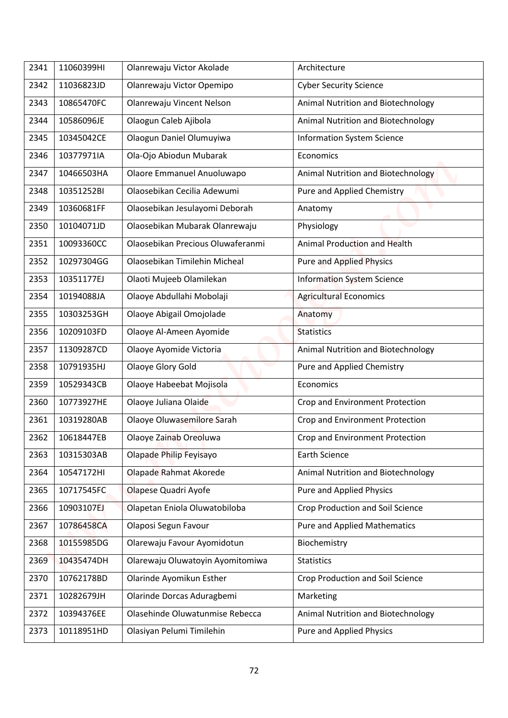| 11060399HI<br>Olanrewaju Victor Akolade<br>2341<br>Architecture<br>11036823JD<br>Olanrewaju Victor Opemipo<br><b>Cyber Security Science</b><br>2342<br>10865470FC<br>Olanrewaju Vincent Nelson<br>Animal Nutrition and Biotechnology<br>2343<br>10586096JE<br>Olaogun Caleb Ajibola<br>Animal Nutrition and Biotechnology<br>2344<br>Olaogun Daniel Olumuyiwa<br>10345042CE<br><b>Information System Science</b><br>2345<br>Ola-Ojo Abiodun Mubarak<br>2346<br>10377971IA<br>Economics<br>Olaore Emmanuel Anuoluwapo<br>2347<br>10466503HA<br>Animal Nutrition and Biotechnology<br>10351252BI<br>Olaosebikan Cecilia Adewumi<br>Pure and Applied Chemistry<br>2348<br>10360681FF<br>2349<br>Olaosebikan Jesulayomi Deborah<br>Anatomy<br>Olaosebikan Mubarak Olanrewaju<br>Physiology<br>2350<br>10104071JD<br>Olaosebikan Precious Oluwaferanmi<br>10093360CC<br>Animal Production and Health<br>2351<br>2352<br>10297304GG<br>Olaosebikan Timilehin Micheal<br><b>Pure and Applied Physics</b><br>Olaoti Mujeeb Olamilekan<br><b>Information System Science</b><br>2353<br>10351177EJ<br>Olaoye Abdullahi Mobolaji<br><b>Agricultural Economics</b><br>2354<br>10194088JA<br>10303253GH<br>Olaoye Abigail Omojolade<br>2355<br>Anatomy<br>10209103FD<br>Olaoye Al-Ameen Ayomide<br>2356<br><b>Statistics</b><br>11309287CD<br>Olaoye Ayomide Victoria<br>2357<br>Animal Nutrition and Biotechnology<br>Olaoye Glory Gold<br>Pure and Applied Chemistry<br>2358<br>10791935HJ<br>2359<br>10529343CB<br>Olaoye Habeebat Mojisola<br>Economics |  |
|------------------------------------------------------------------------------------------------------------------------------------------------------------------------------------------------------------------------------------------------------------------------------------------------------------------------------------------------------------------------------------------------------------------------------------------------------------------------------------------------------------------------------------------------------------------------------------------------------------------------------------------------------------------------------------------------------------------------------------------------------------------------------------------------------------------------------------------------------------------------------------------------------------------------------------------------------------------------------------------------------------------------------------------------------------------------------------------------------------------------------------------------------------------------------------------------------------------------------------------------------------------------------------------------------------------------------------------------------------------------------------------------------------------------------------------------------------------------------------------------------------------------------------------------|--|
|                                                                                                                                                                                                                                                                                                                                                                                                                                                                                                                                                                                                                                                                                                                                                                                                                                                                                                                                                                                                                                                                                                                                                                                                                                                                                                                                                                                                                                                                                                                                                |  |
|                                                                                                                                                                                                                                                                                                                                                                                                                                                                                                                                                                                                                                                                                                                                                                                                                                                                                                                                                                                                                                                                                                                                                                                                                                                                                                                                                                                                                                                                                                                                                |  |
|                                                                                                                                                                                                                                                                                                                                                                                                                                                                                                                                                                                                                                                                                                                                                                                                                                                                                                                                                                                                                                                                                                                                                                                                                                                                                                                                                                                                                                                                                                                                                |  |
|                                                                                                                                                                                                                                                                                                                                                                                                                                                                                                                                                                                                                                                                                                                                                                                                                                                                                                                                                                                                                                                                                                                                                                                                                                                                                                                                                                                                                                                                                                                                                |  |
|                                                                                                                                                                                                                                                                                                                                                                                                                                                                                                                                                                                                                                                                                                                                                                                                                                                                                                                                                                                                                                                                                                                                                                                                                                                                                                                                                                                                                                                                                                                                                |  |
|                                                                                                                                                                                                                                                                                                                                                                                                                                                                                                                                                                                                                                                                                                                                                                                                                                                                                                                                                                                                                                                                                                                                                                                                                                                                                                                                                                                                                                                                                                                                                |  |
|                                                                                                                                                                                                                                                                                                                                                                                                                                                                                                                                                                                                                                                                                                                                                                                                                                                                                                                                                                                                                                                                                                                                                                                                                                                                                                                                                                                                                                                                                                                                                |  |
|                                                                                                                                                                                                                                                                                                                                                                                                                                                                                                                                                                                                                                                                                                                                                                                                                                                                                                                                                                                                                                                                                                                                                                                                                                                                                                                                                                                                                                                                                                                                                |  |
|                                                                                                                                                                                                                                                                                                                                                                                                                                                                                                                                                                                                                                                                                                                                                                                                                                                                                                                                                                                                                                                                                                                                                                                                                                                                                                                                                                                                                                                                                                                                                |  |
|                                                                                                                                                                                                                                                                                                                                                                                                                                                                                                                                                                                                                                                                                                                                                                                                                                                                                                                                                                                                                                                                                                                                                                                                                                                                                                                                                                                                                                                                                                                                                |  |
|                                                                                                                                                                                                                                                                                                                                                                                                                                                                                                                                                                                                                                                                                                                                                                                                                                                                                                                                                                                                                                                                                                                                                                                                                                                                                                                                                                                                                                                                                                                                                |  |
|                                                                                                                                                                                                                                                                                                                                                                                                                                                                                                                                                                                                                                                                                                                                                                                                                                                                                                                                                                                                                                                                                                                                                                                                                                                                                                                                                                                                                                                                                                                                                |  |
|                                                                                                                                                                                                                                                                                                                                                                                                                                                                                                                                                                                                                                                                                                                                                                                                                                                                                                                                                                                                                                                                                                                                                                                                                                                                                                                                                                                                                                                                                                                                                |  |
|                                                                                                                                                                                                                                                                                                                                                                                                                                                                                                                                                                                                                                                                                                                                                                                                                                                                                                                                                                                                                                                                                                                                                                                                                                                                                                                                                                                                                                                                                                                                                |  |
|                                                                                                                                                                                                                                                                                                                                                                                                                                                                                                                                                                                                                                                                                                                                                                                                                                                                                                                                                                                                                                                                                                                                                                                                                                                                                                                                                                                                                                                                                                                                                |  |
|                                                                                                                                                                                                                                                                                                                                                                                                                                                                                                                                                                                                                                                                                                                                                                                                                                                                                                                                                                                                                                                                                                                                                                                                                                                                                                                                                                                                                                                                                                                                                |  |
|                                                                                                                                                                                                                                                                                                                                                                                                                                                                                                                                                                                                                                                                                                                                                                                                                                                                                                                                                                                                                                                                                                                                                                                                                                                                                                                                                                                                                                                                                                                                                |  |
|                                                                                                                                                                                                                                                                                                                                                                                                                                                                                                                                                                                                                                                                                                                                                                                                                                                                                                                                                                                                                                                                                                                                                                                                                                                                                                                                                                                                                                                                                                                                                |  |
|                                                                                                                                                                                                                                                                                                                                                                                                                                                                                                                                                                                                                                                                                                                                                                                                                                                                                                                                                                                                                                                                                                                                                                                                                                                                                                                                                                                                                                                                                                                                                |  |
| 10773927HE<br>Olaoye Juliana Olaide<br>Crop and Environment Protection<br>2360                                                                                                                                                                                                                                                                                                                                                                                                                                                                                                                                                                                                                                                                                                                                                                                                                                                                                                                                                                                                                                                                                                                                                                                                                                                                                                                                                                                                                                                                 |  |
| Olaoye Oluwasemilore Sarah<br>2361<br>10319280AB<br>Crop and Environment Protection                                                                                                                                                                                                                                                                                                                                                                                                                                                                                                                                                                                                                                                                                                                                                                                                                                                                                                                                                                                                                                                                                                                                                                                                                                                                                                                                                                                                                                                            |  |
| 10618447EB<br>Olaoye Zainab Oreoluwa<br>Crop and Environment Protection<br>2362                                                                                                                                                                                                                                                                                                                                                                                                                                                                                                                                                                                                                                                                                                                                                                                                                                                                                                                                                                                                                                                                                                                                                                                                                                                                                                                                                                                                                                                                |  |
| Olapade Philip Feyisayo<br>2363<br>10315303AB<br><b>Earth Science</b>                                                                                                                                                                                                                                                                                                                                                                                                                                                                                                                                                                                                                                                                                                                                                                                                                                                                                                                                                                                                                                                                                                                                                                                                                                                                                                                                                                                                                                                                          |  |
| Olapade Rahmat Akorede<br>Animal Nutrition and Biotechnology<br>2364<br>10547172HI                                                                                                                                                                                                                                                                                                                                                                                                                                                                                                                                                                                                                                                                                                                                                                                                                                                                                                                                                                                                                                                                                                                                                                                                                                                                                                                                                                                                                                                             |  |
| 10717545FC<br>Olapese Quadri Ayofe<br><b>Pure and Applied Physics</b><br>2365                                                                                                                                                                                                                                                                                                                                                                                                                                                                                                                                                                                                                                                                                                                                                                                                                                                                                                                                                                                                                                                                                                                                                                                                                                                                                                                                                                                                                                                                  |  |
| Olapetan Eniola Oluwatobiloba<br>Crop Production and Soil Science<br>10903107EJ<br>2366                                                                                                                                                                                                                                                                                                                                                                                                                                                                                                                                                                                                                                                                                                                                                                                                                                                                                                                                                                                                                                                                                                                                                                                                                                                                                                                                                                                                                                                        |  |
| 10786458CA<br>Olaposi Segun Favour<br><b>Pure and Applied Mathematics</b><br>2367                                                                                                                                                                                                                                                                                                                                                                                                                                                                                                                                                                                                                                                                                                                                                                                                                                                                                                                                                                                                                                                                                                                                                                                                                                                                                                                                                                                                                                                              |  |
| Olarewaju Favour Ayomidotun<br>Biochemistry<br>2368<br>10155985DG                                                                                                                                                                                                                                                                                                                                                                                                                                                                                                                                                                                                                                                                                                                                                                                                                                                                                                                                                                                                                                                                                                                                                                                                                                                                                                                                                                                                                                                                              |  |
| 10435474DH<br>Olarewaju Oluwatoyin Ayomitomiwa<br><b>Statistics</b><br>2369                                                                                                                                                                                                                                                                                                                                                                                                                                                                                                                                                                                                                                                                                                                                                                                                                                                                                                                                                                                                                                                                                                                                                                                                                                                                                                                                                                                                                                                                    |  |
| Olarinde Ayomikun Esther<br>10762178BD<br>Crop Production and Soil Science<br>2370                                                                                                                                                                                                                                                                                                                                                                                                                                                                                                                                                                                                                                                                                                                                                                                                                                                                                                                                                                                                                                                                                                                                                                                                                                                                                                                                                                                                                                                             |  |
| 2371<br>10282679JH<br>Olarinde Dorcas Aduragbemi<br>Marketing                                                                                                                                                                                                                                                                                                                                                                                                                                                                                                                                                                                                                                                                                                                                                                                                                                                                                                                                                                                                                                                                                                                                                                                                                                                                                                                                                                                                                                                                                  |  |
| 10394376EE<br>Olasehinde Oluwatunmise Rebecca<br>Animal Nutrition and Biotechnology<br>2372                                                                                                                                                                                                                                                                                                                                                                                                                                                                                                                                                                                                                                                                                                                                                                                                                                                                                                                                                                                                                                                                                                                                                                                                                                                                                                                                                                                                                                                    |  |
| Olasiyan Pelumi Timilehin<br><b>Pure and Applied Physics</b><br>10118951HD<br>2373                                                                                                                                                                                                                                                                                                                                                                                                                                                                                                                                                                                                                                                                                                                                                                                                                                                                                                                                                                                                                                                                                                                                                                                                                                                                                                                                                                                                                                                             |  |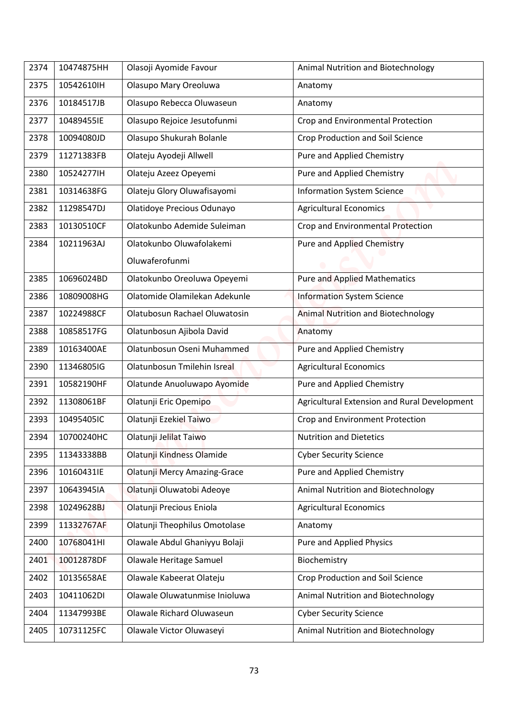| 2374 | 10474875HH | Olasoji Ayomide Favour                     | Animal Nutrition and Biotechnology           |
|------|------------|--------------------------------------------|----------------------------------------------|
| 2375 | 10542610IH | Olasupo Mary Oreoluwa                      | Anatomy                                      |
| 2376 | 10184517JB | Olasupo Rebecca Oluwaseun                  | Anatomy                                      |
| 2377 | 10489455IE | Olasupo Rejoice Jesutofunmi                | Crop and Environmental Protection            |
| 2378 | 10094080JD | Olasupo Shukurah Bolanle                   | Crop Production and Soil Science             |
| 2379 | 11271383FB | Olateju Ayodeji Allwell                    | Pure and Applied Chemistry                   |
|      |            |                                            |                                              |
| 2380 | 10524277IH | Olateju Azeez Opeyemi                      | Pure and Applied Chemistry                   |
| 2381 | 10314638FG | Olateju Glory Oluwafisayomi                | <b>Information System Science</b>            |
| 2382 | 11298547DJ | Olatidoye Precious Odunayo                 | <b>Agricultural Economics</b>                |
| 2383 | 10130510CF | Olatokunbo Ademide Suleiman                | Crop and Environmental Protection            |
| 2384 | 10211963AJ | Olatokunbo Oluwafolakemi<br>Oluwaferofunmi | <b>Pure and Applied Chemistry</b>            |
| 2385 | 10696024BD | Olatokunbo Oreoluwa Opeyemi                | <b>Pure and Applied Mathematics</b>          |
| 2386 | 10809008HG | Olatomide Olamilekan Adekunle              | <b>Information System Science</b>            |
| 2387 | 10224988CF | Olatubosun Rachael Oluwatosin              | <b>Animal Nutrition and Biotechnology</b>    |
| 2388 | 10858517FG | Olatunbosun Ajibola David                  | Anatomy                                      |
| 2389 | 10163400AE | Olatunbosun Oseni Muhammed                 | Pure and Applied Chemistry                   |
| 2390 | 11346805IG | Olatunbosun Tmilehin Isreal                | <b>Agricultural Economics</b>                |
| 2391 | 10582190HF | Olatunde Anuoluwapo Ayomide                | Pure and Applied Chemistry                   |
| 2392 | 11308061BF | Olatunji Eric Opemipo                      | Agricultural Extension and Rural Development |
| 2393 | 10495405IC | Olatunji Ezekiel Taiwo                     | Crop and Environment Protection              |
| 2394 | 10700240HC | Olatunji Jelilat Taiwo                     | <b>Nutrition and Dietetics</b>               |
| 2395 | 11343338BB | Olatunji Kindness Olamide                  | <b>Cyber Security Science</b>                |
| 2396 | 10160431IE | <b>Olatunji Mercy Amazing-Grace</b>        | Pure and Applied Chemistry                   |
| 2397 | 10643945IA | Olatunji Oluwatobi Adeoye                  | Animal Nutrition and Biotechnology           |
| 2398 | 10249628BJ | Olatunji Precious Eniola                   | <b>Agricultural Economics</b>                |
| 2399 | 11332767AF | Olatunji Theophilus Omotolase              | Anatomy                                      |
| 2400 | 10768041HI | Olawale Abdul Ghaniyyu Bolaji              | Pure and Applied Physics                     |
| 2401 | 10012878DF | Olawale Heritage Samuel                    | Biochemistry                                 |
| 2402 | 10135658AE | Olawale Kabeerat Olateju                   | Crop Production and Soil Science             |
| 2403 | 10411062DI | Olawale Oluwatunmise Inioluwa              | Animal Nutrition and Biotechnology           |
| 2404 | 11347993BE | Olawale Richard Oluwaseun                  | <b>Cyber Security Science</b>                |
| 2405 | 10731125FC | Olawale Victor Oluwaseyi                   | Animal Nutrition and Biotechnology           |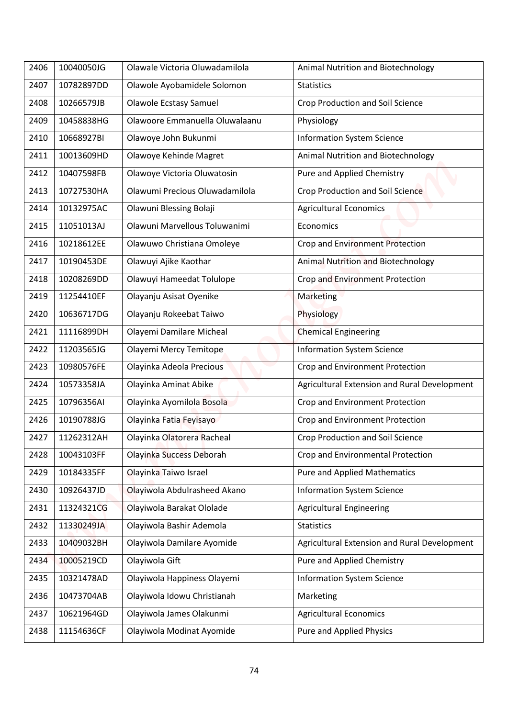| 2406 | 10040050JG | Olawale Victoria Oluwadamilola                           | Animal Nutrition and Biotechnology           |
|------|------------|----------------------------------------------------------|----------------------------------------------|
| 2407 | 10782897DD | Olawole Ayobamidele Solomon                              | <b>Statistics</b>                            |
| 2408 | 10266579JB | <b>Olawole Ecstasy Samuel</b>                            | <b>Crop Production and Soil Science</b>      |
| 2409 | 10458838HG | Olawoore Emmanuella Oluwalaanu                           | Physiology                                   |
| 2410 | 10668927BI | Olawoye John Bukunmi                                     | <b>Information System Science</b>            |
| 2411 | 10013609HD | Olawoye Kehinde Magret                                   | Animal Nutrition and Biotechnology           |
| 2412 | 10407598FB | Olawoye Victoria Oluwatosin                              | Pure and Applied Chemistry                   |
| 2413 | 10727530HA | Olawumi Precious Oluwadamilola                           | <b>Crop Production and Soil Science</b>      |
| 2414 | 10132975AC |                                                          |                                              |
|      | 11051013AJ | Olawuni Blessing Bolaji<br>Olawuni Marvellous Toluwanimi | <b>Agricultural Economics</b>                |
| 2415 |            |                                                          | Economics                                    |
| 2416 | 10218612EE | Olawuwo Christiana Omoleye                               | Crop and Environment Protection              |
| 2417 | 10190453DE | Olawuyi Ajike Kaothar                                    | <b>Animal Nutrition and Biotechnology</b>    |
| 2418 | 10208269DD | Olawuyi Hameedat Tolulope                                | Crop and Environment Protection              |
| 2419 | 11254410EF | Olayanju Asisat Oyenike                                  | Marketing                                    |
| 2420 | 10636717DG | Olayanju Rokeebat Taiwo                                  | Physiology                                   |
| 2421 | 11116899DH | Olayemi Damilare Micheal                                 | <b>Chemical Engineering</b>                  |
| 2422 | 11203565JG | Olayemi Mercy Temitope                                   | <b>Information System Science</b>            |
| 2423 | 10980576FE | Olayinka Adeola Precious                                 | Crop and Environment Protection              |
| 2424 | 10573358JA | Olayinka Aminat Abike                                    | Agricultural Extension and Rural Development |
| 2425 | 10796356AI | Olayinka Ayomilola Bosola                                | Crop and Environment Protection              |
| 2426 | 10190788JG | Olayinka Fatia Feyisayo                                  | Crop and Environment Protection              |
| 2427 | 11262312AH | Olayinka Olatorera Racheal                               | Crop Production and Soil Science             |
| 2428 | 10043103FF | Olayinka Success Deborah                                 | Crop and Environmental Protection            |
| 2429 | 10184335FF | Olayinka Taiwo Israel                                    | <b>Pure and Applied Mathematics</b>          |
| 2430 | 10926437JD | Olayiwola Abdulrasheed Akano                             | <b>Information System Science</b>            |
| 2431 | 11324321CG | Olayiwola Barakat Ololade                                | <b>Agricultural Engineering</b>              |
| 2432 | 11330249JA | Olayiwola Bashir Ademola                                 | <b>Statistics</b>                            |
| 2433 | 10409032BH | Olayiwola Damilare Ayomide                               | Agricultural Extension and Rural Development |
| 2434 | 10005219CD | Olayiwola Gift                                           | Pure and Applied Chemistry                   |
| 2435 | 10321478AD | Olayiwola Happiness Olayemi                              | <b>Information System Science</b>            |
| 2436 | 10473704AB | Olayiwola Idowu Christianah                              | Marketing                                    |
| 2437 | 10621964GD | Olayiwola James Olakunmi                                 | <b>Agricultural Economics</b>                |
| 2438 | 11154636CF | Olayiwola Modinat Ayomide                                | Pure and Applied Physics                     |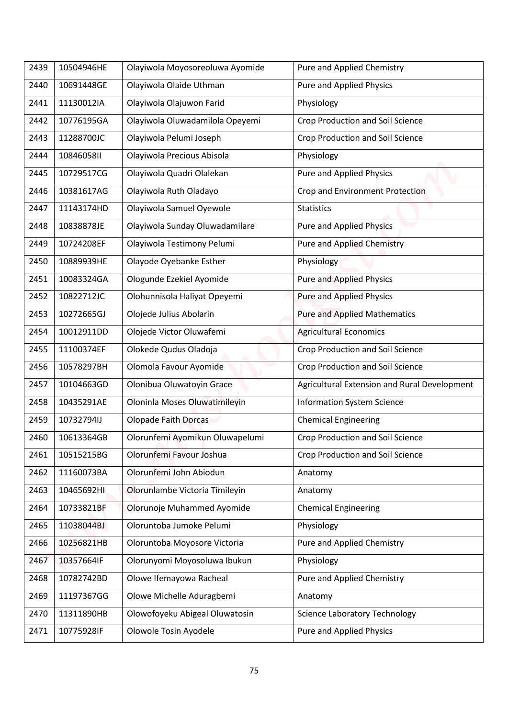| 2439 | 10504946HE | Olayiwola Moyosoreoluwa Ayomide | Pure and Applied Chemistry                   |
|------|------------|---------------------------------|----------------------------------------------|
| 2440 | 10691448GE | Olayiwola Olaide Uthman         | <b>Pure and Applied Physics</b>              |
| 2441 | 11130012IA | Olayiwola Olajuwon Farid        | Physiology                                   |
| 2442 | 10776195GA | Olayiwola Oluwadamilola Opeyemi | <b>Crop Production and Soil Science</b>      |
| 2443 | 11288700JC | Olayiwola Pelumi Joseph         | <b>Crop Production and Soil Science</b>      |
| 2444 | 10846058II | Olayiwola Precious Abisola      | Physiology                                   |
| 2445 | 10729517CG | Olayiwola Quadri Olalekan       | Pure and Applied Physics                     |
| 2446 | 10381617AG | Olayiwola Ruth Oladayo          | Crop and Environment Protection              |
| 2447 | 11143174HD | Olayiwola Samuel Oyewole        | <b>Statistics</b>                            |
| 2448 | 10838878JE | Olayiwola Sunday Oluwadamilare  | <b>Pure and Applied Physics</b>              |
| 2449 | 10724208EF | Olayiwola Testimony Pelumi      | <b>Pure and Applied Chemistry</b>            |
| 2450 | 10889939HE | Olayode Oyebanke Esther         | Physiology                                   |
| 2451 | 10083324GA | Ologunde Ezekiel Ayomide        | <b>Pure and Applied Physics</b>              |
| 2452 | 10822712JC | Olohunnisola Haliyat Opeyemi    | <b>Pure and Applied Physics</b>              |
| 2453 | 10272665GJ | Olojede Julius Abolarin         | <b>Pure and Applied Mathematics</b>          |
| 2454 | 10012911DD | Olojede Victor Oluwafemi        | <b>Agricultural Economics</b>                |
| 2455 | 11100374EF | Olokede Qudus Oladoja           | Crop Production and Soil Science             |
| 2456 | 10578297BH | Olomola Favour Ayomide          | <b>Crop Production and Soil Science</b>      |
| 2457 | 10104663GD | Olonibua Oluwatoyin Grace       | Agricultural Extension and Rural Development |
| 2458 | 10435291AE | Oloninla Moses Oluwatimileyin   | <b>Information System Science</b>            |
|      | 10732794IJ | Olopade Faith Dorcas            |                                              |
| 2459 |            |                                 | <b>Chemical Engineering</b>                  |
| 2460 | 10613364GB | Olorunfemi Ayomikun Oluwapelumi | Crop Production and Soil Science             |
| 2461 | 10515215BG | Olorunfemi Favour Joshua        | Crop Production and Soil Science             |
| 2462 | 11160073BA | Olorunfemi John Abiodun         | Anatomy                                      |
| 2463 | 10465692HI | Olorunlambe Victoria Timileyin  | Anatomy                                      |
| 2464 | 10733821BF | Olorunoje Muhammed Ayomide      | <b>Chemical Engineering</b>                  |
| 2465 | 11038044BJ | Oloruntoba Jumoke Pelumi        | Physiology                                   |
| 2466 | 10256821HB | Oloruntoba Moyosore Victoria    | Pure and Applied Chemistry                   |
| 2467 | 10357664IF | Olorunyomi Moyosoluwa Ibukun    | Physiology                                   |
| 2468 | 10782742BD | Olowe Ifemayowa Racheal         | Pure and Applied Chemistry                   |
| 2469 | 11197367GG | Olowe Michelle Aduragbemi       | Anatomy                                      |
| 2470 | 11311890HB | Olowofoyeku Abigeal Oluwatosin  | <b>Science Laboratory Technology</b>         |
| 2471 | 10775928IF | Olowole Tosin Ayodele           | <b>Pure and Applied Physics</b>              |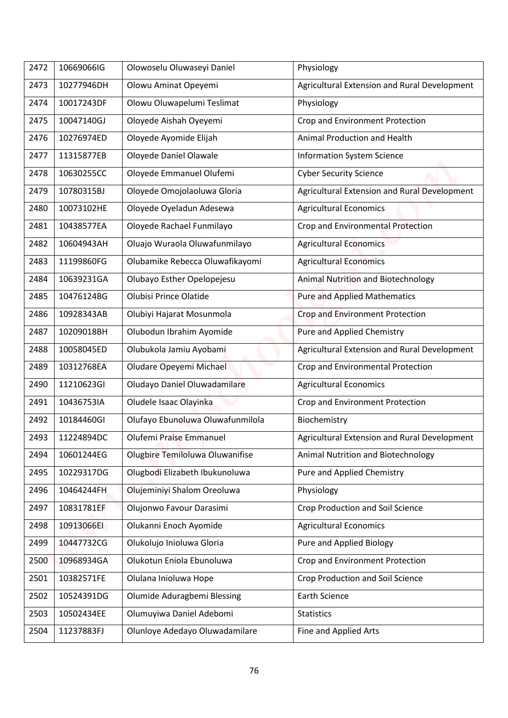| 2472 | 10669066IG | Olowoselu Oluwaseyi Daniel       | Physiology                                   |
|------|------------|----------------------------------|----------------------------------------------|
| 2473 | 10277946DH | Olowu Aminat Opeyemi             | Agricultural Extension and Rural Development |
| 2474 | 10017243DF | Olowu Oluwapelumi Teslimat       | Physiology                                   |
| 2475 | 10047140GJ | Oloyede Aishah Oyeyemi           | Crop and Environment Protection              |
| 2476 | 10276974ED | Oloyede Ayomide Elijah           | Animal Production and Health                 |
| 2477 | 11315877EB |                                  |                                              |
|      |            | Oloyede Daniel Olawale           | <b>Information System Science</b>            |
| 2478 | 10630255CC | Oloyede Emmanuel Olufemi         | <b>Cyber Security Science</b>                |
| 2479 | 10780315BJ | Oloyede Omojolaoluwa Gloria      | Agricultural Extension and Rural Development |
| 2480 | 10073102HE | Oloyede Oyeladun Adesewa         | <b>Agricultural Economics</b>                |
| 2481 | 10438577EA | Oloyede Rachael Funmilayo        | Crop and Environmental Protection            |
| 2482 | 10604943AH | Oluajo Wuraola Oluwafunmilayo    | <b>Agricultural Economics</b>                |
| 2483 | 11199860FG | Olubamike Rebecca Oluwafikayomi  | <b>Agricultural Economics</b>                |
| 2484 | 10639231GA | Olubayo Esther Opelopejesu       | Animal Nutrition and Biotechnology           |
| 2485 | 10476124BG | Olubisi Prince Olatide           | <b>Pure and Applied Mathematics</b>          |
| 2486 | 10928343AB | Olubiyi Hajarat Mosunmola        | <b>Crop and Environment Protection</b>       |
| 2487 | 10209018BH | Olubodun Ibrahim Ayomide         | <b>Pure and Applied Chemistry</b>            |
| 2488 | 10058045ED | Olubukola Jamiu Ayobami          | Agricultural Extension and Rural Development |
| 2489 | 10312768EA | Oludare Opeyemi Michael          | Crop and Environmental Protection            |
| 2490 | 11210623GI | Oludayo Daniel Oluwadamilare     | <b>Agricultural Economics</b>                |
| 2491 | 10436753IA | Oludele Isaac Olayinka           | Crop and Environment Protection              |
| 2492 | 10184460GI | Olufayo Ebunoluwa Oluwafunmilola | Biochemistry                                 |
| 2493 | 11224894DC | Olufemi Praise Emmanuel          | Agricultural Extension and Rural Development |
| 2494 | 10601244EG | Olugbire Temiloluwa Oluwanifise  | Animal Nutrition and Biotechnology           |
| 2495 | 10229317DG | Olugbodi Elizabeth Ibukunoluwa   | Pure and Applied Chemistry                   |
| 2496 | 10464244FH | Olujeminiyi Shalom Oreoluwa      | Physiology                                   |
| 2497 | 10831781EF | Olujonwo Favour Darasimi         | Crop Production and Soil Science             |
| 2498 | 10913066EI | Olukanni Enoch Ayomide           | <b>Agricultural Economics</b>                |
| 2499 | 10447732CG | Olukolujo Inioluwa Gloria        | Pure and Applied Biology                     |
| 2500 | 10968934GA | Olukotun Eniola Ebunoluwa        | Crop and Environment Protection              |
| 2501 | 10382571FE | Olulana Inioluwa Hope            | Crop Production and Soil Science             |
| 2502 | 10524391DG | Olumide Aduragbemi Blessing      | <b>Earth Science</b>                         |
| 2503 | 10502434EE | Olumuyiwa Daniel Adebomi         | <b>Statistics</b>                            |
|      | 11237883FJ | Olunloye Adedayo Oluwadamilare   | Fine and Applied Arts                        |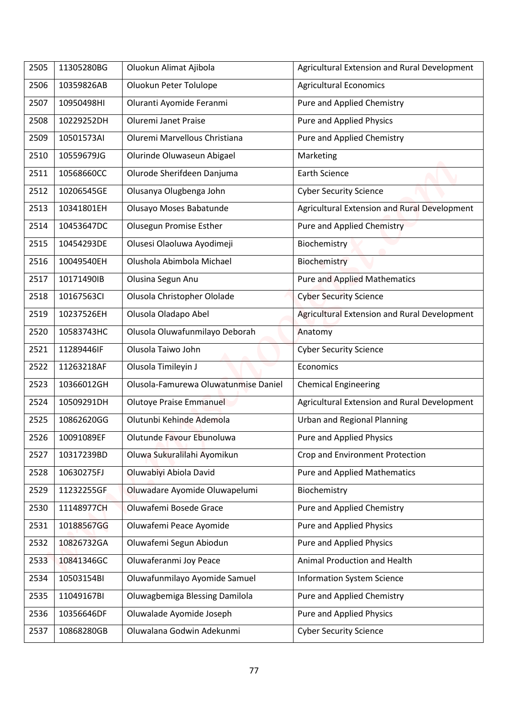| 2505 | 11305280BG | Oluokun Alimat Ajibola               | Agricultural Extension and Rural Development        |
|------|------------|--------------------------------------|-----------------------------------------------------|
| 2506 | 10359826AB | Oluokun Peter Tolulope               | <b>Agricultural Economics</b>                       |
| 2507 | 10950498HI | Oluranti Ayomide Feranmi             | Pure and Applied Chemistry                          |
| 2508 | 10229252DH | Oluremi Janet Praise                 | <b>Pure and Applied Physics</b>                     |
| 2509 | 10501573AI | Oluremi Marvellous Christiana        | Pure and Applied Chemistry                          |
| 2510 | 10559679JG | Olurinde Oluwaseun Abigael           | Marketing                                           |
| 2511 | 10568660CC | Olurode Sherifdeen Danjuma           | <b>Earth Science</b>                                |
| 2512 | 10206545GE | Olusanya Olugbenga John              | <b>Cyber Security Science</b>                       |
| 2513 | 10341801EH | Olusayo Moses Babatunde              | Agricultural Extension and Rural Development        |
| 2514 | 10453647DC | <b>Olusegun Promise Esther</b>       | <b>Pure and Applied Chemistry</b>                   |
| 2515 | 10454293DE | Olusesi Olaoluwa Ayodimeji           | Biochemistry                                        |
| 2516 | 10049540EH | Olushola Abimbola Michael            | Biochemistry                                        |
| 2517 | 10171490IB | Olusina Segun Anu                    | <b>Pure and Applied Mathematics</b>                 |
| 2518 | 10167563CI | Olusola Christopher Ololade          | <b>Cyber Security Science</b>                       |
| 2519 | 10237526EH | Olusola Oladapo Abel                 | <b>Agricultural Extension and Rural Development</b> |
| 2520 | 10583743HC | Olusola Oluwafunmilayo Deborah       | Anatomy                                             |
| 2521 | 11289446IF | Olusola Taiwo John                   | <b>Cyber Security Science</b>                       |
| 2522 | 11263218AF | Olusola Timileyin J                  | Economics                                           |
| 2523 | 10366012GH | Olusola-Famurewa Oluwatunmise Daniel | <b>Chemical Engineering</b>                         |
| 2524 | 10509291DH | Olutoye Praise Emmanuel              | Agricultural Extension and Rural Development        |
| 2525 | 10862620GG | Olutunbi Kehinde Ademola             | <b>Urban and Regional Planning</b>                  |
| 2526 | 10091089EF | Olutunde Favour Ebunoluwa            | Pure and Applied Physics                            |
| 2527 | 10317239BD | Oluwa Sukuralilahi Ayomikun          | Crop and Environment Protection                     |
| 2528 | 10630275FJ | Oluwabiyi Abiola David               | <b>Pure and Applied Mathematics</b>                 |
| 2529 | 11232255GF | Oluwadare Ayomide Oluwapelumi        | Biochemistry                                        |
| 2530 | 11148977CH | Oluwafemi Bosede Grace               | Pure and Applied Chemistry                          |
| 2531 | 10188567GG | Oluwafemi Peace Ayomide              | Pure and Applied Physics                            |
| 2532 | 10826732GA | Oluwafemi Segun Abiodun              | Pure and Applied Physics                            |
| 2533 | 10841346GC | Oluwaferanmi Joy Peace               | Animal Production and Health                        |
| 2534 | 10503154BI | Oluwafunmilayo Ayomide Samuel        | <b>Information System Science</b>                   |
| 2535 | 11049167BI | Oluwagbemiga Blessing Damilola       | Pure and Applied Chemistry                          |
| 2536 | 10356646DF | Oluwalade Ayomide Joseph             | Pure and Applied Physics                            |
|      | 10868280GB | Oluwalana Godwin Adekunmi            | <b>Cyber Security Science</b>                       |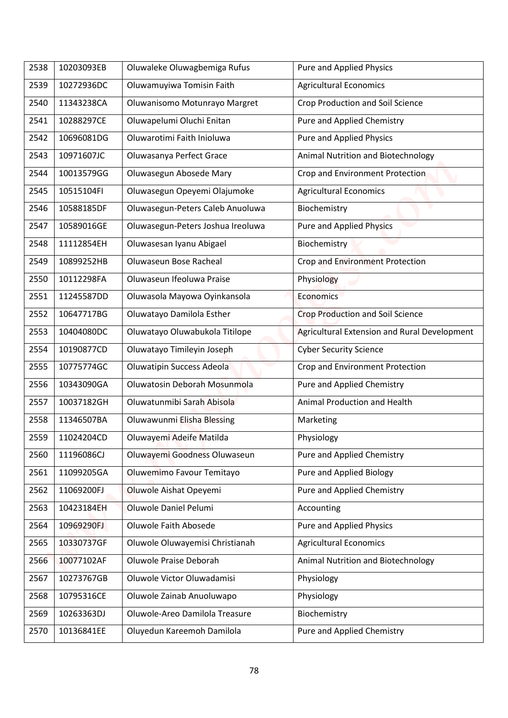| 2538 | 10203093EB | Oluwaleke Oluwagbemiga Rufus      | Pure and Applied Physics                     |
|------|------------|-----------------------------------|----------------------------------------------|
| 2539 | 10272936DC | Oluwamuyiwa Tomisin Faith         | <b>Agricultural Economics</b>                |
| 2540 | 11343238CA | Oluwanisomo Motunrayo Margret     | <b>Crop Production and Soil Science</b>      |
| 2541 | 10288297CE | Oluwapelumi Oluchi Enitan         | Pure and Applied Chemistry                   |
| 2542 | 10696081DG | Oluwarotimi Faith Inioluwa        |                                              |
|      |            |                                   | <b>Pure and Applied Physics</b>              |
| 2543 | 10971607JC | Oluwasanya Perfect Grace          | Animal Nutrition and Biotechnology           |
| 2544 | 10013579GG | Oluwasegun Abosede Mary           | Crop and Environment Protection              |
| 2545 | 10515104FI | Oluwasegun Opeyemi Olajumoke      | <b>Agricultural Economics</b>                |
| 2546 | 10588185DF | Oluwasegun-Peters Caleb Anuoluwa  | Biochemistry                                 |
| 2547 | 10589016GE | Oluwasegun-Peters Joshua Ireoluwa | <b>Pure and Applied Physics</b>              |
| 2548 | 11112854EH | Oluwasesan Iyanu Abigael          | Biochemistry                                 |
| 2549 | 10899252HB | Oluwaseun Bose Racheal            | Crop and Environment Protection              |
| 2550 | 10112298FA | Oluwaseun Ifeoluwa Praise         | Physiology                                   |
| 2551 | 11245587DD | Oluwasola Mayowa Oyinkansola      | <b>Economics</b>                             |
| 2552 | 10647717BG | Oluwatayo Damilola Esther         | <b>Crop Production and Soil Science</b>      |
| 2553 | 10404080DC | Oluwatayo Oluwabukola Titilope    | Agricultural Extension and Rural Development |
| 2554 | 10190877CD | Oluwatayo Timileyin Joseph        | <b>Cyber Security Science</b>                |
| 2555 | 10775774GC | <b>Oluwatipin Success Adeola</b>  | Crop and Environment Protection              |
| 2556 | 10343090GA | Oluwatosin Deborah Mosunmola      | Pure and Applied Chemistry                   |
| 2557 | 10037182GH | Oluwatunmibi Sarah Abisola        | Animal Production and Health                 |
| 2558 | 11346507BA | Oluwawunmi Elisha Blessing        | Marketing                                    |
| 2559 | 11024204CD | Oluwayemi Adeife Matilda          | Physiology                                   |
| 2560 | 11196086CJ | Oluwayemi Goodness Oluwaseun      | Pure and Applied Chemistry                   |
| 2561 | 11099205GA | Oluwemimo Favour Temitayo         | Pure and Applied Biology                     |
| 2562 | 11069200FJ | Oluwole Aishat Opeyemi            | Pure and Applied Chemistry                   |
| 2563 | 10423184EH | Oluwole Daniel Pelumi             | Accounting                                   |
| 2564 | 10969290FJ | Oluwole Faith Abosede             | Pure and Applied Physics                     |
| 2565 | 10330737GF | Oluwole Oluwayemisi Christianah   | <b>Agricultural Economics</b>                |
| 2566 | 10077102AF | Oluwole Praise Deborah            | Animal Nutrition and Biotechnology           |
| 2567 | 10273767GB | Oluwole Victor Oluwadamisi        | Physiology                                   |
| 2568 | 10795316CE | Oluwole Zainab Anuoluwapo         | Physiology                                   |
| 2569 | 10263363DJ | Oluwole-Areo Damilola Treasure    | Biochemistry                                 |
|      | 10136841EE | Oluyedun Kareemoh Damilola        | Pure and Applied Chemistry                   |
| 2570 |            |                                   |                                              |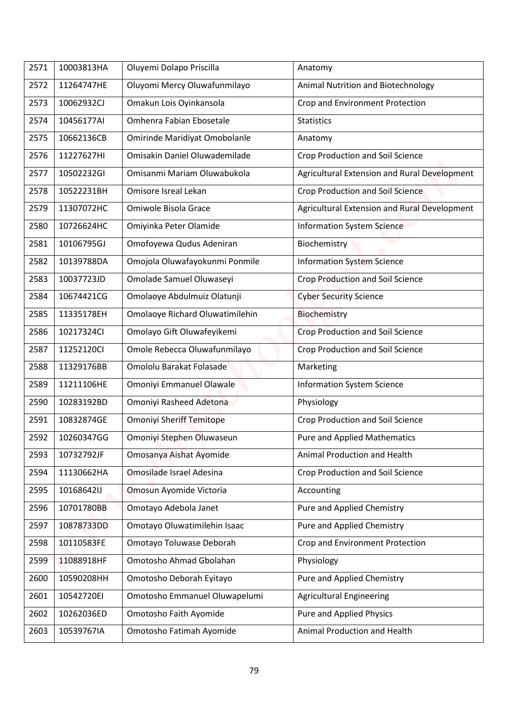| 2571         | 10003813HA | Oluyemi Dolapo Priscilla        | Anatomy                                      |
|--------------|------------|---------------------------------|----------------------------------------------|
| 2572         | 11264747HE | Oluyomi Mercy Oluwafunmilayo    | Animal Nutrition and Biotechnology           |
| 2573         | 10062932CJ | Omakun Lois Oyinkansola         | Crop and Environment Protection              |
| 2574         | 10456177AI | Omhenra Fabian Ebosetale        | <b>Statistics</b>                            |
| 2575         | 10662136CB | Omirinde Maridiyat Omobolanle   | Anatomy                                      |
| 2576         | 11227627HI | Omisakin Daniel Oluwademilade   | <b>Crop Production and Soil Science</b>      |
| 2577         | 10502232GI | Omisanmi Mariam Oluwabukola     | Agricultural Extension and Rural Development |
| 2578         | 10522231BH | Omisore Isreal Lekan            | <b>Crop Production and Soil Science</b>      |
| 2579         | 11307072HC | Omiwole Bisola Grace            | Agricultural Extension and Rural Development |
| 2580         | 10726624HC |                                 | <b>Information System Science</b>            |
|              | 10106795GJ | Omiyinka Peter Olamide          |                                              |
| 2581<br>2582 | 10139788DA | Omofoyewa Qudus Adeniran        | Biochemistry                                 |
|              | 10037723JD | Omojola Oluwafayokunmi Ponmile  | <b>Information System Science</b>            |
| 2583         |            | Omolade Samuel Oluwaseyi        | Crop Production and Soil Science             |
| 2584         | 10674421CG | Omolaoye Abdulmuiz Olatunji     | <b>Cyber Security Science</b>                |
| 2585         | 11335178EH | Omolaoye Richard Oluwatimilehin | Biochemistry                                 |
| 2586         | 10217324Cl | Omolayo Gift Oluwafeyikemi      | <b>Crop Production and Soil Science</b>      |
| 2587         | 11252120Cl | Omole Rebecca Oluwafunmilayo    | <b>Crop Production and Soil Science</b>      |
| 2588         | 11329176BB | Omololu Barakat Folasade        | Marketing                                    |
| 2589         | 11211106HE | Omoniyi Emmanuel Olawale        | <b>Information System Science</b>            |
| 2590         | 10283192BD | Omoniyi Rasheed Adetona         | Physiology                                   |
| 2591         | 10832874GE | <b>Omoniyi Sheriff Temitope</b> | <b>Crop Production and Soil Science</b>      |
| 2592         | 10260347GG | Omoniyi Stephen Oluwaseun       | <b>Pure and Applied Mathematics</b>          |
| 2593         | 10732792JF | Omosanya Aishat Ayomide         | Animal Production and Health                 |
| 2594         | 11130662HA | Omosilade Israel Adesina        | <b>Crop Production and Soil Science</b>      |
| 2595         | 10168642IJ | Omosun Ayomide Victoria         | Accounting                                   |
| 2596         | 10701780BB | Omotayo Adebola Janet           | Pure and Applied Chemistry                   |
| 2597         | 10878733DD | Omotayo Oluwatimilehin Isaac    | Pure and Applied Chemistry                   |
| 2598         | 10110583FE | Omotayo Toluwase Deborah        | Crop and Environment Protection              |
| 2599         | 11088918HF | Omotosho Ahmad Gbolahan         | Physiology                                   |
| 2600         | 10590208HH | Omotosho Deborah Eyitayo        | Pure and Applied Chemistry                   |
| 2601         | 10542720EI | Omotosho Emmanuel Oluwapelumi   | <b>Agricultural Engineering</b>              |
| 2602         | 10262036ED | Omotosho Faith Ayomide          | Pure and Applied Physics                     |
| 2603         | 10539767IA | Omotosho Fatimah Ayomide        | Animal Production and Health                 |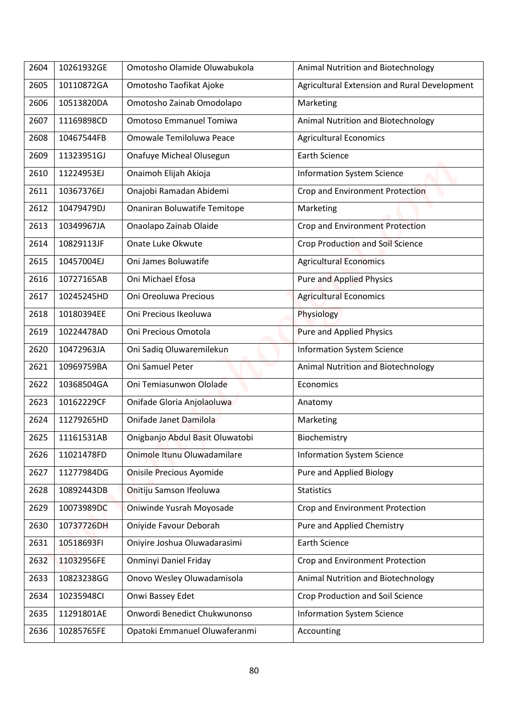| 2604 | 10261932GE | Omotosho Olamide Oluwabukola    | Animal Nutrition and Biotechnology           |
|------|------------|---------------------------------|----------------------------------------------|
|      | 10110872GA |                                 | Agricultural Extension and Rural Development |
| 2605 |            | Omotosho Taofikat Ajoke         |                                              |
| 2606 | 10513820DA | Omotosho Zainab Omodolapo       | Marketing                                    |
| 2607 | 11169898CD | Omotoso Emmanuel Tomiwa         | Animal Nutrition and Biotechnology           |
| 2608 | 10467544FB | Omowale Temiloluwa Peace        | <b>Agricultural Economics</b>                |
| 2609 | 11323951GJ | Onafuye Micheal Olusegun        | <b>Earth Science</b>                         |
| 2610 | 11224953EJ | Onaimoh Elijah Akioja           | <b>Information System Science</b>            |
| 2611 | 10367376EJ | Onajobi Ramadan Abidemi         | Crop and Environment Protection              |
| 2612 | 10479479DJ | Onaniran Boluwatife Temitope    | Marketing                                    |
| 2613 | 10349967JA | Onaolapo Zainab Olaide          | Crop and Environment Protection              |
| 2614 | 10829113JF | Onate Luke Okwute               | Crop Production and Soil Science             |
| 2615 | 10457004EJ | Oni James Boluwatife            | <b>Agricultural Economics</b>                |
| 2616 | 10727165AB | Oni Michael Efosa               | <b>Pure and Applied Physics</b>              |
| 2617 | 10245245HD | Oni Oreoluwa Precious           | <b>Agricultural Economics</b>                |
| 2618 | 10180394EE | Oni Precious Ikeoluwa           | Physiology                                   |
| 2619 | 10224478AD | Oni Precious Omotola            | <b>Pure and Applied Physics</b>              |
| 2620 | 10472963JA | Oni Sadiq Oluwaremilekun        | <b>Information System Science</b>            |
| 2621 | 10969759BA | Oni Samuel Peter                | Animal Nutrition and Biotechnology           |
| 2622 | 10368504GA | Oni Temiasunwon Ololade         | Economics                                    |
| 2623 | 10162229CF | Onifade Gloria Anjolaoluwa      | Anatomy                                      |
| 2624 | 11279265HD | Onifade Janet Damilola          | Marketing                                    |
| 2625 | 11161531AB | Onigbanjo Abdul Basit Oluwatobi | Biochemistry                                 |
| 2626 | 11021478FD | Onimole Itunu Oluwadamilare     | <b>Information System Science</b>            |
| 2627 | 11277984DG | Onisile Precious Ayomide        | Pure and Applied Biology                     |
| 2628 | 10892443DB | Onitiju Samson Ifeoluwa         | <b>Statistics</b>                            |
| 2629 | 10073989DC | Oniwinde Yusrah Moyosade        | Crop and Environment Protection              |
| 2630 | 10737726DH | Oniyide Favour Deborah          | Pure and Applied Chemistry                   |
| 2631 | 10518693FI | Oniyire Joshua Oluwadarasimi    | <b>Earth Science</b>                         |
| 2632 | 11032956FE | Onminyi Daniel Friday           | Crop and Environment Protection              |
| 2633 | 10823238GG | Onovo Wesley Oluwadamisola      | Animal Nutrition and Biotechnology           |
| 2634 | 10235948CI | Onwi Bassey Edet                | Crop Production and Soil Science             |
| 2635 | 11291801AE | Onwordi Benedict Chukwunonso    | <b>Information System Science</b>            |
|      |            |                                 |                                              |
| 2636 | 10285765FE | Opatoki Emmanuel Oluwaferanmi   | Accounting                                   |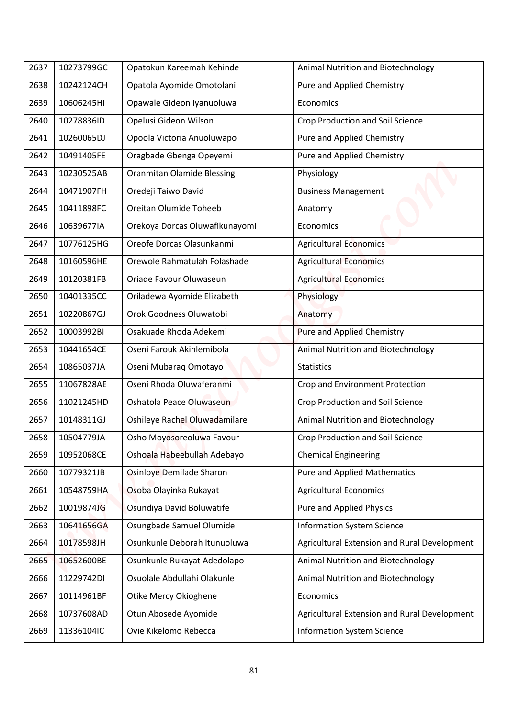| 2637 | 10273799GC | Opatokun Kareemah Kehinde         | Animal Nutrition and Biotechnology           |
|------|------------|-----------------------------------|----------------------------------------------|
|      |            |                                   |                                              |
| 2638 | 10242124CH | Opatola Ayomide Omotolani         | Pure and Applied Chemistry                   |
| 2639 | 10606245HI | Opawale Gideon Iyanuoluwa         | Economics                                    |
| 2640 | 10278836ID | Opelusi Gideon Wilson             | Crop Production and Soil Science             |
| 2641 | 10260065DJ | Opoola Victoria Anuoluwapo        | Pure and Applied Chemistry                   |
| 2642 | 10491405FE | Oragbade Gbenga Opeyemi           | Pure and Applied Chemistry                   |
| 2643 | 10230525AB | <b>Oranmitan Olamide Blessing</b> | Physiology                                   |
| 2644 | 10471907FH | Oredeji Taiwo David               | <b>Business Management</b>                   |
| 2645 | 10411898FC | Oreitan Olumide Toheeb            | Anatomy                                      |
| 2646 | 10639677IA | Orekoya Dorcas Oluwafikunayomi    | Economics                                    |
| 2647 | 10776125HG | Oreofe Dorcas Olasunkanmi         | <b>Agricultural Economics</b>                |
| 2648 | 10160596HE | Orewole Rahmatulah Folashade      | <b>Agricultural Economics</b>                |
| 2649 | 10120381FB | Oriade Favour Oluwaseun           | <b>Agricultural Economics</b>                |
| 2650 | 10401335CC | Oriladewa Ayomide Elizabeth       | Physiology                                   |
| 2651 | 10220867GJ | Orok Goodness Oluwatobi           | Anatomy                                      |
| 2652 | 10003992BI | Osakuade Rhoda Adekemi            | <b>Pure and Applied Chemistry</b>            |
| 2653 | 10441654CE | Oseni Farouk Akinlemibola         | Animal Nutrition and Biotechnology           |
| 2654 | 10865037JA | Oseni Mubaraq Omotayo             | <b>Statistics</b>                            |
| 2655 | 11067828AE | Oseni Rhoda Oluwaferanmi          | Crop and Environment Protection              |
| 2656 | 11021245HD | Oshatola Peace Oluwaseun          | Crop Production and Soil Science             |
| 2657 | 10148311GJ | Oshileye Rachel Oluwadamilare     | Animal Nutrition and Biotechnology           |
| 2658 | 10504779JA | Osho Moyosoreoluwa Favour         | Crop Production and Soil Science             |
| 2659 | 10952068CE | Oshoala Habeebullah Adebayo       | <b>Chemical Engineering</b>                  |
| 2660 | 10779321JB | Osinloye Demilade Sharon          | <b>Pure and Applied Mathematics</b>          |
| 2661 | 10548759HA | Osoba Olayinka Rukayat            | <b>Agricultural Economics</b>                |
| 2662 | 10019874JG | Osundiya David Boluwatife         | Pure and Applied Physics                     |
| 2663 | 10641656GA | Osungbade Samuel Olumide          | <b>Information System Science</b>            |
| 2664 | 10178598JH | Osunkunle Deborah Itunuoluwa      | Agricultural Extension and Rural Development |
| 2665 | 10652600BE | Osunkunle Rukayat Adedolapo       | Animal Nutrition and Biotechnology           |
| 2666 | 11229742DI | Osuolale Abdullahi Olakunle       | Animal Nutrition and Biotechnology           |
| 2667 | 10114961BF | Otike Mercy Okioghene             | Economics                                    |
| 2668 | 10737608AD | Otun Abosede Ayomide              | Agricultural Extension and Rural Development |
|      |            | Ovie Kikelomo Rebecca             |                                              |
| 2669 | 11336104IC |                                   | <b>Information System Science</b>            |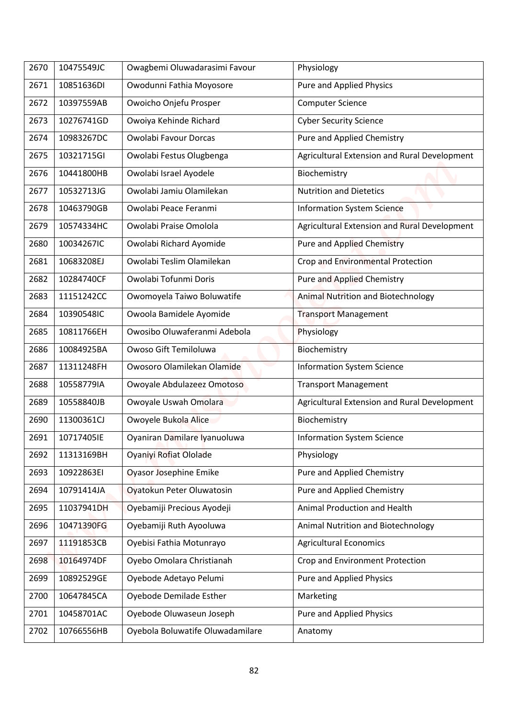| 2670 | 10475549JC | Owagbemi Oluwadarasimi Favour    | Physiology                                   |
|------|------------|----------------------------------|----------------------------------------------|
| 2671 | 10851636DI | Owodunni Fathia Moyosore         | Pure and Applied Physics                     |
| 2672 | 10397559AB | Owoicho Onjefu Prosper           | <b>Computer Science</b>                      |
| 2673 | 10276741GD | Owoiya Kehinde Richard           | <b>Cyber Security Science</b>                |
| 2674 | 10983267DC | Owolabi Favour Dorcas            | Pure and Applied Chemistry                   |
| 2675 | 10321715GI | Owolabi Festus Olugbenga         | Agricultural Extension and Rural Development |
| 2676 | 10441800HB | Owolabi Israel Ayodele           | Biochemistry                                 |
| 2677 | 10532713JG | Owolabi Jamiu Olamilekan         | <b>Nutrition and Dietetics</b>               |
| 2678 | 10463790GB | Owolabi Peace Feranmi            | <b>Information System Science</b>            |
| 2679 | 10574334HC | Owolabi Praise Omolola           | Agricultural Extension and Rural Development |
| 2680 | 10034267IC | Owolabi Richard Ayomide          | <b>Pure and Applied Chemistry</b>            |
| 2681 | 10683208EJ | Owolabi Teslim Olamilekan        | Crop and Environmental Protection            |
| 2682 | 10284740CF | Owolabi Tofunmi Doris            | <b>Pure and Applied Chemistry</b>            |
| 2683 | 11151242CC | Owomoyela Taiwo Boluwatife       | <b>Animal Nutrition and Biotechnology</b>    |
| 2684 | 10390548IC | Owoola Bamidele Ayomide          | <b>Transport Management</b>                  |
| 2685 | 10811766EH | Owosibo Oluwaferanmi Adebola     | Physiology                                   |
| 2686 | 10084925BA | Owoso Gift Temiloluwa            | Biochemistry                                 |
| 2687 | 11311248FH | Owosoro Olamilekan Olamide       | <b>Information System Science</b>            |
| 2688 | 10558779IA | Owoyale Abdulazeez Omotoso       | <b>Transport Management</b>                  |
| 2689 | 10558840JB | Owoyale Uswah Omolara            | Agricultural Extension and Rural Development |
| 2690 | 11300361CJ | Owoyele Bukola Alice             | Biochemistry                                 |
| 2691 | 10717405IE | Oyaniran Damilare Iyanuoluwa     | <b>Information System Science</b>            |
| 2692 | 11313169BH | Oyaniyi Rofiat Ololade           | Physiology                                   |
| 2693 | 10922863EI | Oyasor Josephine Emike           | Pure and Applied Chemistry                   |
| 2694 | 10791414JA | Oyatokun Peter Oluwatosin        | Pure and Applied Chemistry                   |
| 2695 | 11037941DH | Oyebamiji Precious Ayodeji       | Animal Production and Health                 |
| 2696 | 10471390FG | Oyebamiji Ruth Ayooluwa          | Animal Nutrition and Biotechnology           |
| 2697 | 11191853CB | Oyebisi Fathia Motunrayo         | <b>Agricultural Economics</b>                |
| 2698 | 10164974DF | Oyebo Omolara Christianah        | Crop and Environment Protection              |
| 2699 | 10892529GE | Oyebode Adetayo Pelumi           | Pure and Applied Physics                     |
| 2700 | 10647845CA | Oyebode Demilade Esther          | Marketing                                    |
| 2701 | 10458701AC | Oyebode Oluwaseun Joseph         | <b>Pure and Applied Physics</b>              |
| 2702 | 10766556HB | Oyebola Boluwatife Oluwadamilare | Anatomy                                      |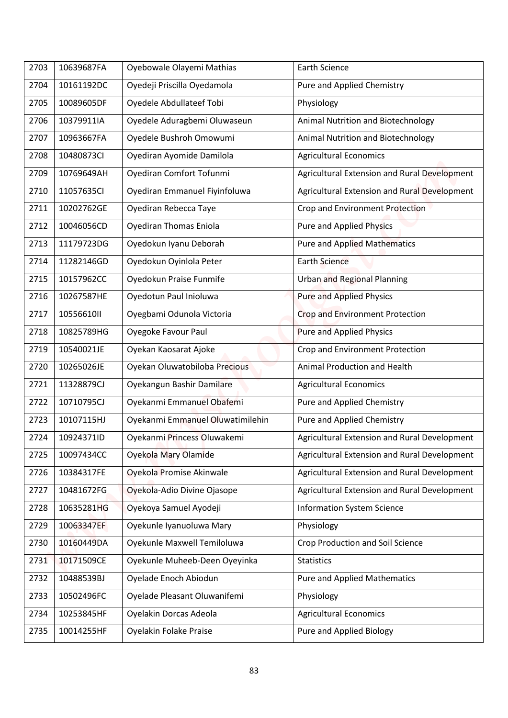| 2703 | 10639687FA | Oyebowale Olayemi Mathias        | <b>Earth Science</b>                         |
|------|------------|----------------------------------|----------------------------------------------|
| 2704 | 10161192DC | Oyedeji Priscilla Oyedamola      | Pure and Applied Chemistry                   |
| 2705 | 10089605DF | Oyedele Abdullateef Tobi         | Physiology                                   |
| 2706 | 10379911IA | Oyedele Aduragbemi Oluwaseun     | Animal Nutrition and Biotechnology           |
| 2707 | 10963667FA | Oyedele Bushroh Omowumi          | Animal Nutrition and Biotechnology           |
| 2708 | 10480873CI | Oyediran Ayomide Damilola        | <b>Agricultural Economics</b>                |
| 2709 | 10769649AH | Oyediran Comfort Tofunmi         | Agricultural Extension and Rural Development |
| 2710 | 11057635CI | Oyediran Emmanuel Fiyinfoluwa    | Agricultural Extension and Rural Development |
| 2711 | 10202762GE | Oyediran Rebecca Taye            | Crop and Environment Protection              |
| 2712 | 10046056CD | <b>Oyediran Thomas Eniola</b>    | <b>Pure and Applied Physics</b>              |
| 2713 | 11179723DG | Oyedokun Iyanu Deborah           | <b>Pure and Applied Mathematics</b>          |
| 2714 | 11282146GD | Oyedokun Oyinlola Peter          | <b>Earth Science</b>                         |
| 2715 | 10157962CC | Oyedokun Praise Funmife          | <b>Urban and Regional Planning</b>           |
| 2716 | 10267587HE | Oyedotun Paul Inioluwa           | <b>Pure and Applied Physics</b>              |
| 2717 | 10556610II | Oyegbami Odunola Victoria        | <b>Crop and Environment Protection</b>       |
| 2718 | 10825789HG | Oyegoke Favour Paul              | <b>Pure and Applied Physics</b>              |
| 2719 | 10540021JE | Oyekan Kaosarat Ajoke            | Crop and Environment Protection              |
| 2720 | 10265026JE | Oyekan Oluwatobiloba Precious    | Animal Production and Health                 |
| 2721 | 11328879CJ | Oyekangun Bashir Damilare        | <b>Agricultural Economics</b>                |
| 2722 | 10710795CJ | Oyekanmi Emmanuel Obafemi        | Pure and Applied Chemistry                   |
| 2723 | 10107115HJ | Oyekanmi Emmanuel Oluwatimilehin | Pure and Applied Chemistry                   |
| 2724 | 10924371ID | Oyekanmi Princess Oluwakemi      | Agricultural Extension and Rural Development |
| 2725 | 10097434CC | Oyekola Mary Olamide             | Agricultural Extension and Rural Development |
| 2726 | 10384317FE | Oyekola Promise Akinwale         | Agricultural Extension and Rural Development |
| 2727 | 10481672FG | Oyekola-Adio Divine Ojasope      | Agricultural Extension and Rural Development |
| 2728 | 10635281HG | Oyekoya Samuel Ayodeji           | <b>Information System Science</b>            |
| 2729 | 10063347EF | Oyekunle Iyanuoluwa Mary         | Physiology                                   |
| 2730 | 10160449DA | Oyekunle Maxwell Temiloluwa      | <b>Crop Production and Soil Science</b>      |
| 2731 | 10171509CE | Oyekunle Muheeb-Deen Oyeyinka    | <b>Statistics</b>                            |
| 2732 | 10488539BJ | Oyelade Enoch Abiodun            | <b>Pure and Applied Mathematics</b>          |
| 2733 | 10502496FC | Oyelade Pleasant Oluwanifemi     | Physiology                                   |
| 2734 | 10253845HF | Oyelakin Dorcas Adeola           | <b>Agricultural Economics</b>                |
| 2735 | 10014255HF | Oyelakin Folake Praise           | Pure and Applied Biology                     |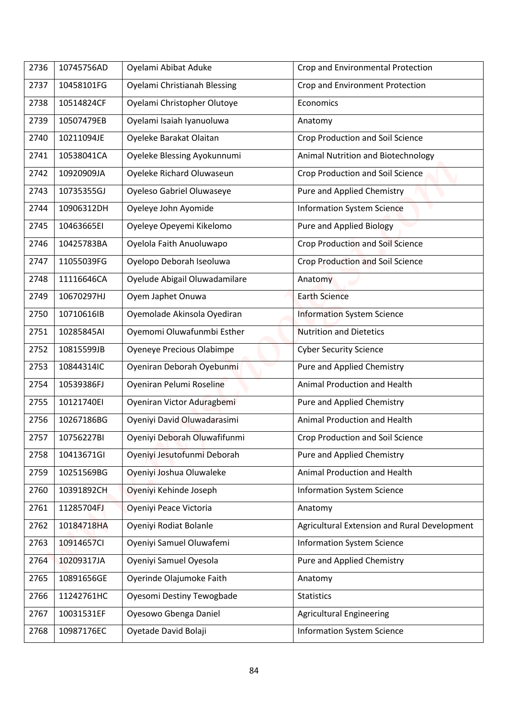| 2736 | 10745756AD | Oyelami Abibat Aduke                | Crop and Environmental Protection            |
|------|------------|-------------------------------------|----------------------------------------------|
| 2737 | 10458101FG | <b>Oyelami Christianah Blessing</b> | Crop and Environment Protection              |
| 2738 | 10514824CF | Oyelami Christopher Olutoye         | Economics                                    |
| 2739 | 10507479EB | Oyelami Isaiah Iyanuoluwa           | Anatomy                                      |
| 2740 | 10211094JE | Oyeleke Barakat Olaitan             | <b>Crop Production and Soil Science</b>      |
| 2741 | 10538041CA | Oyeleke Blessing Ayokunnumi         | Animal Nutrition and Biotechnology           |
| 2742 | 10920909JA | Oyeleke Richard Oluwaseun           | <b>Crop Production and Soil Science</b>      |
| 2743 | 10735355GJ | Oyeleso Gabriel Oluwaseye           | Pure and Applied Chemistry                   |
| 2744 | 10906312DH | Oyeleye John Ayomide                | <b>Information System Science</b>            |
| 2745 | 10463665EI | Oyeleye Opeyemi Kikelomo            | <b>Pure and Applied Biology</b>              |
| 2746 | 10425783BA | Oyelola Faith Anuoluwapo            | <b>Crop Production and Soil Science</b>      |
| 2747 | 11055039FG | Oyelopo Deborah Iseoluwa            | <b>Crop Production and Soil Science</b>      |
| 2748 | 11116646CA | Oyelude Abigail Oluwadamilare       | Anatomy                                      |
| 2749 | 10670297HJ | Oyem Japhet Onuwa                   | <b>Earth Science</b>                         |
| 2750 | 10710616IB | Oyemolade Akinsola Oyediran         | <b>Information System Science</b>            |
| 2751 | 10285845AI | Oyemomi Oluwafunmbi Esther          | <b>Nutrition and Dietetics</b>               |
| 2752 | 10815599JB | Oyeneye Precious Olabimpe           | <b>Cyber Security Science</b>                |
| 2753 | 10844314IC | Oyeniran Deborah Oyebunmi           | Pure and Applied Chemistry                   |
| 2754 | 10539386FJ | Oyeniran Pelumi Roseline            | Animal Production and Health                 |
| 2755 | 10121740EI | Oyeniran Victor Aduragbemi          | Pure and Applied Chemistry                   |
| 2756 | 10267186BG | Oyeniyi David Oluwadarasimi         | Animal Production and Health                 |
| 2757 | 10756227BI | Oyeniyi Deborah Oluwafifunmi        | Crop Production and Soil Science             |
| 2758 | 10413671GI | Oyeniyi Jesutofunmi Deborah         | Pure and Applied Chemistry                   |
| 2759 | 10251569BG | Oyeniyi Joshua Oluwaleke            | Animal Production and Health                 |
| 2760 | 10391892CH | Oyeniyi Kehinde Joseph              | <b>Information System Science</b>            |
| 2761 | 11285704FJ | Oyeniyi Peace Victoria              | Anatomy                                      |
| 2762 | 10184718HA | Oyeniyi Rodiat Bolanle              | Agricultural Extension and Rural Development |
| 2763 | 10914657CI | Oyeniyi Samuel Oluwafemi            | <b>Information System Science</b>            |
| 2764 | 10209317JA | Oyeniyi Samuel Oyesola              | Pure and Applied Chemistry                   |
| 2765 | 10891656GE | Oyerinde Olajumoke Faith            | Anatomy                                      |
| 2766 | 11242761HC | Oyesomi Destiny Tewogbade           | <b>Statistics</b>                            |
| 2767 | 10031531EF | Oyesowo Gbenga Daniel               | <b>Agricultural Engineering</b>              |
| 2768 | 10987176EC | Oyetade David Bolaji                | <b>Information System Science</b>            |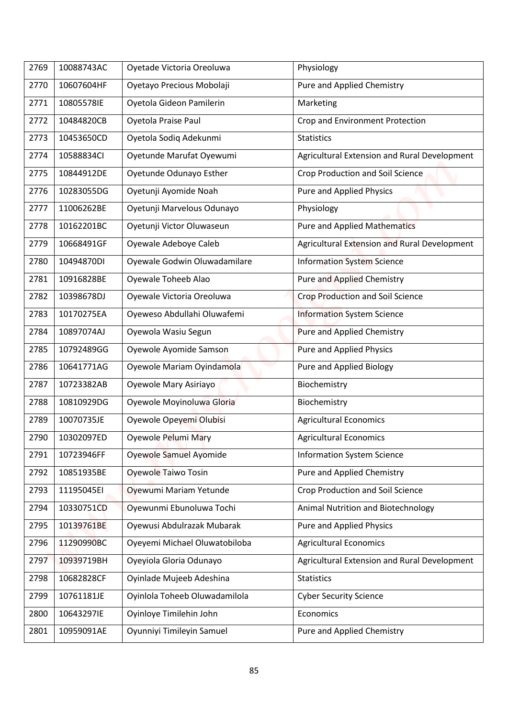| 2769 | 10088743AC | Oyetade Victoria Oreoluwa     | Physiology                                   |
|------|------------|-------------------------------|----------------------------------------------|
| 2770 | 10607604HF | Oyetayo Precious Mobolaji     | Pure and Applied Chemistry                   |
| 2771 | 10805578IE | Oyetola Gideon Pamilerin      | Marketing                                    |
| 2772 | 10484820CB | Oyetola Praise Paul           | Crop and Environment Protection              |
| 2773 | 10453650CD | Oyetola Sodiq Adekunmi        | <b>Statistics</b>                            |
| 2774 | 10588834CI | Oyetunde Marufat Oyewumi      | Agricultural Extension and Rural Development |
| 2775 | 10844912DE | Oyetunde Odunayo Esther       | <b>Crop Production and Soil Science</b>      |
| 2776 | 10283055DG | Oyetunji Ayomide Noah         | <b>Pure and Applied Physics</b>              |
| 2777 | 11006262BE | Oyetunji Marvelous Odunayo    | Physiology                                   |
| 2778 | 10162201BC | Oyetunji Victor Oluwaseun     | <b>Pure and Applied Mathematics</b>          |
| 2779 | 10668491GF | Oyewale Adeboye Caleb         | Agricultural Extension and Rural Development |
| 2780 | 10494870DI | Oyewale Godwin Oluwadamilare  | <b>Information System Science</b>            |
| 2781 | 10916828BE | Oyewale Toheeb Alao           | <b>Pure and Applied Chemistry</b>            |
| 2782 | 10398678DJ | Oyewale Victoria Oreoluwa     | Crop Production and Soil Science             |
| 2783 | 10170275EA | Oyeweso Abdullahi Oluwafemi   | <b>Information System Science</b>            |
| 2784 | 10897074AJ | Oyewola Wasiu Segun           | Pure and Applied Chemistry                   |
| 2785 | 10792489GG | Oyewole Ayomide Samson        | <b>Pure and Applied Physics</b>              |
| 2786 | 10641771AG | Oyewole Mariam Oyindamola     | Pure and Applied Biology                     |
| 2787 | 10723382AB | Oyewole Mary Asiriayo         | Biochemistry                                 |
| 2788 | 10810929DG | Oyewole Moyinoluwa Gloria     | Biochemistry                                 |
| 2789 | 10070735JE | Oyewole Opeyemi Olubisi       | <b>Agricultural Economics</b>                |
| 2790 | 10302097ED | Oyewole Pelumi Mary           | <b>Agricultural Economics</b>                |
| 2791 | 10723946FF | Oyewole Samuel Ayomide        | <b>Information System Science</b>            |
| 2792 | 10851935BE | <b>Oyewole Taiwo Tosin</b>    | Pure and Applied Chemistry                   |
| 2793 | 11195045EI | Oyewumi Mariam Yetunde        | Crop Production and Soil Science             |
| 2794 | 10330751CD | Oyewunmi Ebunoluwa Tochi      | Animal Nutrition and Biotechnology           |
| 2795 | 10139761BE | Oyewusi Abdulrazak Mubarak    | Pure and Applied Physics                     |
| 2796 | 11290990BC | Oyeyemi Michael Oluwatobiloba | <b>Agricultural Economics</b>                |
| 2797 | 10939719BH | Oyeyiola Gloria Odunayo       | Agricultural Extension and Rural Development |
| 2798 | 10682828CF | Oyinlade Mujeeb Adeshina      | <b>Statistics</b>                            |
| 2799 | 10761181JE | Oyinlola Toheeb Oluwadamilola |                                              |
|      | 10643297IE | Oyinloye Timilehin John       | <b>Cyber Security Science</b>                |
| 2800 |            |                               | Economics                                    |
| 2801 | 10959091AE | Oyunniyi Timileyin Samuel     | Pure and Applied Chemistry                   |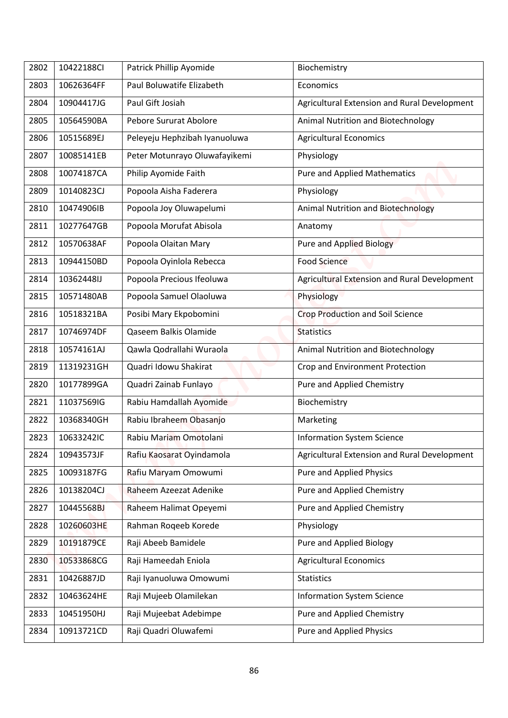| 2802 | 10422188CI | Patrick Phillip Ayomide       | Biochemistry                                 |
|------|------------|-------------------------------|----------------------------------------------|
| 2803 | 10626364FF | Paul Boluwatife Elizabeth     | Economics                                    |
| 2804 | 10904417JG | Paul Gift Josiah              | Agricultural Extension and Rural Development |
| 2805 | 10564590BA | Pebore Sururat Abolore        | Animal Nutrition and Biotechnology           |
| 2806 | 10515689EJ | Peleyeju Hephzibah Iyanuoluwa | <b>Agricultural Economics</b>                |
| 2807 | 10085141EB | Peter Motunrayo Oluwafayikemi | Physiology                                   |
| 2808 | 10074187CA | Philip Ayomide Faith          | <b>Pure and Applied Mathematics</b>          |
| 2809 | 10140823CJ | Popoola Aisha Faderera        | Physiology                                   |
| 2810 | 10474906IB | Popoola Joy Oluwapelumi       | <b>Animal Nutrition and Biotechnology</b>    |
| 2811 | 10277647GB | Popoola Morufat Abisola       | Anatomy                                      |
| 2812 | 10570638AF | Popoola Olaitan Mary          | <b>Pure and Applied Biology</b>              |
| 2813 | 10944150BD | Popoola Oyinlola Rebecca      | <b>Food Science</b>                          |
| 2814 | 10362448IJ | Popoola Precious Ifeoluwa     | Agricultural Extension and Rural Development |
| 2815 | 10571480AB | Popoola Samuel Olaoluwa       | Physiology                                   |
| 2816 | 10518321BA | Posibi Mary Ekpobomini        | <b>Crop Production and Soil Science</b>      |
| 2817 | 10746974DF | Qaseem Balkis Olamide         | <b>Statistics</b>                            |
| 2818 | 10574161AJ | Qawla Qodrallahi Wuraola      | Animal Nutrition and Biotechnology           |
| 2819 | 11319231GH | Quadri Idowu Shakirat         | Crop and Environment Protection              |
| 2820 | 10177899GA | Quadri Zainab Funlayo         | Pure and Applied Chemistry                   |
| 2821 | 11037569IG | Rabiu Hamdallah Ayomide       | Biochemistry                                 |
| 2822 | 10368340GH | Rabiu Ibraheem Obasanjo       | Marketing                                    |
| 2823 | 10633242IC | Rabiu Mariam Omotolani        | <b>Information System Science</b>            |
| 2824 | 10943573JF | Rafiu Kaosarat Oyindamola     | Agricultural Extension and Rural Development |
| 2825 | 10093187FG | Rafiu Maryam Omowumi          | Pure and Applied Physics                     |
| 2826 | 10138204CJ | Raheem Azeezat Adenike        | Pure and Applied Chemistry                   |
| 2827 | 10445568BJ | Raheem Halimat Opeyemi        | Pure and Applied Chemistry                   |
| 2828 | 10260603HE | Rahman Roqeeb Korede          | Physiology                                   |
| 2829 | 10191879CE | Raji Abeeb Bamidele           | Pure and Applied Biology                     |
| 2830 | 10533868CG | Raji Hameedah Eniola          | <b>Agricultural Economics</b>                |
| 2831 | 10426887JD | Raji Iyanuoluwa Omowumi       | <b>Statistics</b>                            |
| 2832 | 10463624HE | Raji Mujeeb Olamilekan        | <b>Information System Science</b>            |
| 2833 | 10451950HJ | Raji Mujeebat Adebimpe        | Pure and Applied Chemistry                   |
| 2834 | 10913721CD | Raji Quadri Oluwafemi         | <b>Pure and Applied Physics</b>              |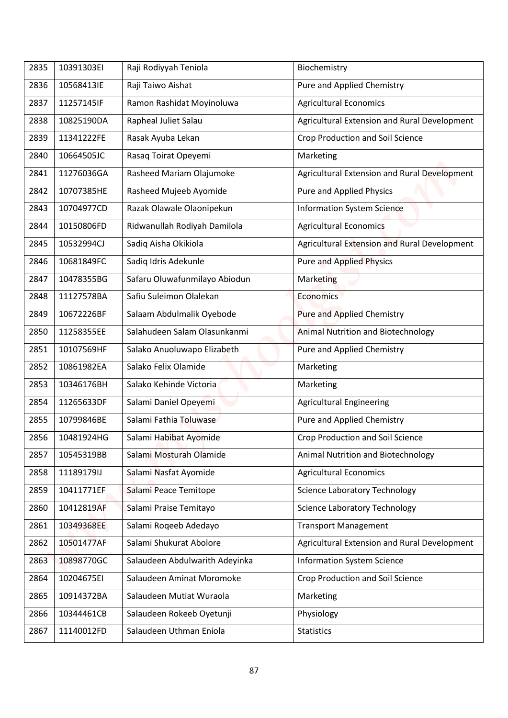| 2835 | 10391303EI | Raji Rodiyyah Teniola          | Biochemistry                                 |
|------|------------|--------------------------------|----------------------------------------------|
| 2836 | 10568413IE | Raji Taiwo Aishat              | Pure and Applied Chemistry                   |
| 2837 | 11257145IF | Ramon Rashidat Moyinoluwa      | <b>Agricultural Economics</b>                |
| 2838 | 10825190DA | Rapheal Juliet Salau           | Agricultural Extension and Rural Development |
| 2839 | 11341222FE | Rasak Ayuba Lekan              | <b>Crop Production and Soil Science</b>      |
| 2840 | 10664505JC | Rasaq Toirat Opeyemi           | Marketing                                    |
| 2841 | 11276036GA | Rasheed Mariam Olajumoke       | Agricultural Extension and Rural Development |
| 2842 | 10707385HE | Rasheed Mujeeb Ayomide         | <b>Pure and Applied Physics</b>              |
| 2843 | 10704977CD | Razak Olawale Olaonipekun      | Information System Science                   |
| 2844 | 10150806FD | Ridwanullah Rodiyah Damilola   | <b>Agricultural Economics</b>                |
| 2845 | 10532994CJ | Sadiq Aisha Okikiola           | Agricultural Extension and Rural Development |
| 2846 | 10681849FC | Sadiq Idris Adekunle           | <b>Pure and Applied Physics</b>              |
| 2847 | 10478355BG | Safaru Oluwafunmilayo Abiodun  | Marketing                                    |
| 2848 | 11127578BA | Safiu Suleimon Olalekan        | Economics                                    |
| 2849 | 10672226BF | Salaam Abdulmalik Oyebode      | Pure and Applied Chemistry                   |
| 2850 | 11258355EE | Salahudeen Salam Olasunkanmi   | <b>Animal Nutrition and Biotechnology</b>    |
| 2851 | 10107569HF | Salako Anuoluwapo Elizabeth    | Pure and Applied Chemistry                   |
| 2852 | 10861982EA | Salako Felix Olamide           | Marketing                                    |
| 2853 | 10346176BH | Salako Kehinde Victoria        | Marketing                                    |
| 2854 | 11265633DF | Salami Daniel Opeyemi          | <b>Agricultural Engineering</b>              |
| 2855 | 10799846BE | Salami Fathia Toluwase         | Pure and Applied Chemistry                   |
| 2856 | 10481924HG | Salami Habibat Ayomide         | <b>Crop Production and Soil Science</b>      |
| 2857 | 10545319BB | Salami Mosturah Olamide        | Animal Nutrition and Biotechnology           |
| 2858 | 11189179IJ | Salami Nasfat Ayomide          | <b>Agricultural Economics</b>                |
| 2859 | 10411771EF | Salami Peace Temitope          | <b>Science Laboratory Technology</b>         |
| 2860 | 10412819AF | Salami Praise Temitayo         | <b>Science Laboratory Technology</b>         |
| 2861 | 10349368EE | Salami Roqeeb Adedayo          | <b>Transport Management</b>                  |
| 2862 | 10501477AF | Salami Shukurat Abolore        | Agricultural Extension and Rural Development |
| 2863 | 10898770GC | Salaudeen Abdulwarith Adeyinka | <b>Information System Science</b>            |
| 2864 | 10204675EI | Salaudeen Aminat Moromoke      | Crop Production and Soil Science             |
| 2865 | 10914372BA | Salaudeen Mutiat Wuraola       | Marketing                                    |
| 2866 | 10344461CB | Salaudeen Rokeeb Oyetunji      | Physiology                                   |
| 2867 | 11140012FD | Salaudeen Uthman Eniola        | <b>Statistics</b>                            |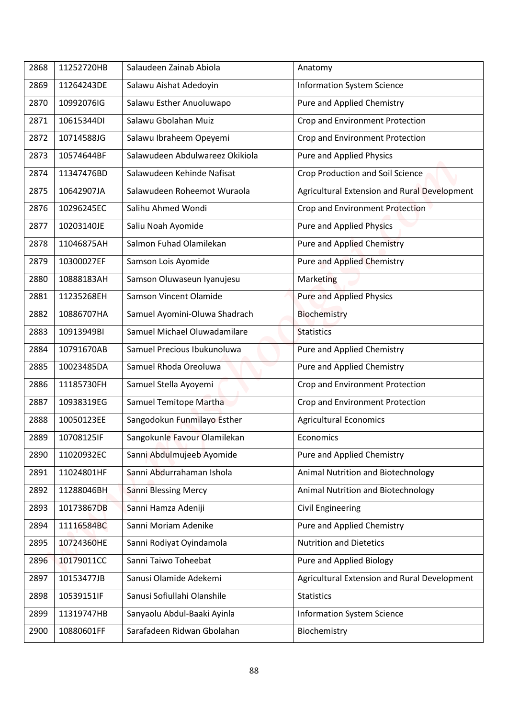| 2868 | 11252720HB | Salaudeen Zainab Abiola         |                                              |
|------|------------|---------------------------------|----------------------------------------------|
|      |            |                                 | Anatomy                                      |
| 2869 | 11264243DE | Salawu Aishat Adedoyin          | <b>Information System Science</b>            |
| 2870 | 10992076IG | Salawu Esther Anuoluwapo        | Pure and Applied Chemistry                   |
| 2871 | 10615344DI | Salawu Gbolahan Muiz            | Crop and Environment Protection              |
| 2872 | 10714588JG | Salawu Ibraheem Opeyemi         | Crop and Environment Protection              |
| 2873 | 10574644BF | Salawudeen Abdulwareez Okikiola | Pure and Applied Physics                     |
| 2874 | 11347476BD | Salawudeen Kehinde Nafisat      | <b>Crop Production and Soil Science</b>      |
| 2875 | 10642907JA | Salawudeen Roheemot Wuraola     | Agricultural Extension and Rural Development |
| 2876 | 10296245EC | Salihu Ahmed Wondi              | Crop and Environment Protection              |
| 2877 | 10203140JE | Saliu Noah Ayomide              | <b>Pure and Applied Physics</b>              |
| 2878 | 11046875AH | Salmon Fuhad Olamilekan         | <b>Pure and Applied Chemistry</b>            |
| 2879 | 10300027EF | Samson Lois Ayomide             | <b>Pure and Applied Chemistry</b>            |
| 2880 | 10888183AH | Samson Oluwaseun Iyanujesu      | Marketing                                    |
| 2881 | 11235268EH | Samson Vincent Olamide          | <b>Pure and Applied Physics</b>              |
| 2882 | 10886707HA | Samuel Ayomini-Oluwa Shadrach   | Biochemistry                                 |
| 2883 | 10913949BI | Samuel Michael Oluwadamilare    | <b>Statistics</b>                            |
| 2884 | 10791670AB | Samuel Precious Ibukunoluwa     | <b>Pure and Applied Chemistry</b>            |
| 2885 | 10023485DA | Samuel Rhoda Oreoluwa           | Pure and Applied Chemistry                   |
| 2886 | 11185730FH | Samuel Stella Ayoyemi           | Crop and Environment Protection              |
| 2887 | 10938319EG | Samuel Temitope Martha          | Crop and Environment Protection              |
| 2888 | 10050123EE | Sangodokun Funmilayo Esther     | <b>Agricultural Economics</b>                |
| 2889 | 10708125IF | Sangokunle Favour Olamilekan    | Economics                                    |
| 2890 | 11020932EC | Sanni Abdulmujeeb Ayomide       | Pure and Applied Chemistry                   |
| 2891 | 11024801HF | Sanni Abdurrahaman Ishola       | Animal Nutrition and Biotechnology           |
| 2892 | 11288046BH | <b>Sanni Blessing Mercy</b>     | Animal Nutrition and Biotechnology           |
| 2893 | 10173867DB | Sanni Hamza Adeniji             | <b>Civil Engineering</b>                     |
| 2894 | 11116584BC | Sanni Moriam Adenike            | Pure and Applied Chemistry                   |
| 2895 | 10724360HE | Sanni Rodiyat Oyindamola        | <b>Nutrition and Dietetics</b>               |
| 2896 | 10179011CC | Sanni Taiwo Toheebat            | Pure and Applied Biology                     |
| 2897 | 10153477JB | Sanusi Olamide Adekemi          | Agricultural Extension and Rural Development |
| 2898 | 10539151IF | Sanusi Sofiullahi Olanshile     | <b>Statistics</b>                            |
|      |            |                                 |                                              |
| 2899 | 11319747HB | Sanyaolu Abdul-Baaki Ayinla     | <b>Information System Science</b>            |
| 2900 | 10880601FF | Sarafadeen Ridwan Gbolahan      | Biochemistry                                 |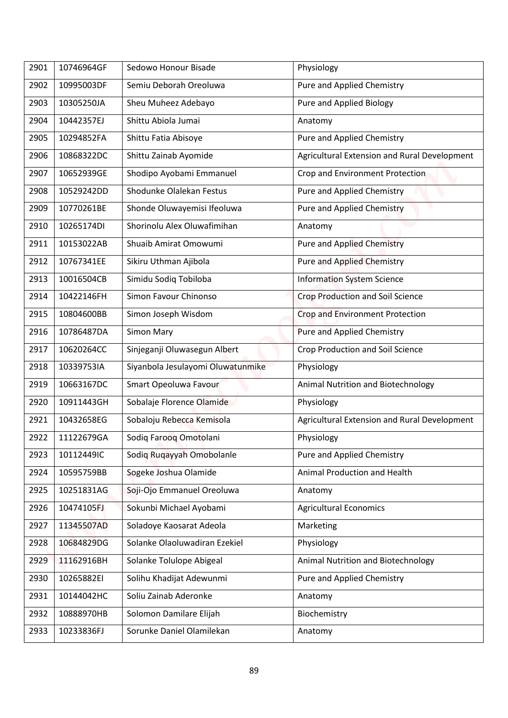| 2901 | 10746964GF | Sedowo Honour Bisade              | Physiology                                   |
|------|------------|-----------------------------------|----------------------------------------------|
|      |            |                                   |                                              |
| 2902 | 10995003DF | Semiu Deborah Oreoluwa            | Pure and Applied Chemistry                   |
| 2903 | 10305250JA | Sheu Muheez Adebayo               | Pure and Applied Biology                     |
| 2904 | 10442357EJ | Shittu Abiola Jumai               | Anatomy                                      |
| 2905 | 10294852FA | Shittu Fatia Abisoye              | Pure and Applied Chemistry                   |
| 2906 | 10868322DC | Shittu Zainab Ayomide             | Agricultural Extension and Rural Development |
| 2907 | 10652939GE | Shodipo Ayobami Emmanuel          | Crop and Environment Protection              |
| 2908 | 10529242DD | Shodunke Olalekan Festus          | Pure and Applied Chemistry                   |
| 2909 | 10770261BE | Shonde Oluwayemisi Ifeoluwa       | Pure and Applied Chemistry                   |
| 2910 | 10265174DI | Shorinolu Alex Oluwafimihan       | Anatomy                                      |
| 2911 | 10153022AB | Shuaib Amirat Omowumi             | <b>Pure and Applied Chemistry</b>            |
| 2912 | 10767341EE | Sikiru Uthman Ajibola             | <b>Pure and Applied Chemistry</b>            |
| 2913 | 10016504CB | Simidu Sodiq Tobiloba             | <b>Information System Science</b>            |
| 2914 | 10422146FH | Simon Favour Chinonso             | <b>Crop Production and Soil Science</b>      |
| 2915 | 10804600BB | Simon Joseph Wisdom               | Crop and Environment Protection              |
| 2916 | 10786487DA | <b>Simon Mary</b>                 | <b>Pure and Applied Chemistry</b>            |
| 2917 | 10620264CC | Sinjeganji Oluwasegun Albert      | <b>Crop Production and Soil Science</b>      |
| 2918 | 10339753IA | Siyanbola Jesulayomi Oluwatunmike | Physiology                                   |
| 2919 | 10663167DC | Smart Opeoluwa Favour             | Animal Nutrition and Biotechnology           |
| 2920 | 10911443GH | Sobalaje Florence Olamide         | Physiology                                   |
| 2921 | 10432658EG | Sobaloju Rebecca Kemisola         | Agricultural Extension and Rural Development |
| 2922 | 11122679GA | Sodiq Farooq Omotolani            | Physiology                                   |
| 2923 | 10112449IC | Sodiq Ruqayyah Omobolanle         | Pure and Applied Chemistry                   |
| 2924 | 10595759BB | Sogeke Joshua Olamide             | Animal Production and Health                 |
| 2925 | 10251831AG | Soji-Ojo Emmanuel Oreoluwa        | Anatomy                                      |
| 2926 | 10474105FJ | Sokunbi Michael Ayobami           | <b>Agricultural Economics</b>                |
| 2927 | 11345507AD | Soladoye Kaosarat Adeola          | Marketing                                    |
| 2928 | 10684829DG | Solanke Olaoluwadiran Ezekiel     | Physiology                                   |
| 2929 | 11162916BH | Solanke Tolulope Abigeal          | Animal Nutrition and Biotechnology           |
| 2930 | 10265882EI | Solihu Khadijat Adewunmi          | Pure and Applied Chemistry                   |
| 2931 | 10144042HC | Soliu Zainab Aderonke             | Anatomy                                      |
| 2932 | 10888970HB | Solomon Damilare Elijah           | Biochemistry                                 |
|      |            |                                   |                                              |
| 2933 | 10233836FJ | Sorunke Daniel Olamilekan         | Anatomy                                      |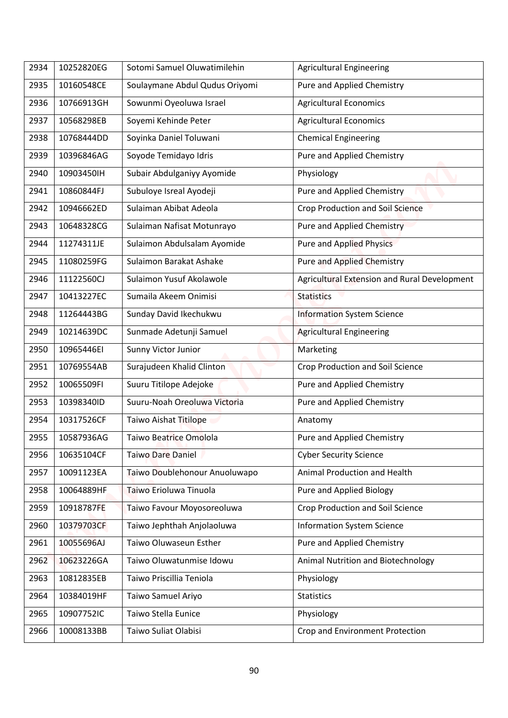| 2934 | 10252820EG | Sotomi Samuel Oluwatimilehin   | <b>Agricultural Engineering</b>              |
|------|------------|--------------------------------|----------------------------------------------|
|      | 10160548CE |                                |                                              |
| 2935 |            | Soulaymane Abdul Qudus Oriyomi | Pure and Applied Chemistry                   |
| 2936 | 10766913GH | Sowunmi Oyeoluwa Israel        | <b>Agricultural Economics</b>                |
| 2937 | 10568298EB | Soyemi Kehinde Peter           | <b>Agricultural Economics</b>                |
| 2938 | 10768444DD | Soyinka Daniel Toluwani        | <b>Chemical Engineering</b>                  |
| 2939 | 10396846AG | Soyode Temidayo Idris          | Pure and Applied Chemistry                   |
| 2940 | 10903450IH | Subair Abdulganiyy Ayomide     | Physiology                                   |
| 2941 | 10860844FJ | Subuloye Isreal Ayodeji        | Pure and Applied Chemistry                   |
| 2942 | 10946662ED | Sulaiman Abibat Adeola         | <b>Crop Production and Soil Science</b>      |
| 2943 | 10648328CG | Sulaiman Nafisat Motunrayo     | <b>Pure and Applied Chemistry</b>            |
| 2944 | 11274311JE | Sulaimon Abdulsalam Ayomide    | <b>Pure and Applied Physics</b>              |
| 2945 | 11080259FG | Sulaimon Barakat Ashake        | <b>Pure and Applied Chemistry</b>            |
| 2946 | 11122560CJ | Sulaimon Yusuf Akolawole       | Agricultural Extension and Rural Development |
| 2947 | 10413227EC | Sumaila Akeem Onimisi          | <b>Statistics</b>                            |
| 2948 | 11264443BG | Sunday David Ikechukwu         | <b>Information System Science</b>            |
| 2949 | 10214639DC | Sunmade Adetunji Samuel        | <b>Agricultural Engineering</b>              |
| 2950 | 10965446EI | Sunny Victor Junior            | Marketing                                    |
| 2951 | 10769554AB | Surajudeen Khalid Clinton      | <b>Crop Production and Soil Science</b>      |
| 2952 | 10065509FI | Suuru Titilope Adejoke         | Pure and Applied Chemistry                   |
| 2953 | 10398340ID | Suuru-Noah Oreoluwa Victoria   | Pure and Applied Chemistry                   |
| 2954 | 10317526CF | <b>Taiwo Aishat Titilope</b>   | Anatomy                                      |
| 2955 | 10587936AG | Taiwo Beatrice Omolola         | Pure and Applied Chemistry                   |
| 2956 | 10635104CF | <b>Taiwo Dare Daniel</b>       | <b>Cyber Security Science</b>                |
| 2957 | 10091123EA | Taiwo Doublehonour Anuoluwapo  | <b>Animal Production and Health</b>          |
| 2958 | 10064889HF | Taiwo Erioluwa Tinuola         | Pure and Applied Biology                     |
| 2959 | 10918787FE | Taiwo Favour Moyosoreoluwa     | Crop Production and Soil Science             |
| 2960 | 10379703CF | Taiwo Jephthah Anjolaoluwa     | <b>Information System Science</b>            |
| 2961 | 10055696AJ | Taiwo Oluwaseun Esther         | Pure and Applied Chemistry                   |
| 2962 | 10623226GA | Taiwo Oluwatunmise Idowu       | Animal Nutrition and Biotechnology           |
| 2963 | 10812835EB | Taiwo Priscillia Teniola       | Physiology                                   |
| 2964 | 10384019HF | Taiwo Samuel Ariyo             | <b>Statistics</b>                            |
| 2965 | 10907752IC | <b>Taiwo Stella Eunice</b>     | Physiology                                   |
|      | 10008133BB | Taiwo Suliat Olabisi           |                                              |
| 2966 |            |                                | Crop and Environment Protection              |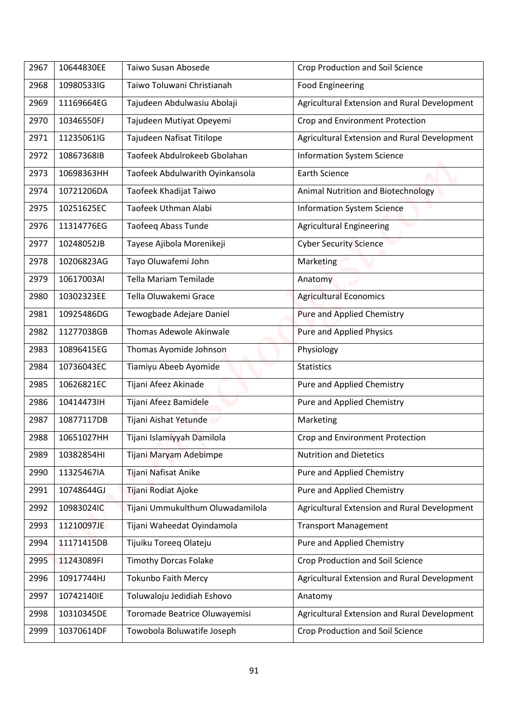| 2967 | 10644830EE | Taiwo Susan Abosede              | <b>Crop Production and Soil Science</b>      |
|------|------------|----------------------------------|----------------------------------------------|
| 2968 | 10980533IG | Taiwo Toluwani Christianah       | <b>Food Engineering</b>                      |
| 2969 | 11169664EG | Tajudeen Abdulwasiu Abolaji      | Agricultural Extension and Rural Development |
| 2970 | 10346550FJ | Tajudeen Mutiyat Opeyemi         | Crop and Environment Protection              |
| 2971 | 11235061IG |                                  |                                              |
|      |            | Tajudeen Nafisat Titilope        | Agricultural Extension and Rural Development |
| 2972 | 10867368IB | Taofeek Abdulrokeeb Gbolahan     | <b>Information System Science</b>            |
| 2973 | 10698363HH | Taofeek Abdulwarith Oyinkansola  | <b>Earth Science</b>                         |
| 2974 | 10721206DA | Taofeek Khadijat Taiwo           | Animal Nutrition and Biotechnology           |
| 2975 | 10251625EC | Taofeek Uthman Alabi             | <b>Information System Science</b>            |
| 2976 | 11314776EG | <b>Taofeeq Abass Tunde</b>       | <b>Agricultural Engineering</b>              |
| 2977 | 10248052JB | Tayese Ajibola Morenikeji        | <b>Cyber Security Science</b>                |
| 2978 | 10206823AG | Tayo Oluwafemi John              | Marketing                                    |
| 2979 | 10617003AI | <b>Tella Mariam Temilade</b>     | Anatomy                                      |
| 2980 | 10302323EE | Tella Oluwakemi Grace            | <b>Agricultural Economics</b>                |
| 2981 | 10925486DG | Tewogbade Adejare Daniel         | Pure and Applied Chemistry                   |
| 2982 | 11277038GB | Thomas Adewole Akinwale          | <b>Pure and Applied Physics</b>              |
| 2983 | 10896415EG | Thomas Ayomide Johnson           | Physiology                                   |
| 2984 | 10736043EC | Tiamiyu Abeeb Ayomide            | <b>Statistics</b>                            |
| 2985 | 10626821EC | Tijani Afeez Akinade             | Pure and Applied Chemistry                   |
| 2986 | 10414473IH | Tijani Afeez Bamidele            | Pure and Applied Chemistry                   |
| 2987 | 10877117DB | Tijani Aishat Yetunde            | Marketing                                    |
| 2988 | 10651027HH | Tijani Islamiyyah Damilola       | Crop and Environment Protection              |
| 2989 | 10382854HI | Tijani Maryam Adebimpe           | <b>Nutrition and Dietetics</b>               |
| 2990 | 11325467IA | Tijani Nafisat Anike             | Pure and Applied Chemistry                   |
| 2991 | 10748644GJ | Tijani Rodiat Ajoke              | Pure and Applied Chemistry                   |
| 2992 | 10983024IC | Tijani Ummukulthum Oluwadamilola | Agricultural Extension and Rural Development |
| 2993 | 11210097JE | Tijani Waheedat Oyindamola       | <b>Transport Management</b>                  |
| 2994 | 11171415DB | Tijuiku Toreeg Olateju           | Pure and Applied Chemistry                   |
| 2995 | 11243089FI | <b>Timothy Dorcas Folake</b>     | Crop Production and Soil Science             |
| 2996 | 10917744HJ | <b>Tokunbo Faith Mercy</b>       | Agricultural Extension and Rural Development |
| 2997 | 10742140IE | Toluwaloju Jedidiah Eshovo       | Anatomy                                      |
| 2998 | 10310345DE | Toromade Beatrice Oluwayemisi    | Agricultural Extension and Rural Development |
|      | 10370614DF |                                  |                                              |
| 2999 |            | Towobola Boluwatife Joseph       | Crop Production and Soil Science             |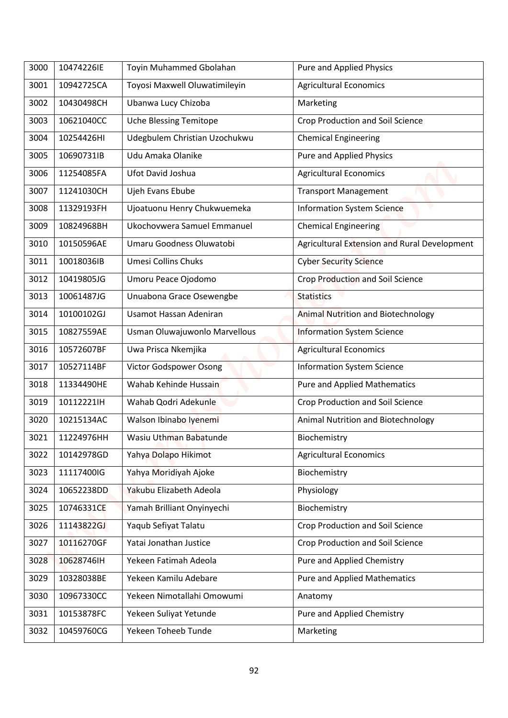| 3000 | 10474226IE | Toyin Muhammed Gbolahan       | Pure and Applied Physics                     |
|------|------------|-------------------------------|----------------------------------------------|
| 3001 | 10942725CA | Toyosi Maxwell Oluwatimileyin | <b>Agricultural Economics</b>                |
| 3002 | 10430498CH | Ubanwa Lucy Chizoba           | Marketing                                    |
| 3003 | 10621040CC | <b>Uche Blessing Temitope</b> | <b>Crop Production and Soil Science</b>      |
| 3004 | 10254426HI | Udegbulem Christian Uzochukwu | <b>Chemical Engineering</b>                  |
| 3005 | 10690731IB | Udu Amaka Olanike             | <b>Pure and Applied Physics</b>              |
| 3006 | 11254085FA | Ufot David Joshua             | <b>Agricultural Economics</b>                |
| 3007 | 11241030CH | Ujeh Evans Ebube              | <b>Transport Management</b>                  |
| 3008 | 11329193FH | Ujoatuonu Henry Chukwuemeka   | <b>Information System Science</b>            |
| 3009 | 10824968BH | Ukochovwera Samuel Emmanuel   | <b>Chemical Engineering</b>                  |
| 3010 | 10150596AE | Umaru Goodness Oluwatobi      | Agricultural Extension and Rural Development |
| 3011 | 10018036IB | <b>Umesi Collins Chuks</b>    | <b>Cyber Security Science</b>                |
| 3012 | 10419805JG | Umoru Peace Ojodomo           | Crop Production and Soil Science             |
| 3013 | 10061487JG | Unuabona Grace Osewengbe      | <b>Statistics</b>                            |
| 3014 | 10100102GJ | Usamot Hassan Adeniran        | <b>Animal Nutrition and Biotechnology</b>    |
| 3015 | 10827559AE | Usman Oluwajuwonlo Marvellous | <b>Information System Science</b>            |
| 3016 | 10572607BF | Uwa Prisca Nkemjika           | <b>Agricultural Economics</b>                |
| 3017 | 10527114BF | Victor Godspower Osong        | <b>Information System Science</b>            |
| 3018 | 11334490HE | Wahab Kehinde Hussain         | <b>Pure and Applied Mathematics</b>          |
| 3019 | 10112221lH | Wahab Qodri Adekunle          | Crop Production and Soil Science             |
| 3020 | 10215134AC | Walson Ibinabo Iyenemi        | Animal Nutrition and Biotechnology           |
| 3021 | 11224976HH | Wasiu Uthman Babatunde        | Biochemistry                                 |
| 3022 | 10142978GD | Yahya Dolapo Hikimot          | <b>Agricultural Economics</b>                |
| 3023 | 11117400IG | Yahya Moridiyah Ajoke         | Biochemistry                                 |
| 3024 | 10652238DD | Yakubu Elizabeth Adeola       | Physiology                                   |
| 3025 | 10746331CE | Yamah Brilliant Onyinyechi    | Biochemistry                                 |
| 3026 | 11143822GJ | Yaqub Sefiyat Talatu          | Crop Production and Soil Science             |
| 3027 | 10116270GF | Yatai Jonathan Justice        | <b>Crop Production and Soil Science</b>      |
| 3028 | 10628746IH | Yekeen Fatimah Adeola         | Pure and Applied Chemistry                   |
| 3029 | 10328038BE | Yekeen Kamilu Adebare         | <b>Pure and Applied Mathematics</b>          |
| 3030 | 10967330CC | Yekeen Nimotallahi Omowumi    | Anatomy                                      |
| 3031 | 10153878FC | Yekeen Suliyat Yetunde        | Pure and Applied Chemistry                   |
| 3032 | 10459760CG | Yekeen Toheeb Tunde           | Marketing                                    |